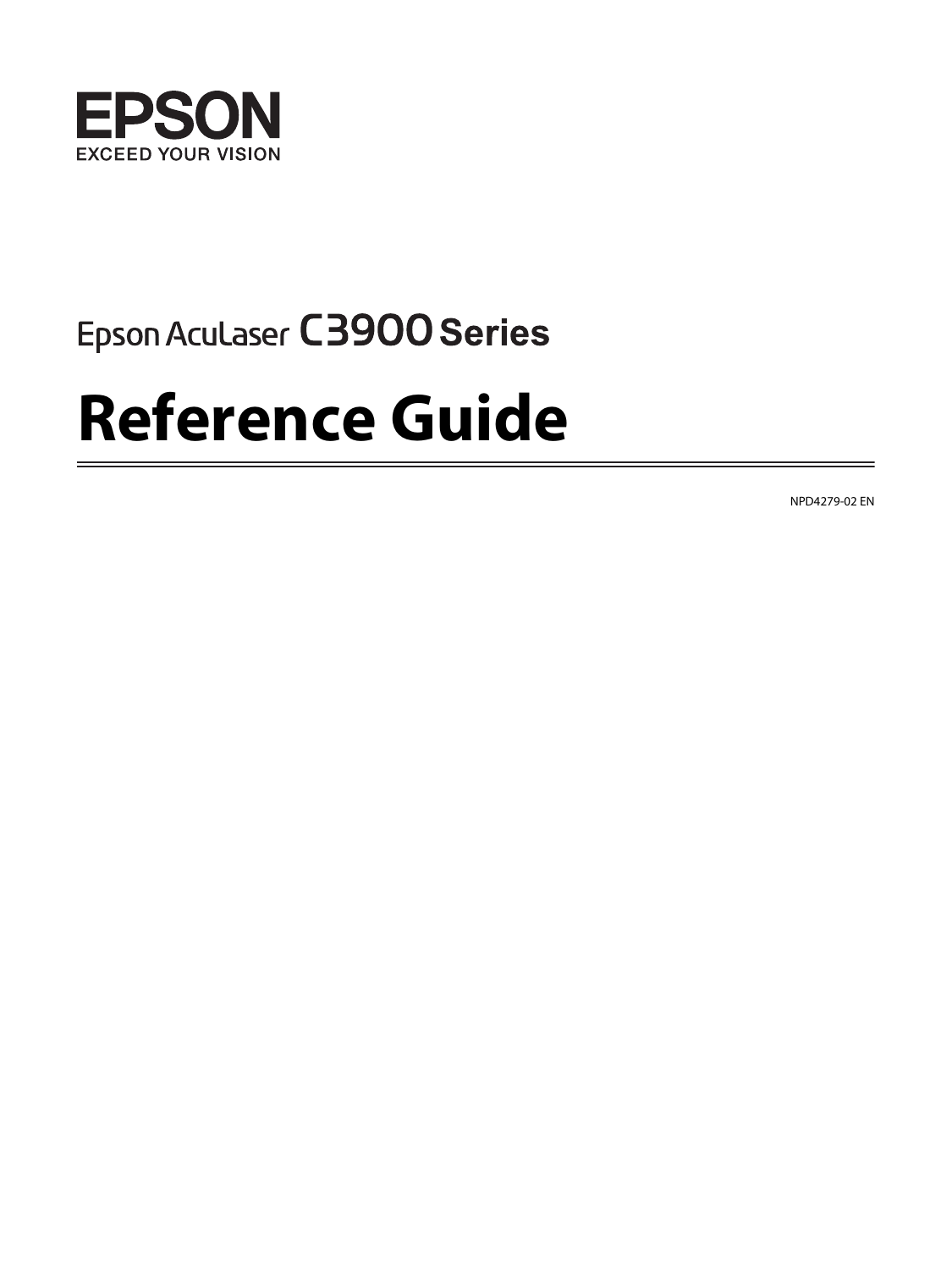

## Epson Aculaser C3900 Series

# **Reference Guide**

NPD4279-02 EN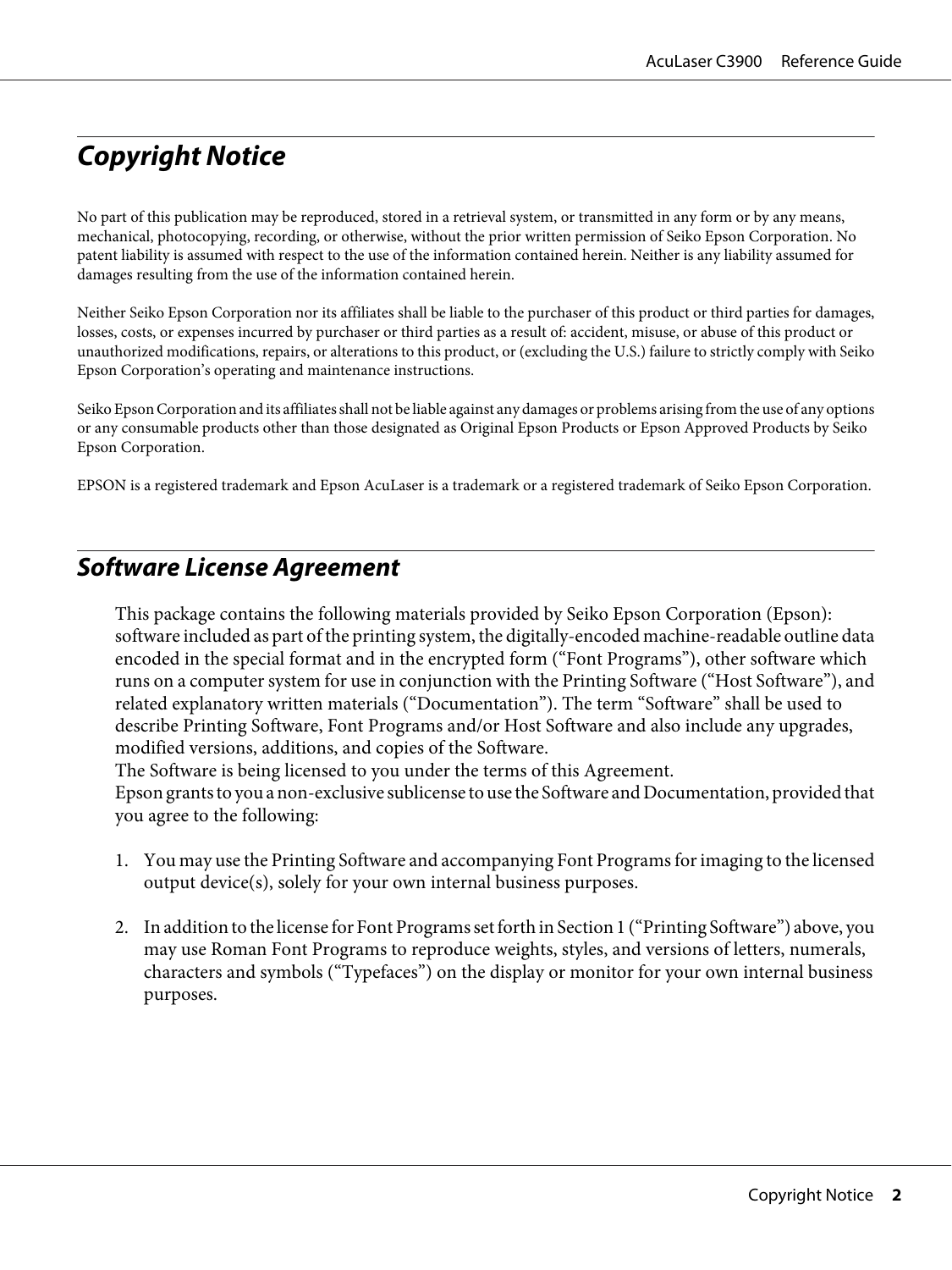### <span id="page-1-0"></span>**Copyright Notice**

No part of this publication may be reproduced, stored in a retrieval system, or transmitted in any form or by any means, mechanical, photocopying, recording, or otherwise, without the prior written permission of Seiko Epson Corporation. No patent liability is assumed with respect to the use of the information contained herein. Neither is any liability assumed for damages resulting from the use of the information contained herein.

Neither Seiko Epson Corporation nor its affiliates shall be liable to the purchaser of this product or third parties for damages, losses, costs, or expenses incurred by purchaser or third parties as a result of: accident, misuse, or abuse of this product or unauthorized modifications, repairs, or alterations to this product, or (excluding the U.S.) failure to strictly comply with Seiko Epson Corporation's operating and maintenance instructions.

Seiko Epson Corporation and its affiliates shall not be liable against any damages or problems arising from the use of any options or any consumable products other than those designated as Original Epson Products or Epson Approved Products by Seiko Epson Corporation.

EPSON is a registered trademark and Epson AcuLaser is a trademark or a registered trademark of Seiko Epson Corporation.

### **Software License Agreement**

This package contains the following materials provided by Seiko Epson Corporation (Epson): software included as part of the printing system, the digitally-encoded machine-readable outline data encoded in the special format and in the encrypted form ("Font Programs"), other software which runs on a computer system for use in conjunction with the Printing Software ("Host Software"), and related explanatory written materials ("Documentation"). The term "Software" shall be used to describe Printing Software, Font Programs and/or Host Software and also include any upgrades, modified versions, additions, and copies of the Software.

The Software is being licensed to you under the terms of this Agreement.

Epson grants to you a non-exclusive sublicense to use the Software and Documentation, provided that you agree to the following:

- 1. You may use the Printing Software and accompanying Font Programs for imaging to the licensed output device(s), solely for your own internal business purposes.
- 2. In addition to the license for Font Programs set forth in Section 1 ("Printing Software") above, you may use Roman Font Programs to reproduce weights, styles, and versions of letters, numerals, characters and symbols ("Typefaces") on the display or monitor for your own internal business purposes.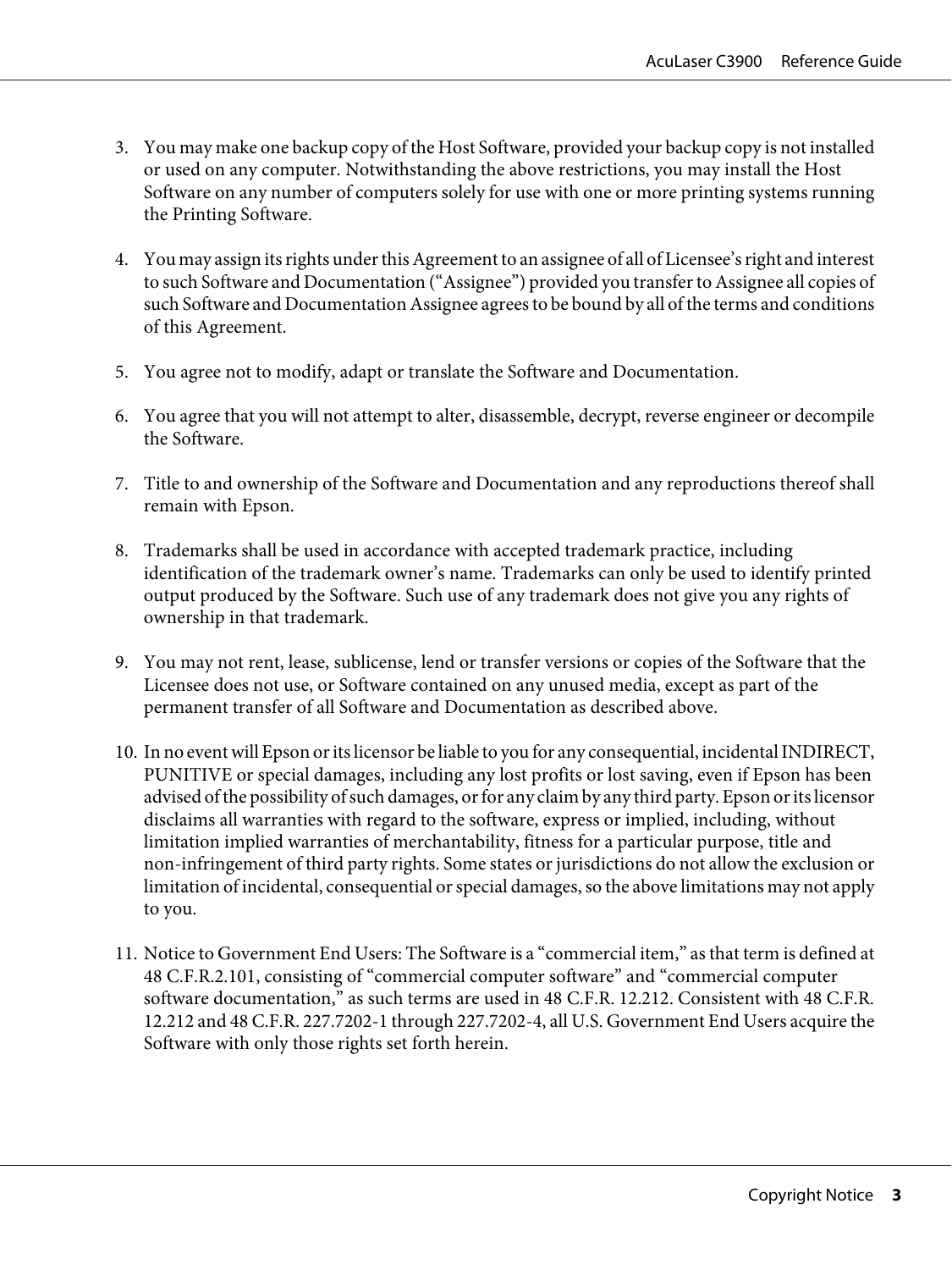- 3. You may make one backup copy of the Host Software, provided your backup copy is not installed or used on any computer. Notwithstanding the above restrictions, you may install the Host Software on any number of computers solely for use with one or more printing systems running the Printing Software.
- 4. You may assign its rights under this Agreement to an assignee of all of Licensee's right and interest to such Software and Documentation ("Assignee") provided you transfer to Assignee all copies of such Software and Documentation Assignee agrees to be bound by all of the terms and conditions of this Agreement.
- 5. You agree not to modify, adapt or translate the Software and Documentation.
- 6. You agree that you will not attempt to alter, disassemble, decrypt, reverse engineer or decompile the Software.
- 7. Title to and ownership of the Software and Documentation and any reproductions thereof shall remain with Epson.
- 8. Trademarks shall be used in accordance with accepted trademark practice, including identification of the trademark owner's name. Trademarks can only be used to identify printed output produced by the Software. Such use of any trademark does not give you any rights of ownership in that trademark.
- 9. You may not rent, lease, sublicense, lend or transfer versions or copies of the Software that the Licensee does not use, or Software contained on any unused media, except as part of the permanent transfer of all Software and Documentation as described above.
- 10. In no event will Epson or its licensor be liable to you for any consequential, incidental INDIRECT, PUNITIVE or special damages, including any lost profits or lost saving, even if Epson has been advised of the possibility of such damages, or for any claim by any third party. Epson or its licensor disclaims all warranties with regard to the software, express or implied, including, without limitation implied warranties of merchantability, fitness for a particular purpose, title and non-infringement of third party rights. Some states or jurisdictions do not allow the exclusion or limitation of incidental, consequential or special damages, so the above limitations may not apply to you.
- 11. Notice to Government End Users: The Software is a "commercial item," as that term is defined at 48 C.F.R.2.101, consisting of "commercial computer software" and "commercial computer software documentation," as such terms are used in 48 C.F.R. 12.212. Consistent with 48 C.F.R. 12.212 and 48 C.F.R. 227.7202-1 through 227.7202-4, all U.S. Government End Users acquire the Software with only those rights set forth herein.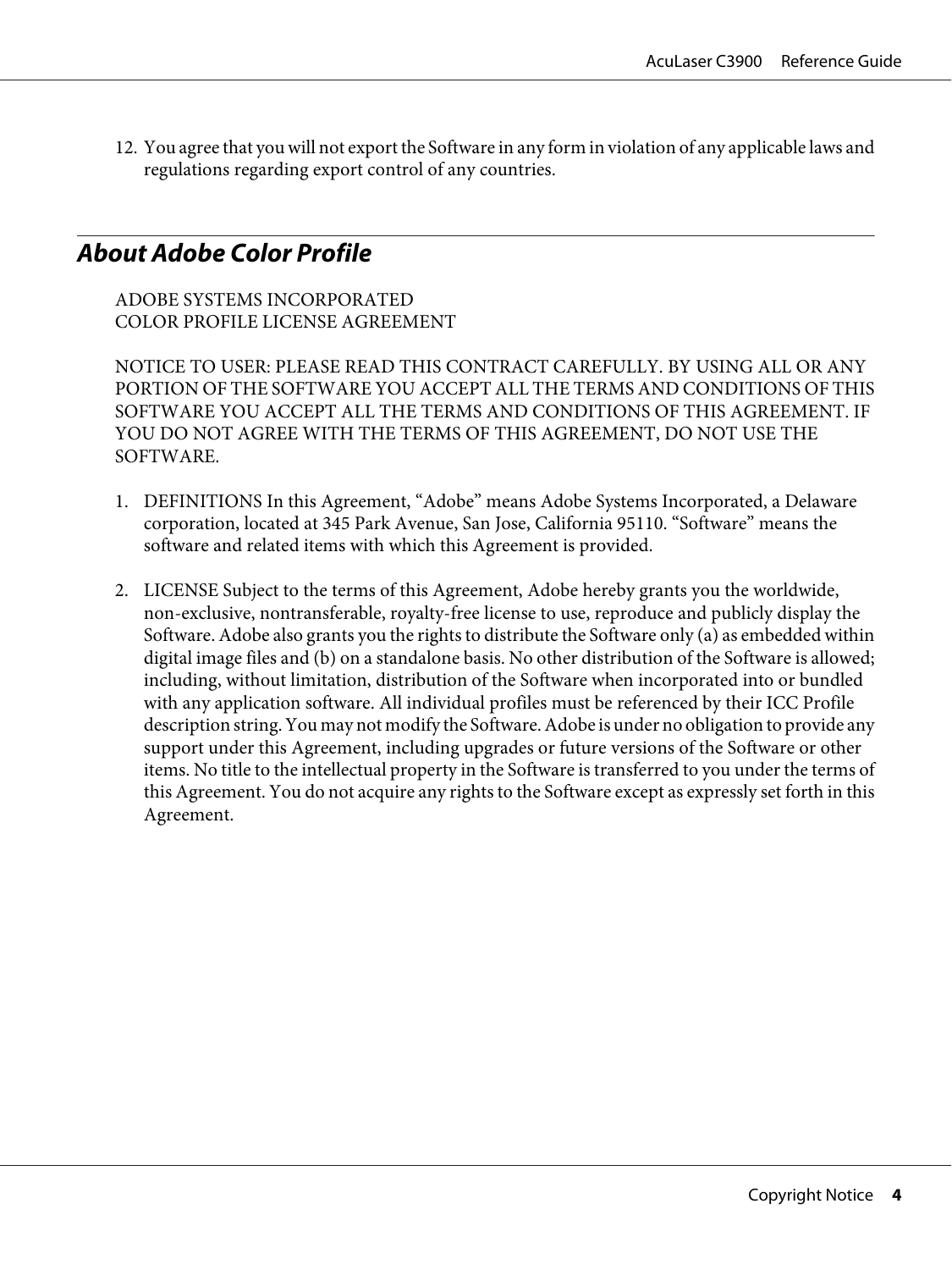<span id="page-3-0"></span>12. You agree that you will not export the Software in any form in violation of any applicable laws and regulations regarding export control of any countries.

### **About Adobe Color Profile**

ADOBE SYSTEMS INCORPORATED COLOR PROFILE LICENSE AGREEMENT

NOTICE TO USER: PLEASE READ THIS CONTRACT CAREFULLY. BY USING ALL OR ANY PORTION OF THE SOFTWARE YOU ACCEPT ALL THE TERMS AND CONDITIONS OF THIS SOFTWARE YOU ACCEPT ALL THE TERMS AND CONDITIONS OF THIS AGREEMENT. IF YOU DO NOT AGREE WITH THE TERMS OF THIS AGREEMENT, DO NOT USE THE SOFTWARE.

- 1. DEFINITIONS In this Agreement, "Adobe" means Adobe Systems Incorporated, a Delaware corporation, located at 345 Park Avenue, San Jose, California 95110. "Software" means the software and related items with which this Agreement is provided.
- 2. LICENSE Subject to the terms of this Agreement, Adobe hereby grants you the worldwide, non-exclusive, nontransferable, royalty-free license to use, reproduce and publicly display the Software. Adobe also grants you the rights to distribute the Software only (a) as embedded within digital image files and (b) on a standalone basis. No other distribution of the Software is allowed; including, without limitation, distribution of the Software when incorporated into or bundled with any application software. All individual profiles must be referenced by their ICC Profile description string. You may not modify the Software. Adobe is under no obligation to provide any support under this Agreement, including upgrades or future versions of the Software or other items. No title to the intellectual property in the Software is transferred to you under the terms of this Agreement. You do not acquire any rights to the Software except as expressly set forth in this Agreement.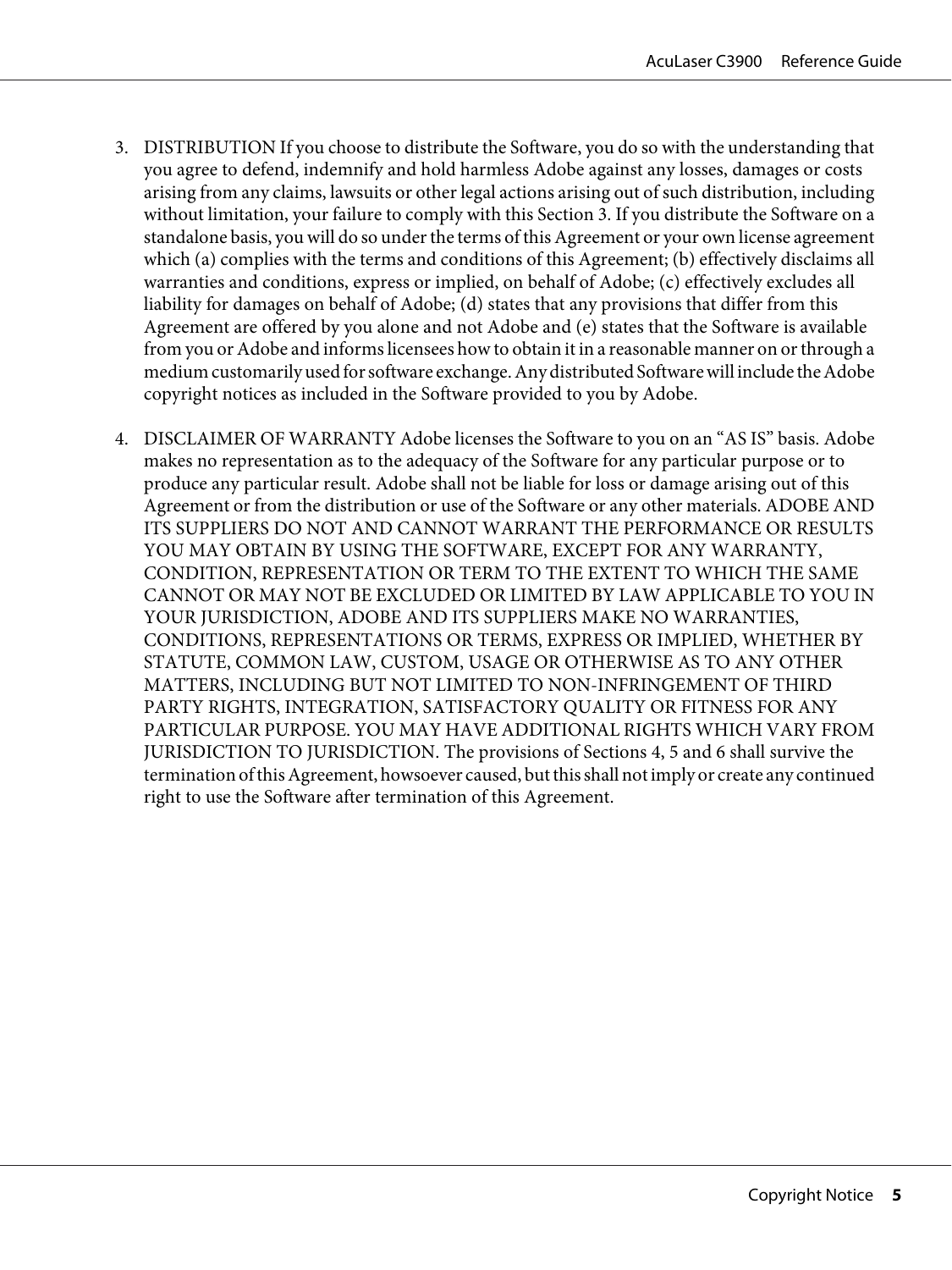- 3. DISTRIBUTION If you choose to distribute the Software, you do so with the understanding that you agree to defend, indemnify and hold harmless Adobe against any losses, damages or costs arising from any claims, lawsuits or other legal actions arising out of such distribution, including without limitation, your failure to comply with this Section 3. If you distribute the Software on a standalone basis, you will do so under the terms of this Agreement or your own license agreement which (a) complies with the terms and conditions of this Agreement; (b) effectively disclaims all warranties and conditions, express or implied, on behalf of Adobe; (c) effectively excludes all liability for damages on behalf of Adobe; (d) states that any provisions that differ from this Agreement are offered by you alone and not Adobe and (e) states that the Software is available from you or Adobe and informs licensees how to obtain it in a reasonable manner on or through a medium customarily used for software exchange. Any distributed Software will include the Adobe copyright notices as included in the Software provided to you by Adobe.
- 4. DISCLAIMER OF WARRANTY Adobe licenses the Software to you on an "AS IS" basis. Adobe makes no representation as to the adequacy of the Software for any particular purpose or to produce any particular result. Adobe shall not be liable for loss or damage arising out of this Agreement or from the distribution or use of the Software or any other materials. ADOBE AND ITS SUPPLIERS DO NOT AND CANNOT WARRANT THE PERFORMANCE OR RESULTS YOU MAY OBTAIN BY USING THE SOFTWARE, EXCEPT FOR ANY WARRANTY, CONDITION, REPRESENTATION OR TERM TO THE EXTENT TO WHICH THE SAME CANNOT OR MAY NOT BE EXCLUDED OR LIMITED BY LAW APPLICABLE TO YOU IN YOUR JURISDICTION, ADOBE AND ITS SUPPLIERS MAKE NO WARRANTIES, CONDITIONS, REPRESENTATIONS OR TERMS, EXPRESS OR IMPLIED, WHETHER BY STATUTE, COMMON LAW, CUSTOM, USAGE OR OTHERWISE AS TO ANY OTHER MATTERS, INCLUDING BUT NOT LIMITED TO NON-INFRINGEMENT OF THIRD PARTY RIGHTS, INTEGRATION, SATISFACTORY QUALITY OR FITNESS FOR ANY PARTICULAR PURPOSE. YOU MAY HAVE ADDITIONAL RIGHTS WHICH VARY FROM JURISDICTION TO JURISDICTION. The provisions of Sections 4, 5 and 6 shall survive the termination of this Agreement, howsoever caused, but this shall not imply or create any continued right to use the Software after termination of this Agreement.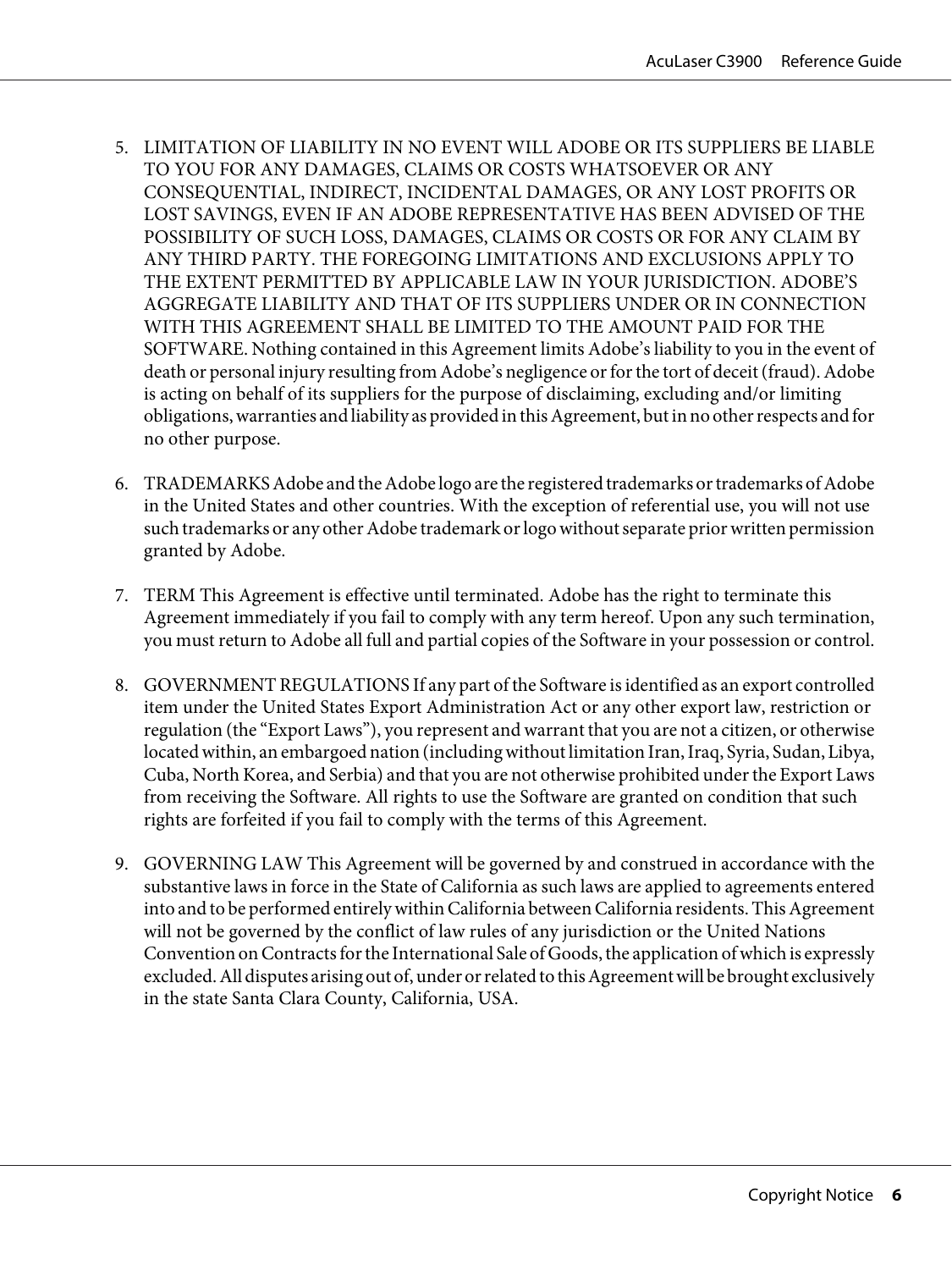- 5. LIMITATION OF LIABILITY IN NO EVENT WILL ADOBE OR ITS SUPPLIERS BE LIABLE TO YOU FOR ANY DAMAGES, CLAIMS OR COSTS WHATSOEVER OR ANY CONSEQUENTIAL, INDIRECT, INCIDENTAL DAMAGES, OR ANY LOST PROFITS OR LOST SAVINGS, EVEN IF AN ADOBE REPRESENTATIVE HAS BEEN ADVISED OF THE POSSIBILITY OF SUCH LOSS, DAMAGES, CLAIMS OR COSTS OR FOR ANY CLAIM BY ANY THIRD PARTY. THE FOREGOING LIMITATIONS AND EXCLUSIONS APPLY TO THE EXTENT PERMITTED BY APPLICABLE LAW IN YOUR JURISDICTION. ADOBE'S AGGREGATE LIABILITY AND THAT OF ITS SUPPLIERS UNDER OR IN CONNECTION WITH THIS AGREEMENT SHALL BE LIMITED TO THE AMOUNT PAID FOR THE SOFTWARE. Nothing contained in this Agreement limits Adobe's liability to you in the event of death or personal injury resulting from Adobe's negligence or for the tort of deceit (fraud). Adobe is acting on behalf of its suppliers for the purpose of disclaiming, excluding and/or limiting obligations, warranties and liability as provided in this Agreement, but in no other respects and for no other purpose.
- 6. TRADEMARKS Adobe and the Adobe logo are the registered trademarks or trademarks of Adobe in the United States and other countries. With the exception of referential use, you will not use such trademarks or any other Adobe trademark or logo without separate prior written permission granted by Adobe.
- 7. TERM This Agreement is effective until terminated. Adobe has the right to terminate this Agreement immediately if you fail to comply with any term hereof. Upon any such termination, you must return to Adobe all full and partial copies of the Software in your possession or control.
- 8. GOVERNMENT REGULATIONS If any part of the Software is identified as an export controlled item under the United States Export Administration Act or any other export law, restriction or regulation (the "Export Laws"), you represent and warrant that you are not a citizen, or otherwise located within, an embargoed nation (including without limitation Iran, Iraq, Syria, Sudan, Libya, Cuba, North Korea, and Serbia) and that you are not otherwise prohibited under the Export Laws from receiving the Software. All rights to use the Software are granted on condition that such rights are forfeited if you fail to comply with the terms of this Agreement.
- 9. GOVERNING LAW This Agreement will be governed by and construed in accordance with the substantive laws in force in the State of California as such laws are applied to agreements entered into and to be performed entirely within California between California residents. This Agreement will not be governed by the conflict of law rules of any jurisdiction or the United Nations Convention on Contracts for the International Sale of Goods, the application of which is expressly excluded. All disputes arising out of, under or related to this Agreement will be brought exclusively in the state Santa Clara County, California, USA.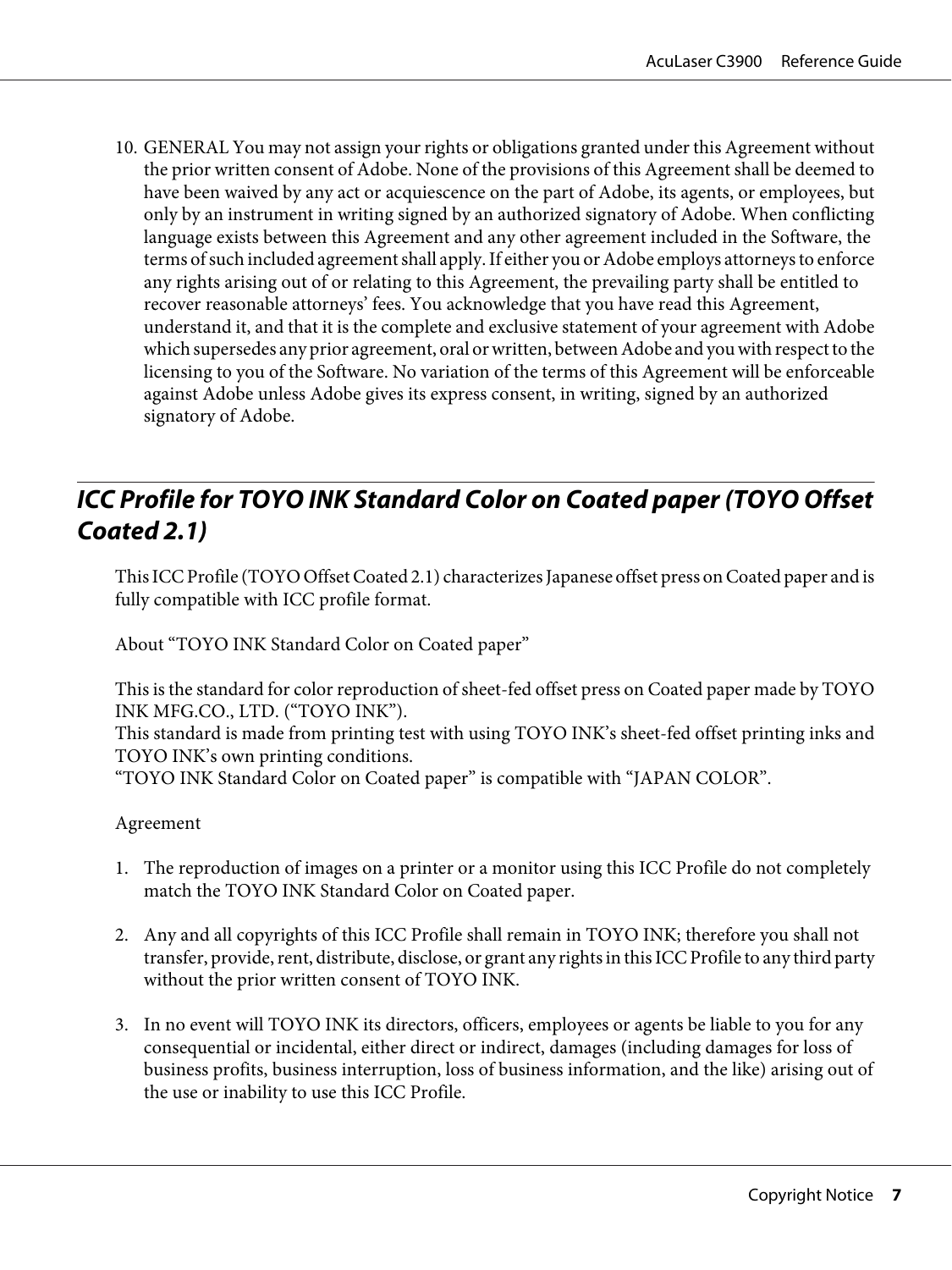<span id="page-6-0"></span>10. GENERAL You may not assign your rights or obligations granted under this Agreement without the prior written consent of Adobe. None of the provisions of this Agreement shall be deemed to have been waived by any act or acquiescence on the part of Adobe, its agents, or employees, but only by an instrument in writing signed by an authorized signatory of Adobe. When conflicting language exists between this Agreement and any other agreement included in the Software, the terms of such included agreement shall apply. If either you or Adobe employs attorneys to enforce any rights arising out of or relating to this Agreement, the prevailing party shall be entitled to recover reasonable attorneys' fees. You acknowledge that you have read this Agreement, understand it, and that it is the complete and exclusive statement of your agreement with Adobe which supersedes any prior agreement, oral or written, between Adobe and you with respect to the licensing to you of the Software. No variation of the terms of this Agreement will be enforceable against Adobe unless Adobe gives its express consent, in writing, signed by an authorized signatory of Adobe.

### **ICC Profile for TOYO INK Standard Color on Coated paper (TOYO Offset Coated 2.1)**

This ICC Profile (TOYO Offset Coated 2.1) characterizes Japanese offset press on Coated paper and is fully compatible with ICC profile format.

About "TOYO INK Standard Color on Coated paper"

This is the standard for color reproduction of sheet-fed offset press on Coated paper made by TOYO INK MFG.CO., LTD. ("TOYO INK").

This standard is made from printing test with using TOYO INK's sheet-fed offset printing inks and TOYO INK's own printing conditions.

"TOYO INK Standard Color on Coated paper" is compatible with "JAPAN COLOR".

#### Agreement

- 1. The reproduction of images on a printer or a monitor using this ICC Profile do not completely match the TOYO INK Standard Color on Coated paper.
- 2. Any and all copyrights of this ICC Profile shall remain in TOYO INK; therefore you shall not transfer, provide, rent, distribute, disclose, or grant any rights in this ICC Profile to any third party without the prior written consent of TOYO INK.
- 3. In no event will TOYO INK its directors, officers, employees or agents be liable to you for any consequential or incidental, either direct or indirect, damages (including damages for loss of business profits, business interruption, loss of business information, and the like) arising out of the use or inability to use this ICC Profile.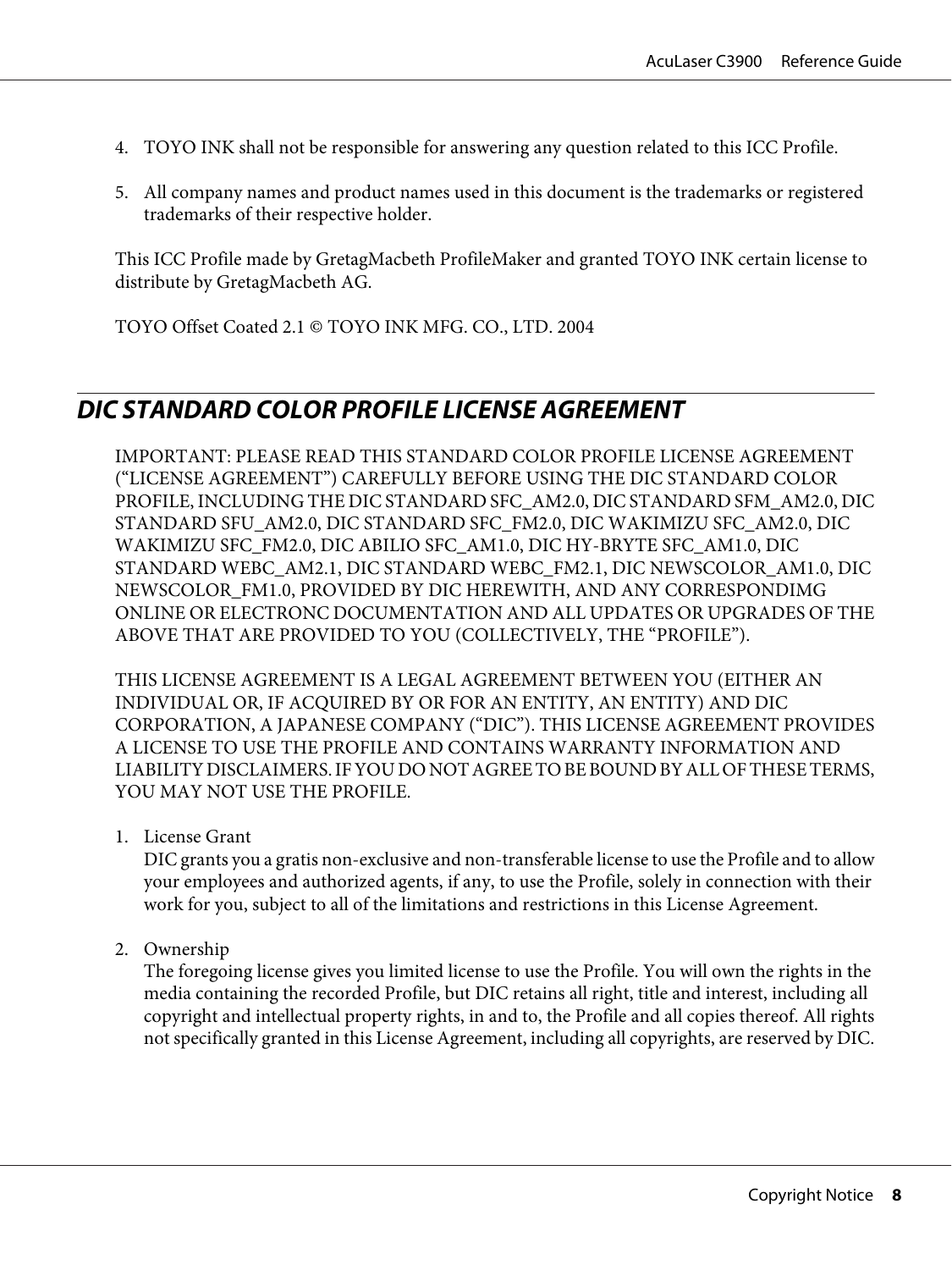- <span id="page-7-0"></span>4. TOYO INK shall not be responsible for answering any question related to this ICC Profile.
- 5. All company names and product names used in this document is the trademarks or registered trademarks of their respective holder.

This ICC Profile made by GretagMacbeth ProfileMaker and granted TOYO INK certain license to distribute by GretagMacbeth AG.

TOYO Offset Coated 2.1 © TOYO INK MFG. CO., LTD. 2004

### **DIC STANDARD COLOR PROFILE LICENSE AGREEMENT**

IMPORTANT: PLEASE READ THIS STANDARD COLOR PROFILE LICENSE AGREEMENT ("LICENSE AGREEMENT") CAREFULLY BEFORE USING THE DIC STANDARD COLOR PROFILE, INCLUDING THE DIC STANDARD SFC\_AM2.0, DIC STANDARD SFM\_AM2.0, DIC STANDARD SFU\_AM2.0, DIC STANDARD SFC\_FM2.0, DIC WAKIMIZU SFC\_AM2.0, DIC WAKIMIZU SFC\_FM2.0, DIC ABILIO SFC\_AM1.0, DIC HY-BRYTE SFC\_AM1.0, DIC STANDARD WEBC\_AM2.1, DIC STANDARD WEBC\_FM2.1, DIC NEWSCOLOR\_AM1.0, DIC NEWSCOLOR\_FM1.0, PROVIDED BY DIC HEREWITH, AND ANY CORRESPONDIMG ONLINE OR ELECTRONC DOCUMENTATION AND ALL UPDATES OR UPGRADES OF THE ABOVE THAT ARE PROVIDED TO YOU (COLLECTIVELY, THE "PROFILE").

THIS LICENSE AGREEMENT IS A LEGAL AGREEMENT BETWEEN YOU (EITHER AN INDIVIDUAL OR, IF ACQUIRED BY OR FOR AN ENTITY, AN ENTITY) AND DIC CORPORATION, A JAPANESE COMPANY ("DIC"). THIS LICENSE AGREEMENT PROVIDES A LICENSE TO USE THE PROFILE AND CONTAINS WARRANTY INFORMATION AND LIABILITY DISCLAIMERS. IF YOU DO NOT AGREE TO BE BOUND BY ALL OF THESE TERMS, YOU MAY NOT USE THE PROFILE.

1. License Grant

DIC grants you a gratis non-exclusive and non-transferable license to use the Profile and to allow your employees and authorized agents, if any, to use the Profile, solely in connection with their work for you, subject to all of the limitations and restrictions in this License Agreement.

2. Ownership

The foregoing license gives you limited license to use the Profile. You will own the rights in the media containing the recorded Profile, but DIC retains all right, title and interest, including all copyright and intellectual property rights, in and to, the Profile and all copies thereof. All rights not specifically granted in this License Agreement, including all copyrights, are reserved by DIC.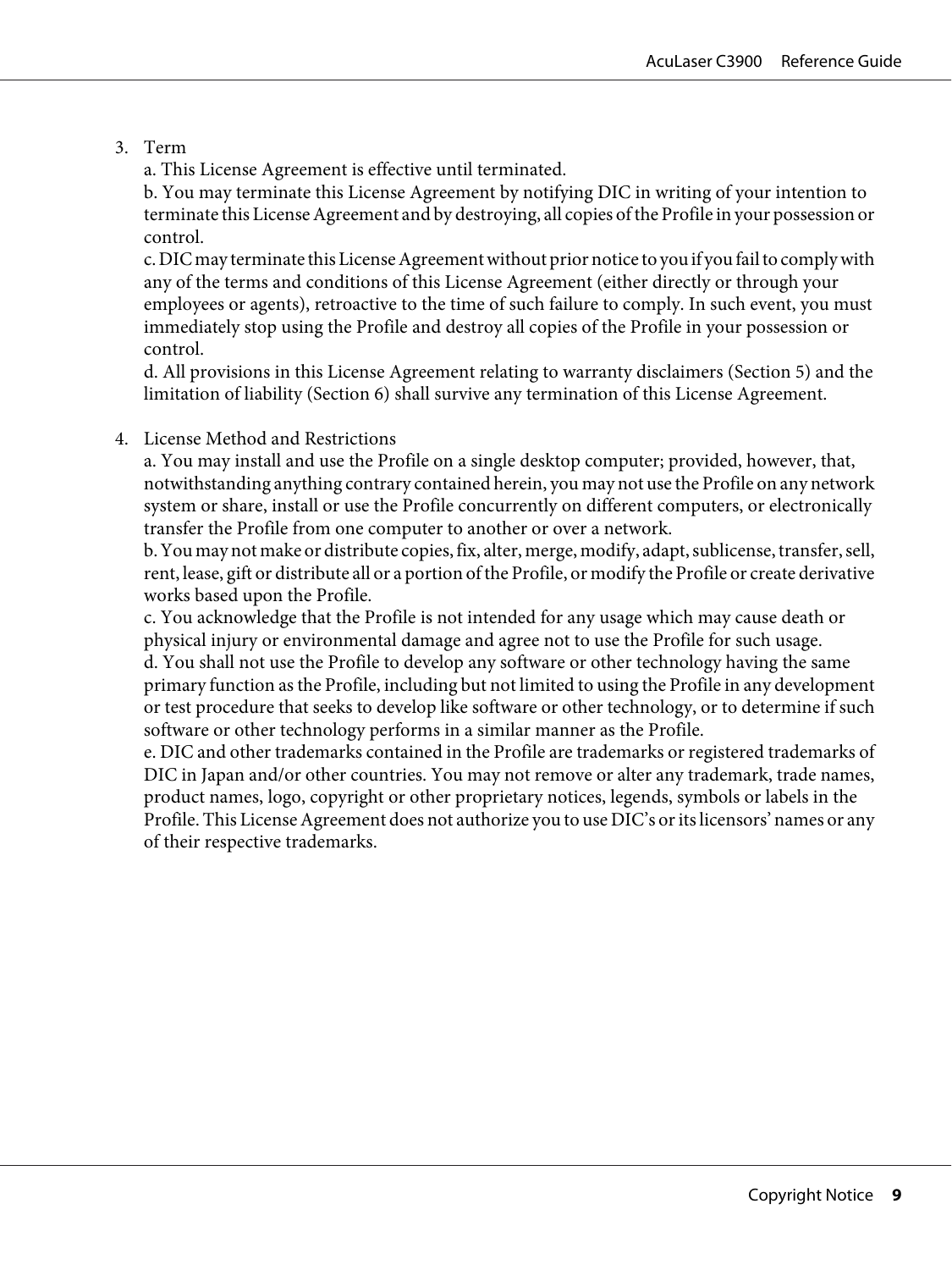#### 3. Term

a. This License Agreement is effective until terminated.

b. You may terminate this License Agreement by notifying DIC in writing of your intention to terminate this License Agreement and by destroying, all copies of the Profile in your possession or control.

c. DIC may terminate this License Agreement without prior notice to you if you fail to comply with any of the terms and conditions of this License Agreement (either directly or through your employees or agents), retroactive to the time of such failure to comply. In such event, you must immediately stop using the Profile and destroy all copies of the Profile in your possession or control.

d. All provisions in this License Agreement relating to warranty disclaimers (Section 5) and the limitation of liability (Section 6) shall survive any termination of this License Agreement.

#### 4. License Method and Restrictions

a. You may install and use the Profile on a single desktop computer; provided, however, that, notwithstanding anything contrary contained herein, you may not use the Profile on any network system or share, install or use the Profile concurrently on different computers, or electronically transfer the Profile from one computer to another or over a network.

b. You may not make or distribute copies, fix, alter, merge, modify, adapt, sublicense, transfer, sell, rent, lease, gift or distribute all or a portion of the Profile, or modify the Profile or create derivative works based upon the Profile.

c. You acknowledge that the Profile is not intended for any usage which may cause death or physical injury or environmental damage and agree not to use the Profile for such usage.

d. You shall not use the Profile to develop any software or other technology having the same primary function as the Profile, including but not limited to using the Profile in any development or test procedure that seeks to develop like software or other technology, or to determine if such software or other technology performs in a similar manner as the Profile.

e. DIC and other trademarks contained in the Profile are trademarks or registered trademarks of DIC in Japan and/or other countries. You may not remove or alter any trademark, trade names, product names, logo, copyright or other proprietary notices, legends, symbols or labels in the Profile. This License Agreement does not authorize you to use DIC's or its licensors' names or any of their respective trademarks.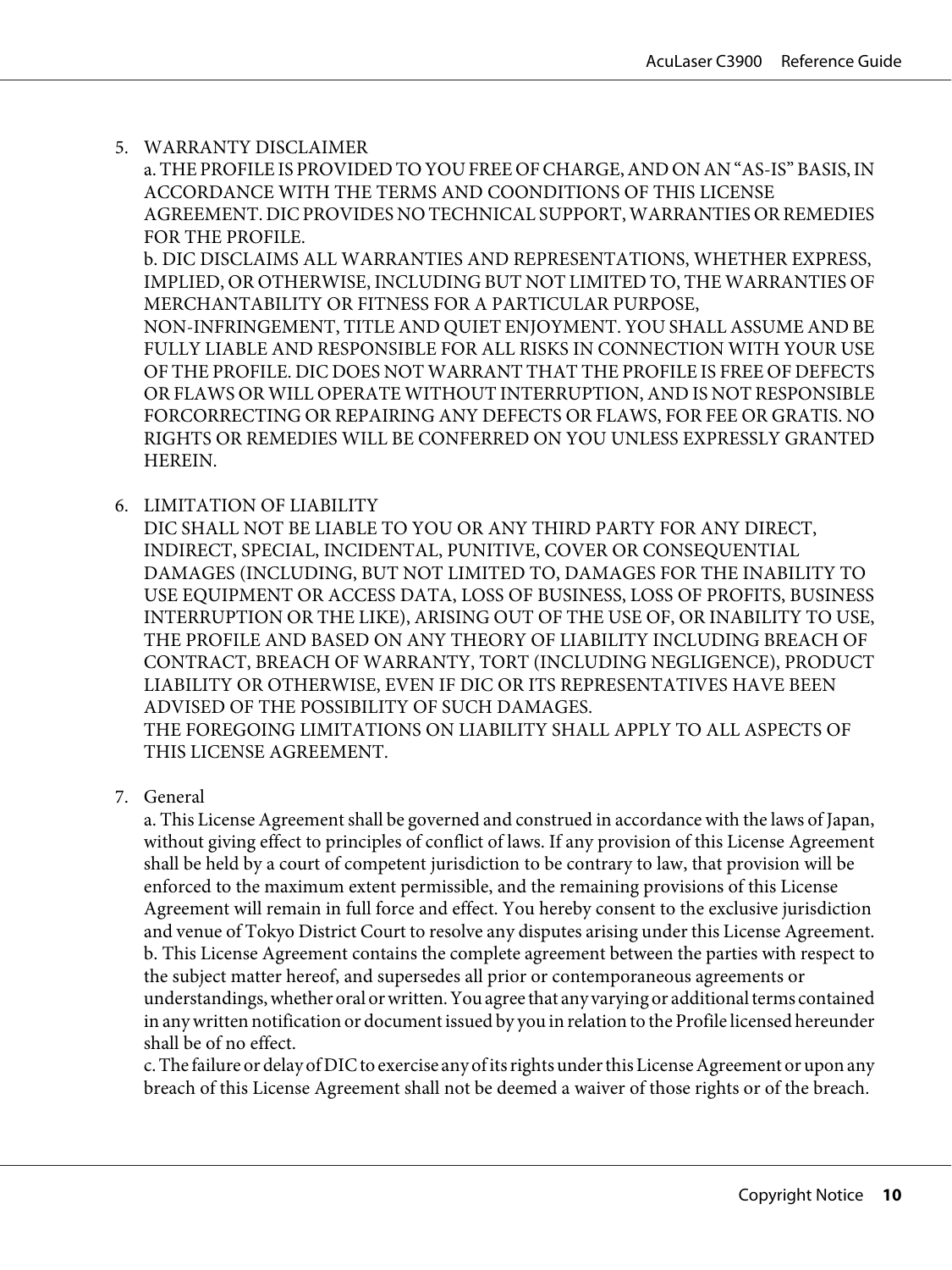5. WARRANTY DISCLAIMER

a. THE PROFILE IS PROVIDED TO YOU FREE OF CHARGE, AND ON AN "AS-IS" BASIS, IN ACCORDANCE WITH THE TERMS AND COONDITIONS OF THIS LICENSE AGREEMENT. DIC PROVIDES NO TECHNICAL SUPPORT, WARRANTIES OR REMEDIES FOR THE PROFILE.

b. DIC DISCLAIMS ALL WARRANTIES AND REPRESENTATIONS, WHETHER EXPRESS, IMPLIED, OR OTHERWISE, INCLUDING BUT NOT LIMITED TO, THE WARRANTIES OF MERCHANTABILITY OR FITNESS FOR A PARTICULAR PURPOSE,

NON-INFRINGEMENT, TITLE AND QUIET ENJOYMENT. YOU SHALL ASSUME AND BE FULLY LIABLE AND RESPONSIBLE FOR ALL RISKS IN CONNECTION WITH YOUR USE OF THE PROFILE. DIC DOES NOT WARRANT THAT THE PROFILE IS FREE OF DEFECTS OR FLAWS OR WILL OPERATE WITHOUT INTERRUPTION, AND IS NOT RESPONSIBLE FORCORRECTING OR REPAIRING ANY DEFECTS OR FLAWS, FOR FEE OR GRATIS. NO RIGHTS OR REMEDIES WILL BE CONFERRED ON YOU UNLESS EXPRESSLY GRANTED HEREIN.

6. LIMITATION OF LIABILITY

DIC SHALL NOT BE LIABLE TO YOU OR ANY THIRD PARTY FOR ANY DIRECT, INDIRECT, SPECIAL, INCIDENTAL, PUNITIVE, COVER OR CONSEQUENTIAL DAMAGES (INCLUDING, BUT NOT LIMITED TO, DAMAGES FOR THE INABILITY TO USE EQUIPMENT OR ACCESS DATA, LOSS OF BUSINESS, LOSS OF PROFITS, BUSINESS INTERRUPTION OR THE LIKE), ARISING OUT OF THE USE OF, OR INABILITY TO USE, THE PROFILE AND BASED ON ANY THEORY OF LIABILITY INCLUDING BREACH OF CONTRACT, BREACH OF WARRANTY, TORT (INCLUDING NEGLIGENCE), PRODUCT LIABILITY OR OTHERWISE, EVEN IF DIC OR ITS REPRESENTATIVES HAVE BEEN ADVISED OF THE POSSIBILITY OF SUCH DAMAGES. THE FOREGOING LIMITATIONS ON LIABILITY SHALL APPLY TO ALL ASPECTS OF THIS LICENSE AGREEMENT.

7. General

a. This License Agreement shall be governed and construed in accordance with the laws of Japan, without giving effect to principles of conflict of laws. If any provision of this License Agreement shall be held by a court of competent jurisdiction to be contrary to law, that provision will be enforced to the maximum extent permissible, and the remaining provisions of this License Agreement will remain in full force and effect. You hereby consent to the exclusive jurisdiction and venue of Tokyo District Court to resolve any disputes arising under this License Agreement. b. This License Agreement contains the complete agreement between the parties with respect to the subject matter hereof, and supersedes all prior or contemporaneous agreements or understandings, whether oral or written. You agree that any varying or additional terms contained in any written notification or document issued by you in relation to the Profile licensed hereunder shall be of no effect.

c. The failure or delay of DIC to exercise any of its rights under this License Agreement or upon any breach of this License Agreement shall not be deemed a waiver of those rights or of the breach.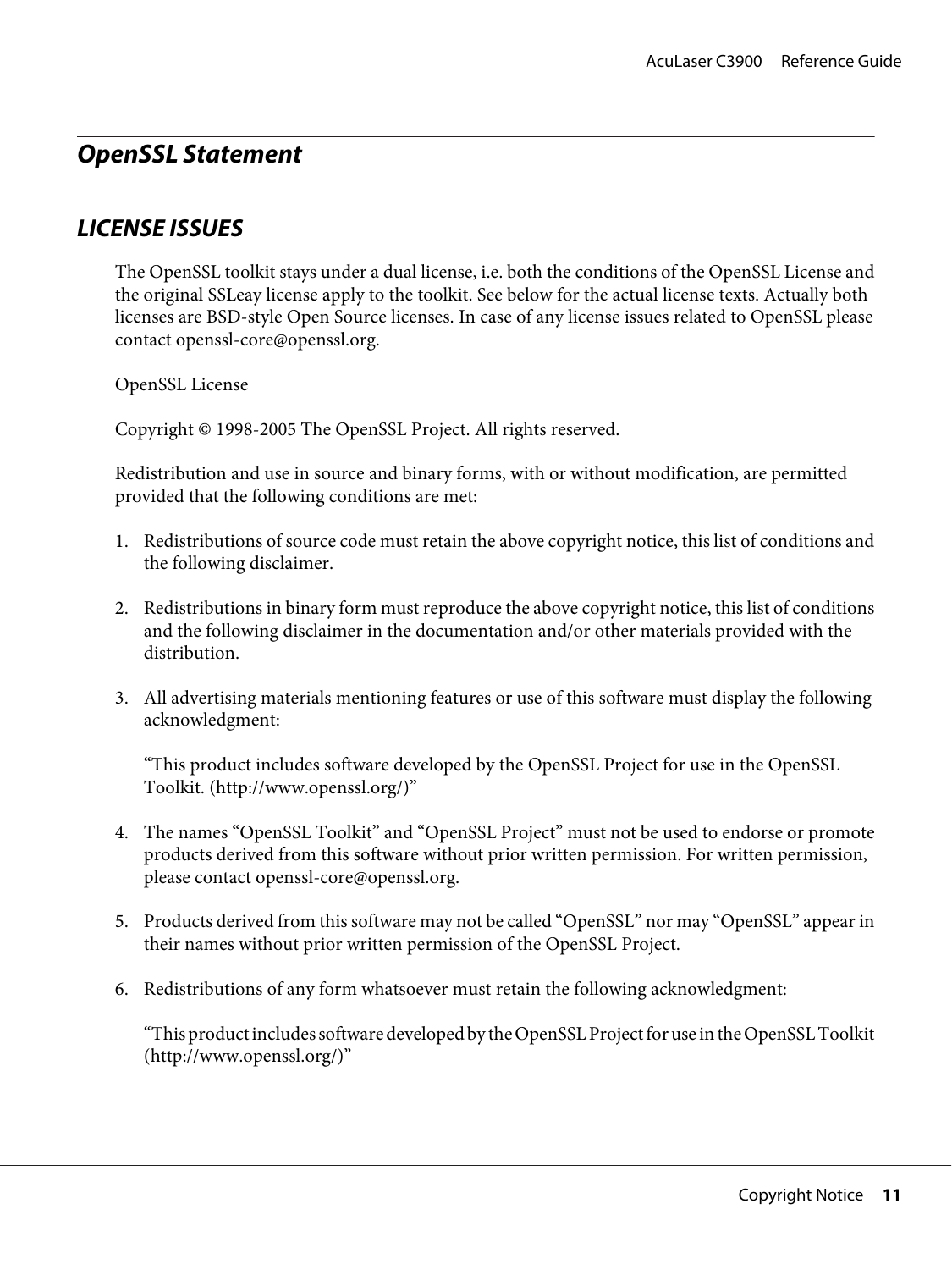### <span id="page-10-0"></span>**OpenSSL Statement**

### **LICENSE ISSUES**

The OpenSSL toolkit stays under a dual license, i.e. both the conditions of the OpenSSL License and the original SSLeay license apply to the toolkit. See below for the actual license texts. Actually both licenses are BSD-style Open Source licenses. In case of any license issues related to OpenSSL please contact openssl-core@openssl.org.

OpenSSL License

Copyright © 1998-2005 The OpenSSL Project. All rights reserved.

Redistribution and use in source and binary forms, with or without modification, are permitted provided that the following conditions are met:

- 1. Redistributions of source code must retain the above copyright notice, this list of conditions and the following disclaimer.
- 2. Redistributions in binary form must reproduce the above copyright notice, this list of conditions and the following disclaimer in the documentation and/or other materials provided with the distribution.
- 3. All advertising materials mentioning features or use of this software must display the following acknowledgment:

"This product includes software developed by the OpenSSL Project for use in the OpenSSL Toolkit. (http://www.openssl.org/)"

- 4. The names "OpenSSL Toolkit" and "OpenSSL Project" must not be used to endorse or promote products derived from this software without prior written permission. For written permission, please contact openssl-core@openssl.org.
- 5. Products derived from this software may not be called "OpenSSL" nor may "OpenSSL" appear in their names without prior written permission of the OpenSSL Project.
- 6. Redistributions of any form whatsoever must retain the following acknowledgment:

"This product includes software developed by the OpenSSL Project for use in the OpenSSL Toolkit (http://www.openssl.org/)"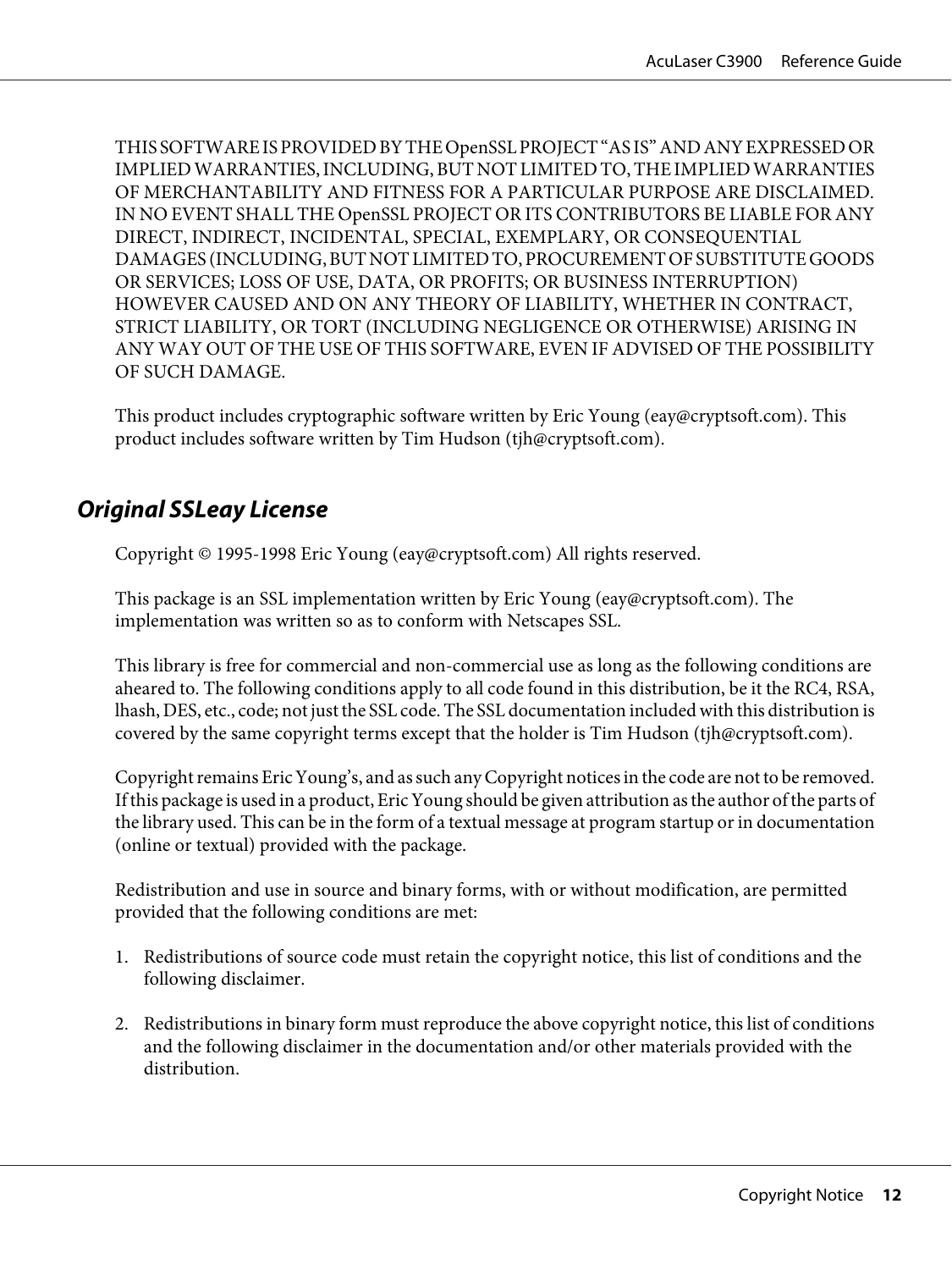<span id="page-11-0"></span>THIS SOFTWARE IS PROVIDED BY THE OpenSSL PROJECT "AS IS" AND ANY EXPRESSED OR IMPLIED WARRANTIES, INCLUDING, BUT NOT LIMITED TO, THE IMPLIED WARRANTIES OF MERCHANTABILITY AND FITNESS FOR A PARTICULAR PURPOSE ARE DISCLAIMED. IN NO EVENT SHALL THE OpenSSL PROJECT OR ITS CONTRIBUTORS BE LIABLE FOR ANY DIRECT, INDIRECT, INCIDENTAL, SPECIAL, EXEMPLARY, OR CONSEQUENTIAL DAMAGES (INCLUDING, BUT NOT LIMITED TO, PROCUREMENT OF SUBSTITUTE GOODS OR SERVICES; LOSS OF USE, DATA, OR PROFITS; OR BUSINESS INTERRUPTION) HOWEVER CAUSED AND ON ANY THEORY OF LIABILITY, WHETHER IN CONTRACT, STRICT LIABILITY, OR TORT (INCLUDING NEGLIGENCE OR OTHERWISE) ARISING IN ANY WAY OUT OF THE USE OF THIS SOFTWARE, EVEN IF ADVISED OF THE POSSIBILITY OF SUCH DAMAGE.

This product includes cryptographic software written by Eric Young (eay@cryptsoft.com). This product includes software written by Tim Hudson (tjh@cryptsoft.com).

### **Original SSLeay License**

Copyright © 1995-1998 Eric Young (eay@cryptsoft.com) All rights reserved.

This package is an SSL implementation written by Eric Young (eay@cryptsoft.com). The implementation was written so as to conform with Netscapes SSL.

This library is free for commercial and non-commercial use as long as the following conditions are aheared to. The following conditions apply to all code found in this distribution, be it the RC4, RSA, lhash, DES, etc., code; not just the SSL code. The SSL documentation included with this distribution is covered by the same copyright terms except that the holder is Tim Hudson (tjh@cryptsoft.com).

Copyright remains Eric Young's, and as such any Copyright notices in the code are not to be removed. If this package is used in a product, Eric Young should be given attribution as the author of the parts of the library used. This can be in the form of a textual message at program startup or in documentation (online or textual) provided with the package.

Redistribution and use in source and binary forms, with or without modification, are permitted provided that the following conditions are met:

- 1. Redistributions of source code must retain the copyright notice, this list of conditions and the following disclaimer.
- 2. Redistributions in binary form must reproduce the above copyright notice, this list of conditions and the following disclaimer in the documentation and/or other materials provided with the distribution.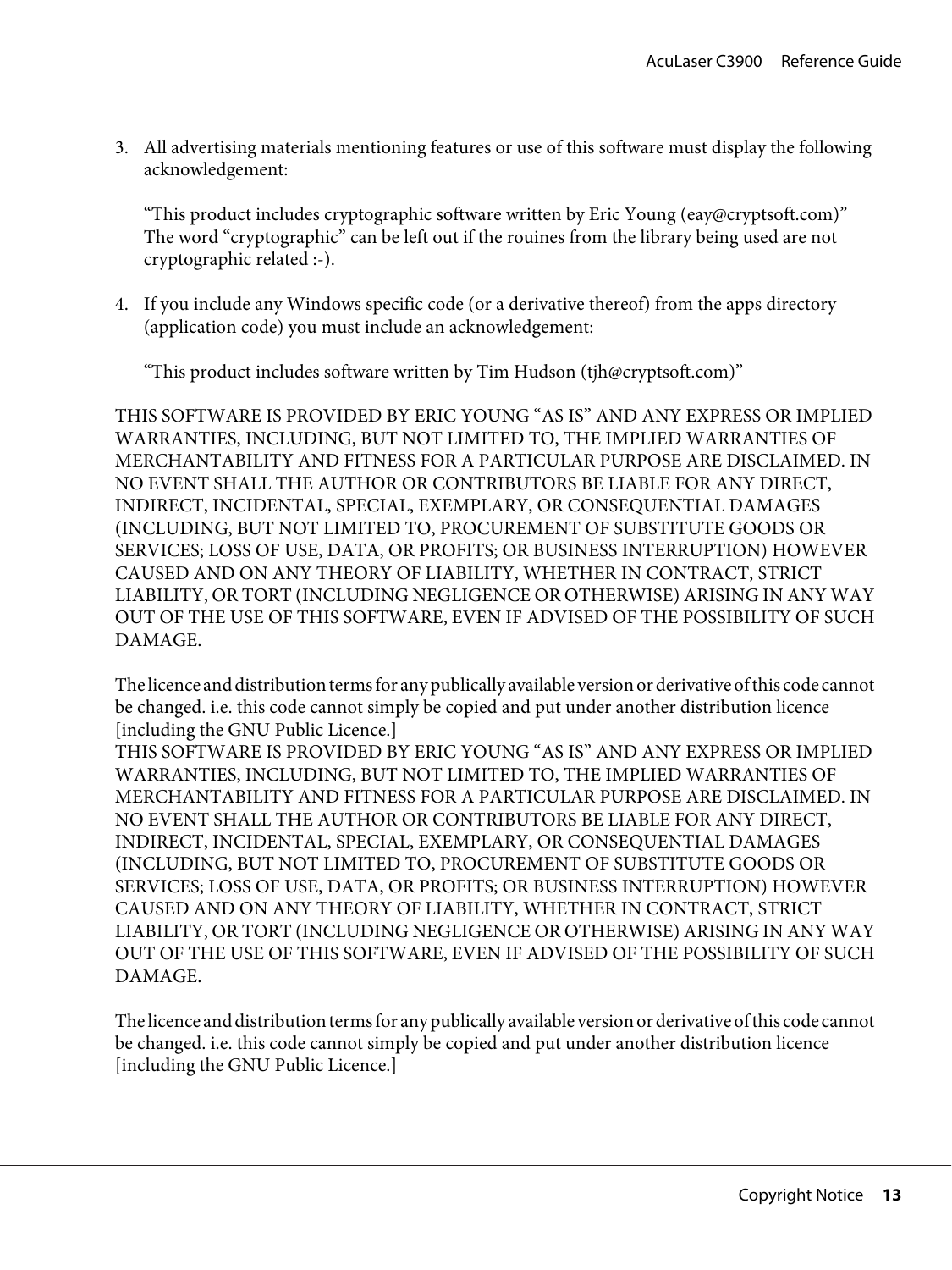3. All advertising materials mentioning features or use of this software must display the following acknowledgement:

"This product includes cryptographic software written by Eric Young (eay@cryptsoft.com)" The word "cryptographic" can be left out if the rouines from the library being used are not cryptographic related :-).

4. If you include any Windows specific code (or a derivative thereof) from the apps directory (application code) you must include an acknowledgement:

"This product includes software written by Tim Hudson (tjh@cryptsoft.com)"

THIS SOFTWARE IS PROVIDED BY ERIC YOUNG "AS IS" AND ANY EXPRESS OR IMPLIED WARRANTIES, INCLUDING, BUT NOT LIMITED TO, THE IMPLIED WARRANTIES OF MERCHANTABILITY AND FITNESS FOR A PARTICULAR PURPOSE ARE DISCLAIMED. IN NO EVENT SHALL THE AUTHOR OR CONTRIBUTORS BE LIABLE FOR ANY DIRECT, INDIRECT, INCIDENTAL, SPECIAL, EXEMPLARY, OR CONSEQUENTIAL DAMAGES (INCLUDING, BUT NOT LIMITED TO, PROCUREMENT OF SUBSTITUTE GOODS OR SERVICES; LOSS OF USE, DATA, OR PROFITS; OR BUSINESS INTERRUPTION) HOWEVER CAUSED AND ON ANY THEORY OF LIABILITY, WHETHER IN CONTRACT, STRICT LIABILITY, OR TORT (INCLUDING NEGLIGENCE OR OTHERWISE) ARISING IN ANY WAY OUT OF THE USE OF THIS SOFTWARE, EVEN IF ADVISED OF THE POSSIBILITY OF SUCH DAMAGE.

The licence and distribution terms for any publically available version or derivative of this code cannot be changed. i.e. this code cannot simply be copied and put under another distribution licence [including the GNU Public Licence.]

THIS SOFTWARE IS PROVIDED BY ERIC YOUNG "AS IS" AND ANY EXPRESS OR IMPLIED WARRANTIES, INCLUDING, BUT NOT LIMITED TO, THE IMPLIED WARRANTIES OF MERCHANTABILITY AND FITNESS FOR A PARTICULAR PURPOSE ARE DISCLAIMED. IN NO EVENT SHALL THE AUTHOR OR CONTRIBUTORS BE LIABLE FOR ANY DIRECT, INDIRECT, INCIDENTAL, SPECIAL, EXEMPLARY, OR CONSEQUENTIAL DAMAGES (INCLUDING, BUT NOT LIMITED TO, PROCUREMENT OF SUBSTITUTE GOODS OR SERVICES; LOSS OF USE, DATA, OR PROFITS; OR BUSINESS INTERRUPTION) HOWEVER CAUSED AND ON ANY THEORY OF LIABILITY, WHETHER IN CONTRACT, STRICT LIABILITY, OR TORT (INCLUDING NEGLIGENCE OR OTHERWISE) ARISING IN ANY WAY OUT OF THE USE OF THIS SOFTWARE, EVEN IF ADVISED OF THE POSSIBILITY OF SUCH DAMAGE.

The licence and distribution terms for any publically available version or derivative of this code cannot be changed. i.e. this code cannot simply be copied and put under another distribution licence [including the GNU Public Licence.]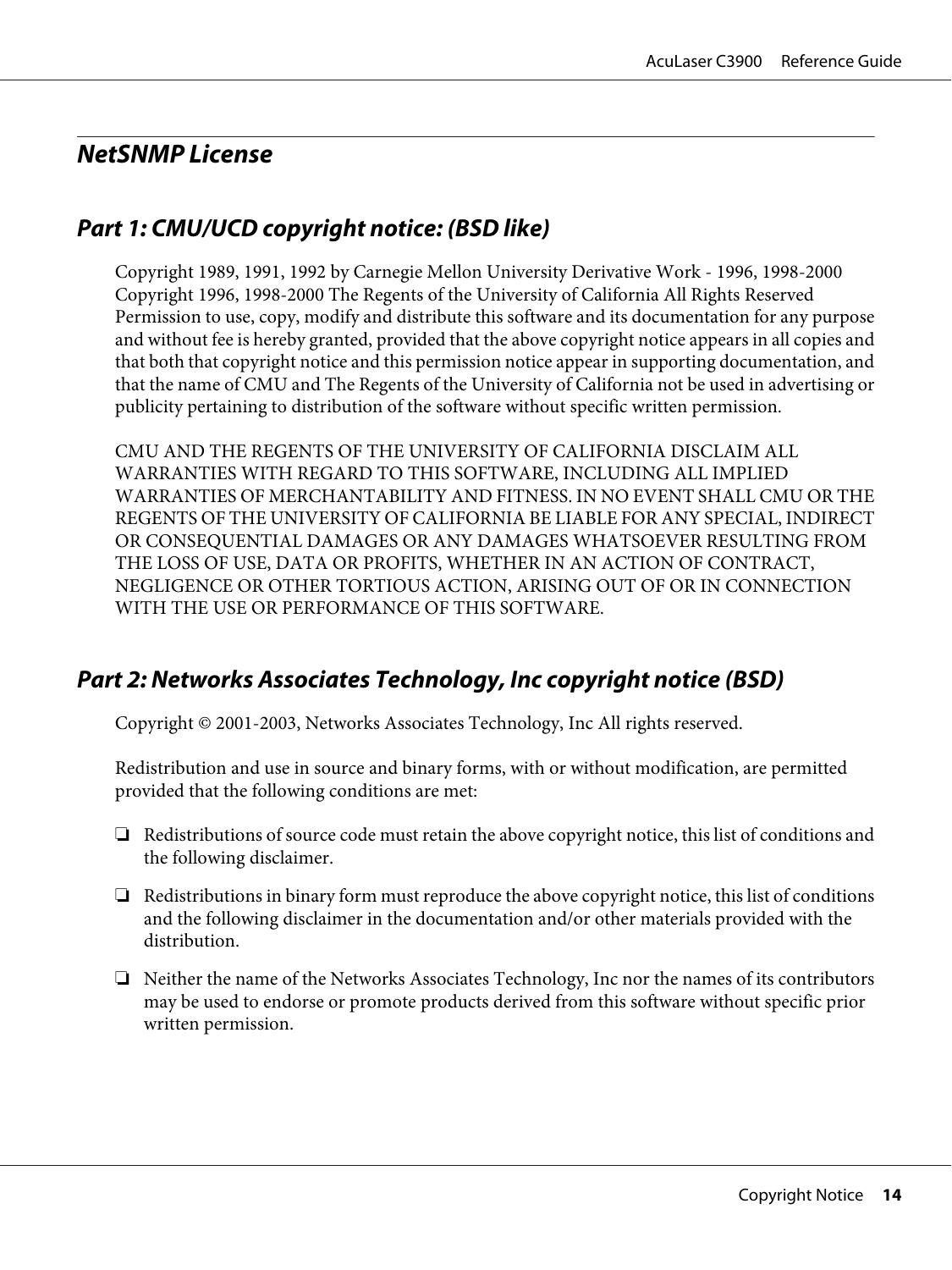### <span id="page-13-0"></span>**NetSNMP License**

### **Part 1: CMU/UCD copyright notice: (BSD like)**

Copyright 1989, 1991, 1992 by Carnegie Mellon University Derivative Work - 1996, 1998-2000 Copyright 1996, 1998-2000 The Regents of the University of California All Rights Reserved Permission to use, copy, modify and distribute this software and its documentation for any purpose and without fee is hereby granted, provided that the above copyright notice appears in all copies and that both that copyright notice and this permission notice appear in supporting documentation, and that the name of CMU and The Regents of the University of California not be used in advertising or publicity pertaining to distribution of the software without specific written permission.

CMU AND THE REGENTS OF THE UNIVERSITY OF CALIFORNIA DISCLAIM ALL WARRANTIES WITH REGARD TO THIS SOFTWARE, INCLUDING ALL IMPLIED WARRANTIES OF MERCHANTABILITY AND FITNESS. IN NO EVENT SHALL CMU OR THE REGENTS OF THE UNIVERSITY OF CALIFORNIA BE LIABLE FOR ANY SPECIAL, INDIRECT OR CONSEQUENTIAL DAMAGES OR ANY DAMAGES WHATSOEVER RESULTING FROM THE LOSS OF USE, DATA OR PROFITS, WHETHER IN AN ACTION OF CONTRACT, NEGLIGENCE OR OTHER TORTIOUS ACTION, ARISING OUT OF OR IN CONNECTION WITH THE USE OR PERFORMANCE OF THIS SOFTWARE.

### **Part 2: Networks Associates Technology, Inc copyright notice (BSD)**

Copyright © 2001-2003, Networks Associates Technology, Inc All rights reserved.

Redistribution and use in source and binary forms, with or without modification, are permitted provided that the following conditions are met:

- ❏ Redistributions of source code must retain the above copyright notice, this list of conditions and the following disclaimer.
- ❏ Redistributions in binary form must reproduce the above copyright notice, this list of conditions and the following disclaimer in the documentation and/or other materials provided with the distribution.
- ❏ Neither the name of the Networks Associates Technology, Inc nor the names of its contributors may be used to endorse or promote products derived from this software without specific prior written permission.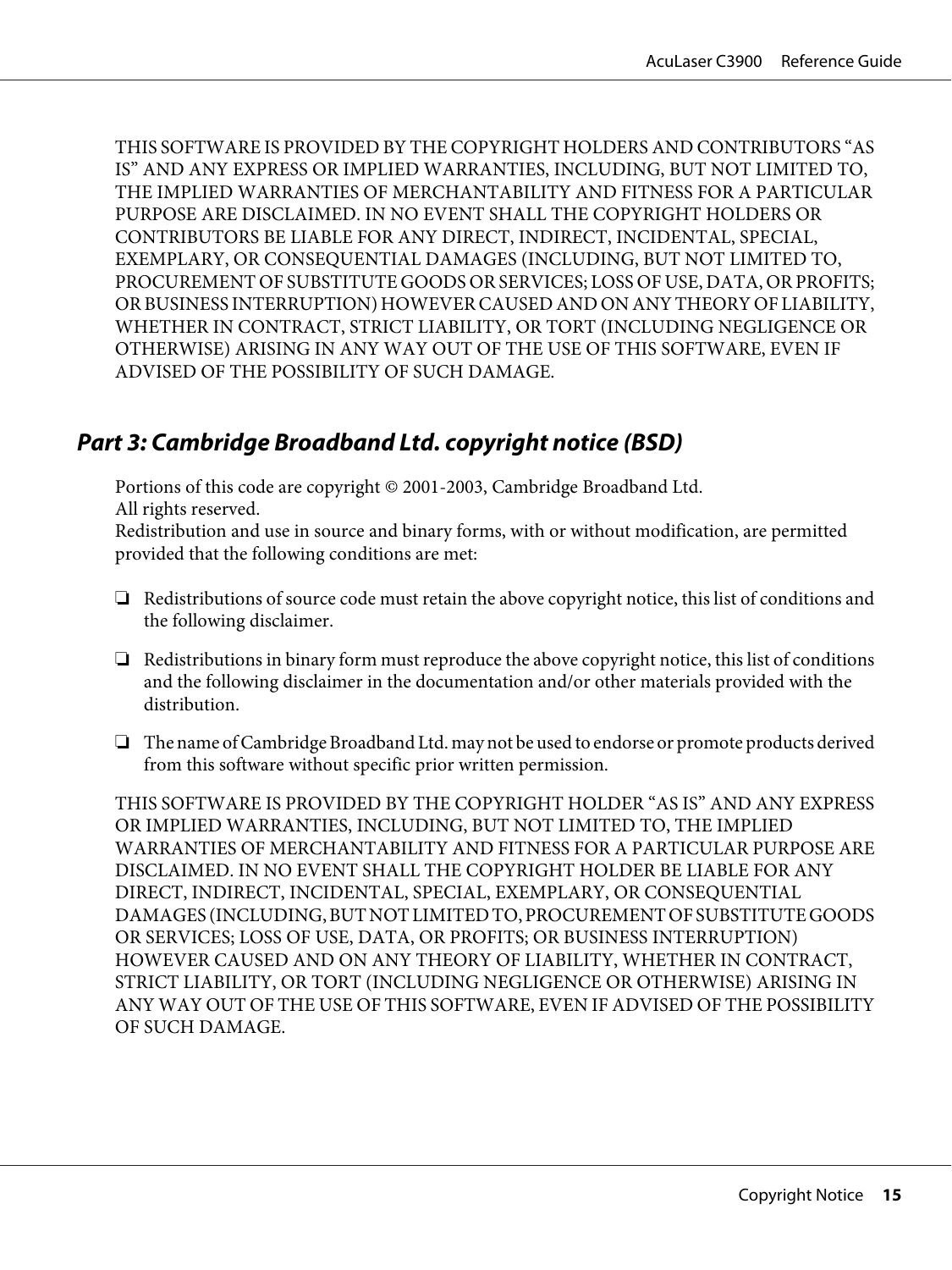<span id="page-14-0"></span>THIS SOFTWARE IS PROVIDED BY THE COPYRIGHT HOLDERS AND CONTRIBUTORS "AS IS" AND ANY EXPRESS OR IMPLIED WARRANTIES, INCLUDING, BUT NOT LIMITED TO, THE IMPLIED WARRANTIES OF MERCHANTABILITY AND FITNESS FOR A PARTICULAR PURPOSE ARE DISCLAIMED. IN NO EVENT SHALL THE COPYRIGHT HOLDERS OR CONTRIBUTORS BE LIABLE FOR ANY DIRECT, INDIRECT, INCIDENTAL, SPECIAL, EXEMPLARY, OR CONSEQUENTIAL DAMAGES (INCLUDING, BUT NOT LIMITED TO, PROCUREMENT OF SUBSTITUTE GOODS OR SERVICES; LOSS OF USE, DATA, OR PROFITS; OR BUSINESS INTERRUPTION) HOWEVER CAUSED AND ON ANY THEORY OF LIABILITY, WHETHER IN CONTRACT, STRICT LIABILITY, OR TORT (INCLUDING NEGLIGENCE OR OTHERWISE) ARISING IN ANY WAY OUT OF THE USE OF THIS SOFTWARE, EVEN IF ADVISED OF THE POSSIBILITY OF SUCH DAMAGE.

### **Part 3: Cambridge Broadband Ltd. copyright notice (BSD)**

Portions of this code are copyright © 2001-2003, Cambridge Broadband Ltd. All rights reserved.

Redistribution and use in source and binary forms, with or without modification, are permitted provided that the following conditions are met:

- ❏ Redistributions of source code must retain the above copyright notice, this list of conditions and the following disclaimer.
- ❏ Redistributions in binary form must reproduce the above copyright notice, this list of conditions and the following disclaimer in the documentation and/or other materials provided with the distribution.
- ❏ The name of Cambridge Broadband Ltd. may not be used to endorse or promote products derived from this software without specific prior written permission.

THIS SOFTWARE IS PROVIDED BY THE COPYRIGHT HOLDER "AS IS" AND ANY EXPRESS OR IMPLIED WARRANTIES, INCLUDING, BUT NOT LIMITED TO, THE IMPLIED WARRANTIES OF MERCHANTABILITY AND FITNESS FOR A PARTICULAR PURPOSE ARE DISCLAIMED. IN NO EVENT SHALL THE COPYRIGHT HOLDER BE LIABLE FOR ANY DIRECT, INDIRECT, INCIDENTAL, SPECIAL, EXEMPLARY, OR CONSEQUENTIAL DAMAGES (INCLUDING, BUT NOT LIMITED TO, PROCUREMENT OF SUBSTITUTE GOODS OR SERVICES; LOSS OF USE, DATA, OR PROFITS; OR BUSINESS INTERRUPTION) HOWEVER CAUSED AND ON ANY THEORY OF LIABILITY, WHETHER IN CONTRACT, STRICT LIABILITY, OR TORT (INCLUDING NEGLIGENCE OR OTHERWISE) ARISING IN ANY WAY OUT OF THE USE OF THIS SOFTWARE, EVEN IF ADVISED OF THE POSSIBILITY OF SUCH DAMAGE.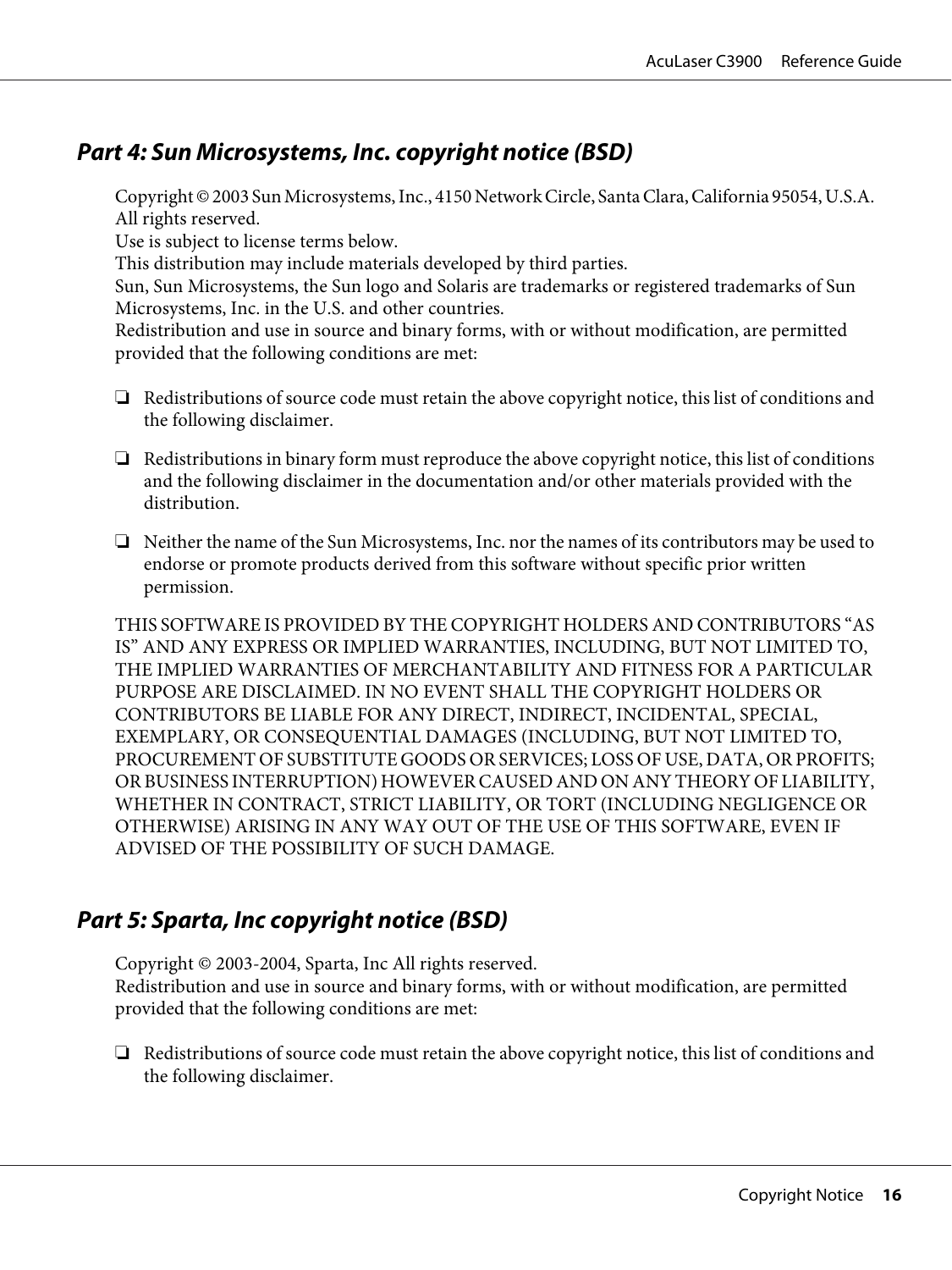### <span id="page-15-0"></span>**Part 4: Sun Microsystems, Inc. copyright notice (BSD)**

Copyright © 2003 Sun Microsystems, Inc., 4150 Network Circle, Santa Clara, California 95054, U.S.A. All rights reserved.

Use is subject to license terms below.

This distribution may include materials developed by third parties.

Sun, Sun Microsystems, the Sun logo and Solaris are trademarks or registered trademarks of Sun Microsystems, Inc. in the U.S. and other countries.

Redistribution and use in source and binary forms, with or without modification, are permitted provided that the following conditions are met:

- ❏ Redistributions of source code must retain the above copyright notice, this list of conditions and the following disclaimer.
- ❏ Redistributions in binary form must reproduce the above copyright notice, this list of conditions and the following disclaimer in the documentation and/or other materials provided with the distribution.
- ❏ Neither the name of the Sun Microsystems, Inc. nor the names of its contributors may be used to endorse or promote products derived from this software without specific prior written permission.

THIS SOFTWARE IS PROVIDED BY THE COPYRIGHT HOLDERS AND CONTRIBUTORS "AS IS" AND ANY EXPRESS OR IMPLIED WARRANTIES, INCLUDING, BUT NOT LIMITED TO, THE IMPLIED WARRANTIES OF MERCHANTABILITY AND FITNESS FOR A PARTICULAR PURPOSE ARE DISCLAIMED. IN NO EVENT SHALL THE COPYRIGHT HOLDERS OR CONTRIBUTORS BE LIABLE FOR ANY DIRECT, INDIRECT, INCIDENTAL, SPECIAL, EXEMPLARY, OR CONSEQUENTIAL DAMAGES (INCLUDING, BUT NOT LIMITED TO, PROCUREMENT OF SUBSTITUTE GOODS OR SERVICES; LOSS OF USE, DATA, OR PROFITS; OR BUSINESS INTERRUPTION) HOWEVER CAUSED AND ON ANY THEORY OF LIABILITY, WHETHER IN CONTRACT, STRICT LIABILITY, OR TORT (INCLUDING NEGLIGENCE OR OTHERWISE) ARISING IN ANY WAY OUT OF THE USE OF THIS SOFTWARE, EVEN IF ADVISED OF THE POSSIBILITY OF SUCH DAMAGE.

### **Part 5: Sparta, Inc copyright notice (BSD)**

Copyright © 2003-2004, Sparta, Inc All rights reserved. Redistribution and use in source and binary forms, with or without modification, are permitted provided that the following conditions are met:

❏ Redistributions of source code must retain the above copyright notice, this list of conditions and the following disclaimer.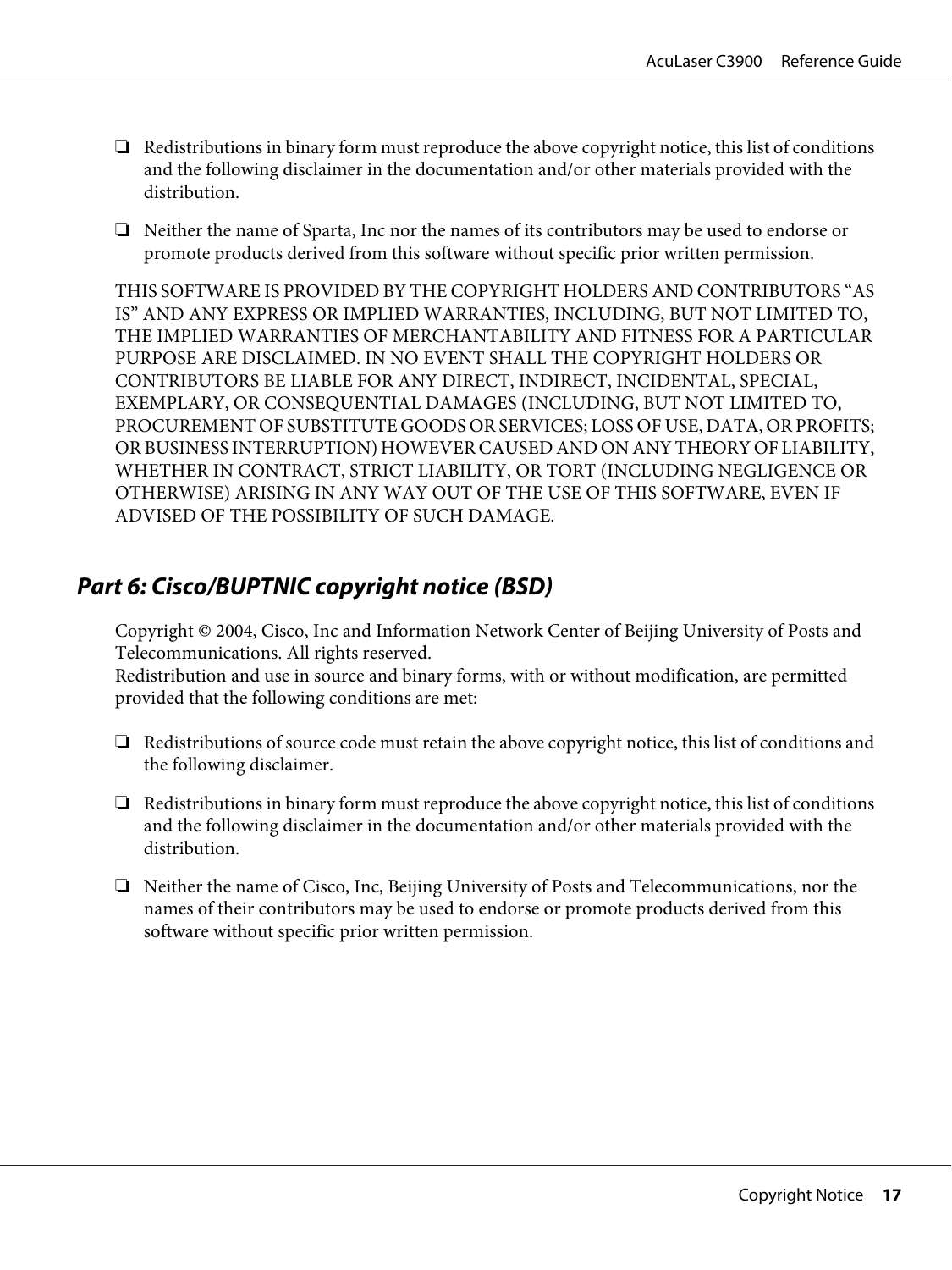- <span id="page-16-0"></span>❏ Redistributions in binary form must reproduce the above copyright notice, this list of conditions and the following disclaimer in the documentation and/or other materials provided with the distribution.
- ❏ Neither the name of Sparta, Inc nor the names of its contributors may be used to endorse or promote products derived from this software without specific prior written permission.

THIS SOFTWARE IS PROVIDED BY THE COPYRIGHT HOLDERS AND CONTRIBUTORS "AS IS" AND ANY EXPRESS OR IMPLIED WARRANTIES, INCLUDING, BUT NOT LIMITED TO, THE IMPLIED WARRANTIES OF MERCHANTABILITY AND FITNESS FOR A PARTICULAR PURPOSE ARE DISCLAIMED. IN NO EVENT SHALL THE COPYRIGHT HOLDERS OR CONTRIBUTORS BE LIABLE FOR ANY DIRECT, INDIRECT, INCIDENTAL, SPECIAL, EXEMPLARY, OR CONSEQUENTIAL DAMAGES (INCLUDING, BUT NOT LIMITED TO, PROCUREMENT OF SUBSTITUTE GOODS OR SERVICES; LOSS OF USE, DATA, OR PROFITS; OR BUSINESS INTERRUPTION) HOWEVER CAUSED AND ON ANY THEORY OF LIABILITY, WHETHER IN CONTRACT, STRICT LIABILITY, OR TORT (INCLUDING NEGLIGENCE OR OTHERWISE) ARISING IN ANY WAY OUT OF THE USE OF THIS SOFTWARE, EVEN IF ADVISED OF THE POSSIBILITY OF SUCH DAMAGE.

### **Part 6: Cisco/BUPTNIC copyright notice (BSD)**

Copyright © 2004, Cisco, Inc and Information Network Center of Beijing University of Posts and Telecommunications. All rights reserved.

Redistribution and use in source and binary forms, with or without modification, are permitted provided that the following conditions are met:

- ❏ Redistributions of source code must retain the above copyright notice, this list of conditions and the following disclaimer.
- ❏ Redistributions in binary form must reproduce the above copyright notice, this list of conditions and the following disclaimer in the documentation and/or other materials provided with the distribution.
- ❏ Neither the name of Cisco, Inc, Beijing University of Posts and Telecommunications, nor the names of their contributors may be used to endorse or promote products derived from this software without specific prior written permission.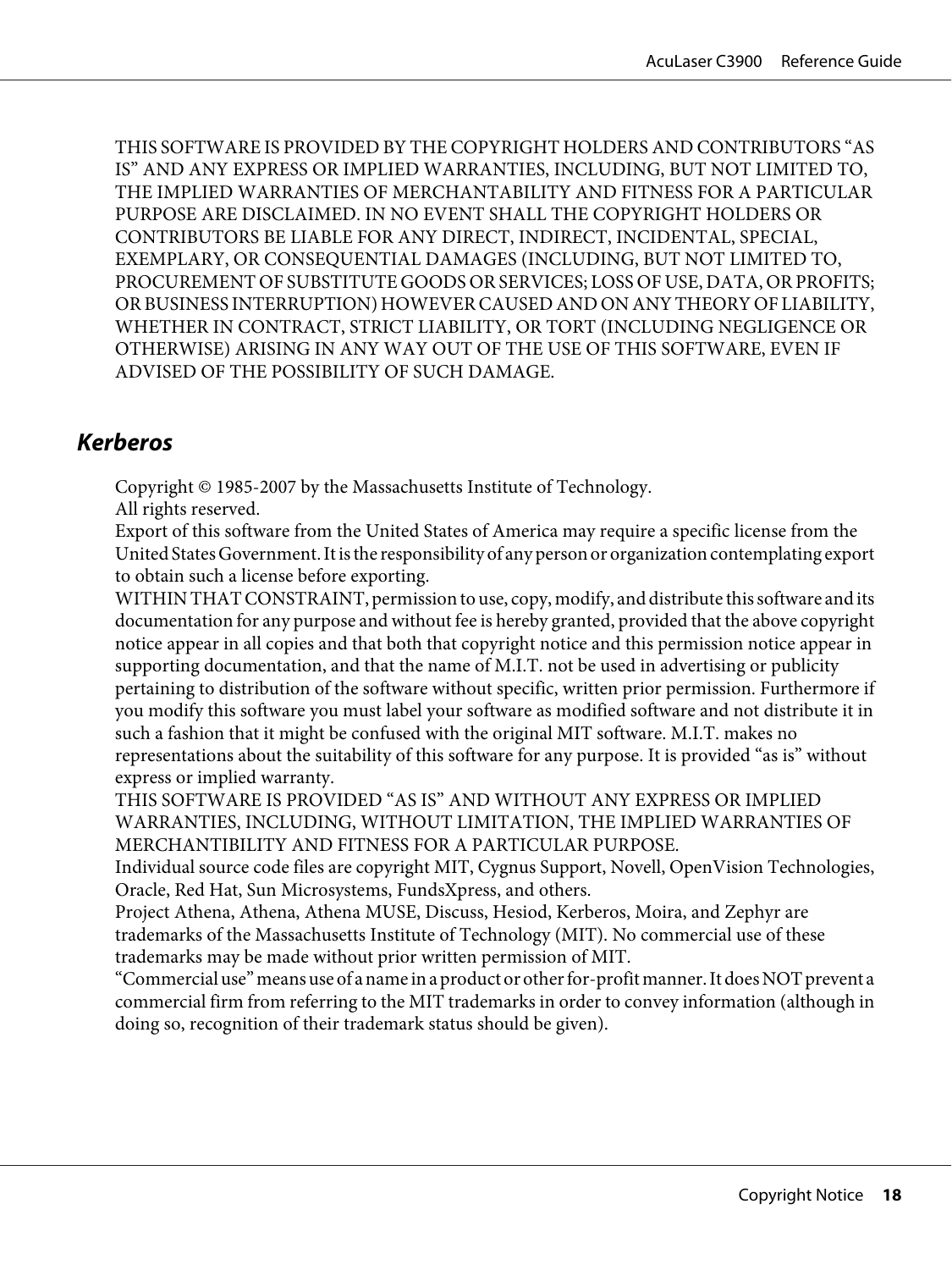<span id="page-17-0"></span>THIS SOFTWARE IS PROVIDED BY THE COPYRIGHT HOLDERS AND CONTRIBUTORS "AS IS" AND ANY EXPRESS OR IMPLIED WARRANTIES, INCLUDING, BUT NOT LIMITED TO, THE IMPLIED WARRANTIES OF MERCHANTABILITY AND FITNESS FOR A PARTICULAR PURPOSE ARE DISCLAIMED. IN NO EVENT SHALL THE COPYRIGHT HOLDERS OR CONTRIBUTORS BE LIABLE FOR ANY DIRECT, INDIRECT, INCIDENTAL, SPECIAL, EXEMPLARY, OR CONSEQUENTIAL DAMAGES (INCLUDING, BUT NOT LIMITED TO, PROCUREMENT OF SUBSTITUTE GOODS OR SERVICES; LOSS OF USE, DATA, OR PROFITS; OR BUSINESS INTERRUPTION) HOWEVER CAUSED AND ON ANY THEORY OF LIABILITY, WHETHER IN CONTRACT, STRICT LIABILITY, OR TORT (INCLUDING NEGLIGENCE OR OTHERWISE) ARISING IN ANY WAY OUT OF THE USE OF THIS SOFTWARE, EVEN IF ADVISED OF THE POSSIBILITY OF SUCH DAMAGE.

#### **Kerberos**

Copyright © 1985-2007 by the Massachusetts Institute of Technology.

All rights reserved.

Export of this software from the United States of America may require a specific license from the United States Government. It is the responsibility of any person or organization contemplating export to obtain such a license before exporting.

WITHIN THAT CONSTRAINT, permission to use, copy, modify, and distribute this software and its documentation for any purpose and without fee is hereby granted, provided that the above copyright notice appear in all copies and that both that copyright notice and this permission notice appear in supporting documentation, and that the name of M.I.T. not be used in advertising or publicity pertaining to distribution of the software without specific, written prior permission. Furthermore if you modify this software you must label your software as modified software and not distribute it in such a fashion that it might be confused with the original MIT software. M.I.T. makes no representations about the suitability of this software for any purpose. It is provided "as is" without express or implied warranty.

THIS SOFTWARE IS PROVIDED "AS IS" AND WITHOUT ANY EXPRESS OR IMPLIED WARRANTIES, INCLUDING, WITHOUT LIMITATION, THE IMPLIED WARRANTIES OF MERCHANTIBILITY AND FITNESS FOR A PARTICULAR PURPOSE.

Individual source code files are copyright MIT, Cygnus Support, Novell, OpenVision Technologies, Oracle, Red Hat, Sun Microsystems, FundsXpress, and others.

Project Athena, Athena, Athena MUSE, Discuss, Hesiod, Kerberos, Moira, and Zephyr are trademarks of the Massachusetts Institute of Technology (MIT). No commercial use of these trademarks may be made without prior written permission of MIT.

"Commercial use" means use of a name in a product or other for-profit manner. It does NOT prevent a commercial firm from referring to the MIT trademarks in order to convey information (although in doing so, recognition of their trademark status should be given).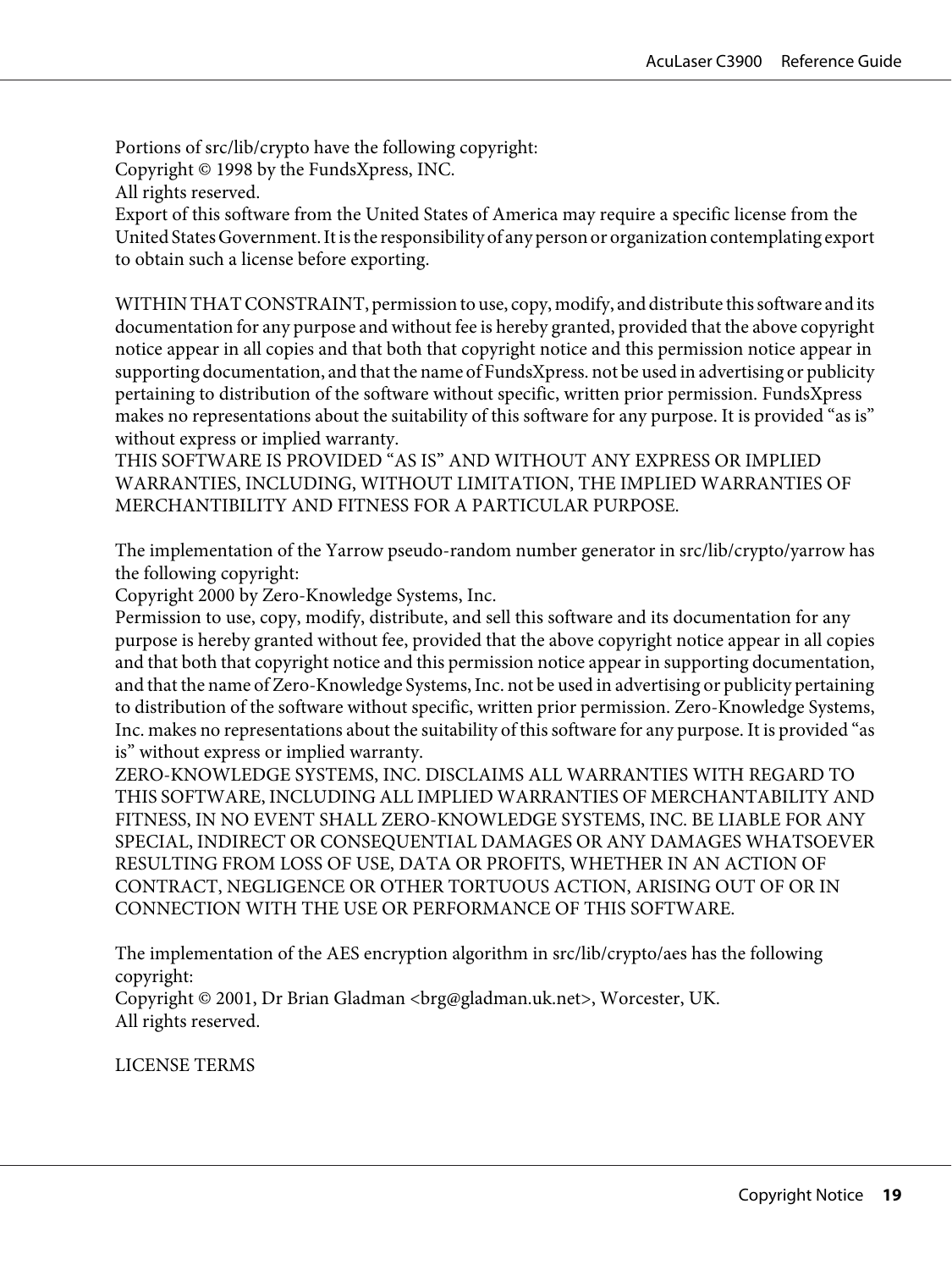Portions of src/lib/crypto have the following copyright: Copyright © 1998 by the FundsXpress, INC. All rights reserved.

Export of this software from the United States of America may require a specific license from the United States Government. It is the responsibility of any person or organization contemplating export to obtain such a license before exporting.

WITHIN THAT CONSTRAINT, permission to use, copy, modify, and distribute this software and its documentation for any purpose and without fee is hereby granted, provided that the above copyright notice appear in all copies and that both that copyright notice and this permission notice appear in supporting documentation, and that the name of FundsXpress. not be used in advertising or publicity pertaining to distribution of the software without specific, written prior permission. FundsXpress makes no representations about the suitability of this software for any purpose. It is provided "as is" without express or implied warranty.

THIS SOFTWARE IS PROVIDED "AS IS" AND WITHOUT ANY EXPRESS OR IMPLIED WARRANTIES, INCLUDING, WITHOUT LIMITATION, THE IMPLIED WARRANTIES OF MERCHANTIBILITY AND FITNESS FOR A PARTICULAR PURPOSE.

The implementation of the Yarrow pseudo-random number generator in src/lib/crypto/yarrow has the following copyright:

Copyright 2000 by Zero-Knowledge Systems, Inc.

Permission to use, copy, modify, distribute, and sell this software and its documentation for any purpose is hereby granted without fee, provided that the above copyright notice appear in all copies and that both that copyright notice and this permission notice appear in supporting documentation, and that the name of Zero-Knowledge Systems, Inc. not be used in advertising or publicity pertaining to distribution of the software without specific, written prior permission. Zero-Knowledge Systems, Inc. makes no representations about the suitability of this software for any purpose. It is provided "as is" without express or implied warranty.

ZERO-KNOWLEDGE SYSTEMS, INC. DISCLAIMS ALL WARRANTIES WITH REGARD TO THIS SOFTWARE, INCLUDING ALL IMPLIED WARRANTIES OF MERCHANTABILITY AND FITNESS, IN NO EVENT SHALL ZERO-KNOWLEDGE SYSTEMS, INC. BE LIABLE FOR ANY SPECIAL, INDIRECT OR CONSEQUENTIAL DAMAGES OR ANY DAMAGES WHATSOEVER RESULTING FROM LOSS OF USE, DATA OR PROFITS, WHETHER IN AN ACTION OF CONTRACT, NEGLIGENCE OR OTHER TORTUOUS ACTION, ARISING OUT OF OR IN CONNECTION WITH THE USE OR PERFORMANCE OF THIS SOFTWARE.

The implementation of the AES encryption algorithm in src/lib/crypto/aes has the following copyright:

Copyright © 2001, Dr Brian Gladman <brg@gladman.uk.net>, Worcester, UK. All rights reserved.

LICENSE TERMS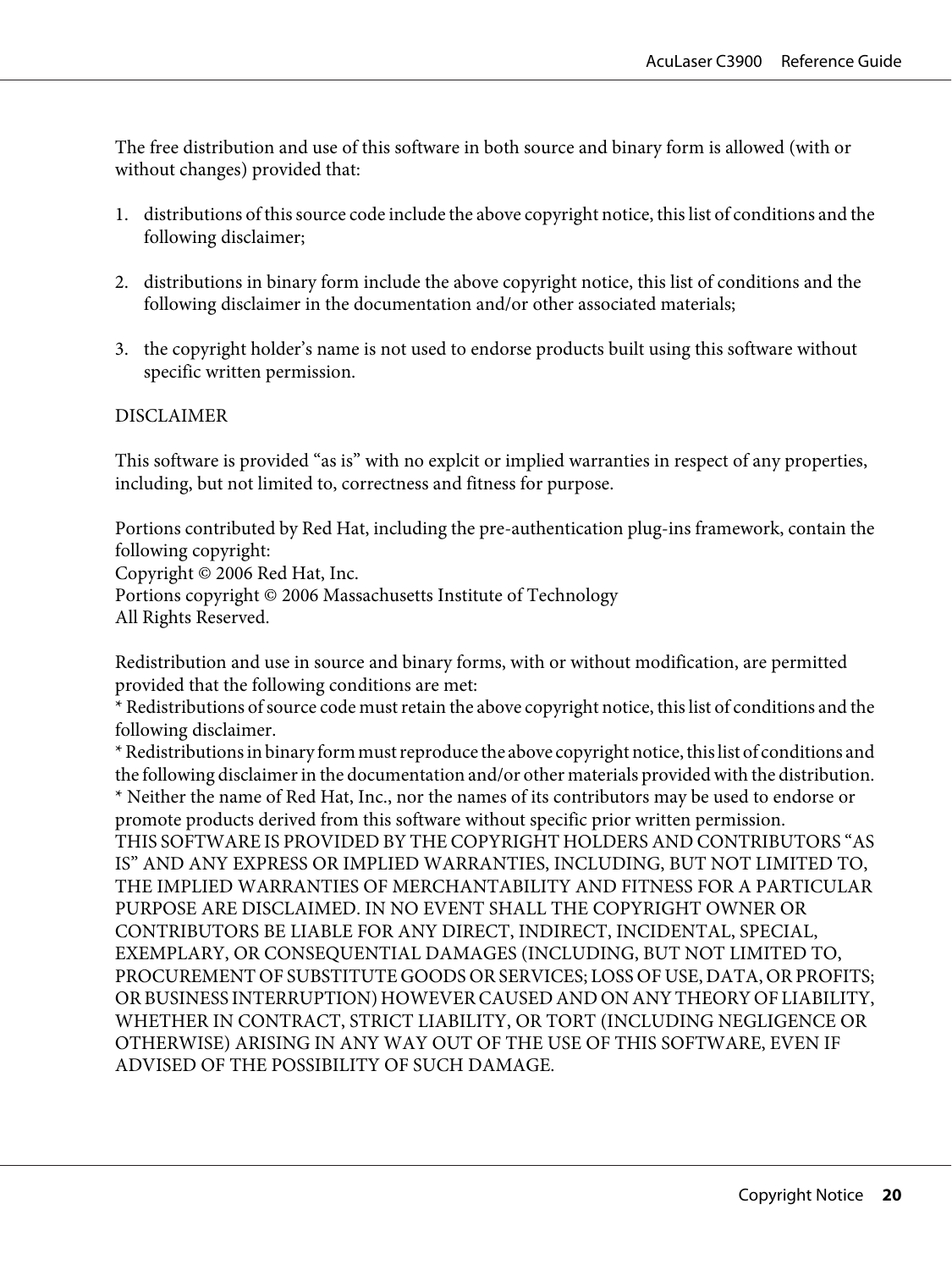The free distribution and use of this software in both source and binary form is allowed (with or without changes) provided that:

- 1. distributions of this source code include the above copyright notice, this list of conditions and the following disclaimer;
- 2. distributions in binary form include the above copyright notice, this list of conditions and the following disclaimer in the documentation and/or other associated materials;
- 3. the copyright holder's name is not used to endorse products built using this software without specific written permission.

#### **DISCLAIMER**

This software is provided "as is" with no explcit or implied warranties in respect of any properties, including, but not limited to, correctness and fitness for purpose.

Portions contributed by Red Hat, including the pre-authentication plug-ins framework, contain the following copyright:

Copyright © 2006 Red Hat, Inc. Portions copyright © 2006 Massachusetts Institute of Technology

All Rights Reserved.

Redistribution and use in source and binary forms, with or without modification, are permitted provided that the following conditions are met:

\* Redistributions of source code must retain the above copyright notice, this list of conditions and the following disclaimer.

\* Redistributions in binary form must reproduce the above copyright notice, this list of conditions and the following disclaimer in the documentation and/or other materials provided with the distribution. \* Neither the name of Red Hat, Inc., nor the names of its contributors may be used to endorse or promote products derived from this software without specific prior written permission. THIS SOFTWARE IS PROVIDED BY THE COPYRIGHT HOLDERS AND CONTRIBUTORS "AS IS" AND ANY EXPRESS OR IMPLIED WARRANTIES, INCLUDING, BUT NOT LIMITED TO, THE IMPLIED WARRANTIES OF MERCHANTABILITY AND FITNESS FOR A PARTICULAR PURPOSE ARE DISCLAIMED. IN NO EVENT SHALL THE COPYRIGHT OWNER OR CONTRIBUTORS BE LIABLE FOR ANY DIRECT, INDIRECT, INCIDENTAL, SPECIAL, EXEMPLARY, OR CONSEQUENTIAL DAMAGES (INCLUDING, BUT NOT LIMITED TO, PROCUREMENT OF SUBSTITUTE GOODS OR SERVICES; LOSS OF USE, DATA, OR PROFITS; OR BUSINESS INTERRUPTION) HOWEVER CAUSED AND ON ANY THEORY OF LIABILITY, WHETHER IN CONTRACT, STRICT LIABILITY, OR TORT (INCLUDING NEGLIGENCE OR OTHERWISE) ARISING IN ANY WAY OUT OF THE USE OF THIS SOFTWARE, EVEN IF ADVISED OF THE POSSIBILITY OF SUCH DAMAGE.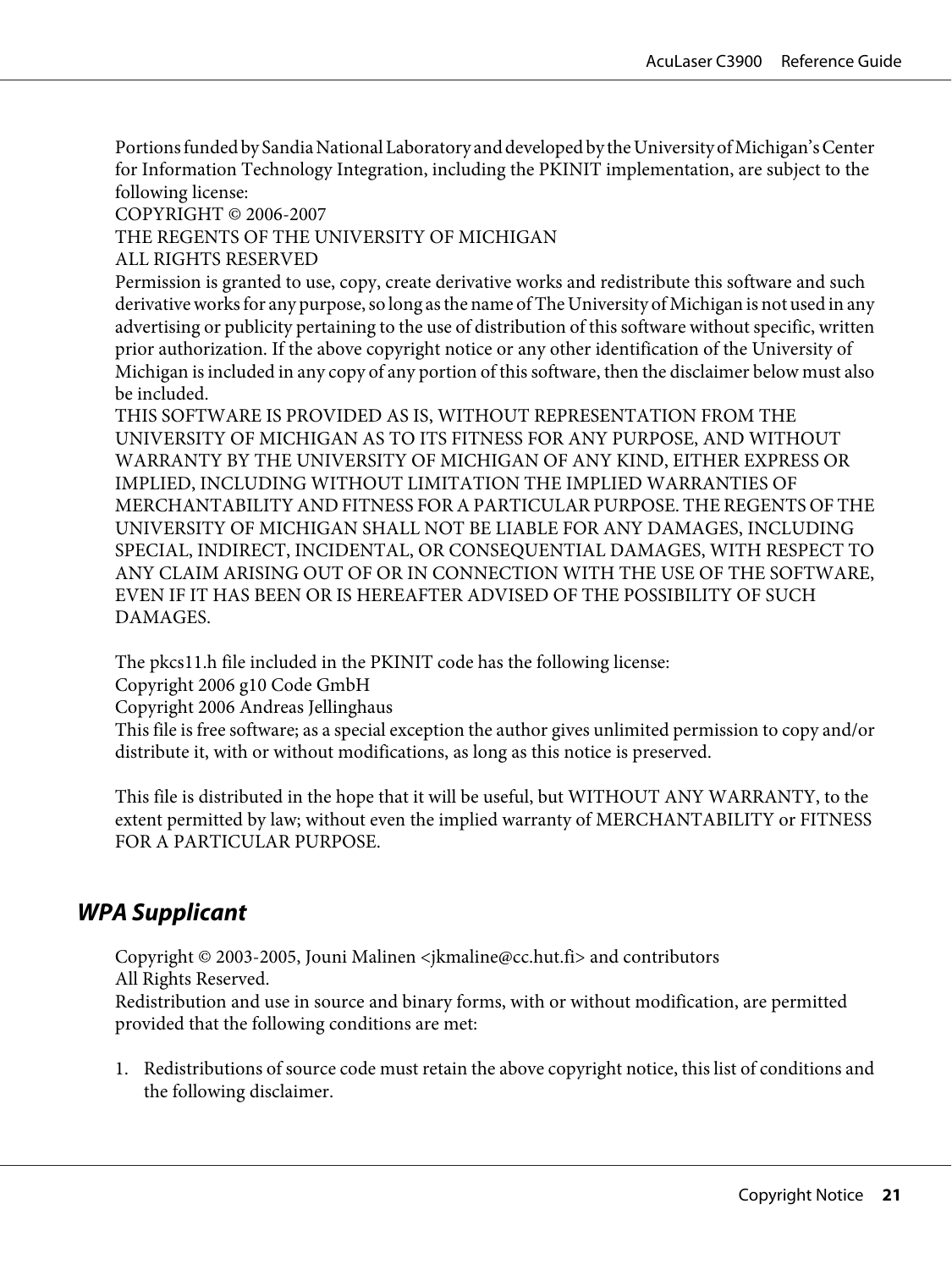<span id="page-20-0"></span>Portions funded by Sandia National Laboratory and developed by the University of Michigan's Center for Information Technology Integration, including the PKINIT implementation, are subject to the following license:

COPYRIGHT © 2006-2007

THE REGENTS OF THE UNIVERSITY OF MICHIGAN

ALL RIGHTS RESERVED

Permission is granted to use, copy, create derivative works and redistribute this software and such derivative works for any purpose, so long as the name of The University of Michigan is not used in any advertising or publicity pertaining to the use of distribution of this software without specific, written prior authorization. If the above copyright notice or any other identification of the University of Michigan is included in any copy of any portion of this software, then the disclaimer below must also be included.

THIS SOFTWARE IS PROVIDED AS IS, WITHOUT REPRESENTATION FROM THE UNIVERSITY OF MICHIGAN AS TO ITS FITNESS FOR ANY PURPOSE, AND WITHOUT WARRANTY BY THE UNIVERSITY OF MICHIGAN OF ANY KIND, EITHER EXPRESS OR IMPLIED, INCLUDING WITHOUT LIMITATION THE IMPLIED WARRANTIES OF MERCHANTABILITY AND FITNESS FOR A PARTICULAR PURPOSE. THE REGENTS OF THE UNIVERSITY OF MICHIGAN SHALL NOT BE LIABLE FOR ANY DAMAGES, INCLUDING SPECIAL, INDIRECT, INCIDENTAL, OR CONSEQUENTIAL DAMAGES, WITH RESPECT TO ANY CLAIM ARISING OUT OF OR IN CONNECTION WITH THE USE OF THE SOFTWARE, EVEN IF IT HAS BEEN OR IS HEREAFTER ADVISED OF THE POSSIBILITY OF SUCH DAMAGES.

The pkcs11.h file included in the PKINIT code has the following license:

Copyright 2006 g10 Code GmbH

Copyright 2006 Andreas Jellinghaus

This file is free software; as a special exception the author gives unlimited permission to copy and/or distribute it, with or without modifications, as long as this notice is preserved.

This file is distributed in the hope that it will be useful, but WITHOUT ANY WARRANTY, to the extent permitted by law; without even the implied warranty of MERCHANTABILITY or FITNESS FOR A PARTICULAR PURPOSE.

#### **WPA Supplicant**

Copyright © 2003-2005, Jouni Malinen <jkmaline@cc.hut.fi> and contributors All Rights Reserved.

Redistribution and use in source and binary forms, with or without modification, are permitted provided that the following conditions are met:

1. Redistributions of source code must retain the above copyright notice, this list of conditions and the following disclaimer.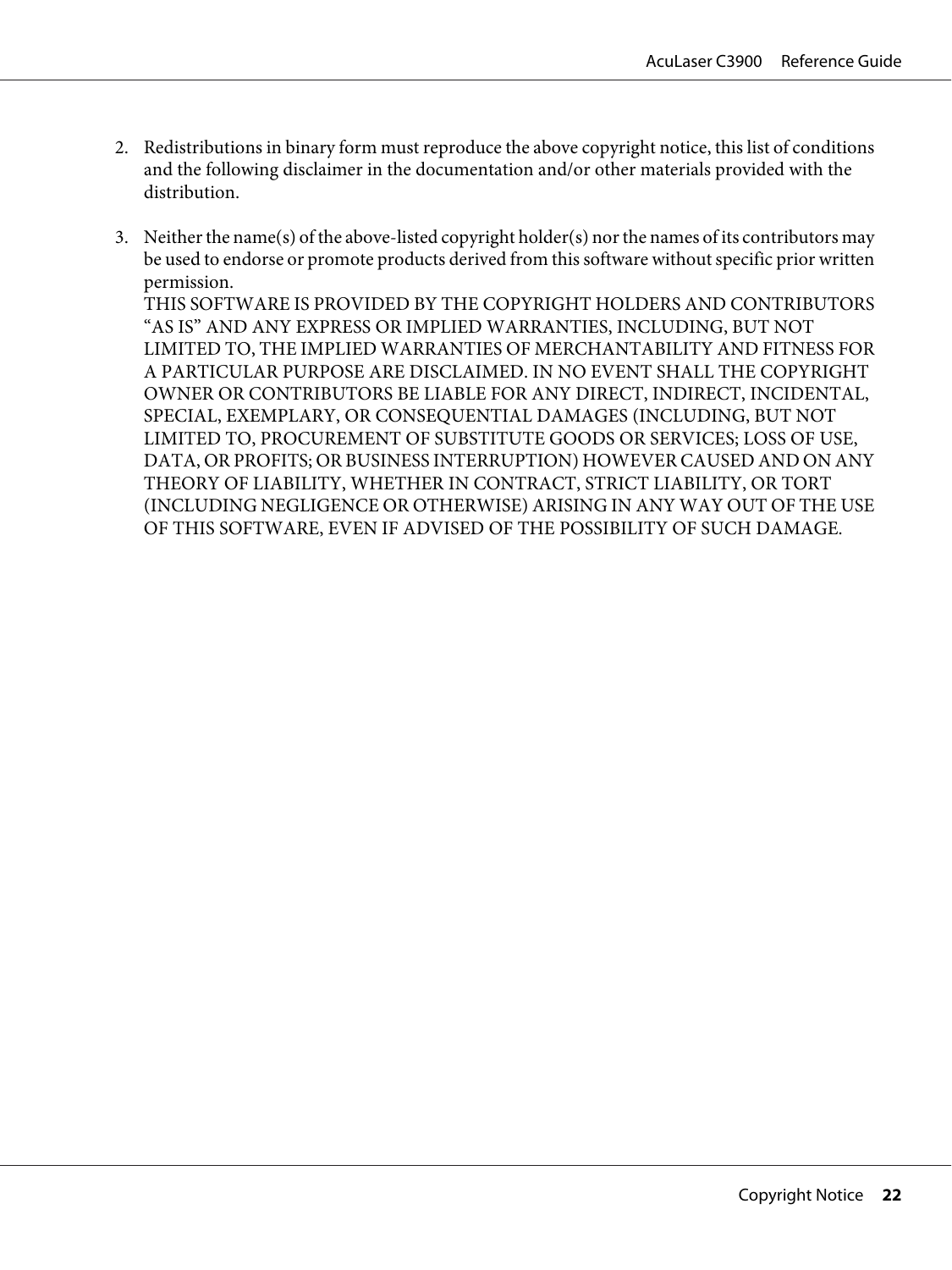- 2. Redistributions in binary form must reproduce the above copyright notice, this list of conditions and the following disclaimer in the documentation and/or other materials provided with the distribution.
- 3. Neither the name(s) of the above-listed copyright holder(s) nor the names of its contributors may be used to endorse or promote products derived from this software without specific prior written permission.

THIS SOFTWARE IS PROVIDED BY THE COPYRIGHT HOLDERS AND CONTRIBUTORS "AS IS" AND ANY EXPRESS OR IMPLIED WARRANTIES, INCLUDING, BUT NOT LIMITED TO, THE IMPLIED WARRANTIES OF MERCHANTABILITY AND FITNESS FOR A PARTICULAR PURPOSE ARE DISCLAIMED. IN NO EVENT SHALL THE COPYRIGHT OWNER OR CONTRIBUTORS BE LIABLE FOR ANY DIRECT, INDIRECT, INCIDENTAL, SPECIAL, EXEMPLARY, OR CONSEQUENTIAL DAMAGES (INCLUDING, BUT NOT LIMITED TO, PROCUREMENT OF SUBSTITUTE GOODS OR SERVICES; LOSS OF USE, DATA, OR PROFITS; OR BUSINESS INTERRUPTION) HOWEVER CAUSED AND ON ANY THEORY OF LIABILITY, WHETHER IN CONTRACT, STRICT LIABILITY, OR TORT (INCLUDING NEGLIGENCE OR OTHERWISE) ARISING IN ANY WAY OUT OF THE USE OF THIS SOFTWARE, EVEN IF ADVISED OF THE POSSIBILITY OF SUCH DAMAGE.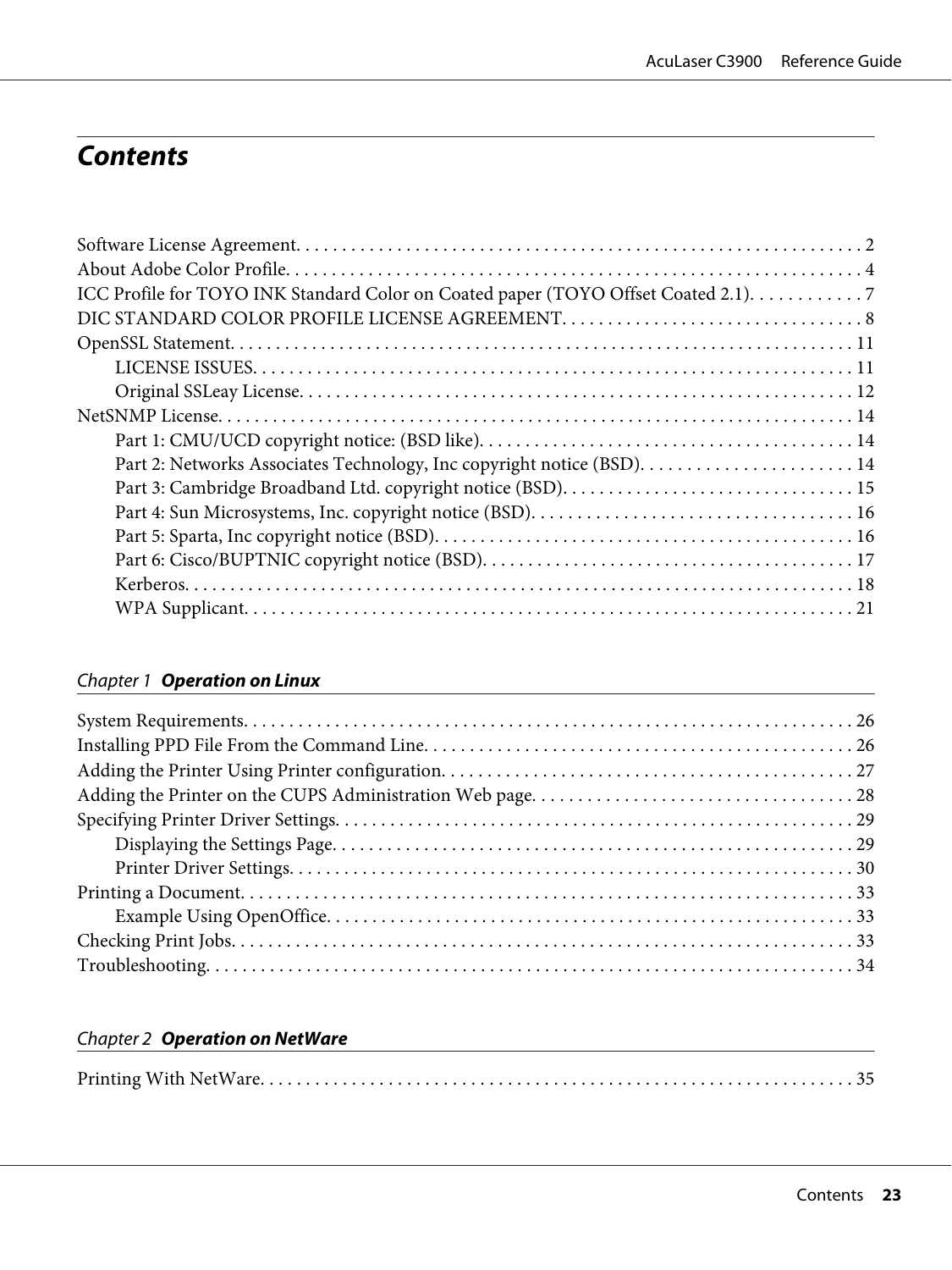### **Contents**

| ICC Profile for TOYO INK Standard Color on Coated paper (TOYO Offset Coated 2.1). 7 |  |
|-------------------------------------------------------------------------------------|--|
|                                                                                     |  |
|                                                                                     |  |
|                                                                                     |  |
|                                                                                     |  |
|                                                                                     |  |
|                                                                                     |  |
|                                                                                     |  |
|                                                                                     |  |
|                                                                                     |  |
|                                                                                     |  |
|                                                                                     |  |
|                                                                                     |  |
|                                                                                     |  |
|                                                                                     |  |

#### Chapter 1 **[Operation on Linux](#page-25-0)**

#### Chapter 2 **[Operation on NetWare](#page-34-0)**

|--|--|--|--|--|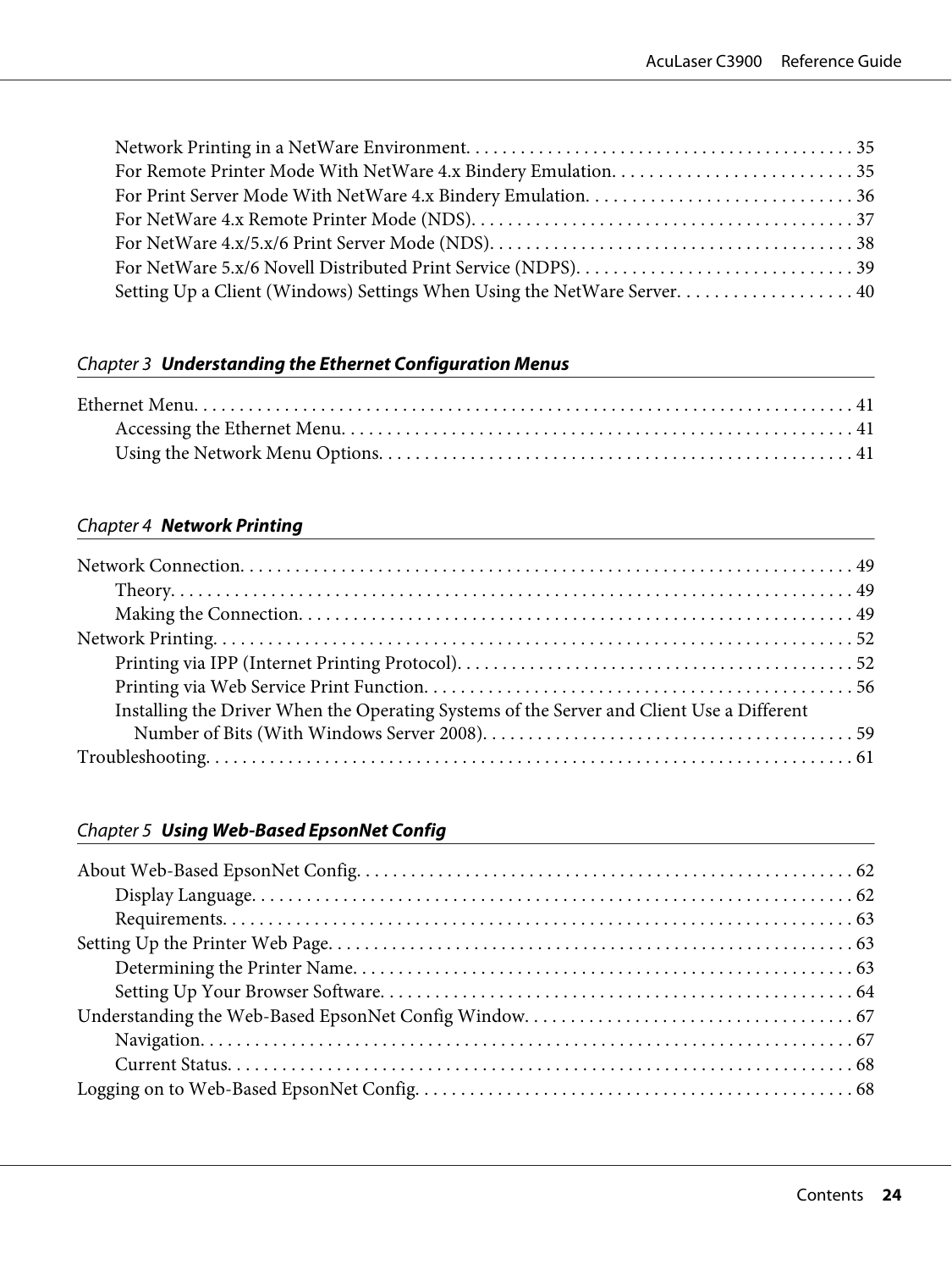#### Chapter 3 **[Understanding the Ethernet Configuration Menus](#page-40-0)**

#### Chapter 4 **[Network Printing](#page-48-0)**

| Installing the Driver When the Operating Systems of the Server and Client Use a Different |  |
|-------------------------------------------------------------------------------------------|--|
|                                                                                           |  |
|                                                                                           |  |

#### Chapter 5 **[Using Web-Based EpsonNet Config](#page-61-0)**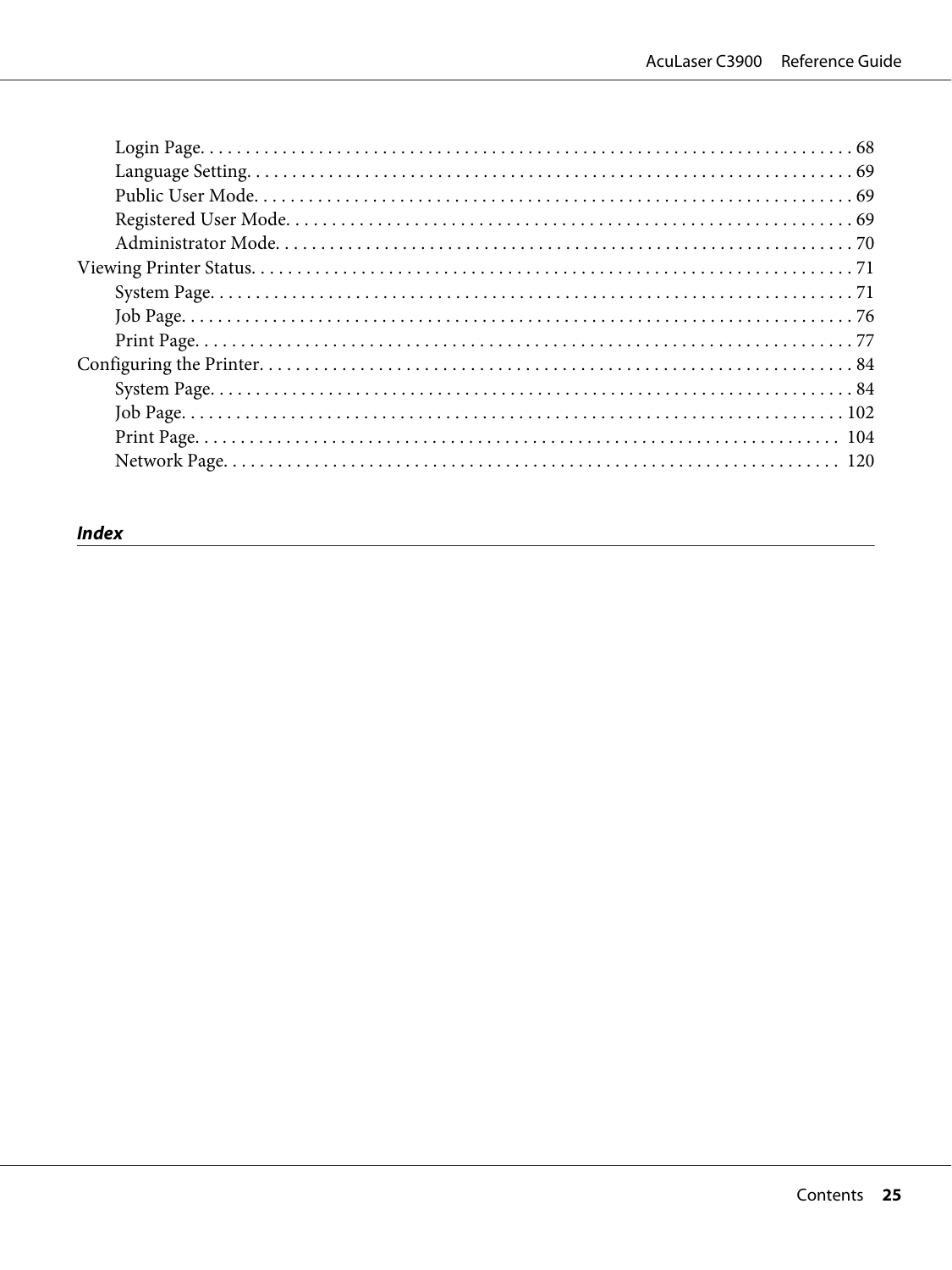#### **Index**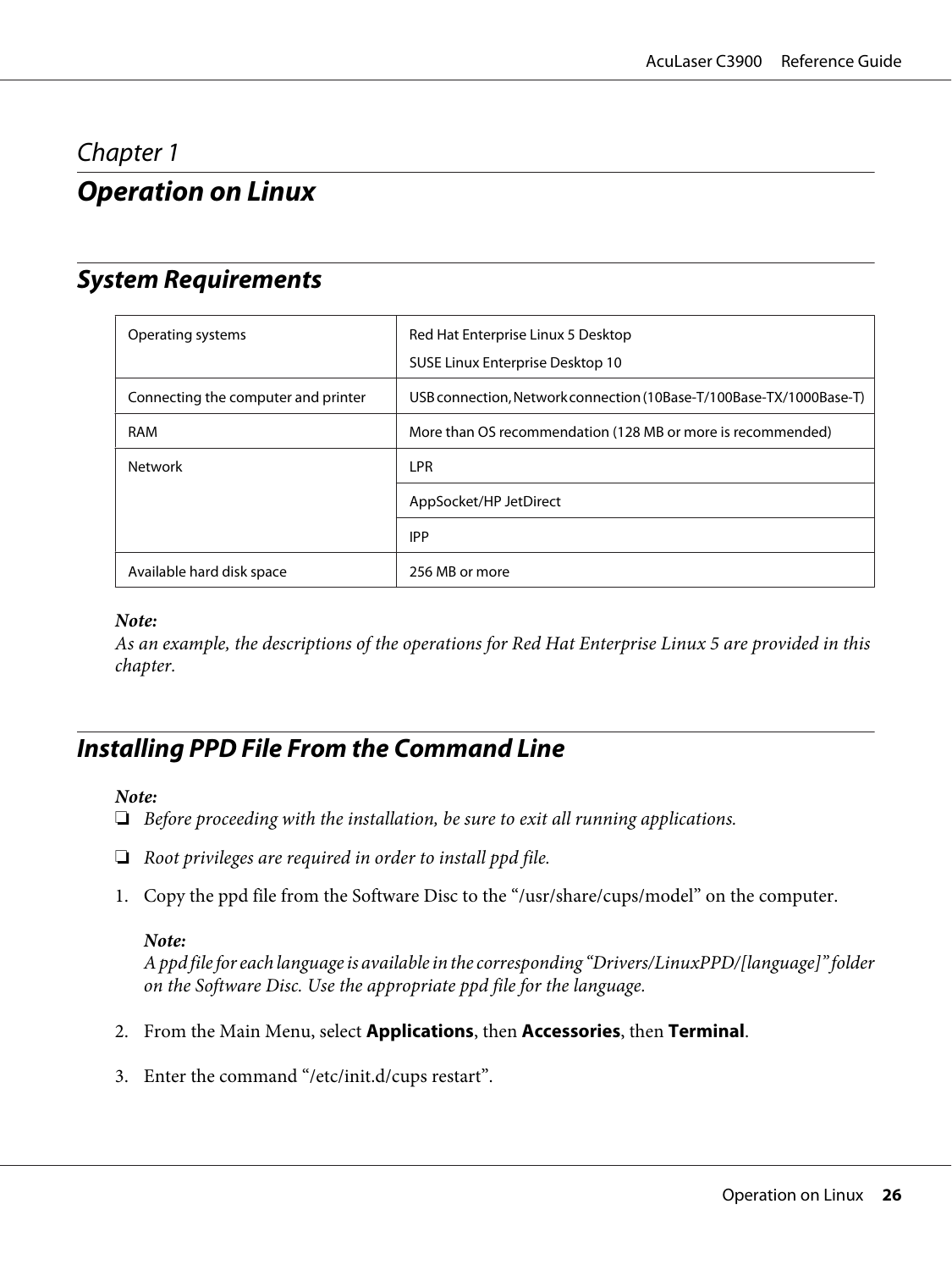### <span id="page-25-0"></span>Chapter 1

### **Operation on Linux**

### **System Requirements**

| Operating systems                   | Red Hat Enterprise Linux 5 Desktop<br>SUSE Linux Enterprise Desktop 10 |
|-------------------------------------|------------------------------------------------------------------------|
| Connecting the computer and printer | USB connection, Network connection (10Base-T/100Base-TX/1000Base-T)    |
| <b>RAM</b>                          | More than OS recommendation (128 MB or more is recommended)            |
| <b>Network</b>                      | <b>LPR</b>                                                             |
|                                     | AppSocket/HP JetDirect                                                 |
|                                     | <b>IPP</b>                                                             |
| Available hard disk space           | 256 MB or more                                                         |

#### *Note:*

*As an example, the descriptions of the operations for Red Hat Enterprise Linux 5 are provided in this chapter.*

### **Installing PPD File From the Command Line**

#### *Note:*

- ❏ *Before proceeding with the installation, be sure to exit all running applications.*
- ❏ *Root privileges are required in order to install ppd file.*
- 1. Copy the ppd file from the Software Disc to the "/usr/share/cups/model" on the computer.

#### *Note:*

*A ppd file for each language is available in the corresponding "Drivers/LinuxPPD/[language]" folder on the Software Disc. Use the appropriate ppd file for the language.*

- 2. From the Main Menu, select **Applications**, then **Accessories**, then **Terminal**.
- 3. Enter the command "/etc/init.d/cups restart".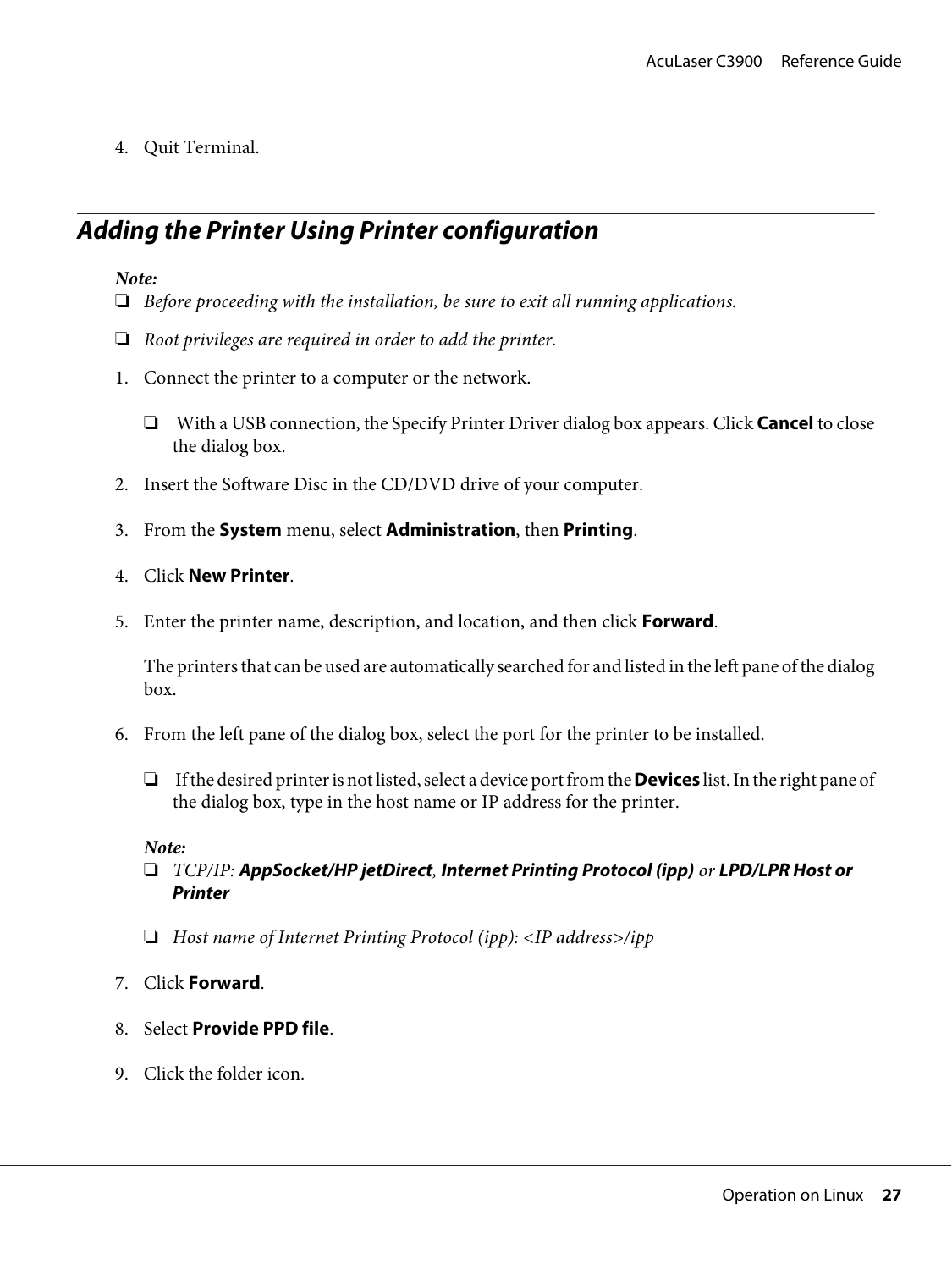<span id="page-26-0"></span>4. Quit Terminal.

### **Adding the Printer Using Printer configuration**

#### *Note:*

- ❏ *Before proceeding with the installation, be sure to exit all running applications.*
- ❏ *Root privileges are required in order to add the printer.*
- 1. Connect the printer to a computer or the network.
	- ❏ With a USB connection, the Specify Printer Driver dialog box appears. Click **Cancel** to close the dialog box.
- 2. Insert the Software Disc in the CD/DVD drive of your computer.
- 3. From the **System** menu, select **Administration**, then **Printing**.
- 4. Click **New Printer**.
- 5. Enter the printer name, description, and location, and then click **Forward**.

The printers that can be used are automatically searched for and listed in the left pane of the dialog box.

- 6. From the left pane of the dialog box, select the port for the printer to be installed.
	- ❏ If the desired printer is not listed, select a device port from the **Devices** list. In the right pane of the dialog box, type in the host name or IP address for the printer.

#### *Note:*

- ❏ *TCP/IP:* **AppSocket/HP jetDirect***,* **Internet Printing Protocol (ipp)** *or* **LPD/LPR Host or Printer**
- ❏ *Host name of Internet Printing Protocol (ipp): <IP address>/ipp*
- 7. Click **Forward**.
- 8. Select **Provide PPD file**.
- 9. Click the folder icon.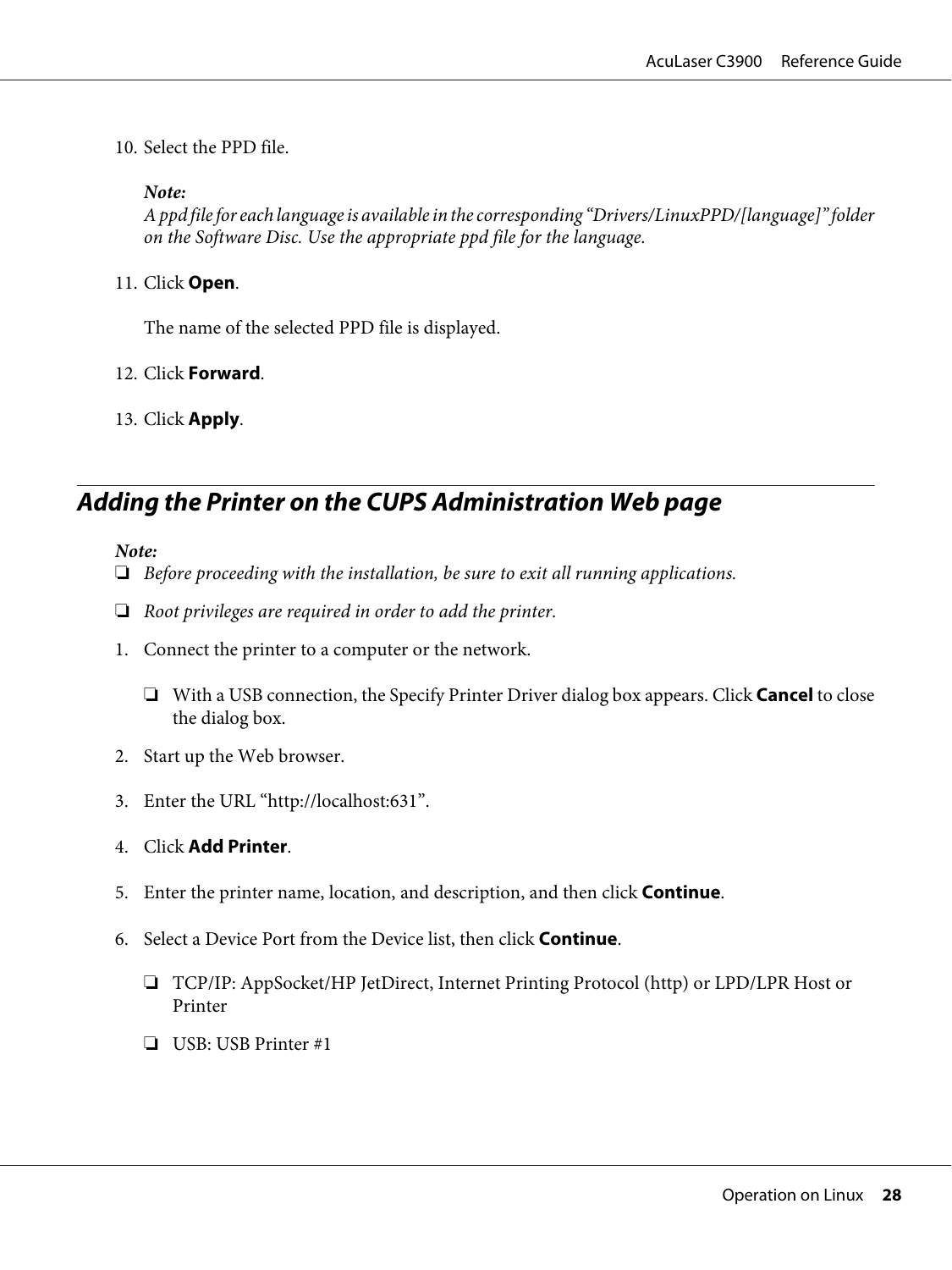<span id="page-27-0"></span>10. Select the PPD file.

*Note:*

*A ppd file for each language is available in the corresponding "Drivers/LinuxPPD/[language]" folder on the Software Disc. Use the appropriate ppd file for the language.*

11. Click **Open**.

The name of the selected PPD file is displayed.

- 12. Click **Forward**.
- 13. Click **Apply**.

### **Adding the Printer on the CUPS Administration Web page**

#### *Note:*

- ❏ *Before proceeding with the installation, be sure to exit all running applications.*
- ❏ *Root privileges are required in order to add the printer.*
- 1. Connect the printer to a computer or the network.
	- ❏ With a USB connection, the Specify Printer Driver dialog box appears. Click **Cancel** to close the dialog box.
- 2. Start up the Web browser.
- 3. Enter the URL "http://localhost:631".
- 4. Click **Add Printer**.
- 5. Enter the printer name, location, and description, and then click **Continue**.
- 6. Select a Device Port from the Device list, then click **Continue**.
	- ❏ TCP/IP: AppSocket/HP JetDirect, Internet Printing Protocol (http) or LPD/LPR Host or Printer
	- ❏ USB: USB Printer #1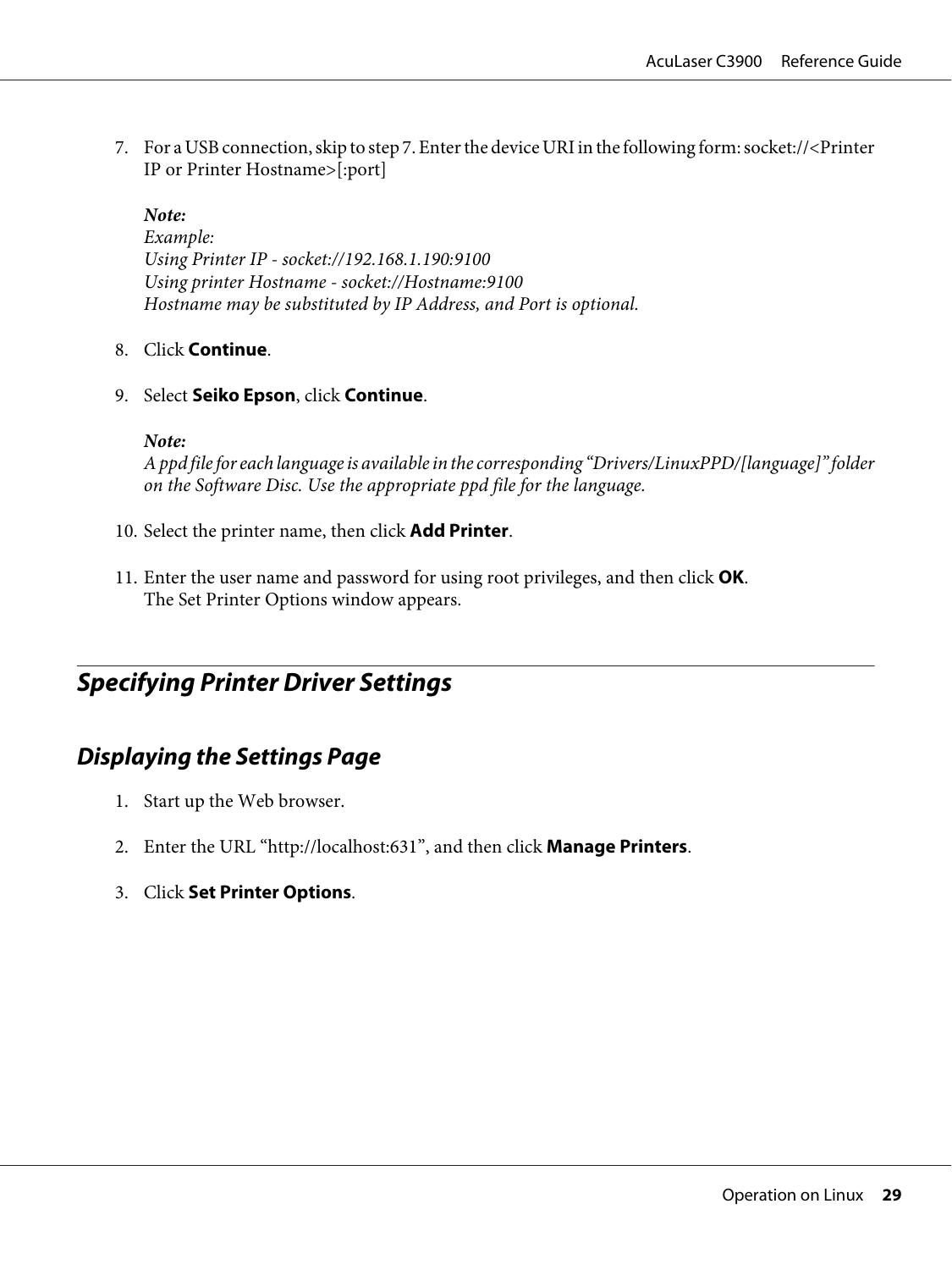<span id="page-28-0"></span>7. For a USB connection, skip to step 7. Enter the device URI in the following form: socket://<Printer IP or Printer Hostname>[:port]

*Note:*

*Example: Using Printer IP - socket://192.168.1.190:9100 Using printer Hostname - socket://Hostname:9100 Hostname may be substituted by IP Address, and Port is optional.*

#### 8. Click **Continue**.

9. Select **Seiko Epson**, click **Continue**.

*Note:*

*A ppd file for each language is available in the corresponding "Drivers/LinuxPPD/[language]" folder on the Software Disc. Use the appropriate ppd file for the language.*

- 10. Select the printer name, then click **Add Printer**.
- 11. Enter the user name and password for using root privileges, and then click **OK**. The Set Printer Options window appears.

### **Specifying Printer Driver Settings**

### **Displaying the Settings Page**

- 1. Start up the Web browser.
- 2. Enter the URL "http://localhost:631", and then click **Manage Printers**.
- 3. Click **Set Printer Options**.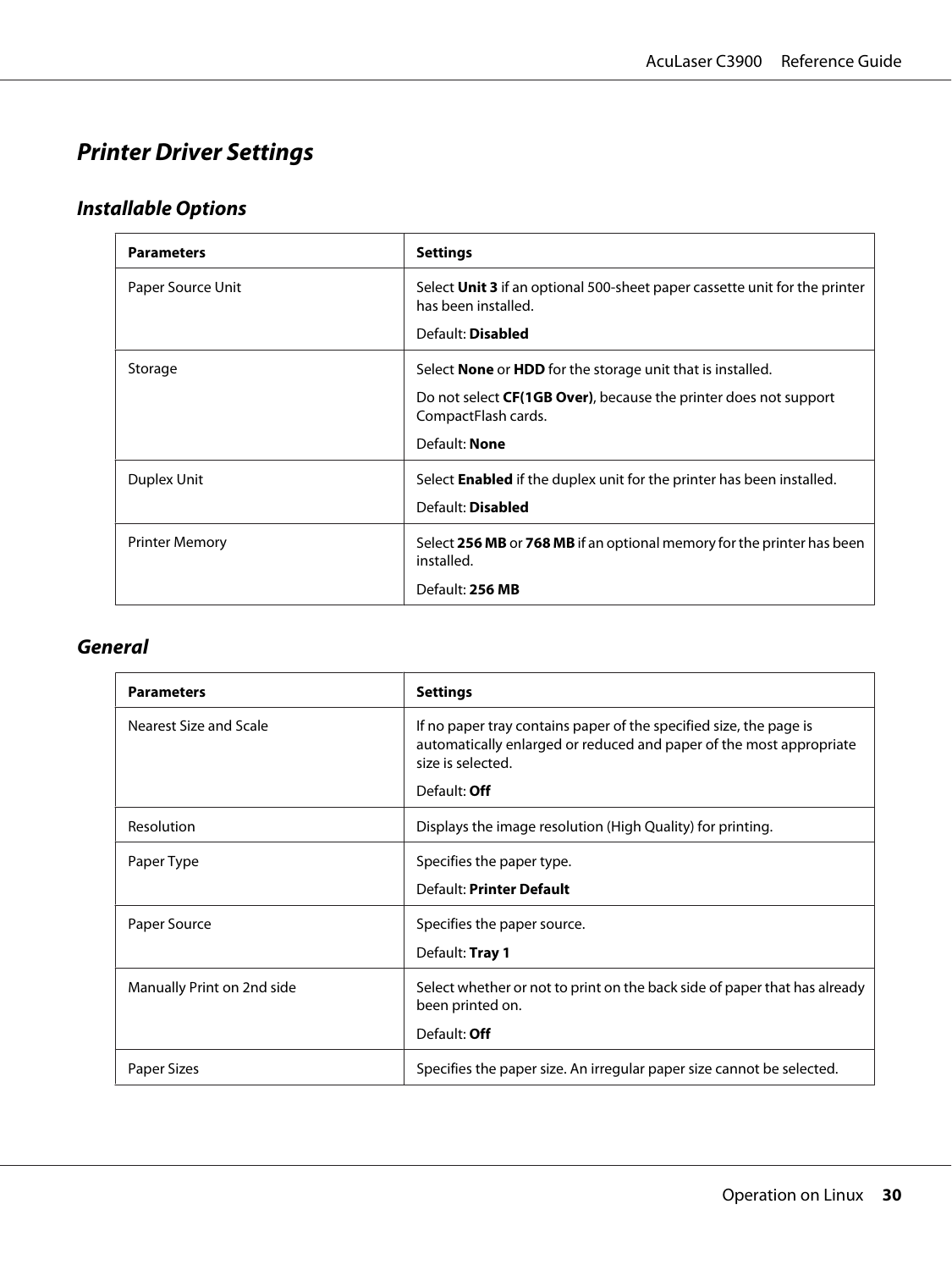### <span id="page-29-0"></span>**Printer Driver Settings**

### **Installable Options**

| <b>Parameters</b>     | <b>Settings</b>                                                                                   |
|-----------------------|---------------------------------------------------------------------------------------------------|
| Paper Source Unit     | Select Unit 3 if an optional 500-sheet paper cassette unit for the printer<br>has been installed. |
|                       | Default: Disabled                                                                                 |
| Storage               | Select <b>None</b> or <b>HDD</b> for the storage unit that is installed.                          |
|                       | Do not select <b>CF(1GB Over)</b> , because the printer does not support<br>CompactFlash cards.   |
|                       | Default: None                                                                                     |
| Duplex Unit           | Select <b>Enabled</b> if the duplex unit for the printer has been installed.                      |
|                       | Default: Disabled                                                                                 |
| <b>Printer Memory</b> | Select 256 MB or 768 MB if an optional memory for the printer has been<br>installed.              |
|                       | Default: 256 MB                                                                                   |

#### **General**

| <b>Parameters</b>          | <b>Settings</b>                                                                                                                                                                       |
|----------------------------|---------------------------------------------------------------------------------------------------------------------------------------------------------------------------------------|
| Nearest Size and Scale     | If no paper tray contains paper of the specified size, the page is<br>automatically enlarged or reduced and paper of the most appropriate<br>size is selected.<br>Default: <b>Off</b> |
|                            |                                                                                                                                                                                       |
| Resolution                 | Displays the image resolution (High Quality) for printing.                                                                                                                            |
| Paper Type                 | Specifies the paper type.<br>Default: Printer Default                                                                                                                                 |
| Paper Source               | Specifies the paper source.<br>Default: Tray 1                                                                                                                                        |
| Manually Print on 2nd side | Select whether or not to print on the back side of paper that has already<br>been printed on.<br>Default: <b>Off</b>                                                                  |
| Paper Sizes                | Specifies the paper size. An irregular paper size cannot be selected.                                                                                                                 |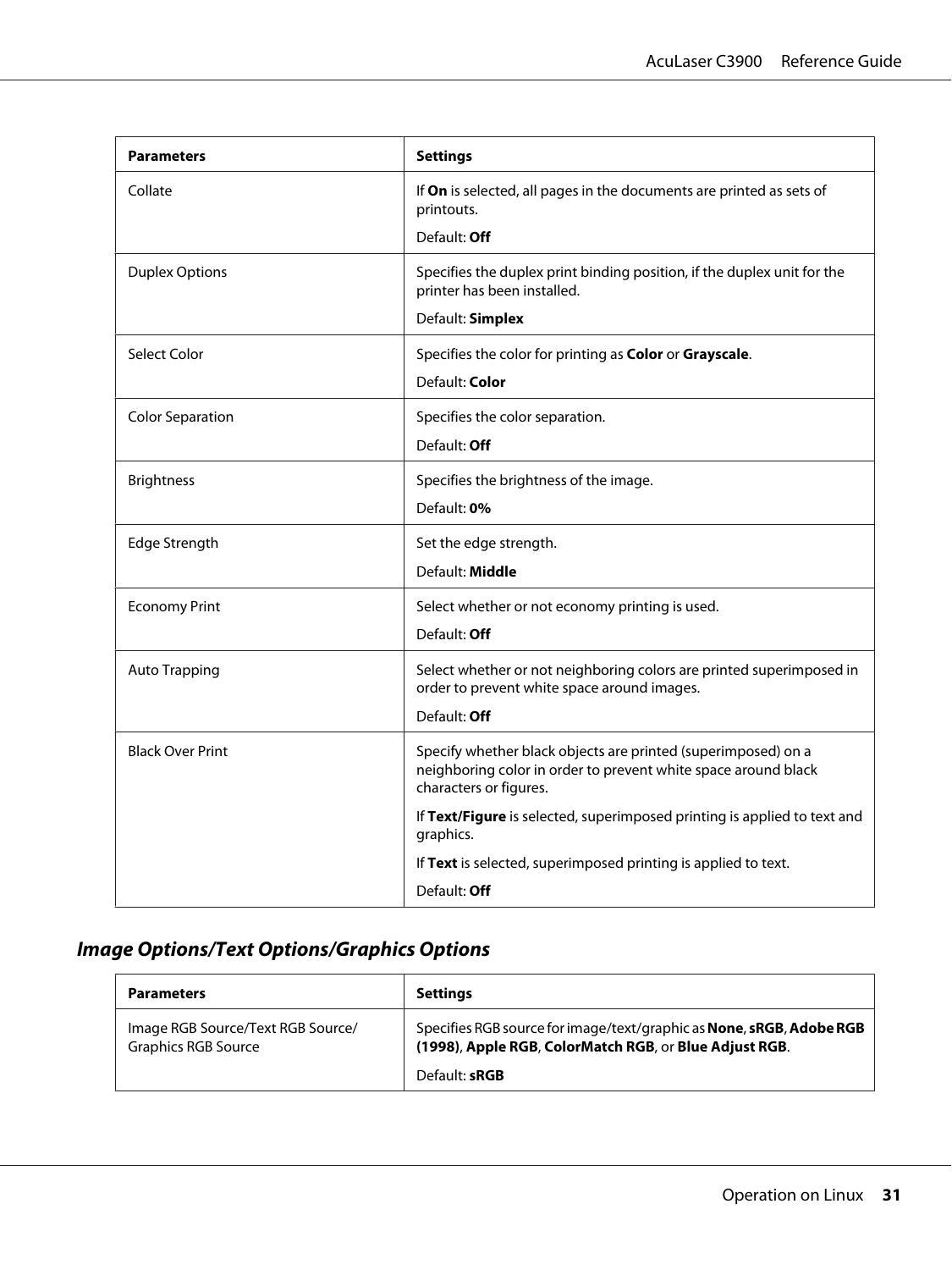| <b>Parameters</b>       | <b>Settings</b>                                                                                                                                           |
|-------------------------|-----------------------------------------------------------------------------------------------------------------------------------------------------------|
| Collate                 | If On is selected, all pages in the documents are printed as sets of<br>printouts.                                                                        |
|                         | Default: Off                                                                                                                                              |
| <b>Duplex Options</b>   | Specifies the duplex print binding position, if the duplex unit for the<br>printer has been installed.                                                    |
|                         | Default: Simplex                                                                                                                                          |
| Select Color            | Specifies the color for printing as Color or Grayscale.                                                                                                   |
|                         | Default: Color                                                                                                                                            |
| <b>Color Separation</b> | Specifies the color separation.                                                                                                                           |
|                         | Default: Off                                                                                                                                              |
| <b>Brightness</b>       | Specifies the brightness of the image.                                                                                                                    |
|                         | Default: 0%                                                                                                                                               |
| Edge Strength           | Set the edge strength.                                                                                                                                    |
|                         | Default: Middle                                                                                                                                           |
| <b>Economy Print</b>    | Select whether or not economy printing is used.                                                                                                           |
|                         | Default: Off                                                                                                                                              |
| <b>Auto Trapping</b>    | Select whether or not neighboring colors are printed superimposed in<br>order to prevent white space around images.                                       |
|                         | Default: Off                                                                                                                                              |
| <b>Black Over Print</b> | Specify whether black objects are printed (superimposed) on a<br>neighboring color in order to prevent white space around black<br>characters or figures. |
|                         | If Text/Figure is selected, superimposed printing is applied to text and<br>graphics.                                                                     |
|                         | If Text is selected, superimposed printing is applied to text.                                                                                            |
|                         | Default: Off                                                                                                                                              |

### **Image Options/Text Options/Graphics Options**

| <b>Parameters</b>                                               | <b>Settings</b>                                                                                                                       |
|-----------------------------------------------------------------|---------------------------------------------------------------------------------------------------------------------------------------|
| Image RGB Source/Text RGB Source/<br><b>Graphics RGB Source</b> | Specifies RGB source for image/text/graphic as <b>None, sRGB, Adobe RGB</b><br>(1998), Apple RGB, ColorMatch RGB, or Blue Adjust RGB. |
|                                                                 | Default: <b>sRGB</b>                                                                                                                  |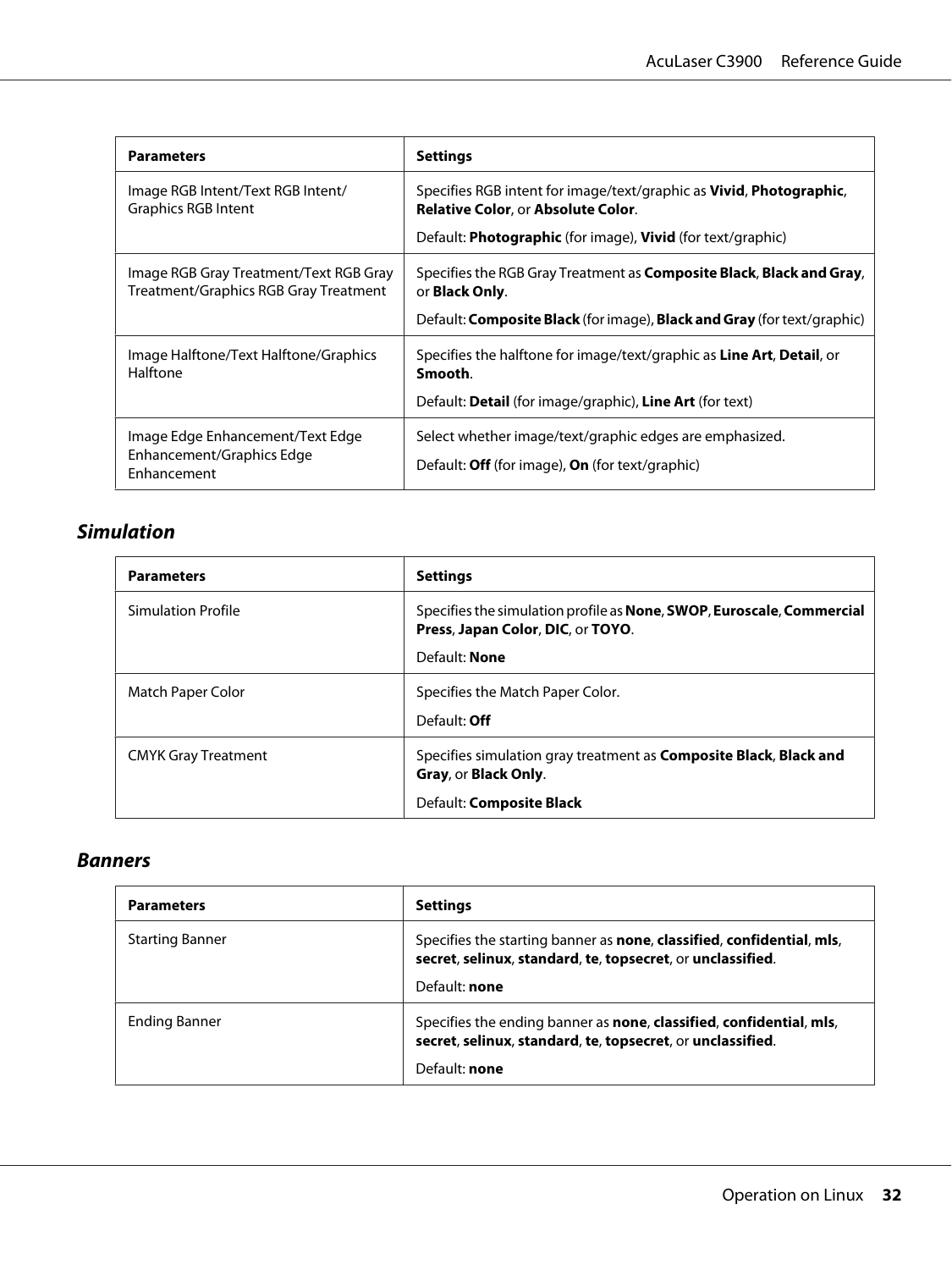| <b>Parameters</b>                                                               | <b>Settings</b>                                                                                                  |  |
|---------------------------------------------------------------------------------|------------------------------------------------------------------------------------------------------------------|--|
| Image RGB Intent/Text RGB Intent/<br>Graphics RGB Intent                        | Specifies RGB intent for image/text/graphic as Vivid, Photographic,<br><b>Relative Color, or Absolute Color.</b> |  |
|                                                                                 | Default: <b>Photographic</b> (for image), <b>Vivid</b> (for text/graphic)                                        |  |
| Image RGB Gray Treatment/Text RGB Gray<br>Treatment/Graphics RGB Gray Treatment | Specifies the RGB Gray Treatment as <b>Composite Black, Black and Gray,</b><br>or <b>Black Only.</b>             |  |
|                                                                                 | Default: Composite Black (for image), Black and Gray (for text/graphic)                                          |  |
| Image Halftone/Text Halftone/Graphics<br>Halftone                               | Specifies the halftone for image/text/graphic as <b>Line Art, Detail</b> , or<br>Smooth.                         |  |
|                                                                                 | Default: Detail (for image/graphic), Line Art (for text)                                                         |  |
| Image Edge Enhancement/Text Edge<br>Enhancement/Graphics Edge<br>Enhancement    | Select whether image/text/graphic edges are emphasized.<br>Default: Off (for image), On (for text/graphic)       |  |

### **Simulation**

| <b>Parameters</b>          | <b>Settings</b>                                                                                                   |  |
|----------------------------|-------------------------------------------------------------------------------------------------------------------|--|
| <b>Simulation Profile</b>  | Specifies the simulation profile as <b>None, SWOP, Euroscale, Commercial</b><br>Press, Japan Color, DIC, or TOYO. |  |
|                            | Default: None                                                                                                     |  |
| Match Paper Color          | Specifies the Match Paper Color.                                                                                  |  |
|                            | Default: <b>Off</b>                                                                                               |  |
| <b>CMYK Gray Treatment</b> | Specifies simulation gray treatment as <b>Composite Black, Black and</b><br>Gray, or Black Only.                  |  |
|                            | Default: Composite Black                                                                                          |  |

#### **Banners**

| <b>Parameters</b>      | <b>Settings</b>                                                                                                                                             |
|------------------------|-------------------------------------------------------------------------------------------------------------------------------------------------------------|
| <b>Starting Banner</b> | Specifies the starting banner as <b>none, classified, confidential, mls,</b><br>secret, selinux, standard, te, topsecret, or unclassified.<br>Default: none |
| Ending Banner          | Specifies the ending banner as none, classified, confidential, mls,<br>secret, selinux, standard, te, topsecret, or unclassified.<br>Default: none          |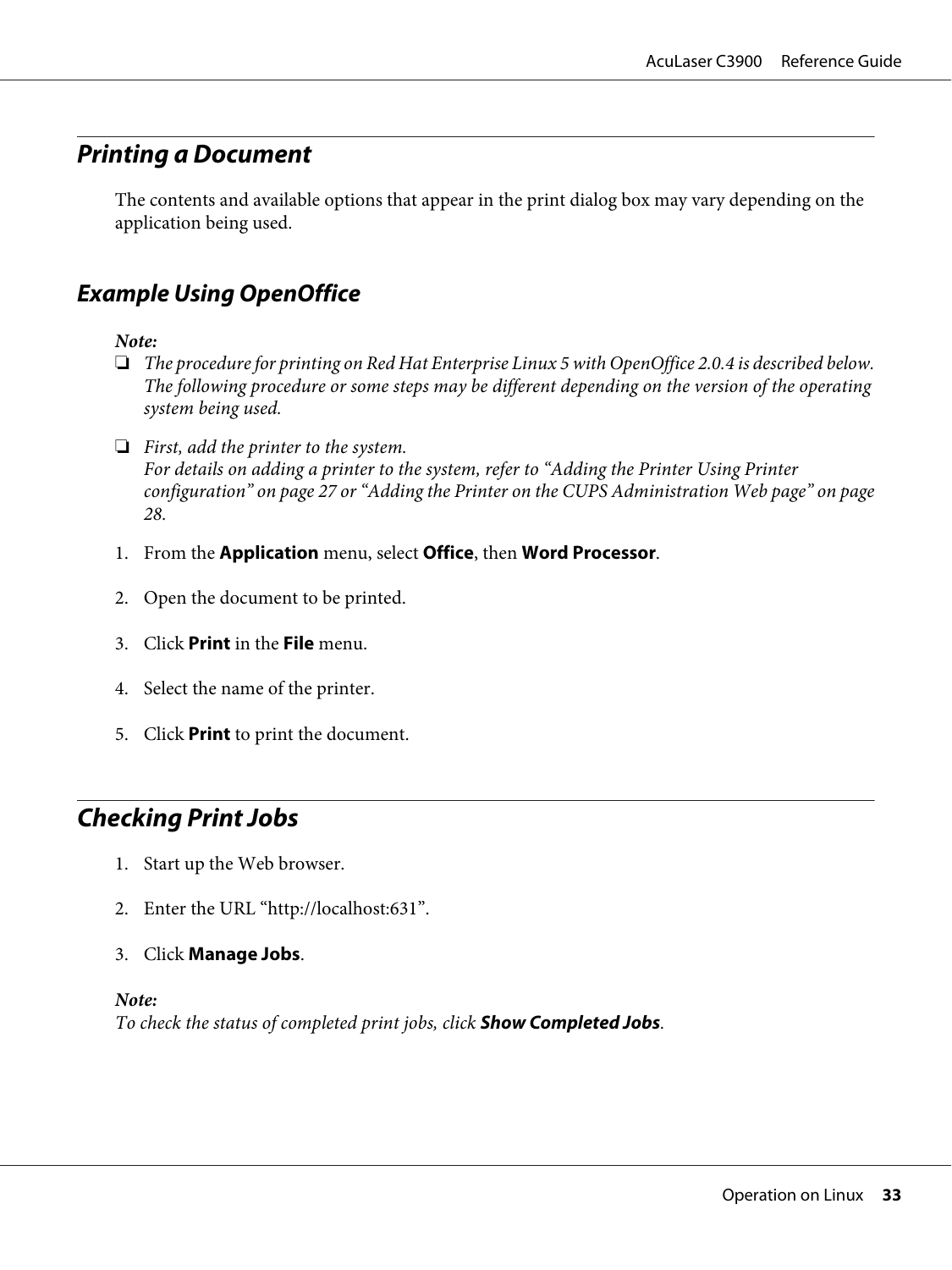### <span id="page-32-0"></span>**Printing a Document**

The contents and available options that appear in the print dialog box may vary depending on the application being used.

### **Example Using OpenOffice**

*Note:*

- ❏ *The procedure for printing on Red Hat Enterprise Linux 5 with OpenOffice 2.0.4 is described below. The following procedure or some steps may be different depending on the version of the operating system being used.*
- ❏ *First, add the printer to the system. For details on adding a printer to the system, refer to ["Adding the Printer Using Printer](#page-26-0) [configuration" on page 27](#page-26-0) or ["Adding the Printer on the CUPS Administration Web page" on page](#page-27-0) [28](#page-27-0).*
- 1. From the **Application** menu, select **Office**, then **Word Processor**.
- 2. Open the document to be printed.
- 3. Click **Print** in the **File** menu.
- 4. Select the name of the printer.
- 5. Click **Print** to print the document.

### **Checking Print Jobs**

- 1. Start up the Web browser.
- 2. Enter the URL "http://localhost:631".
- 3. Click **Manage Jobs**.

#### *Note:*

*To check the status of completed print jobs, click* **Show Completed Jobs***.*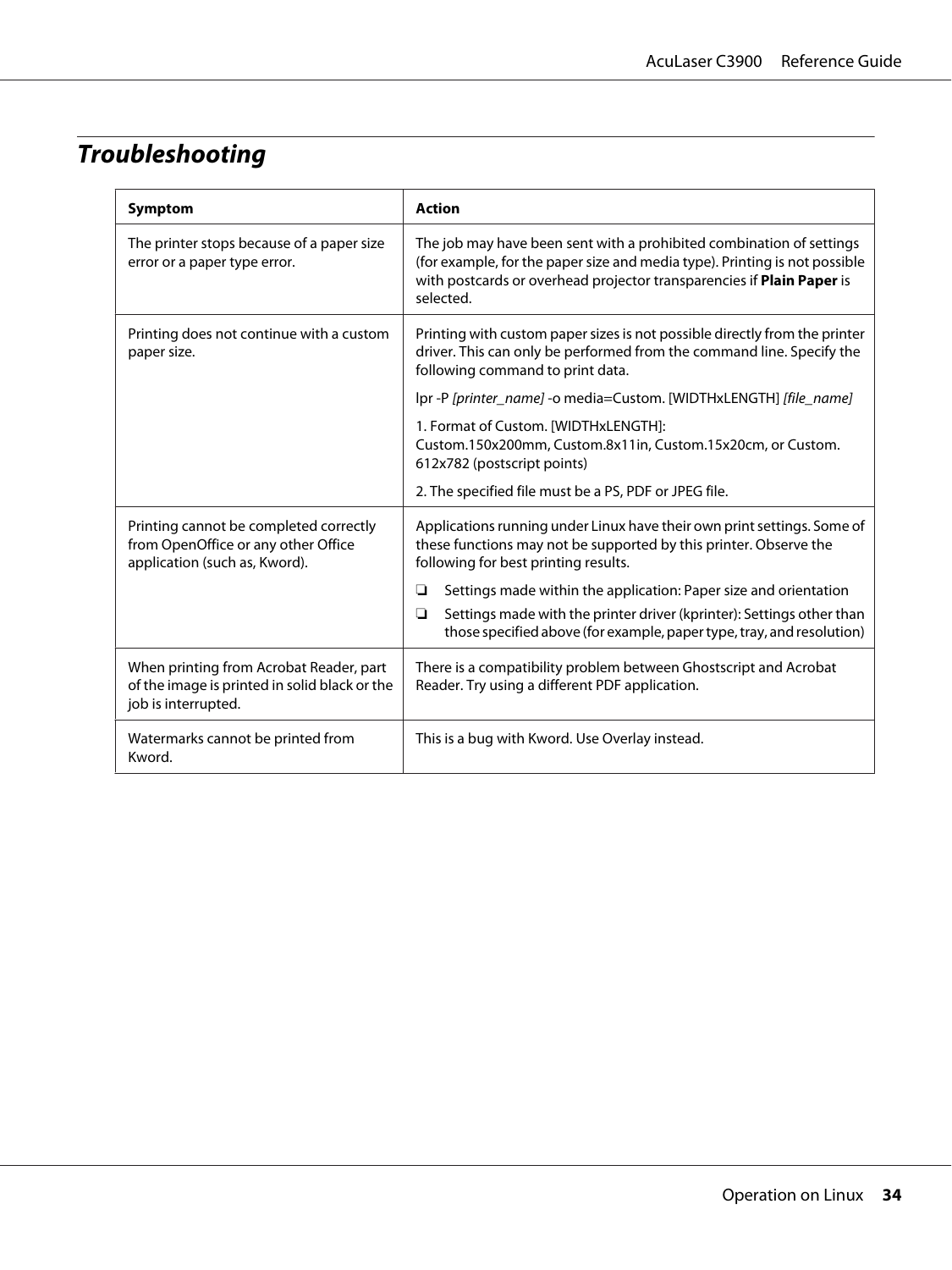### <span id="page-33-0"></span>**Troubleshooting**

| Symptom                                                                                                         | <b>Action</b>                                                                                                                                                                                                                            |  |  |
|-----------------------------------------------------------------------------------------------------------------|------------------------------------------------------------------------------------------------------------------------------------------------------------------------------------------------------------------------------------------|--|--|
| The printer stops because of a paper size<br>error or a paper type error.                                       | The job may have been sent with a prohibited combination of settings<br>(for example, for the paper size and media type). Printing is not possible<br>with postcards or overhead projector transparencies if Plain Paper is<br>selected. |  |  |
| Printing does not continue with a custom<br>paper size.                                                         | Printing with custom paper sizes is not possible directly from the printer<br>driver. This can only be performed from the command line. Specify the<br>following command to print data.                                                  |  |  |
|                                                                                                                 | Ipr -P [printer_name] -o media=Custom. [WIDTHxLENGTH] [file_name]                                                                                                                                                                        |  |  |
|                                                                                                                 | 1. Format of Custom. [WIDTHxLENGTH]:<br>Custom.150x200mm, Custom.8x11in, Custom.15x20cm, or Custom.<br>612x782 (postscript points)                                                                                                       |  |  |
|                                                                                                                 | 2. The specified file must be a PS, PDF or JPEG file.                                                                                                                                                                                    |  |  |
| Printing cannot be completed correctly<br>from OpenOffice or any other Office<br>application (such as, Kword).  | Applications running under Linux have their own print settings. Some of<br>these functions may not be supported by this printer. Observe the<br>following for best printing results.                                                     |  |  |
|                                                                                                                 | Settings made within the application: Paper size and orientation<br>❏<br>Settings made with the printer driver (kprinter): Settings other than<br>❏<br>those specified above (for example, paper type, tray, and resolution)             |  |  |
| When printing from Acrobat Reader, part<br>of the image is printed in solid black or the<br>job is interrupted. | There is a compatibility problem between Ghostscript and Acrobat<br>Reader. Try using a different PDF application.                                                                                                                       |  |  |
| Watermarks cannot be printed from<br>Kword.                                                                     | This is a bug with Kword. Use Overlay instead.                                                                                                                                                                                           |  |  |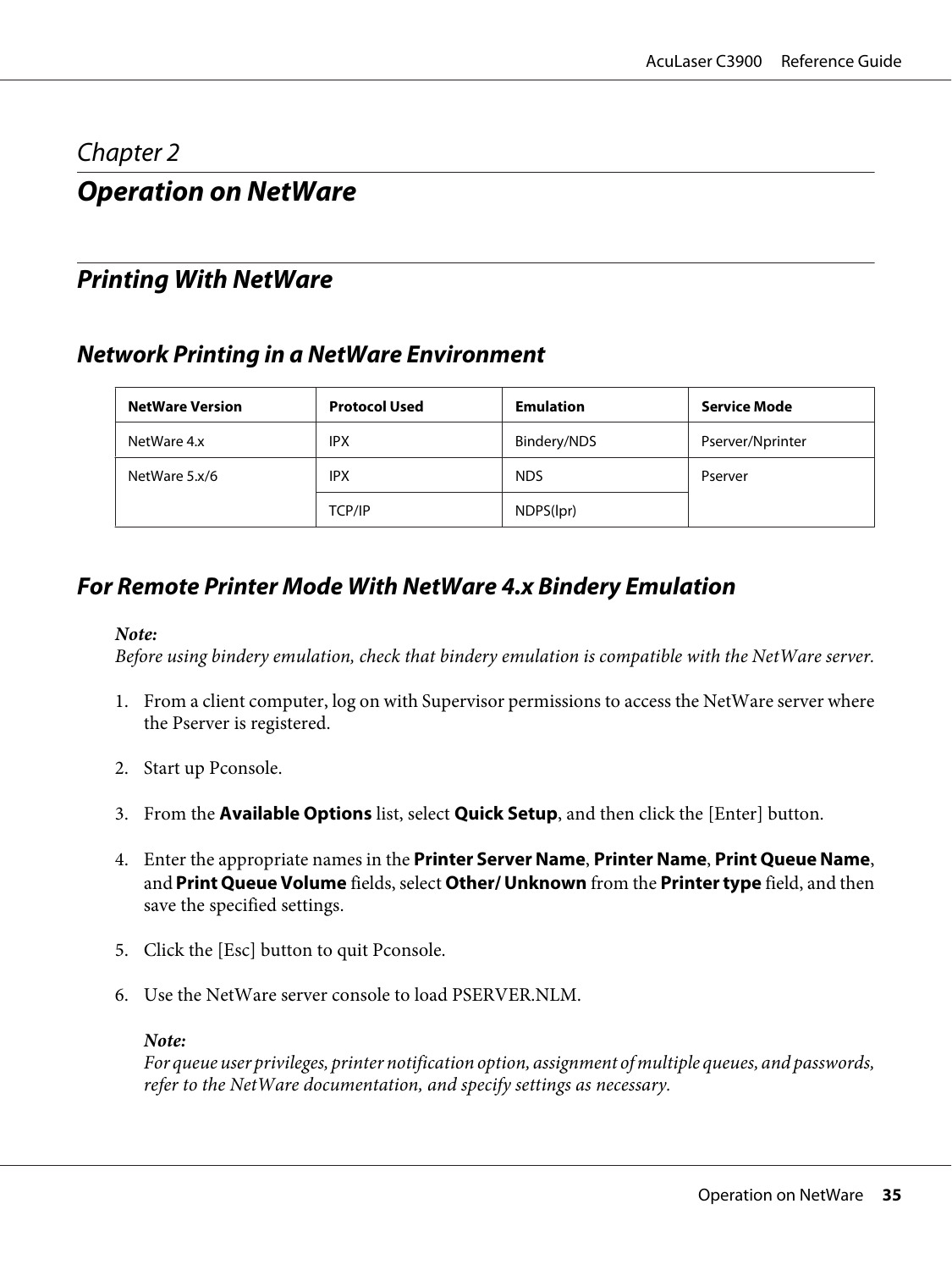### <span id="page-34-0"></span>Chapter 2

### **Operation on NetWare**

### **Printing With NetWare**

### **Network Printing in a NetWare Environment**

| <b>NetWare Version</b> | <b>Protocol Used</b> | <b>Emulation</b> | Service Mode     |
|------------------------|----------------------|------------------|------------------|
| NetWare 4.x            | <b>IPX</b>           | Bindery/NDS      | Pserver/Nprinter |
| NetWare 5.x/6          | <b>IPX</b>           | <b>NDS</b>       | Pserver          |
|                        | TCP/IP               | NDPS(lpr)        |                  |

### **For Remote Printer Mode With NetWare 4.x Bindery Emulation**

#### *Note:*

*Before using bindery emulation, check that bindery emulation is compatible with the NetWare server.*

- 1. From a client computer, log on with Supervisor permissions to access the NetWare server where the Pserver is registered.
- 2. Start up Pconsole.
- 3. From the **Available Options** list, select **Quick Setup**, and then click the [Enter] button.
- 4. Enter the appropriate names in the **Printer Server Name**, **Printer Name**, **Print Queue Name**, and **Print Queue Volume** fields, select **Other/ Unknown** from the **Printer type** field, and then save the specified settings.
- 5. Click the [Esc] button to quit Pconsole.
- 6. Use the NetWare server console to load PSERVER.NLM.

#### *Note:*

*For queue user privileges, printer notification option, assignment of multiple queues, and passwords, refer to the NetWare documentation, and specify settings as necessary.*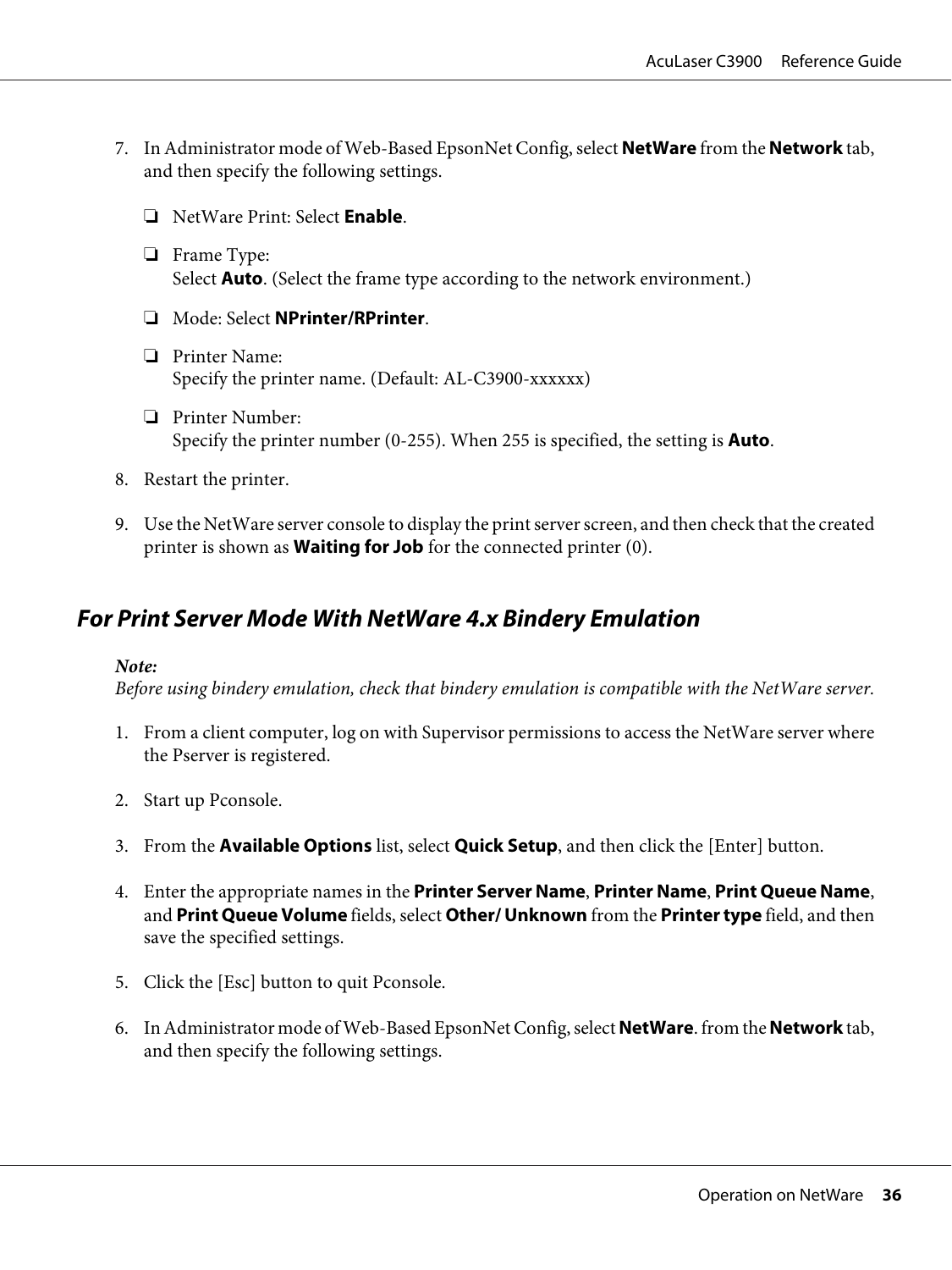- <span id="page-35-0"></span>7. In Administrator mode of Web-Based EpsonNet Config, select **NetWare** from the **Network** tab, and then specify the following settings.
	- ❏ NetWare Print: Select **Enable**.
	- ❏ Frame Type: Select **Auto**. (Select the frame type according to the network environment.)
	- ❏ Mode: Select **NPrinter/RPrinter**.
	- ❏ Printer Name: Specify the printer name. (Default: AL-C3900-xxxxxx)
	- ❏ Printer Number: Specify the printer number (0-255). When 255 is specified, the setting is **Auto**.
- 8. Restart the printer.
- 9. Use the NetWare server console to display the print server screen, and then check that the created printer is shown as **Waiting for Job** for the connected printer (0).

### **For Print Server Mode With NetWare 4.x Bindery Emulation**

#### *Note:*

*Before using bindery emulation, check that bindery emulation is compatible with the NetWare server.*

- 1. From a client computer, log on with Supervisor permissions to access the NetWare server where the Pserver is registered.
- 2. Start up Pconsole.
- 3. From the **Available Options** list, select **Quick Setup**, and then click the [Enter] button.
- 4. Enter the appropriate names in the **Printer Server Name**, **Printer Name**, **Print Queue Name**, and **Print Queue Volume** fields, select **Other/ Unknown** from the **Printer type** field, and then save the specified settings.
- 5. Click the [Esc] button to quit Pconsole.
- 6. In Administrator mode of Web-Based EpsonNet Config, select **NetWare**. from the **Network** tab, and then specify the following settings.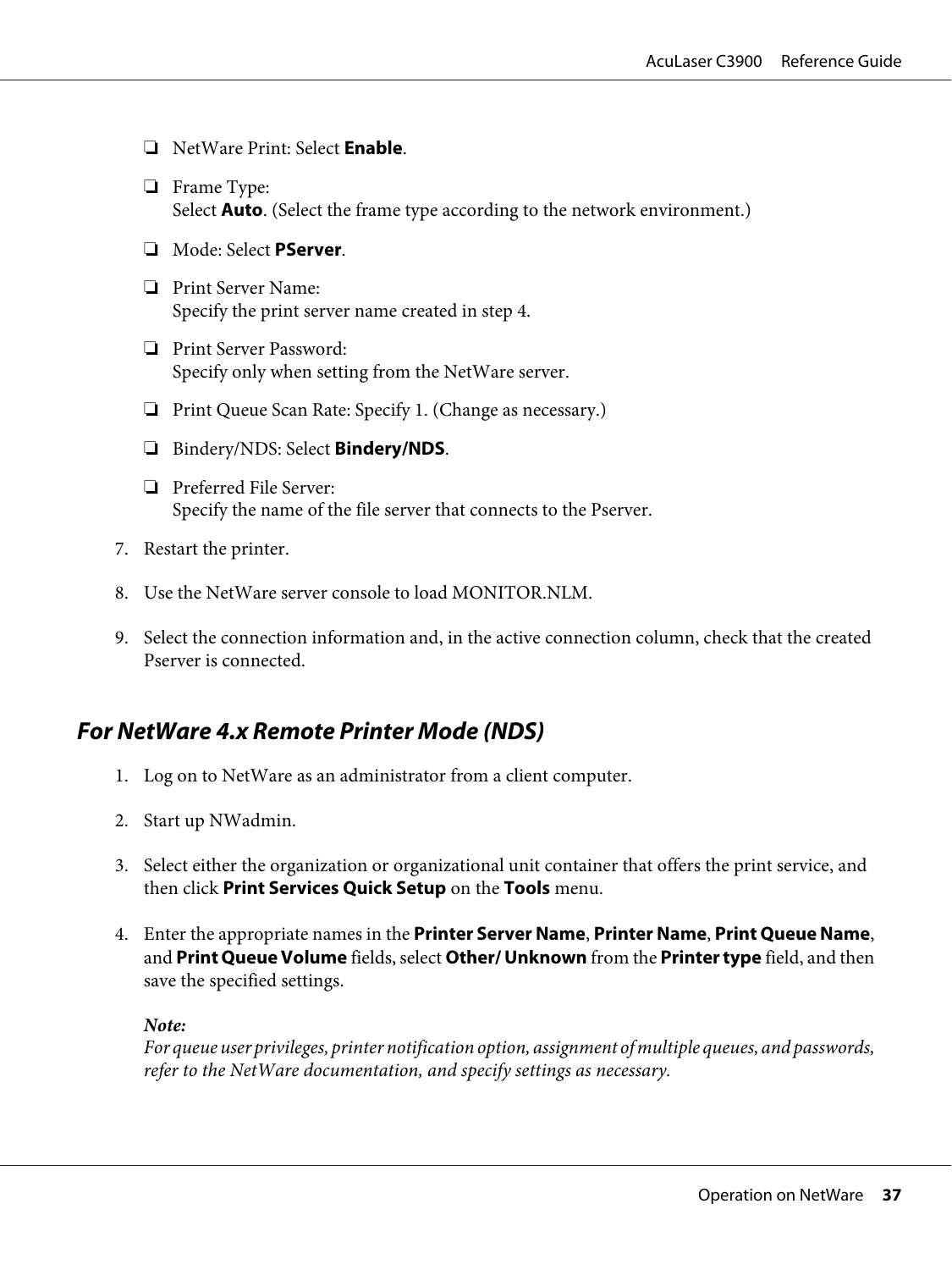- ❏ NetWare Print: Select **Enable**.
- ❏ Frame Type: Select **Auto**. (Select the frame type according to the network environment.)
- ❏ Mode: Select **PServer**.
- ❏ Print Server Name: Specify the print server name created in step 4.
- ❏ Print Server Password: Specify only when setting from the NetWare server.
- ❏ Print Queue Scan Rate: Specify 1. (Change as necessary.)
- ❏ Bindery/NDS: Select **Bindery/NDS**.
- ❏ Preferred File Server: Specify the name of the file server that connects to the Pserver.
- 7. Restart the printer.
- 8. Use the NetWare server console to load MONITOR.NLM.
- 9. Select the connection information and, in the active connection column, check that the created Pserver is connected.

# **For NetWare 4.x Remote Printer Mode (NDS)**

- 1. Log on to NetWare as an administrator from a client computer.
- 2. Start up NWadmin.
- 3. Select either the organization or organizational unit container that offers the print service, and then click **Print Services Quick Setup** on the **Tools** menu.
- 4. Enter the appropriate names in the **Printer Server Name**, **Printer Name**, **Print Queue Name**, and **Print Queue Volume** fields, select **Other/ Unknown** from the **Printer type** field, and then save the specified settings.

#### *Note:*

*For queue user privileges, printer notification option, assignment of multiple queues, and passwords, refer to the NetWare documentation, and specify settings as necessary.*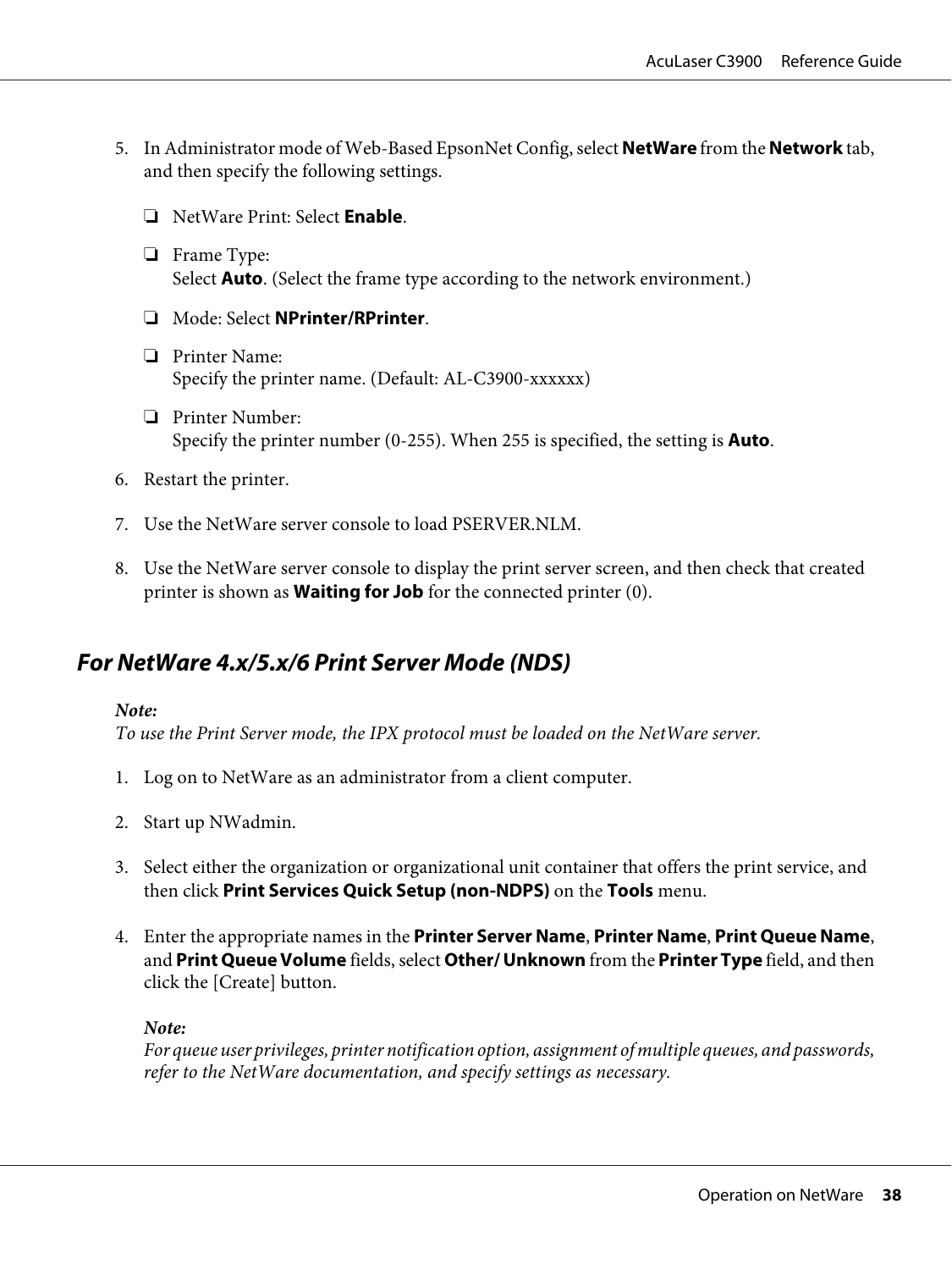- 5. In Administrator mode of Web-Based EpsonNet Config, select **NetWare** from the **Network** tab, and then specify the following settings.
	- ❏ NetWare Print: Select **Enable**.
	- ❏ Frame Type: Select **Auto**. (Select the frame type according to the network environment.)
	- ❏ Mode: Select **NPrinter/RPrinter**.
	- ❏ Printer Name: Specify the printer name. (Default: AL-C3900-xxxxxx)
	- ❏ Printer Number: Specify the printer number (0-255). When 255 is specified, the setting is **Auto**.
- 6. Restart the printer.
- 7. Use the NetWare server console to load PSERVER.NLM.
- 8. Use the NetWare server console to display the print server screen, and then check that created printer is shown as **Waiting for Job** for the connected printer (0).

# **For NetWare 4.x/5.x/6 Print Server Mode (NDS)**

#### *Note:*

*To use the Print Server mode, the IPX protocol must be loaded on the NetWare server.*

- 1. Log on to NetWare as an administrator from a client computer.
- 2. Start up NWadmin.
- 3. Select either the organization or organizational unit container that offers the print service, and then click **Print Services Quick Setup (non-NDPS)** on the **Tools** menu.
- 4. Enter the appropriate names in the **Printer Server Name**, **Printer Name**, **Print Queue Name**, and **Print Queue Volume** fields, select **Other/ Unknown** from the **Printer Type** field, and then click the [Create] button.

#### *Note:*

*For queue user privileges, printer notification option, assignment of multiple queues, and passwords, refer to the NetWare documentation, and specify settings as necessary.*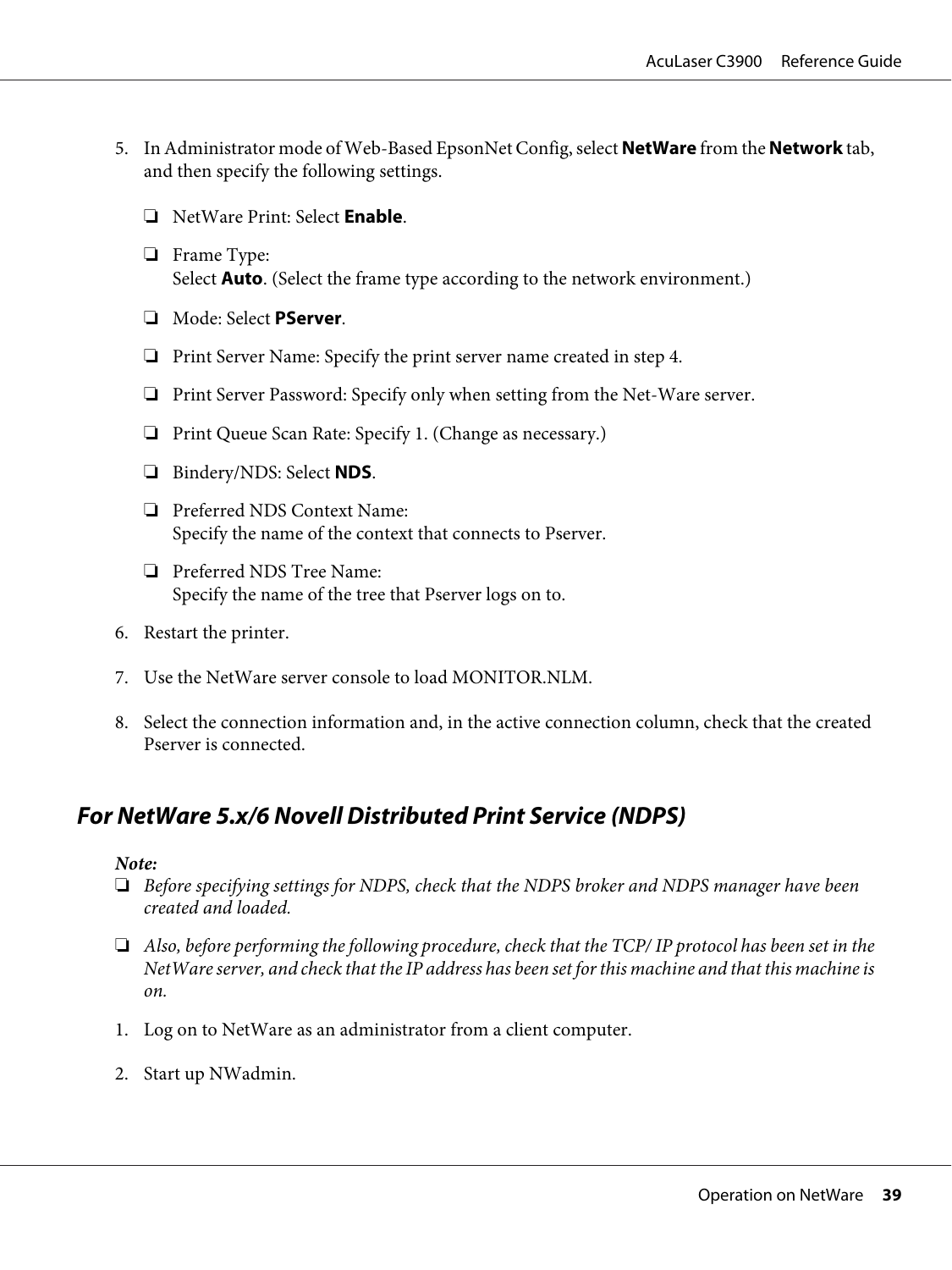- 5. In Administrator mode of Web-Based EpsonNet Config, select **NetWare** from the **Network** tab, and then specify the following settings.
	- ❏ NetWare Print: Select **Enable**.
	- ❏ Frame Type: Select **Auto**. (Select the frame type according to the network environment.)
	- ❏ Mode: Select **PServer**.
	- ❏ Print Server Name: Specify the print server name created in step 4.
	- ❏ Print Server Password: Specify only when setting from the Net-Ware server.
	- ❏ Print Queue Scan Rate: Specify 1. (Change as necessary.)
	- ❏ Bindery/NDS: Select **NDS**.
	- ❏ Preferred NDS Context Name: Specify the name of the context that connects to Pserver.
	- ❏ Preferred NDS Tree Name: Specify the name of the tree that Pserver logs on to.
- 6. Restart the printer.
- 7. Use the NetWare server console to load MONITOR.NLM.
- 8. Select the connection information and, in the active connection column, check that the created Pserver is connected.

# **For NetWare 5.x/6 Novell Distributed Print Service (NDPS)**

#### *Note:*

- ❏ *Before specifying settings for NDPS, check that the NDPS broker and NDPS manager have been created and loaded.*
- ❏ *Also, before performing the following procedure, check that the TCP/ IP protocol has been set in the NetWare server, and check that the IP address has been set for this machine and that this machine is on.*
- 1. Log on to NetWare as an administrator from a client computer.
- 2. Start up NWadmin.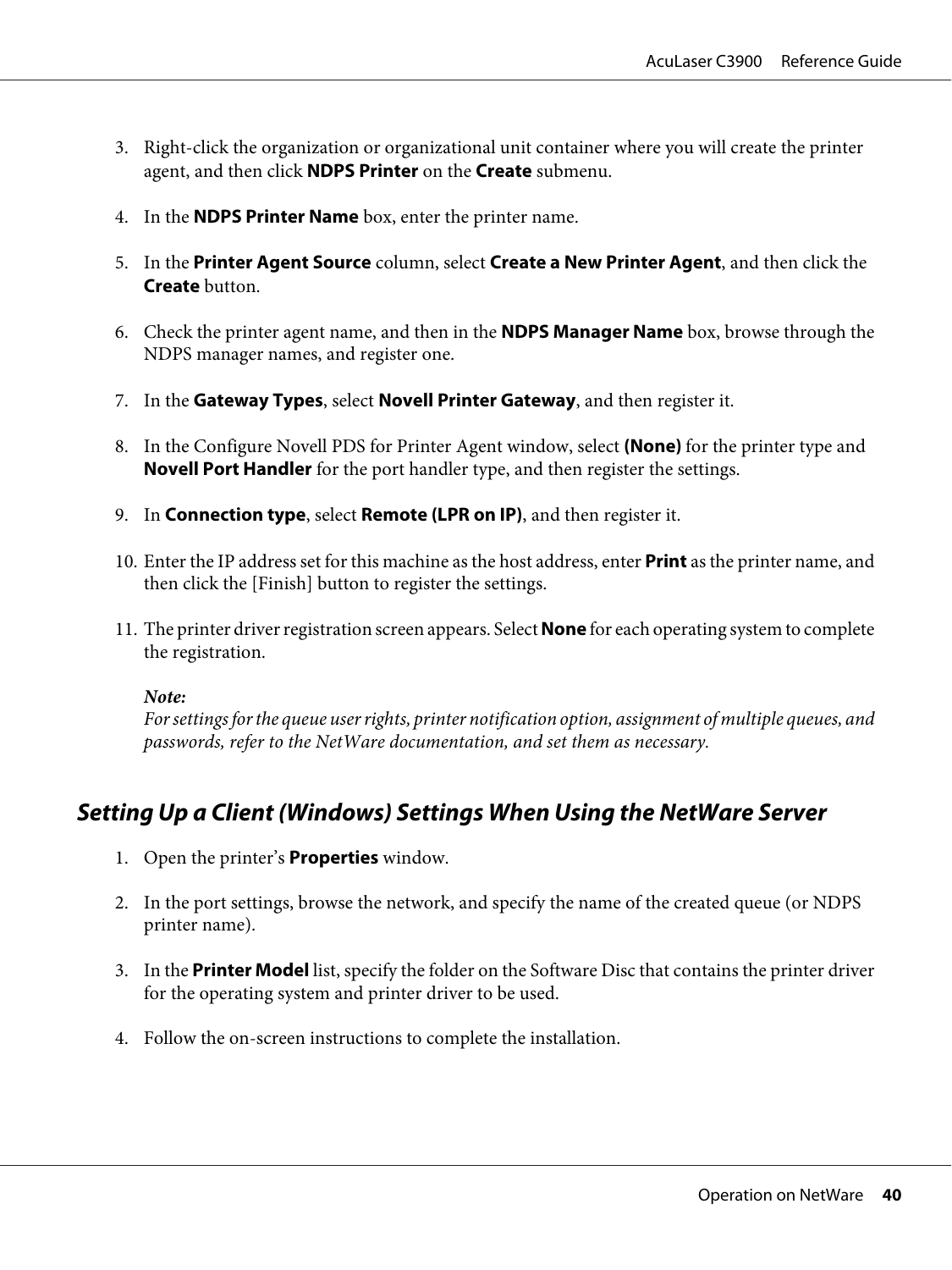- 3. Right-click the organization or organizational unit container where you will create the printer agent, and then click **NDPS Printer** on the **Create** submenu.
- 4. In the **NDPS Printer Name** box, enter the printer name.
- 5. In the **Printer Agent Source** column, select **Create a New Printer Agent**, and then click the **Create** button.
- 6. Check the printer agent name, and then in the **NDPS Manager Name** box, browse through the NDPS manager names, and register one.
- 7. In the **Gateway Types**, select **Novell Printer Gateway**, and then register it.
- 8. In the Configure Novell PDS for Printer Agent window, select **(None)** for the printer type and **Novell Port Handler** for the port handler type, and then register the settings.
- 9. In **Connection type**, select **Remote (LPR on IP)**, and then register it.
- 10. Enter the IP address set for this machine as the host address, enter **Print** as the printer name, and then click the [Finish] button to register the settings.
- 11. The printer driver registration screen appears. Select **None** for each operating system to complete the registration.

*Note:*

*For settings for the queue user rights, printer notification option, assignment of multiple queues, and passwords, refer to the NetWare documentation, and set them as necessary.*

# **Setting Up a Client (Windows) Settings When Using the NetWare Server**

- 1. Open the printer's **Properties** window.
- 2. In the port settings, browse the network, and specify the name of the created queue (or NDPS printer name).
- 3. In the **Printer Model** list, specify the folder on the Software Disc that contains the printer driver for the operating system and printer driver to be used.
- 4. Follow the on-screen instructions to complete the installation.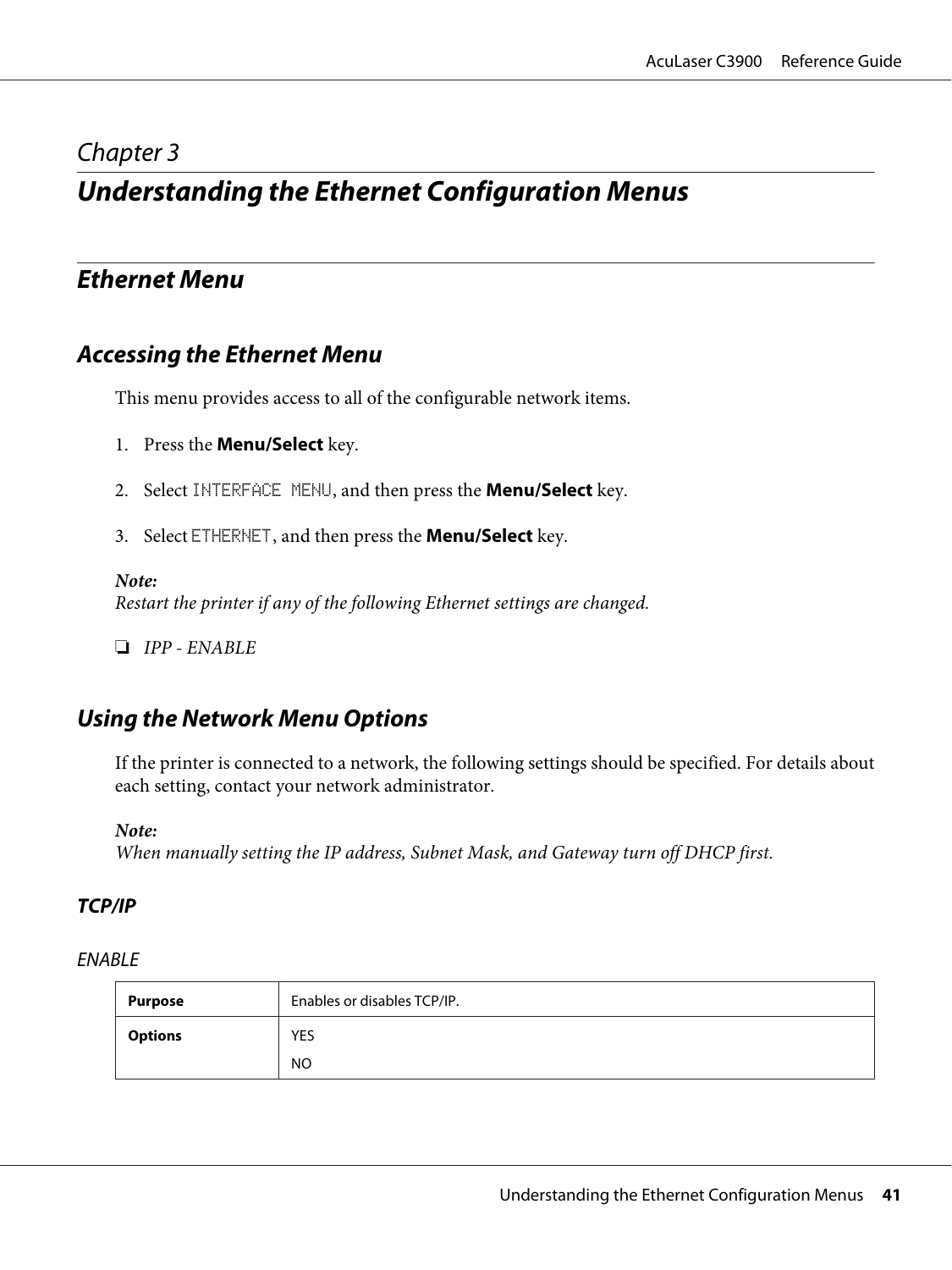# <span id="page-40-0"></span>Chapter 3

# **Understanding the Ethernet Configuration Menus**

# **Ethernet Menu**

# **Accessing the Ethernet Menu**

This menu provides access to all of the configurable network items.

- 1. Press the **Menu/Select** key.
- 2. Select INTERFACE MENU, and then press the **Menu/Select** key.
- 3. Select ETHERNET, and then press the **Menu/Select** key.

#### *Note:*

*Restart the printer if any of the following Ethernet settings are changed.*

❏ *IPP - ENABLE*

# **Using the Network Menu Options**

If the printer is connected to a network, the following settings should be specified. For details about each setting, contact your network administrator.

#### *Note:*

*When manually setting the IP address, Subnet Mask, and Gateway turn off DHCP first.*

## **TCP/IP**

#### ENABLE

| Purpose        | Enables or disables TCP/IP. |
|----------------|-----------------------------|
| <b>Options</b> | <b>YES</b>                  |
|                | NO                          |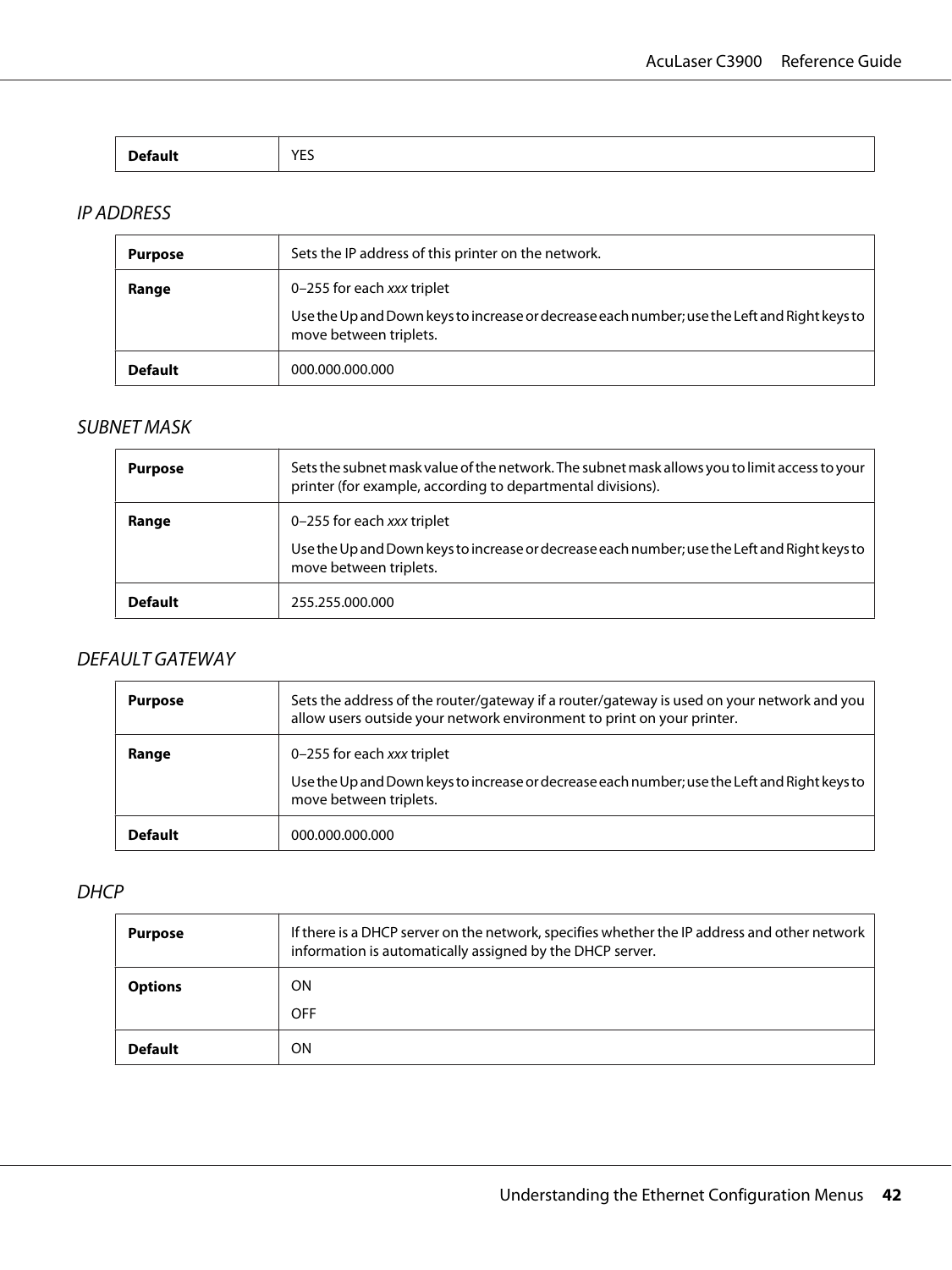| _____ | $\mathcal{M}$ $\mathsf{F}$<br>. |
|-------|---------------------------------|
|-------|---------------------------------|

# IP ADDRESS

| <b>Purpose</b> | Sets the IP address of this printer on the network.                                                                    |
|----------------|------------------------------------------------------------------------------------------------------------------------|
| Range          | 0-255 for each xxx triplet                                                                                             |
|                | Use the Up and Down keys to increase or decrease each number; use the Left and Right keys to<br>move between triplets. |
| <b>Default</b> | 000.000.000.000                                                                                                        |

# SUBNET MASK

| <b>Purpose</b> | Sets the subnet mask value of the network. The subnet mask allows you to limit access to your<br>printer (for example, according to departmental divisions). |
|----------------|--------------------------------------------------------------------------------------------------------------------------------------------------------------|
| Range          | 0-255 for each xxx triplet<br>Use the Up and Down keys to increase or decrease each number; use the Left and Right keys to<br>move between triplets.         |
| <b>Default</b> | 255.255.000.000                                                                                                                                              |

## DEFAULT GATEWAY

| <b>Purpose</b> | Sets the address of the router/gateway if a router/gateway is used on your network and you<br>allow users outside your network environment to print on your printer. |
|----------------|----------------------------------------------------------------------------------------------------------------------------------------------------------------------|
| Range          | 0-255 for each xxx triplet<br>Use the Up and Down keys to increase or decrease each number; use the Left and Right keys to<br>move between triplets.                 |
| <b>Default</b> | 000.000.000.000                                                                                                                                                      |

#### **DHCP**

| <b>Purpose</b> | If there is a DHCP server on the network, specifies whether the IP address and other network<br>information is automatically assigned by the DHCP server. |
|----------------|-----------------------------------------------------------------------------------------------------------------------------------------------------------|
| <b>Options</b> | ΟN                                                                                                                                                        |
|                | <b>OFF</b>                                                                                                                                                |
| <b>Default</b> | ΟN                                                                                                                                                        |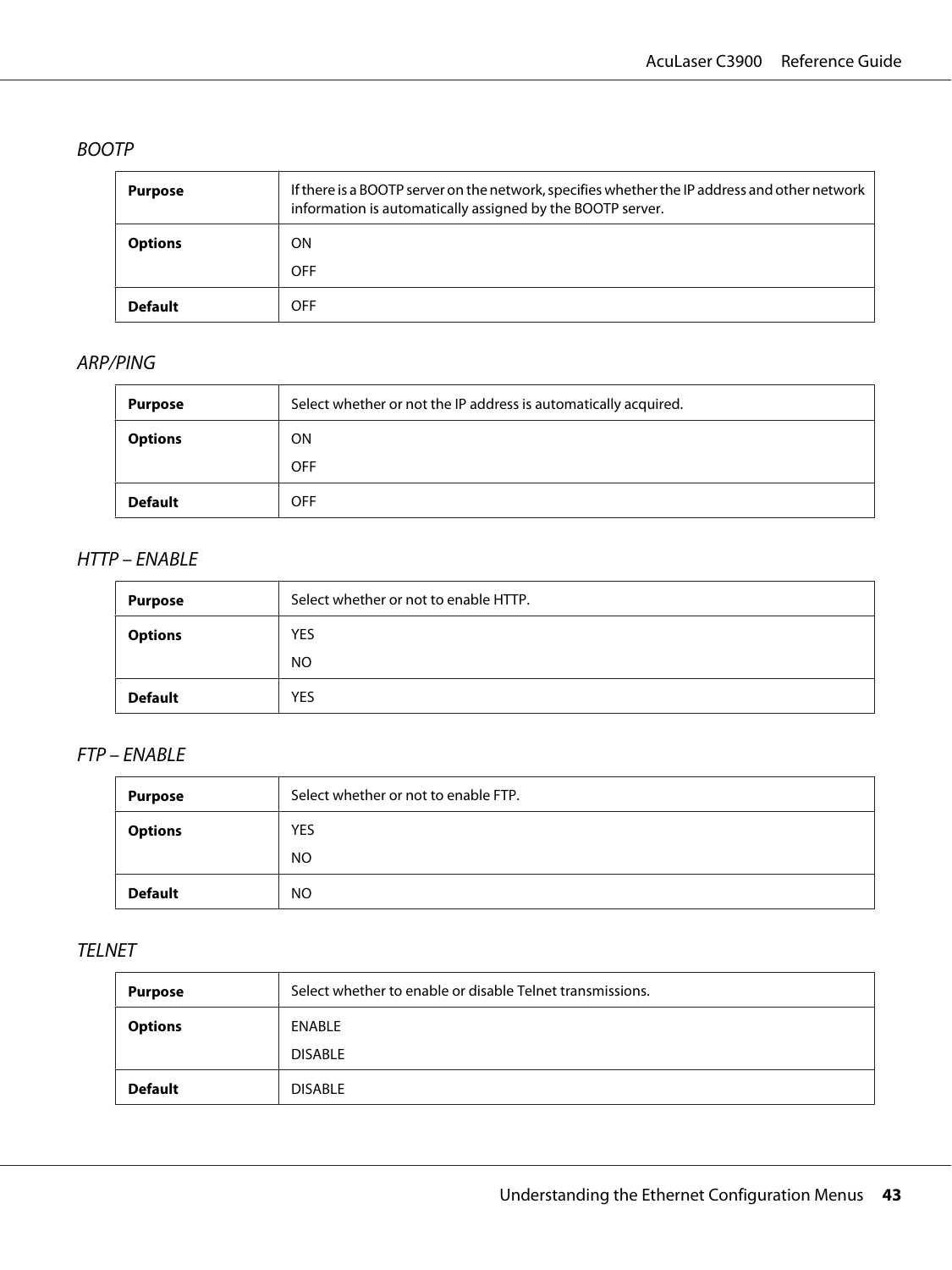## BOOTP

| <b>Purpose</b> | If there is a BOOTP server on the network, specifies whether the IP address and other network<br>information is automatically assigned by the BOOTP server. |
|----------------|-------------------------------------------------------------------------------------------------------------------------------------------------------------|
| <b>Options</b> | <b>ON</b>                                                                                                                                                   |
|                | <b>OFF</b>                                                                                                                                                  |
| <b>Default</b> | <b>OFF</b>                                                                                                                                                  |

## ARP/PING

| <b>Purpose</b> | Select whether or not the IP address is automatically acquired. |
|----------------|-----------------------------------------------------------------|
| <b>Options</b> | <b>ON</b>                                                       |
|                | <b>OFF</b>                                                      |
| <b>Default</b> | <b>OFF</b>                                                      |

## HTTP – ENABLE

| <b>Purpose</b> | Select whether or not to enable HTTP. |
|----------------|---------------------------------------|
| <b>Options</b> | <b>YES</b>                            |
|                | <b>NO</b>                             |
| <b>Default</b> | <b>YES</b>                            |

## FTP – ENABLE

| <b>Purpose</b> | Select whether or not to enable FTP. |
|----------------|--------------------------------------|
| <b>Options</b> | <b>YES</b>                           |
|                | <b>NO</b>                            |
| <b>Default</b> | <b>NO</b>                            |

### TELNET

| Purpose        | Select whether to enable or disable Telnet transmissions. |
|----------------|-----------------------------------------------------------|
| <b>Options</b> | ENABLE                                                    |
|                | <b>DISABLE</b>                                            |
| <b>Default</b> | <b>DISABLE</b>                                            |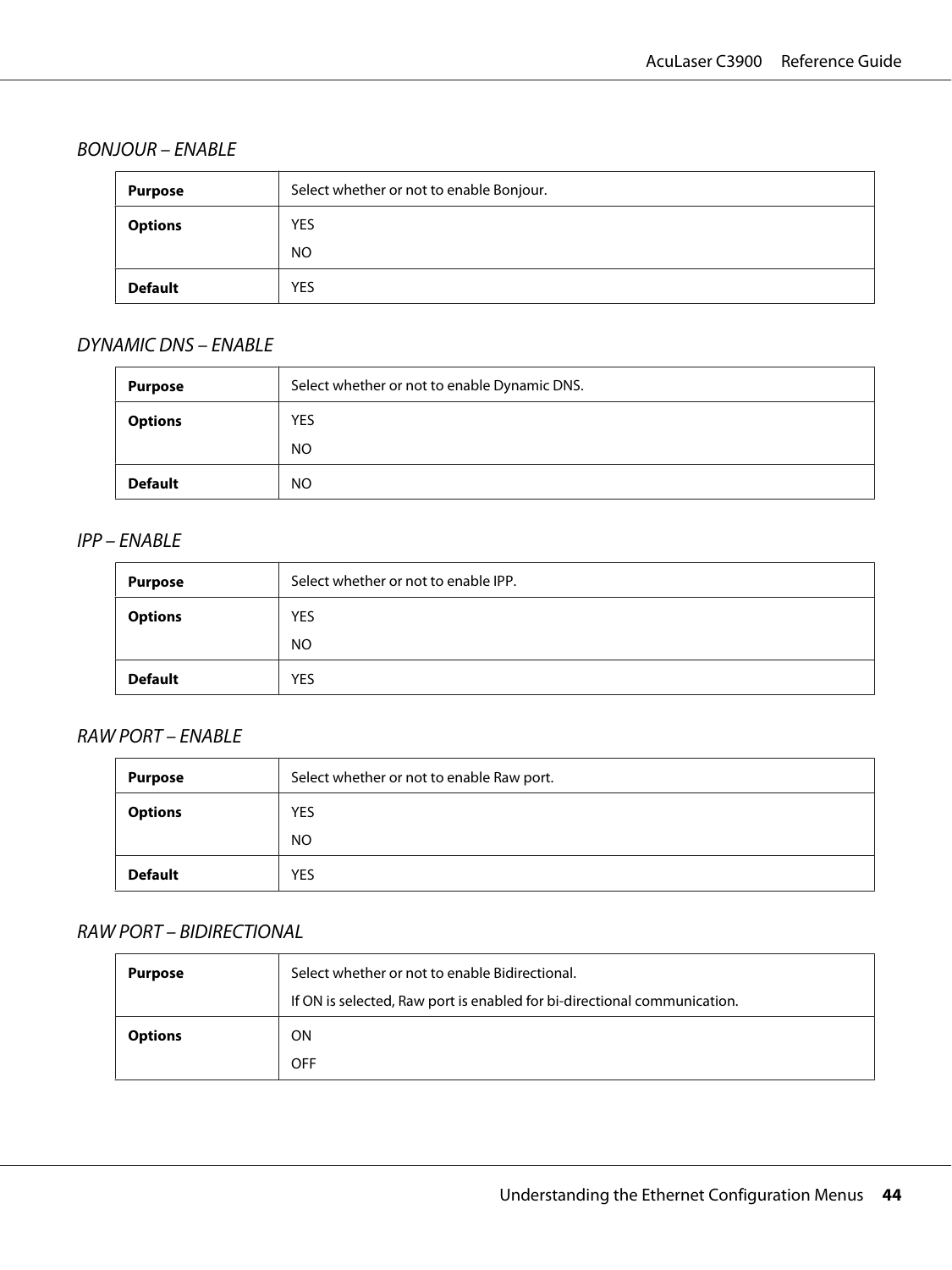## BONJOUR – ENABLE

| <b>Purpose</b> | Select whether or not to enable Bonjour. |
|----------------|------------------------------------------|
| <b>Options</b> | <b>YES</b>                               |
|                | NO.                                      |
| <b>Default</b> | <b>YES</b>                               |

## DYNAMIC DNS – ENABLE

| <b>Purpose</b> | Select whether or not to enable Dynamic DNS. |
|----------------|----------------------------------------------|
| <b>Options</b> | <b>YES</b>                                   |
|                | <b>NO</b>                                    |
| <b>Default</b> | NO                                           |

#### IPP – ENABLE

| <b>Purpose</b> | Select whether or not to enable IPP. |
|----------------|--------------------------------------|
| <b>Options</b> | <b>YES</b>                           |
|                | <b>NO</b>                            |
| <b>Default</b> | <b>YES</b>                           |

## RAW PORT – ENABLE

| <b>Purpose</b> | Select whether or not to enable Raw port. |
|----------------|-------------------------------------------|
| <b>Options</b> | <b>YES</b>                                |
|                | NO.                                       |
| <b>Default</b> | <b>YES</b>                                |

# RAW PORT – BIDIRECTIONAL

| <b>Purpose</b> | Select whether or not to enable Bidirectional.<br>If ON is selected, Raw port is enabled for bi-directional communication. |
|----------------|----------------------------------------------------------------------------------------------------------------------------|
| <b>Options</b> | ΟN<br><b>OFF</b>                                                                                                           |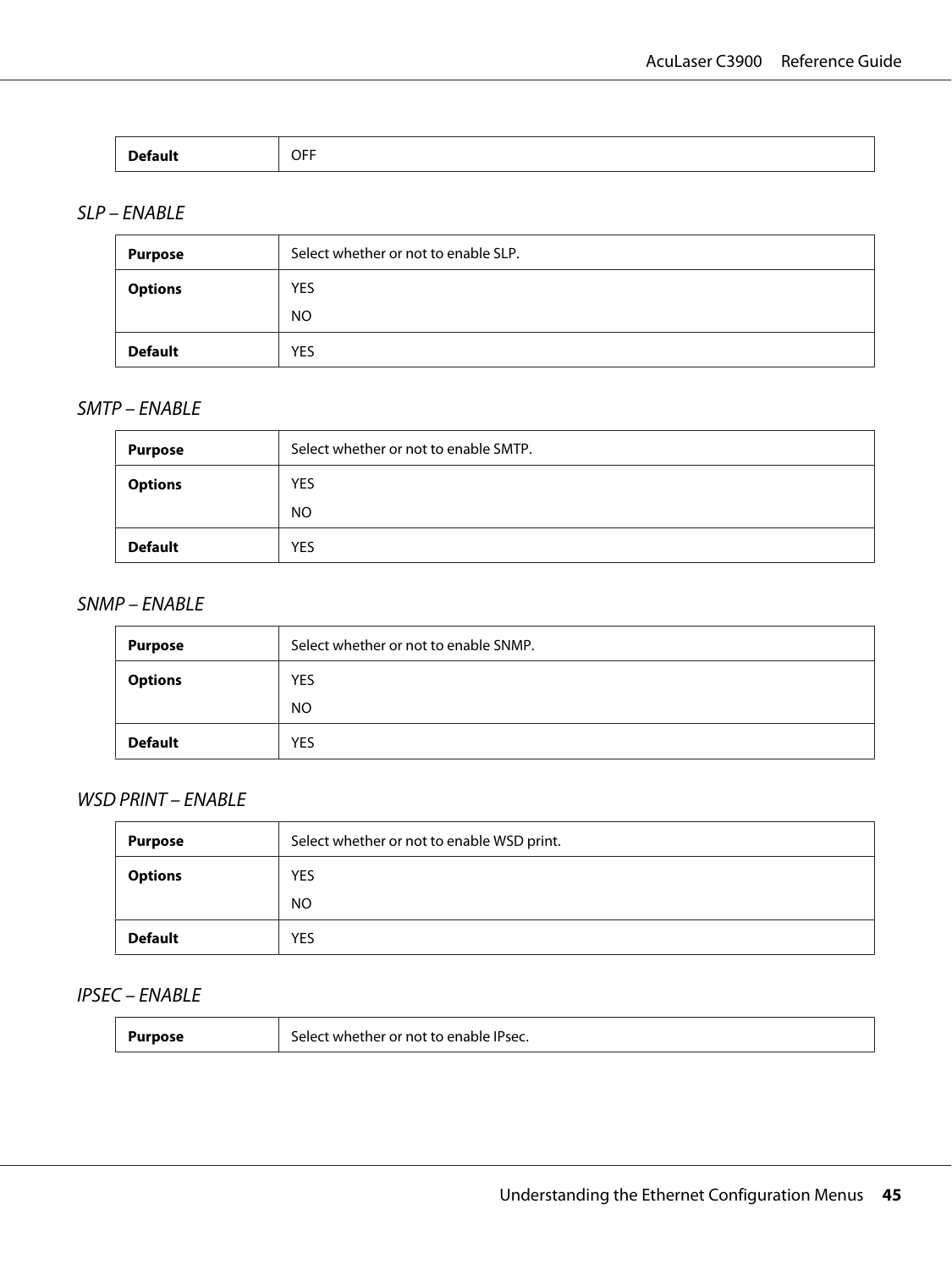| _____ | . <b>. .</b><br>װ<br>◡┌╷ |
|-------|--------------------------|
|       |                          |

## SLP – ENABLE

| <b>Purpose</b> | Select whether or not to enable SLP. |
|----------------|--------------------------------------|
| <b>Options</b> | <b>YES</b>                           |
|                | NO.                                  |
| <b>Default</b> | <b>YES</b>                           |

### SMTP – ENABLE

| <b>Purpose</b> | Select whether or not to enable SMTP. |
|----------------|---------------------------------------|
| <b>Options</b> | <b>YES</b>                            |
|                | <b>NO</b>                             |
| <b>Default</b> | <b>YES</b>                            |

#### SNMP – ENABLE

| <b>Purpose</b> | Select whether or not to enable SNMP. |
|----------------|---------------------------------------|
| <b>Options</b> | <b>YES</b>                            |
|                | NO                                    |
| <b>Default</b> | <b>YES</b>                            |

## WSD PRINT – ENABLE

| <b>Purpose</b> | Select whether or not to enable WSD print. |
|----------------|--------------------------------------------|
| <b>Options</b> | YES                                        |
|                | <b>NO</b>                                  |
| <b>Default</b> | YES                                        |

# IPSEC – ENABLE

| <b>Purpose</b> | Select whether or not to enable IPsec. |
|----------------|----------------------------------------|
|----------------|----------------------------------------|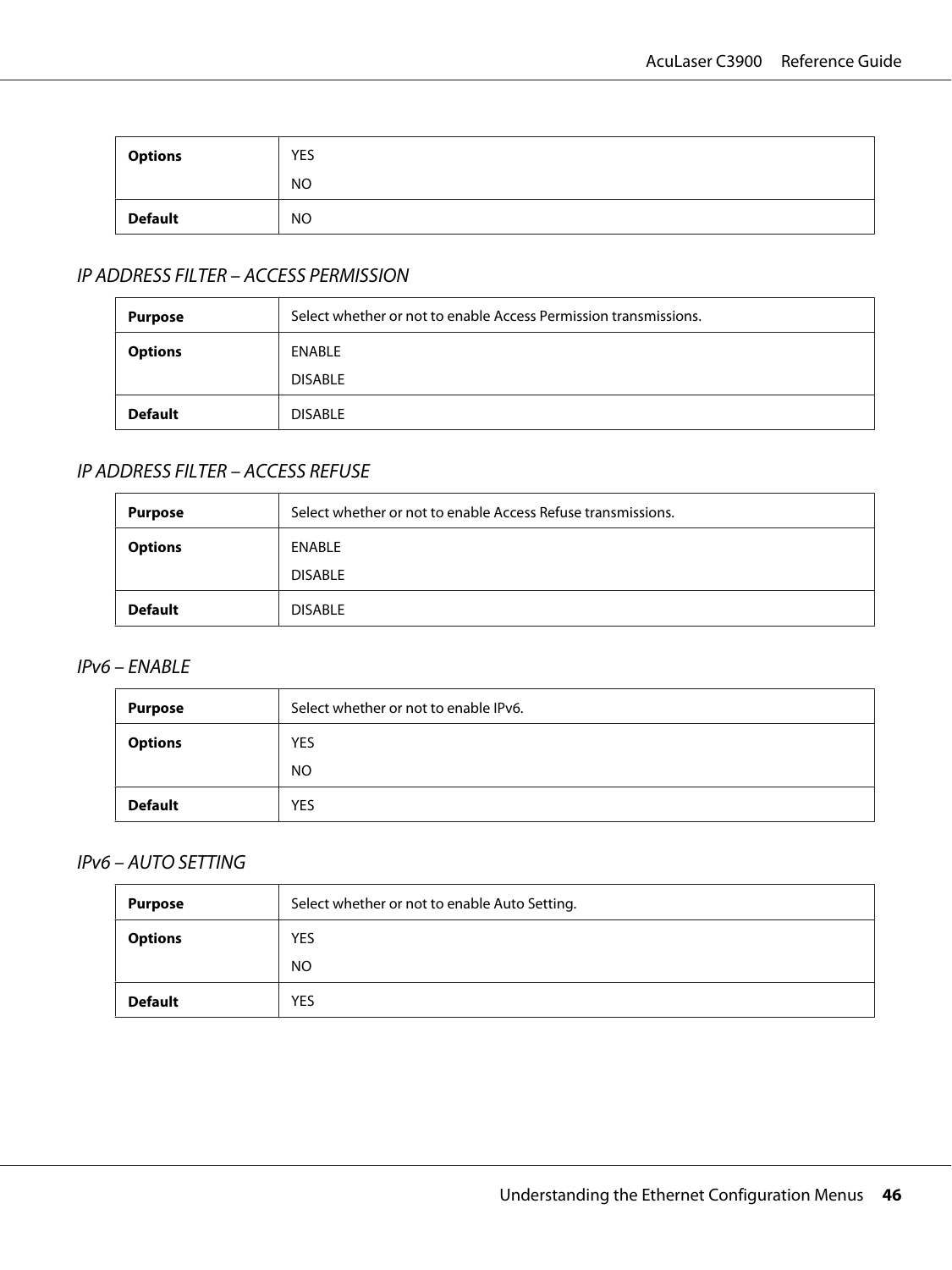| <b>Options</b> | <b>YES</b> |
|----------------|------------|
|                | <b>NO</b>  |
| <b>Default</b> | <b>NO</b>  |

# IP ADDRESS FILTER – ACCESS PERMISSION

| Purpose        | Select whether or not to enable Access Permission transmissions. |
|----------------|------------------------------------------------------------------|
| <b>Options</b> | ENABLE                                                           |
|                | <b>DISABLE</b>                                                   |
| <b>Default</b> | <b>DISABLE</b>                                                   |

## IP ADDRESS FILTER – ACCESS REFUSE

| <b>Purpose</b> | Select whether or not to enable Access Refuse transmissions. |  |
|----------------|--------------------------------------------------------------|--|
| <b>Options</b> | ENABLE                                                       |  |
|                | <b>DISABLE</b>                                               |  |
| <b>Default</b> | <b>DISABLE</b>                                               |  |

## IPv6 – ENABLE

| <b>Purpose</b> | Select whether or not to enable IPv6. |  |
|----------------|---------------------------------------|--|
| <b>Options</b> | <b>YES</b>                            |  |
|                | <b>NO</b>                             |  |
| <b>Default</b> | <b>YES</b>                            |  |

### IPv6 – AUTO SETTING

| <b>Purpose</b> | Select whether or not to enable Auto Setting. |  |
|----------------|-----------------------------------------------|--|
| <b>Options</b> | <b>YES</b>                                    |  |
|                | <b>NO</b>                                     |  |
| <b>Default</b> | <b>YES</b>                                    |  |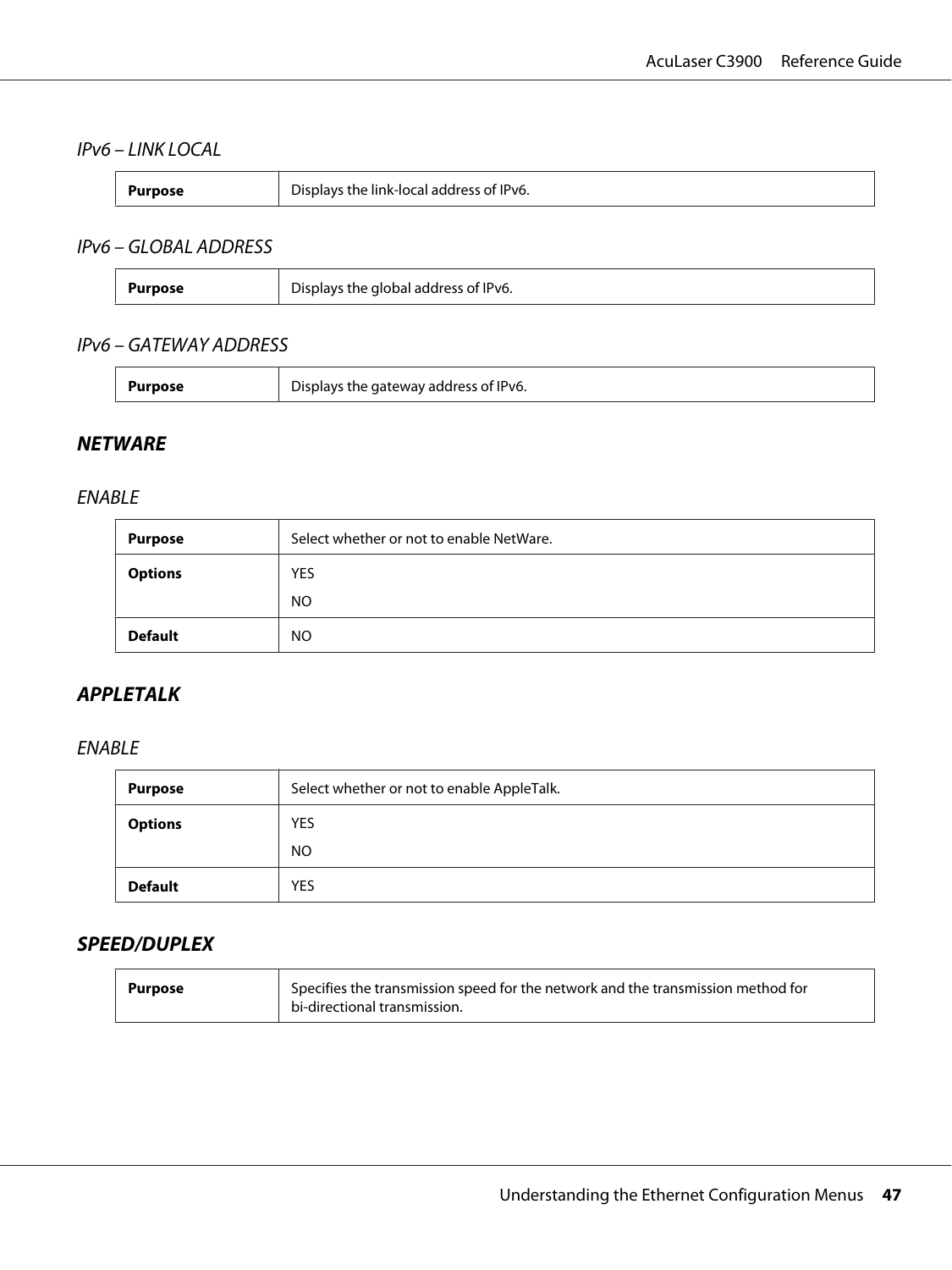## IPv6 – LINK LOCAL

| Displays the link-local address of IPv6.<br>Purpose |
|-----------------------------------------------------|
|                                                     |

## IPv6 – GLOBAL ADDRESS

| - -<br>the global address of IPv6.<br>ЪC<br>Purpose |  |
|-----------------------------------------------------|--|
|-----------------------------------------------------|--|

## IPv6 – GATEWAY ADDRESS

| urpose<br>Displays the gateway address of IPv6. |
|-------------------------------------------------|
|-------------------------------------------------|

## **NETWARE**

#### ENABLE

| <b>Purpose</b> | Select whether or not to enable NetWare. |  |
|----------------|------------------------------------------|--|
| <b>Options</b> | <b>YES</b>                               |  |
|                | <b>NO</b>                                |  |
| <b>Default</b> | NO.                                      |  |

## **APPLETALK**

### ENABLE

| <b>Purpose</b> | Select whether or not to enable AppleTalk. |  |
|----------------|--------------------------------------------|--|
| <b>Options</b> | YES                                        |  |
|                | NO.                                        |  |
| <b>Default</b> | <b>YES</b>                                 |  |

## **SPEED/DUPLEX**

| Purpose | Specifies the transmission speed for the network and the transmission method for |
|---------|----------------------------------------------------------------------------------|
|         | bi-directional transmission.                                                     |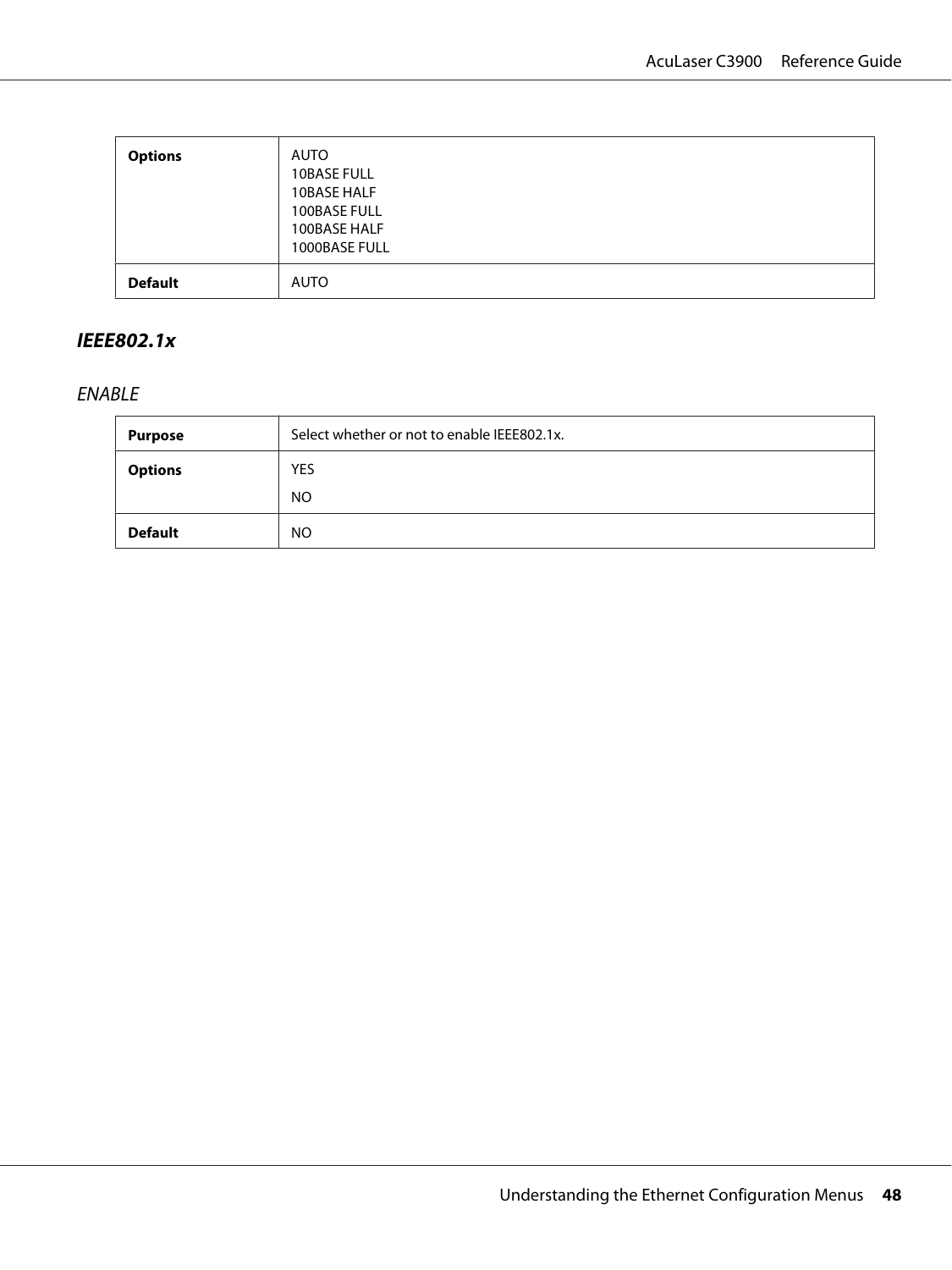| <b>Options</b> | AUTO<br><b>10BASE FULL</b><br>10BASE HALF<br>100BASE FULL<br>100BASE HALF<br>1000BASE FULL |
|----------------|--------------------------------------------------------------------------------------------|
| <b>Default</b> | AUTO                                                                                       |

## **IEEE802.1x**

# ENABLE

| <b>Purpose</b> | Select whether or not to enable IEEE802.1x. |  |
|----------------|---------------------------------------------|--|
| <b>Options</b> | <b>YES</b>                                  |  |
|                | <b>NO</b>                                   |  |
| <b>Default</b> | <b>NO</b>                                   |  |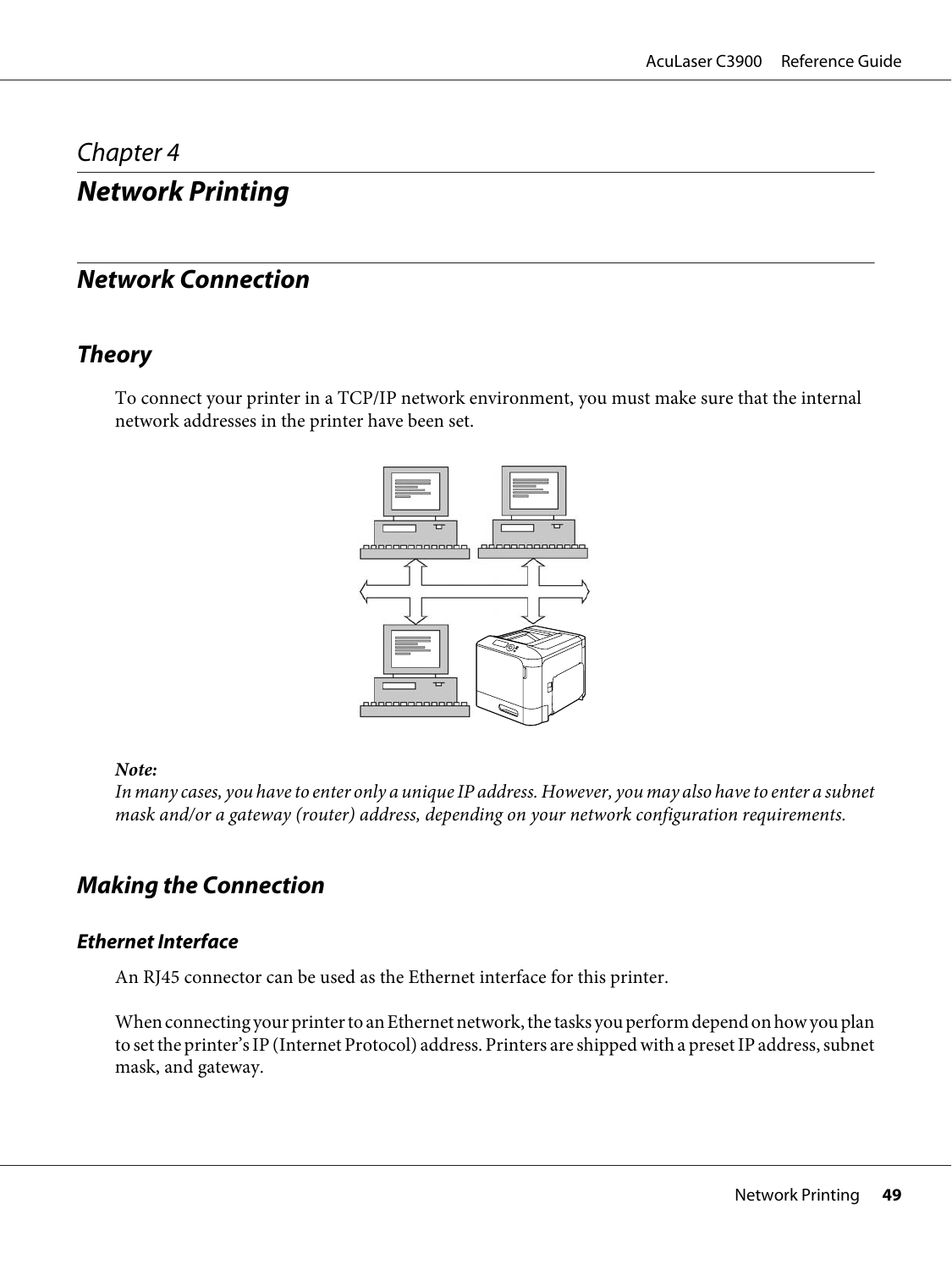# <span id="page-48-0"></span>Chapter 4

# **Network Printing**

# **Network Connection**

# **Theory**

To connect your printer in a TCP/IP network environment, you must make sure that the internal network addresses in the printer have been set.



## *Note:*

*In many cases, you have to enter only a unique IP address. However, you may also have to enter a subnet mask and/or a gateway (router) address, depending on your network configuration requirements.*

# **Making the Connection**

## **Ethernet Interface**

An RJ45 connector can be used as the Ethernet interface for this printer.

When connecting your printer to an Ethernet network, the tasks you perform depend on how you plan to set the printer's IP (Internet Protocol) address. Printers are shipped with a preset IP address, subnet mask, and gateway.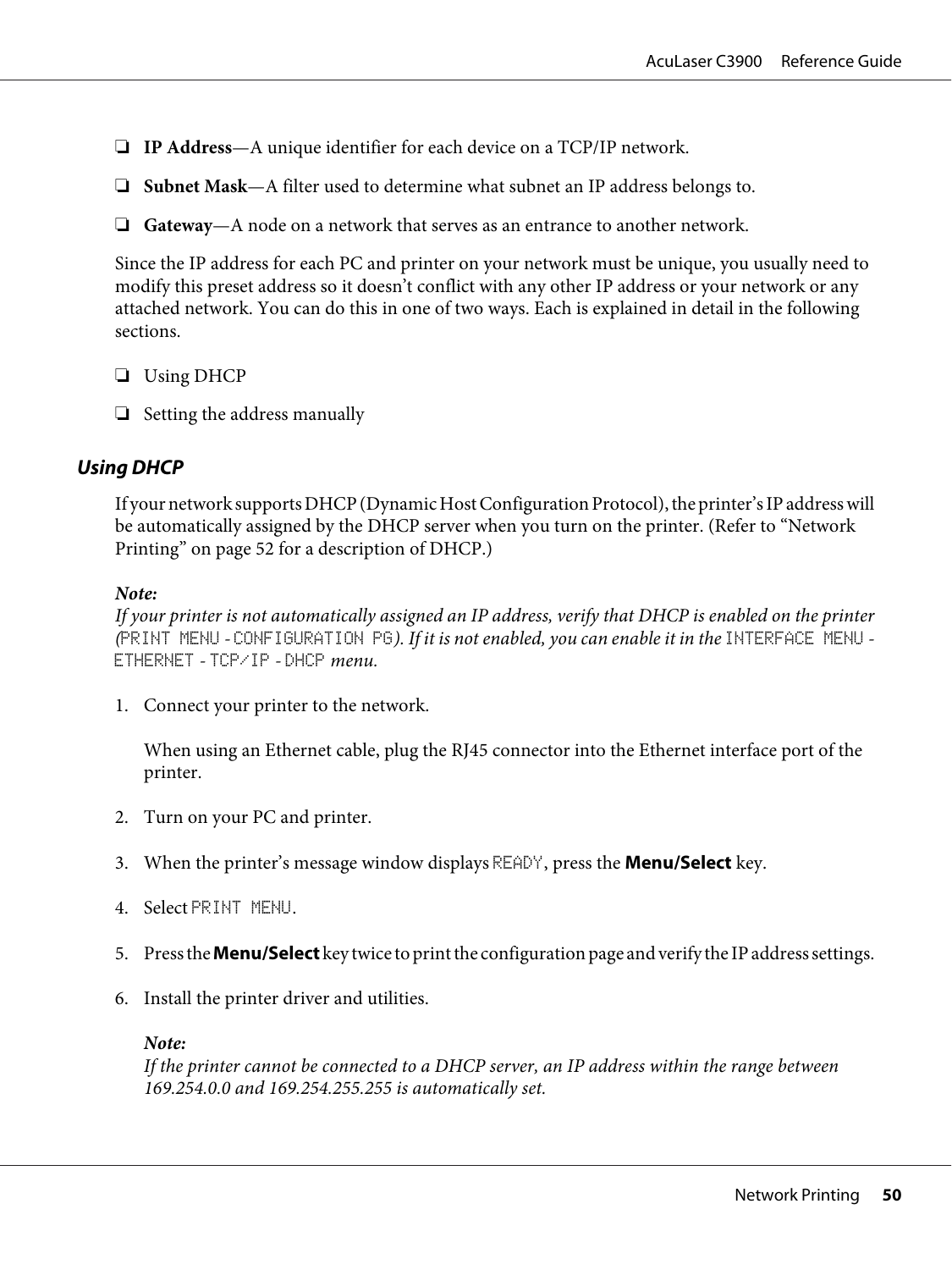- ❏ **IP Address**—A unique identifier for each device on a TCP/IP network.
- ❏ **Subnet Mask**—A filter used to determine what subnet an IP address belongs to.
- ❏ **Gateway**—A node on a network that serves as an entrance to another network.

Since the IP address for each PC and printer on your network must be unique, you usually need to modify this preset address so it doesn't conflict with any other IP address or your network or any attached network. You can do this in one of two ways. Each is explained in detail in the following sections.

- ❏ Using DHCP
- ❏ Setting the address manually

## **Using DHCP**

If your network supports DHCP (Dynamic Host Configuration Protocol), the printer's IP address will be automatically assigned by the DHCP server when you turn on the printer. (Refer to ["Network](#page-51-0) [Printing" on page 52](#page-51-0) for a description of DHCP.)

#### *Note:*

*If your printer is not automatically assigned an IP address, verify that DHCP is enabled on the printer (*PRINT MENU *-* CONFIGURATION PG*). If it is not enabled, you can enable it in the* INTERFACE MENU *-* ETHERNET *-* TCP/IP *-* DHCP *menu.*

1. Connect your printer to the network.

When using an Ethernet cable, plug the RJ45 connector into the Ethernet interface port of the printer.

- 2. Turn on your PC and printer.
- 3. When the printer's message window displays READY, press the **Menu/Select** key.
- 4. Select PRINT MENU.
- 5. Press the **Menu/Select** key twice to print the configuration page and verify the IP address settings.
- 6. Install the printer driver and utilities.

#### *Note:*

*If the printer cannot be connected to a DHCP server, an IP address within the range between 169.254.0.0 and 169.254.255.255 is automatically set.*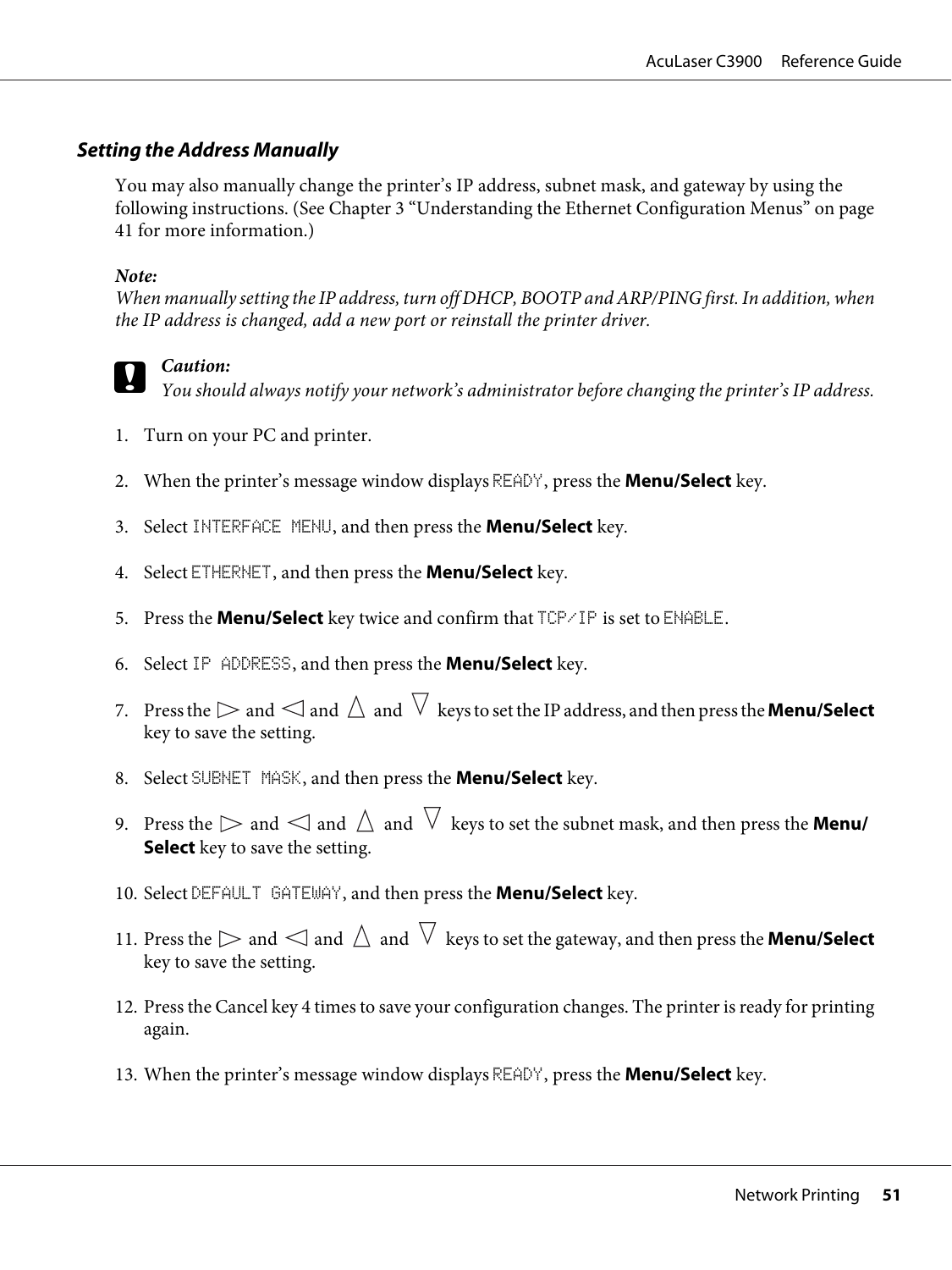## **Setting the Address Manually**

You may also manually change the printer's IP address, subnet mask, and gateway by using the following instructions. (See Chapter 3 ["Understanding the Ethernet Configuration Menus" on page](#page-40-0) [41](#page-40-0) for more information.)

### *Note:*

*When manually setting the IP address, turn off DHCP, BOOTP and ARP/PING first. In addition, when the IP address is changed, add a new port or reinstall the printer driver.*



## c *Caution:*

*You should always notify your network's administrator before changing the printer's IP address.*

- 1. Turn on your PC and printer.
- 2. When the printer's message window displays READY, press the **Menu/Select** key.
- 3. Select INTERFACE MENU, and then press the **Menu/Select** key.
- 4. Select ETHERNET, and then press the **Menu/Select** key.
- 5. Press the **Menu/Select** key twice and confirm that TCP/IP is set to ENABLE.
- 6. Select IP ADDRESS, and then press the **Menu/Select** key.
- 7. Press the  $\triangleright$  and  $\triangle$  and  $\triangle$  and  $\triangledown$  keys to set the IP address, and then press the **Menu/Select** key to save the setting.
- 8. Select SUBNET MASK, and then press the **Menu/Select** key.
- 9. Press the  $\triangleright$  and  $\triangle$  and  $\triangle$  and  $\triangledown$  keys to set the subnet mask, and then press the **Menu/ Select** key to save the setting.
- 10. Select DEFAULT GATEWAY, and then press the **Menu/Select** key.
- 11. Press the  $\triangleright$  and  $\triangle$  and  $\land$  and  $\triangledown$  keys to set the gateway, and then press the **Menu/Select** key to save the setting.
- 12. Press the Cancel key 4 times to save your configuration changes. The printer is ready for printing again.
- 13. When the printer's message window displays READY, press the **Menu/Select** key.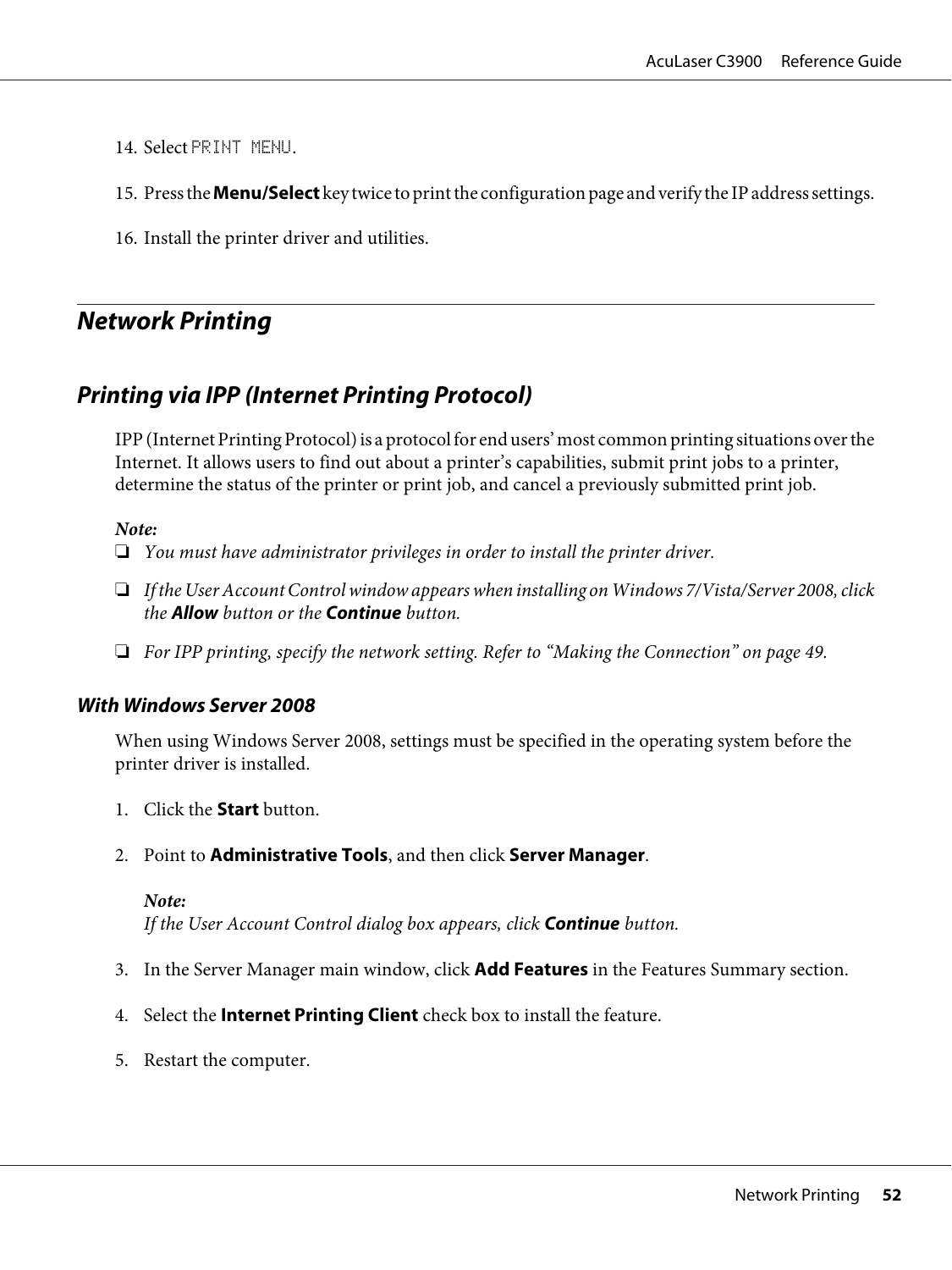<span id="page-51-0"></span>14. Select PRINT MENU.

15. Press the **Menu/Select** key twice to print the configuration page and verify the IP address settings.

16. Install the printer driver and utilities.

# **Network Printing**

# **Printing via IPP (Internet Printing Protocol)**

IPP (Internet Printing Protocol) is a protocol for end users' most common printing situations over the Internet. It allows users to find out about a printer's capabilities, submit print jobs to a printer, determine the status of the printer or print job, and cancel a previously submitted print job.

#### *Note:*

- ❏ *You must have administrator privileges in order to install the printer driver.*
- ❏ *If the User Account Control window appears when installing on Windows 7/Vista/Server 2008, click the* **Allow** *button or the* **Continue** *button.*
- ❏ *For IPP printing, specify the network setting. Refer to ["Making the Connection" on page 49.](#page-48-0)*

## **With Windows Server 2008**

When using Windows Server 2008, settings must be specified in the operating system before the printer driver is installed.

- 1. Click the **Start** button.
- 2. Point to **Administrative Tools**, and then click **Server Manager**.

#### *Note:*

*If the User Account Control dialog box appears, click* **Continue** *button.*

- 3. In the Server Manager main window, click **Add Features** in the Features Summary section.
- 4. Select the **Internet Printing Client** check box to install the feature.
- 5. Restart the computer.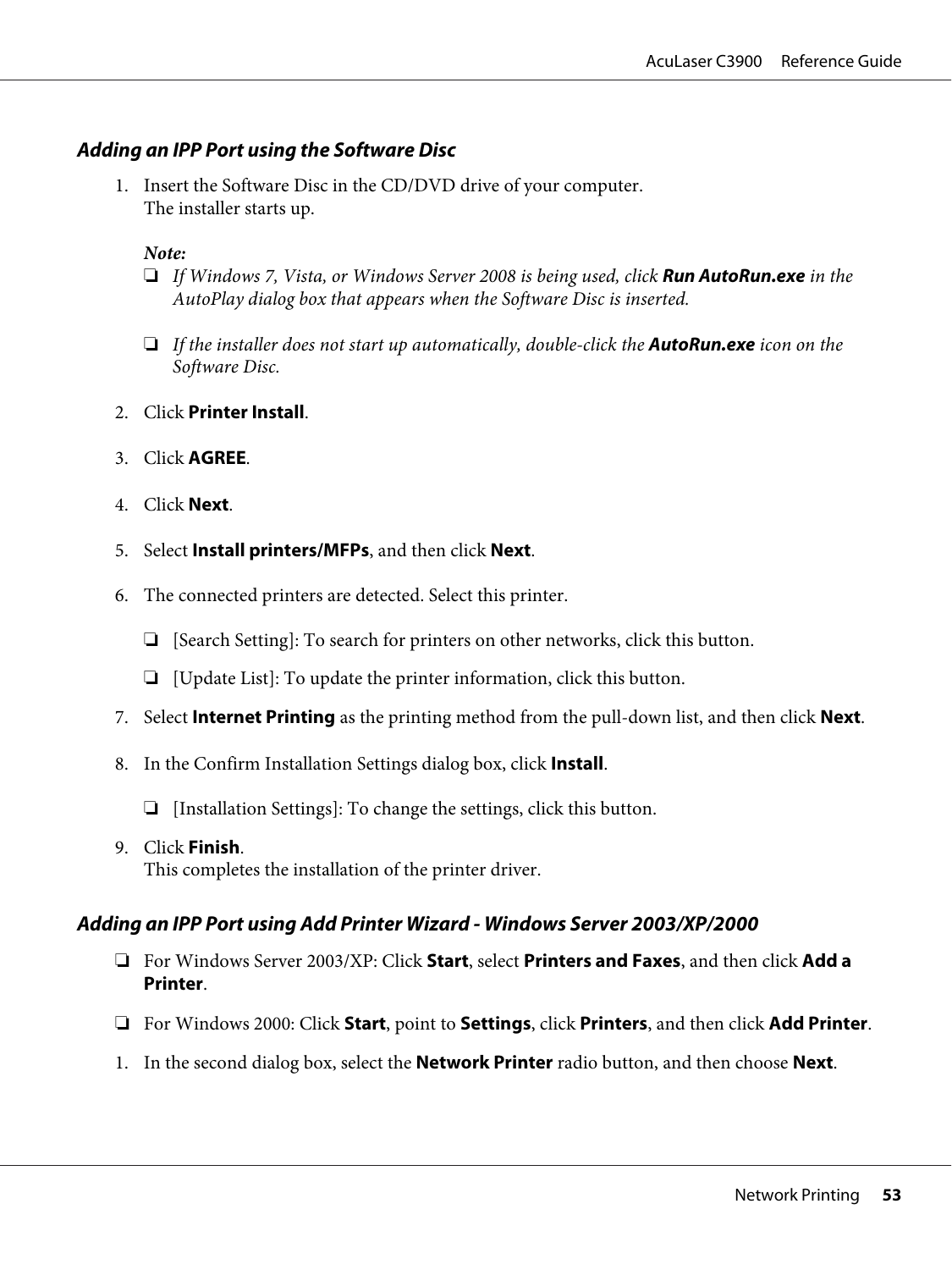## **Adding an IPP Port using the Software Disc**

1. Insert the Software Disc in the CD/DVD drive of your computer. The installer starts up.

#### *Note:*

- ❏ *If Windows 7, Vista, or Windows Server 2008 is being used, click* **Run AutoRun.exe** *in the AutoPlay dialog box that appears when the Software Disc is inserted.*
- ❏ *If the installer does not start up automatically, double-click the* **AutoRun.exe** *icon on the Software Disc.*
- 2. Click **Printer Install**.
- 3. Click **AGREE**.
- 4. Click **Next**.
- 5. Select **Install printers/MFPs**, and then click **Next**.
- 6. The connected printers are detected. Select this printer.
	- ❏ [Search Setting]: To search for printers on other networks, click this button.
	- ❏ [Update List]: To update the printer information, click this button.
- 7. Select **Internet Printing** as the printing method from the pull-down list, and then click **Next**.
- 8. In the Confirm Installation Settings dialog box, click **Install**.
	- ❏ [Installation Settings]: To change the settings, click this button.
- 9. Click **Finish**. This completes the installation of the printer driver.

## **Adding an IPP Port using Add Printer Wizard - Windows Server 2003/XP/2000**

- ❏ For Windows Server 2003/XP: Click **Start**, select **Printers and Faxes**, and then click **Add a Printer**.
- ❏ For Windows 2000: Click **Start**, point to **Settings**, click **Printers**, and then click **Add Printer**.
- 1. In the second dialog box, select the **Network Printer** radio button, and then choose **Next**.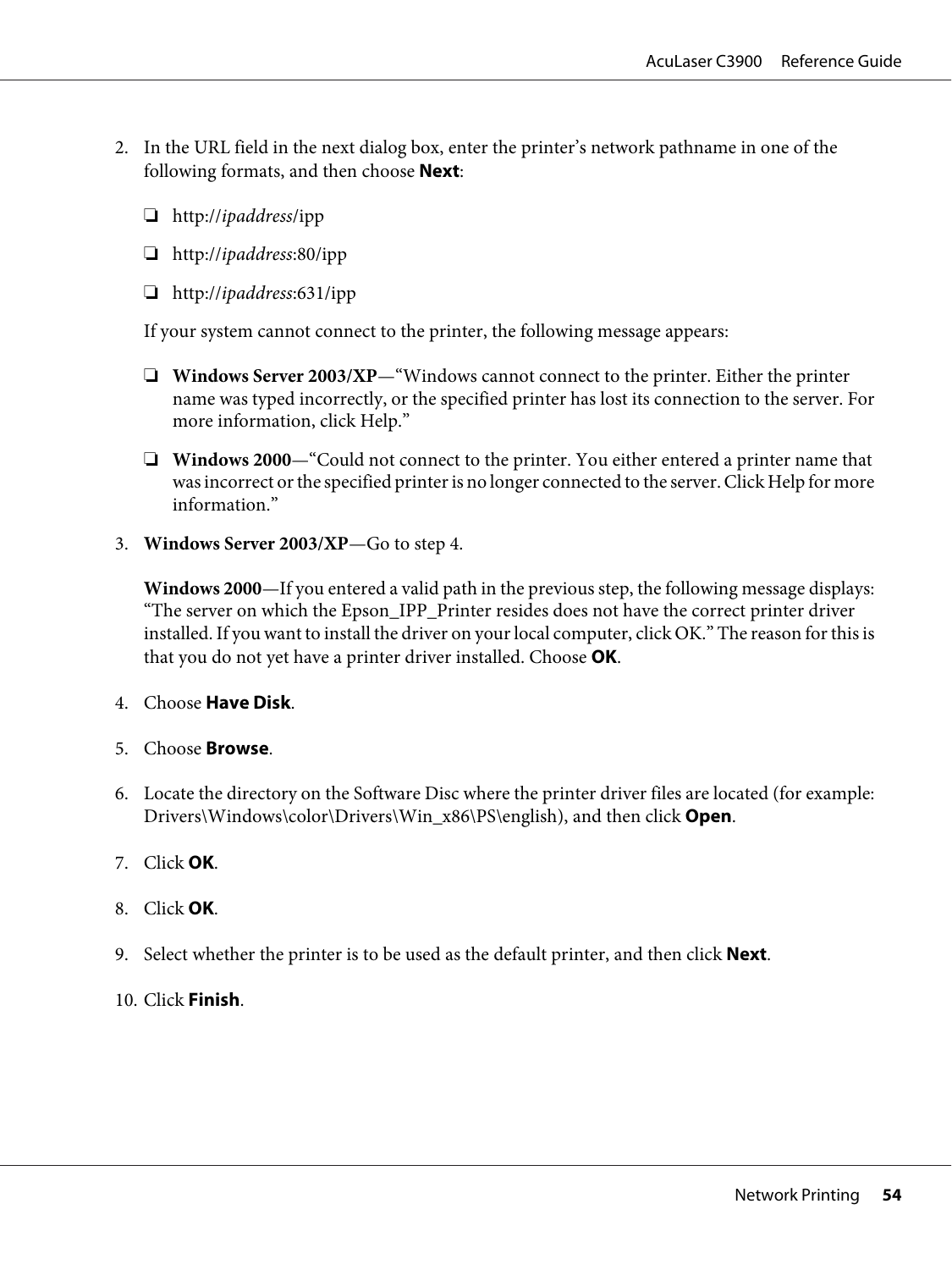- 2. In the URL field in the next dialog box, enter the printer's network pathname in one of the following formats, and then choose **Next**:
	- ❏ http://*ipaddress*/ipp
	- ❏ http://*ipaddress*:80/ipp
	- ❏ http://*ipaddress*:631/ipp

If your system cannot connect to the printer, the following message appears:

- ❏ **Windows Server 2003/XP**—"Windows cannot connect to the printer. Either the printer name was typed incorrectly, or the specified printer has lost its connection to the server. For more information, click Help."
- ❏ **Windows 2000**—"Could not connect to the printer. You either entered a printer name that was incorrect or the specified printer is no longer connected to the server. Click Help for more information."
- 3. **Windows Server 2003/XP**—Go to step 4.

**Windows 2000**—If you entered a valid path in the previous step, the following message displays: "The server on which the Epson\_IPP\_Printer resides does not have the correct printer driver installed. If you want to install the driver on your local computer, click OK." The reason for this is that you do not yet have a printer driver installed. Choose **OK**.

- 4. Choose **Have Disk**.
- 5. Choose **Browse**.
- 6. Locate the directory on the Software Disc where the printer driver files are located (for example: Drivers\Windows\color\Drivers\Win\_x86\PS\english), and then click **Open**.
- 7. Click **OK**.
- 8. Click **OK**.
- 9. Select whether the printer is to be used as the default printer, and then click **Next**.
- 10. Click **Finish**.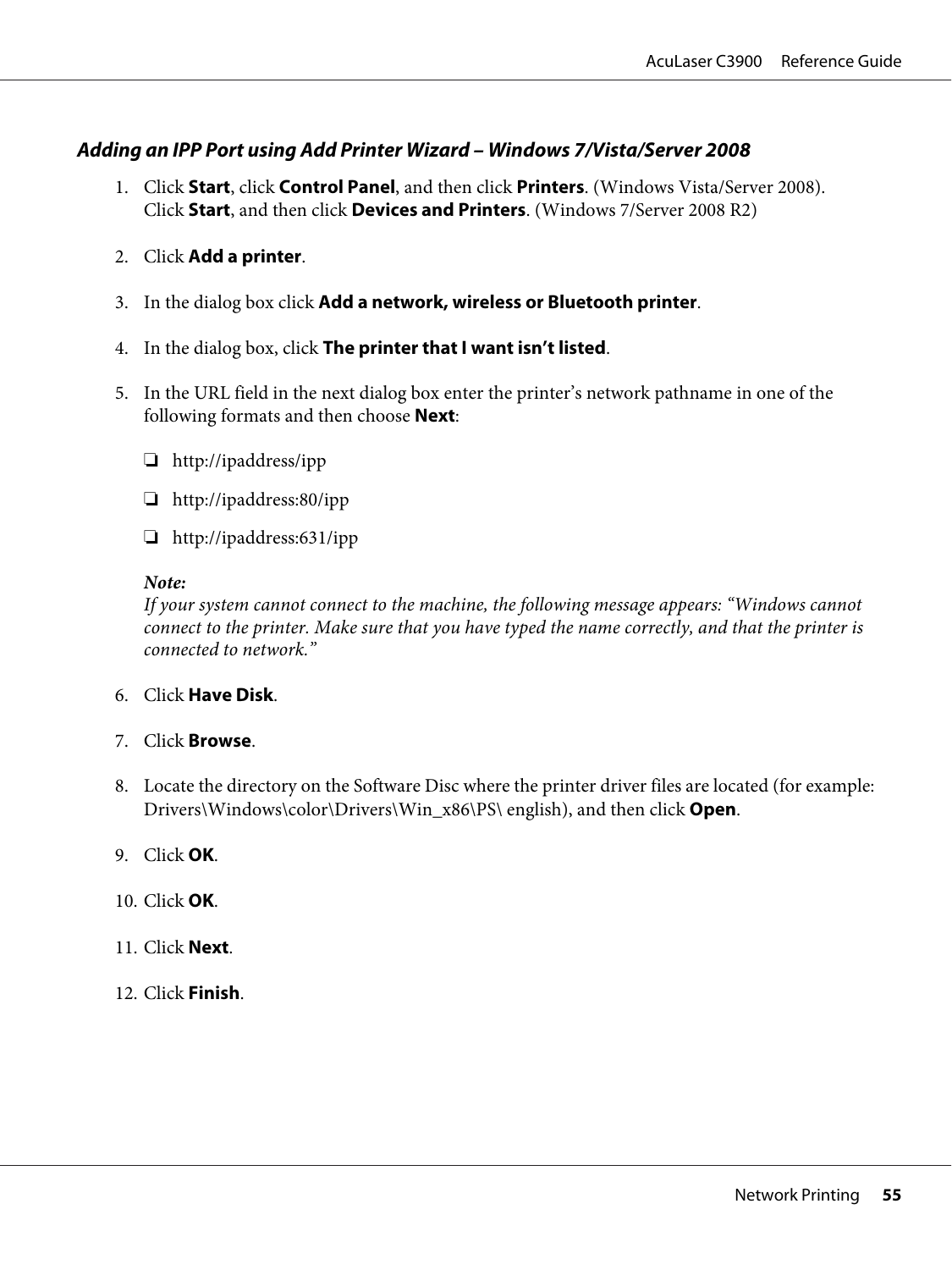## **Adding an IPP Port using Add Printer Wizard – Windows 7/Vista/Server 2008**

- 1. Click **Start**, click **Control Panel**, and then click **Printers**. (Windows Vista/Server 2008). Click **Start**, and then click **Devices and Printers**. (Windows 7/Server 2008 R2)
- 2. Click **Add a printer**.
- 3. In the dialog box click **Add a network, wireless or Bluetooth printer**.
- 4. In the dialog box, click **The printer that I want isn't listed**.
- 5. In the URL field in the next dialog box enter the printer's network pathname in one of the following formats and then choose **Next**:
	- ❏ http://ipaddress/ipp
	- ❏ http://ipaddress:80/ipp
	- ❏ http://ipaddress:631/ipp

#### *Note:*

*If your system cannot connect to the machine, the following message appears: "Windows cannot connect to the printer. Make sure that you have typed the name correctly, and that the printer is connected to network."*

- 6. Click **Have Disk**.
- 7. Click **Browse**.
- 8. Locate the directory on the Software Disc where the printer driver files are located (for example: Drivers\Windows\color\Drivers\Win\_x86\PS\ english), and then click **Open**.
- 9. Click **OK**.
- 10. Click **OK**.
- 11. Click **Next**.
- 12. Click **Finish**.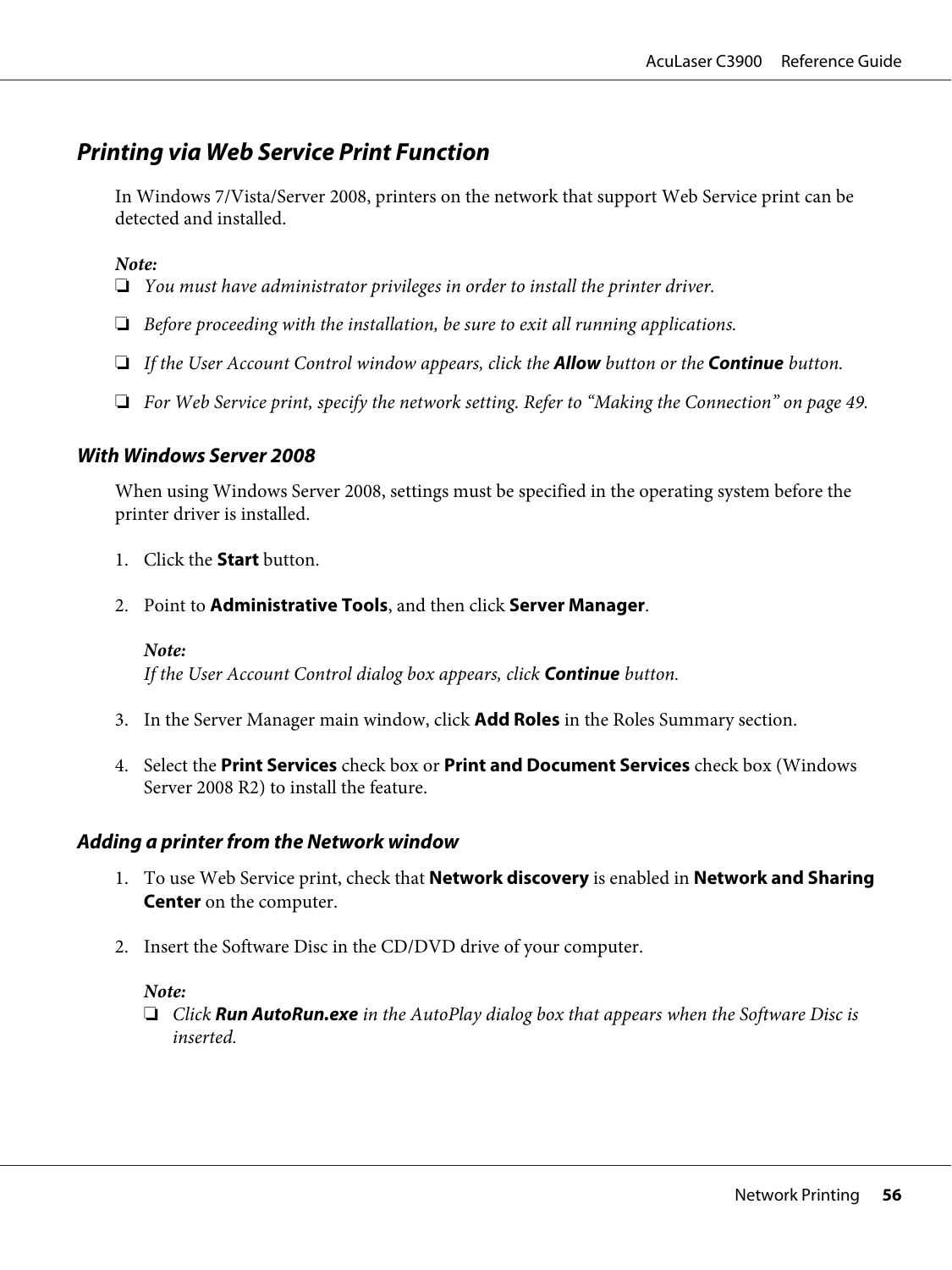# **Printing via Web Service Print Function**

In Windows 7/Vista/Server 2008, printers on the network that support Web Service print can be detected and installed.

*Note:*

- ❏ *You must have administrator privileges in order to install the printer driver.*
- ❏ *Before proceeding with the installation, be sure to exit all running applications.*
- ❏ *If the User Account Control window appears, click the* **Allow** *button or the* **Continue** *button.*
- ❏ *For Web Service print, specify the network setting. Refer to ["Making the Connection" on page 49.](#page-48-0)*

#### **With Windows Server 2008**

When using Windows Server 2008, settings must be specified in the operating system before the printer driver is installed.

- 1. Click the **Start** button.
- 2. Point to **Administrative Tools**, and then click **Server Manager**.

*Note: If the User Account Control dialog box appears, click* **Continue** *button.*

- 3. In the Server Manager main window, click **Add Roles** in the Roles Summary section.
- 4. Select the **Print Services** check box or **Print and Document Services** check box (Windows Server 2008 R2) to install the feature.

#### **Adding a printer from the Network window**

- 1. To use Web Service print, check that **Network discovery** is enabled in **Network and Sharing Center** on the computer.
- 2. Insert the Software Disc in the CD/DVD drive of your computer.

#### *Note:*

❏ *Click* **Run AutoRun.exe** *in the AutoPlay dialog box that appears when the Software Disc is inserted.*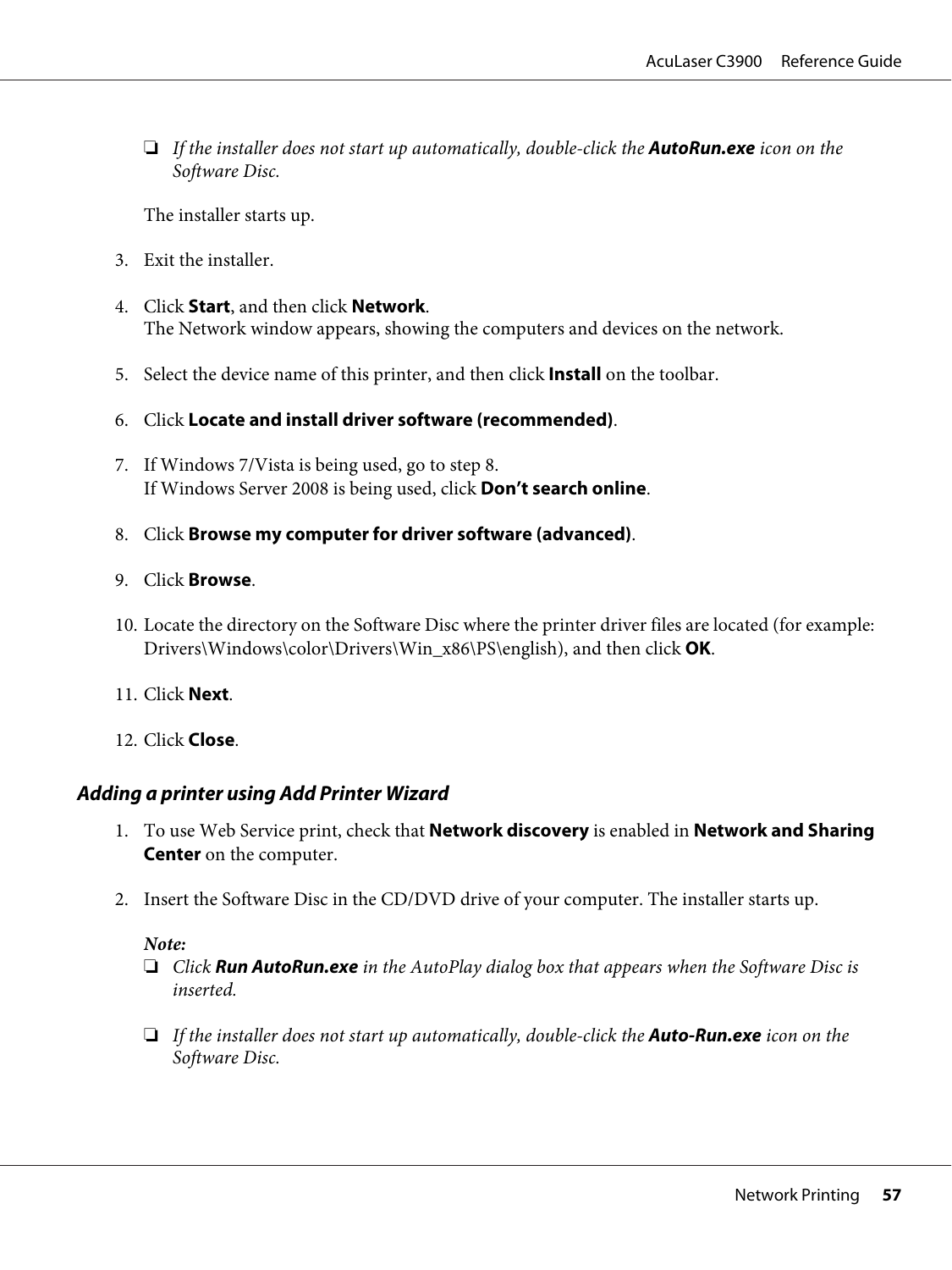❏ *If the installer does not start up automatically, double-click the* **AutoRun.exe** *icon on the Software Disc.*

The installer starts up.

- 3. Exit the installer.
- 4. Click **Start**, and then click **Network**. The Network window appears, showing the computers and devices on the network.
- 5. Select the device name of this printer, and then click **Install** on the toolbar.
- 6. Click **Locate and install driver software (recommended)**.
- 7. If Windows 7/Vista is being used, go to step 8. If Windows Server 2008 is being used, click **Don't search online**.
- 8. Click **Browse my computer for driver software (advanced)**.
- 9. Click **Browse**.
- 10. Locate the directory on the Software Disc where the printer driver files are located (for example: Drivers\Windows\color\Drivers\Win\_x86\PS\english), and then click **OK**.
- 11. Click **Next**.
- 12. Click **Close**.

## **Adding a printer using Add Printer Wizard**

- 1. To use Web Service print, check that **Network discovery** is enabled in **Network and Sharing Center** on the computer.
- 2. Insert the Software Disc in the CD/DVD drive of your computer. The installer starts up.

#### *Note:*

- ❏ *Click* **Run AutoRun.exe** *in the AutoPlay dialog box that appears when the Software Disc is inserted.*
- ❏ *If the installer does not start up automatically, double-click the* **Auto-Run.exe** *icon on the Software Disc.*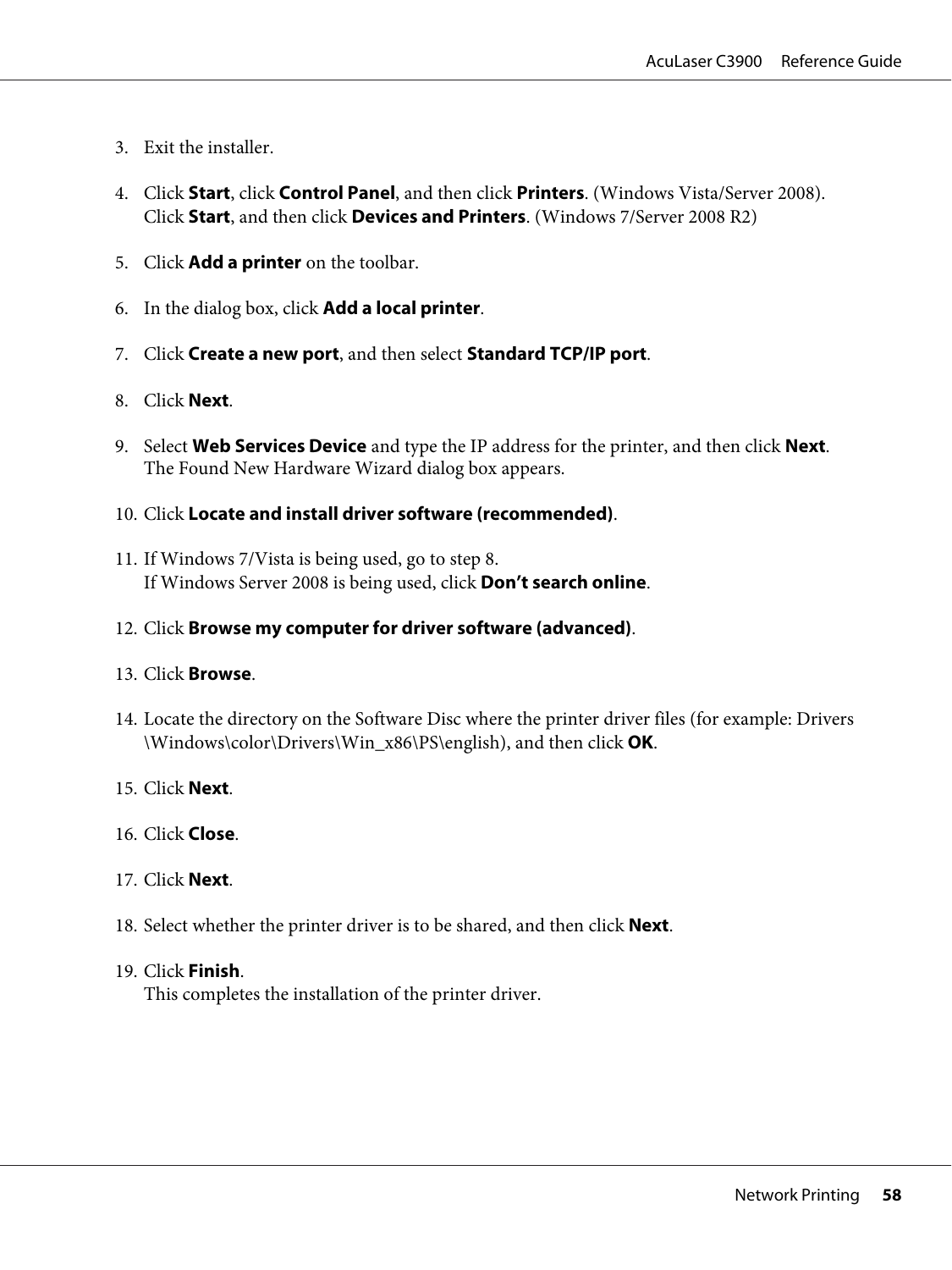- 3. Exit the installer.
- 4. Click **Start**, click **Control Panel**, and then click **Printers**. (Windows Vista/Server 2008). Click **Start**, and then click **Devices and Printers**. (Windows 7/Server 2008 R2)
- 5. Click **Add a printer** on the toolbar.
- 6. In the dialog box, click **Add a local printer**.
- 7. Click **Create a new port**, and then select **Standard TCP/IP port**.
- 8. Click **Next**.
- 9. Select **Web Services Device** and type the IP address for the printer, and then click **Next**. The Found New Hardware Wizard dialog box appears.
- 10. Click **Locate and install driver software (recommended)**.
- 11. If Windows 7/Vista is being used, go to step 8. If Windows Server 2008 is being used, click **Don't search online**.
- 12. Click **Browse my computer for driver software (advanced)**.

#### 13. Click **Browse**.

- 14. Locate the directory on the Software Disc where the printer driver files (for example: Drivers \Windows\color\Drivers\Win\_x86\PS\english), and then click **OK**.
- 15. Click **Next**.
- 16. Click **Close**.
- 17. Click **Next**.
- 18. Select whether the printer driver is to be shared, and then click **Next**.
- 19. Click **Finish**.

This completes the installation of the printer driver.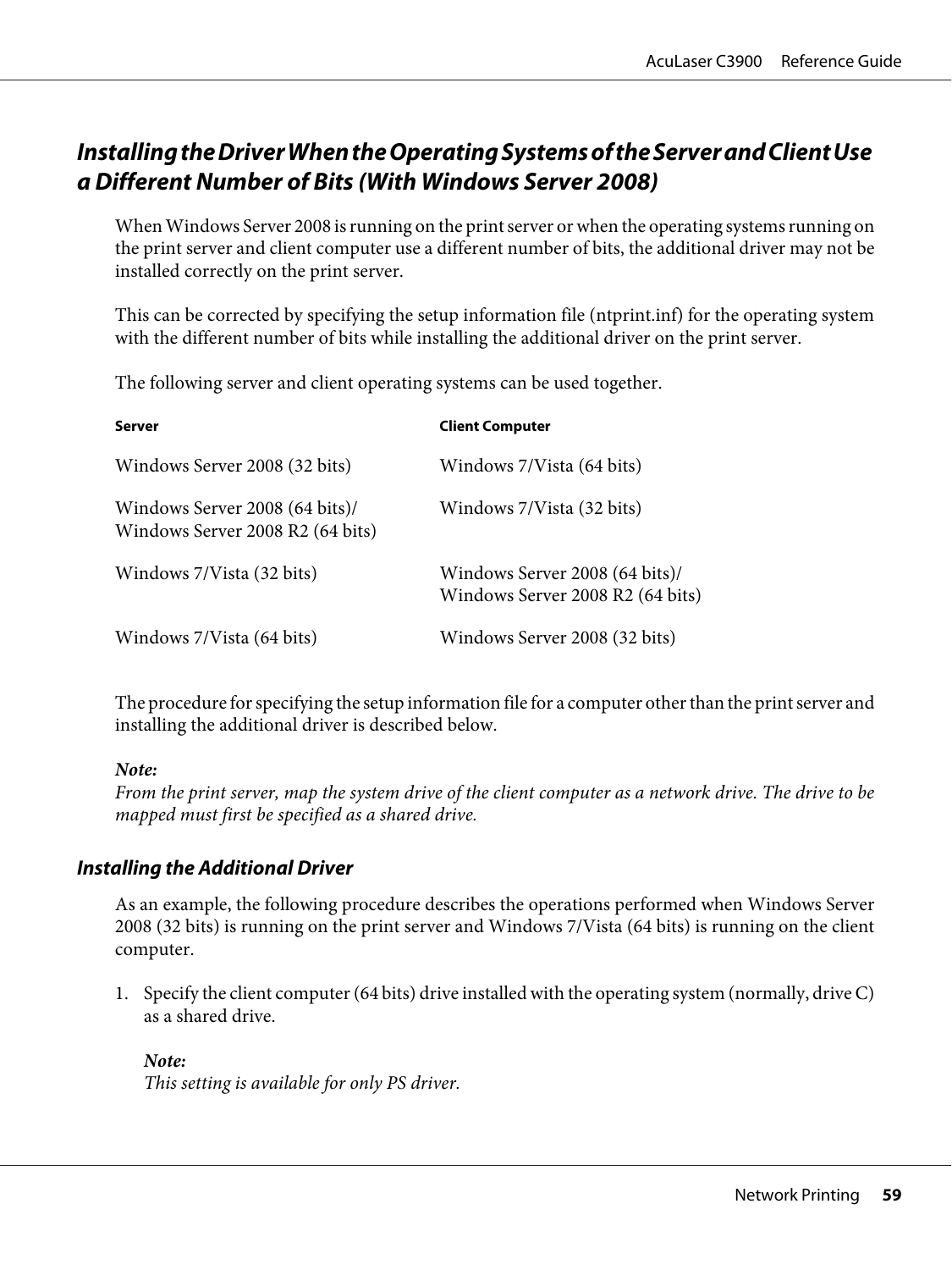# **Installing the Driver When the Operating Systems of the Server and Client Use a Different Number of Bits (With Windows Server 2008)**

When Windows Server 2008 is running on the print server or when the operating systems running on the print server and client computer use a different number of bits, the additional driver may not be installed correctly on the print server.

This can be corrected by specifying the setup information file (ntprint.inf) for the operating system with the different number of bits while installing the additional driver on the print server.

The following server and client operating systems can be used together.

| <b>Server</b>                                                      | <b>Client Computer</b>                                             |
|--------------------------------------------------------------------|--------------------------------------------------------------------|
| Windows Server 2008 (32 bits)                                      | Windows 7/Vista (64 bits)                                          |
| Windows Server 2008 (64 bits)/<br>Windows Server 2008 R2 (64 bits) | Windows 7/Vista (32 bits)                                          |
| Windows 7/Vista (32 bits)                                          | Windows Server 2008 (64 bits)/<br>Windows Server 2008 R2 (64 bits) |
| Windows 7/Vista (64 bits)                                          | Windows Server 2008 (32 bits)                                      |

The procedure for specifying the setup information file for a computer other than the print server and installing the additional driver is described below.

#### *Note:*

*From the print server, map the system drive of the client computer as a network drive. The drive to be mapped must first be specified as a shared drive.*

## **Installing the Additional Driver**

As an example, the following procedure describes the operations performed when Windows Server 2008 (32 bits) is running on the print server and Windows 7/Vista (64 bits) is running on the client computer.

1. Specify the client computer (64 bits) drive installed with the operating system (normally, drive C) as a shared drive.

*Note: This setting is available for only PS driver.*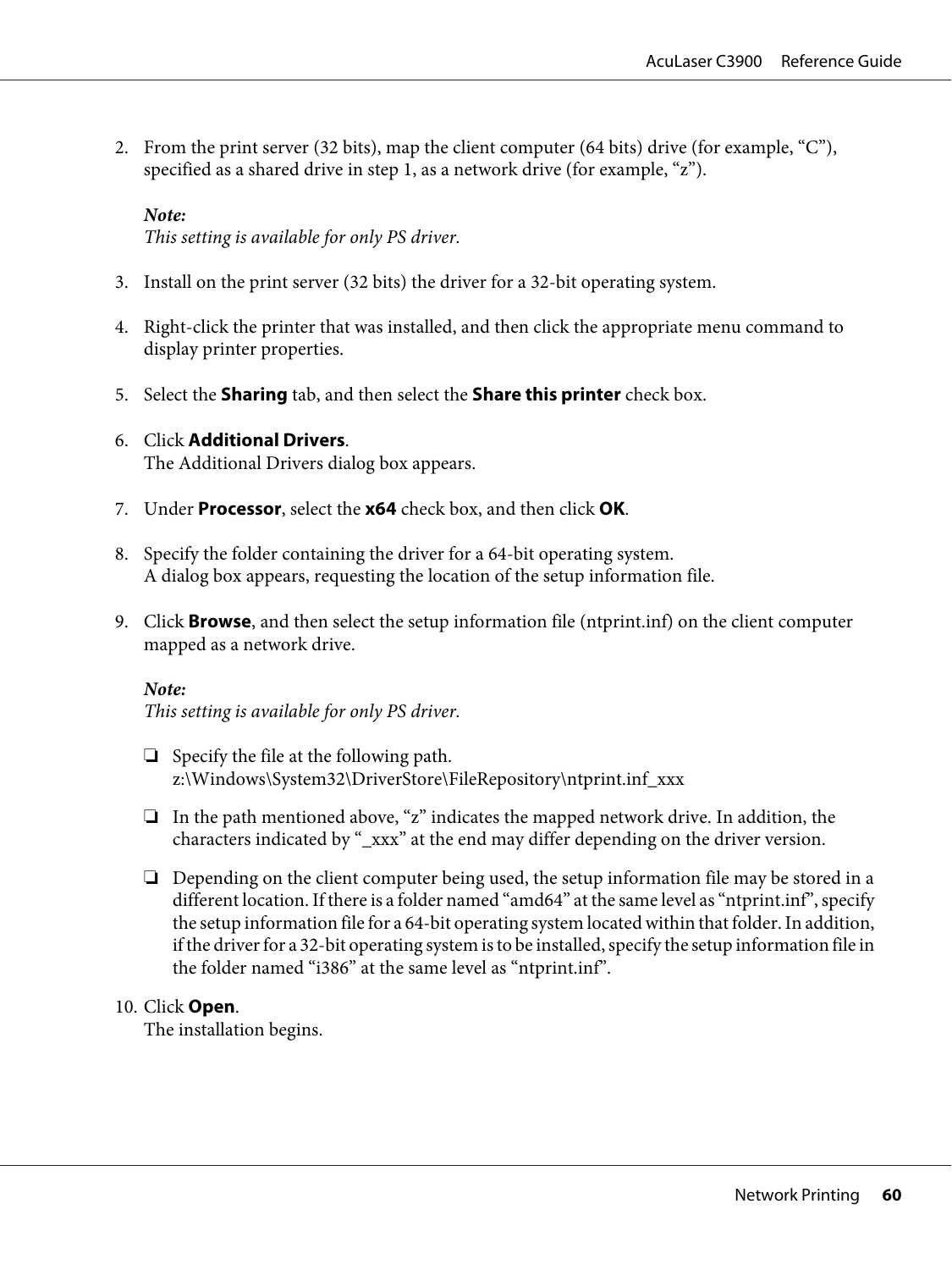2. From the print server (32 bits), map the client computer (64 bits) drive (for example, "C"), specified as a shared drive in step 1, as a network drive (for example, "z").

#### *Note:*

*This setting is available for only PS driver.*

- 3. Install on the print server (32 bits) the driver for a 32-bit operating system.
- 4. Right-click the printer that was installed, and then click the appropriate menu command to display printer properties.
- 5. Select the **Sharing** tab, and then select the **Share this printer** check box.
- 6. Click **Additional Drivers**. The Additional Drivers dialog box appears.
- 7. Under **Processor**, select the **x64** check box, and then click **OK**.
- 8. Specify the folder containing the driver for a 64-bit operating system. A dialog box appears, requesting the location of the setup information file.
- 9. Click **Browse**, and then select the setup information file (ntprint.inf) on the client computer mapped as a network drive.

#### *Note:*

*This setting is available for only PS driver.*

- ❏ Specify the file at the following path. z:\Windows\System32\DriverStore\FileRepository\ntprint.inf\_xxx
- ❏ In the path mentioned above, "z" indicates the mapped network drive. In addition, the characters indicated by "\_xxx" at the end may differ depending on the driver version.
- ❏ Depending on the client computer being used, the setup information file may be stored in a different location. If there is a folder named "amd64" at the same level as "ntprint.inf", specify the setup information file for a 64-bit operating system located within that folder. In addition, if the driver for a 32-bit operating system is to be installed, specify the setup information file in the folder named "i386" at the same level as "ntprint.inf".

#### 10. Click **Open**.

The installation begins.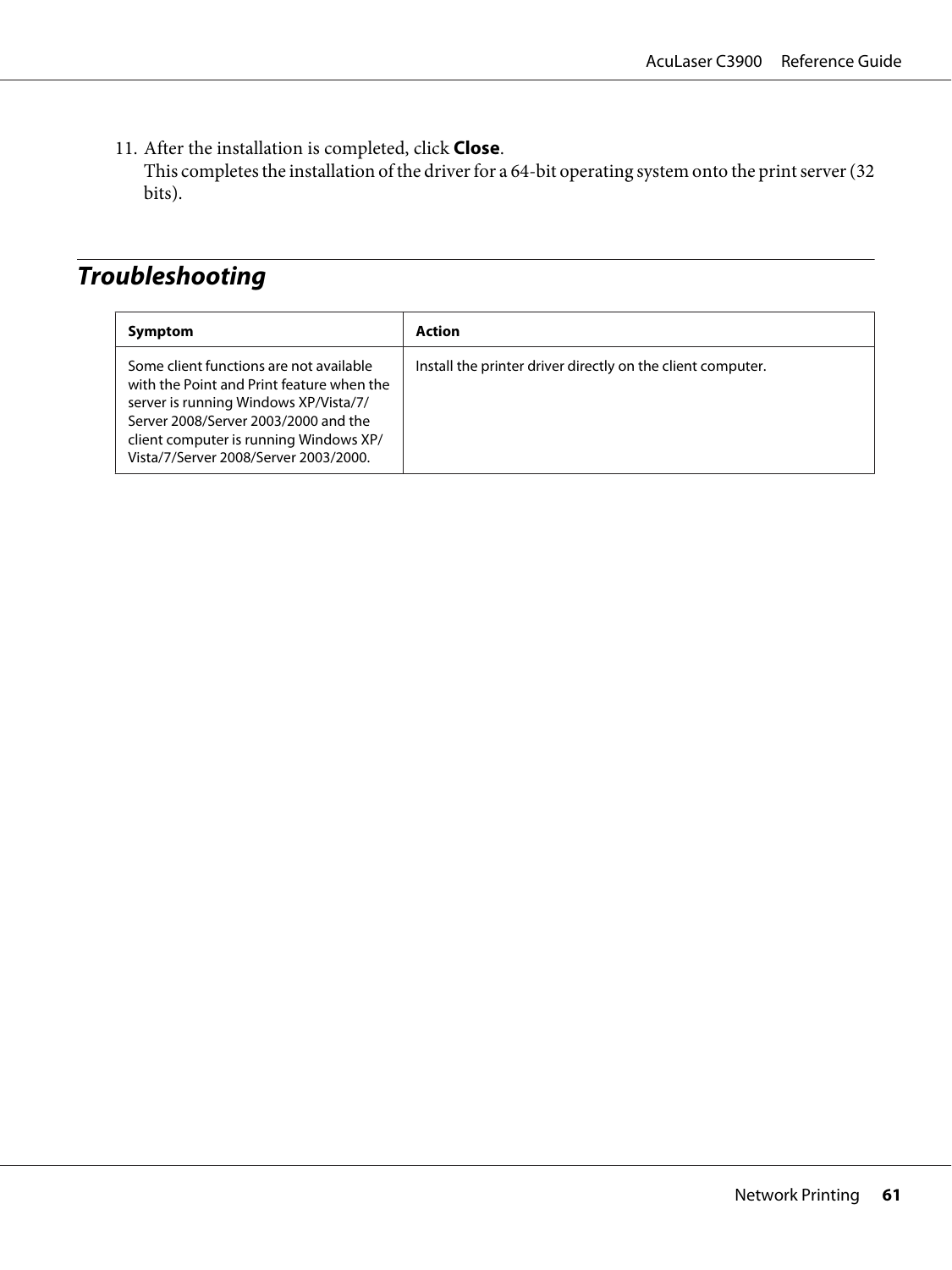11. After the installation is completed, click **Close**. This completes the installation of the driver for a 64-bit operating system onto the print server (32 bits).

# **Troubleshooting**

| Symptom                                                                                                                                                                                                                                                  | Action                                                      |
|----------------------------------------------------------------------------------------------------------------------------------------------------------------------------------------------------------------------------------------------------------|-------------------------------------------------------------|
| Some client functions are not available<br>with the Point and Print feature when the<br>server is running Windows XP/Vista/7/<br>Server 2008/Server 2003/2000 and the<br>client computer is running Windows XP/<br>Vista/7/Server 2008/Server 2003/2000. | Install the printer driver directly on the client computer. |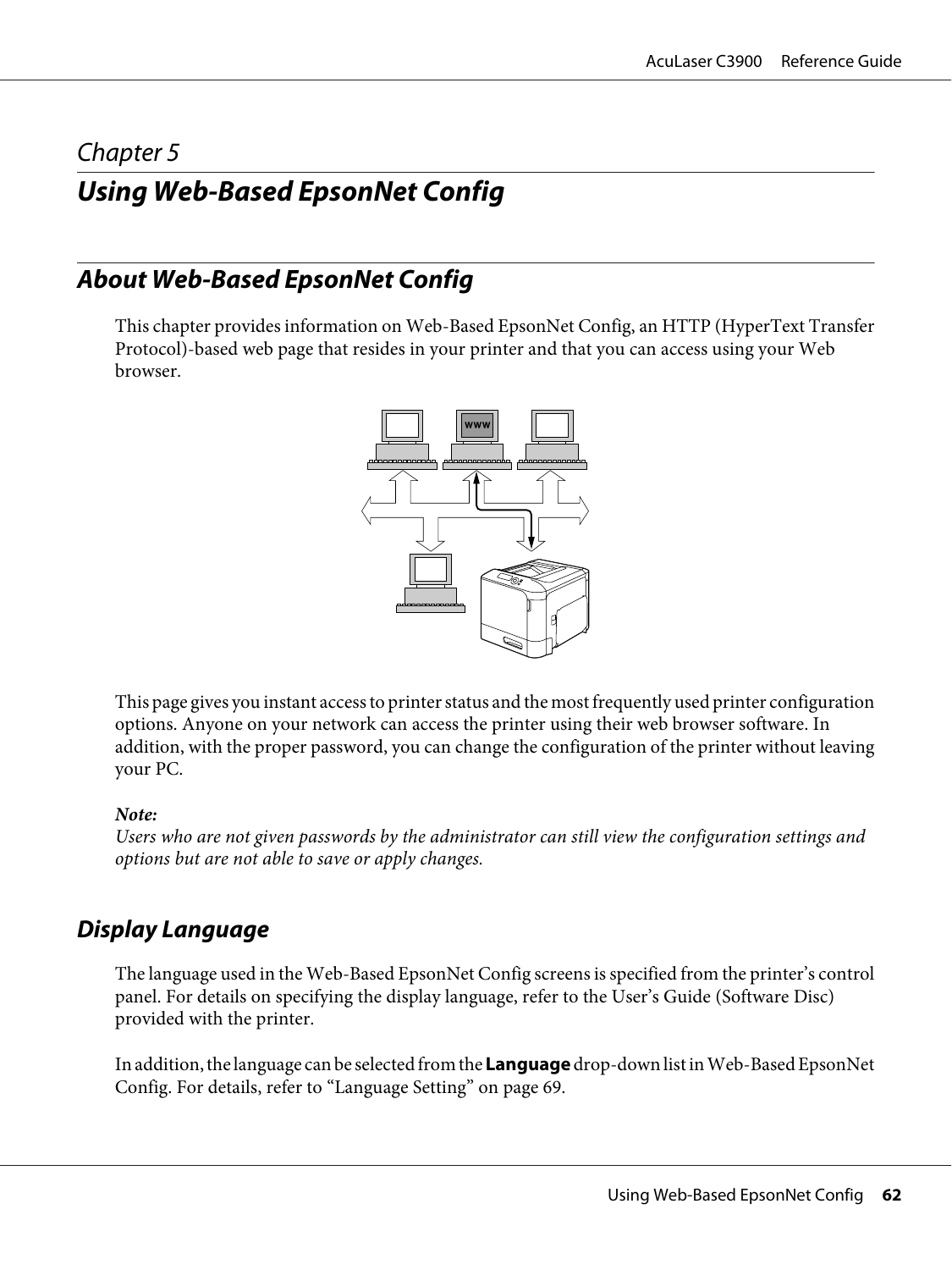# Chapter 5 **Using Web-Based EpsonNet Config**

# **About Web-Based EpsonNet Config**

This chapter provides information on Web-Based EpsonNet Config, an HTTP (HyperText Transfer Protocol)-based web page that resides in your printer and that you can access using your Web browser.



This page gives you instant access to printer status and the most frequently used printer configuration options. Anyone on your network can access the printer using their web browser software. In addition, with the proper password, you can change the configuration of the printer without leaving your PC.

#### *Note:*

*Users who are not given passwords by the administrator can still view the configuration settings and options but are not able to save or apply changes.*

# **Display Language**

The language used in the Web-Based EpsonNet Config screens is specified from the printer's control panel. For details on specifying the display language, refer to the User's Guide (Software Disc) provided with the printer.

In addition, the language can be selected from the **Language** drop-down list in Web-Based EpsonNet Config. For details, refer to ["Language Setting" on page 69](#page-68-0).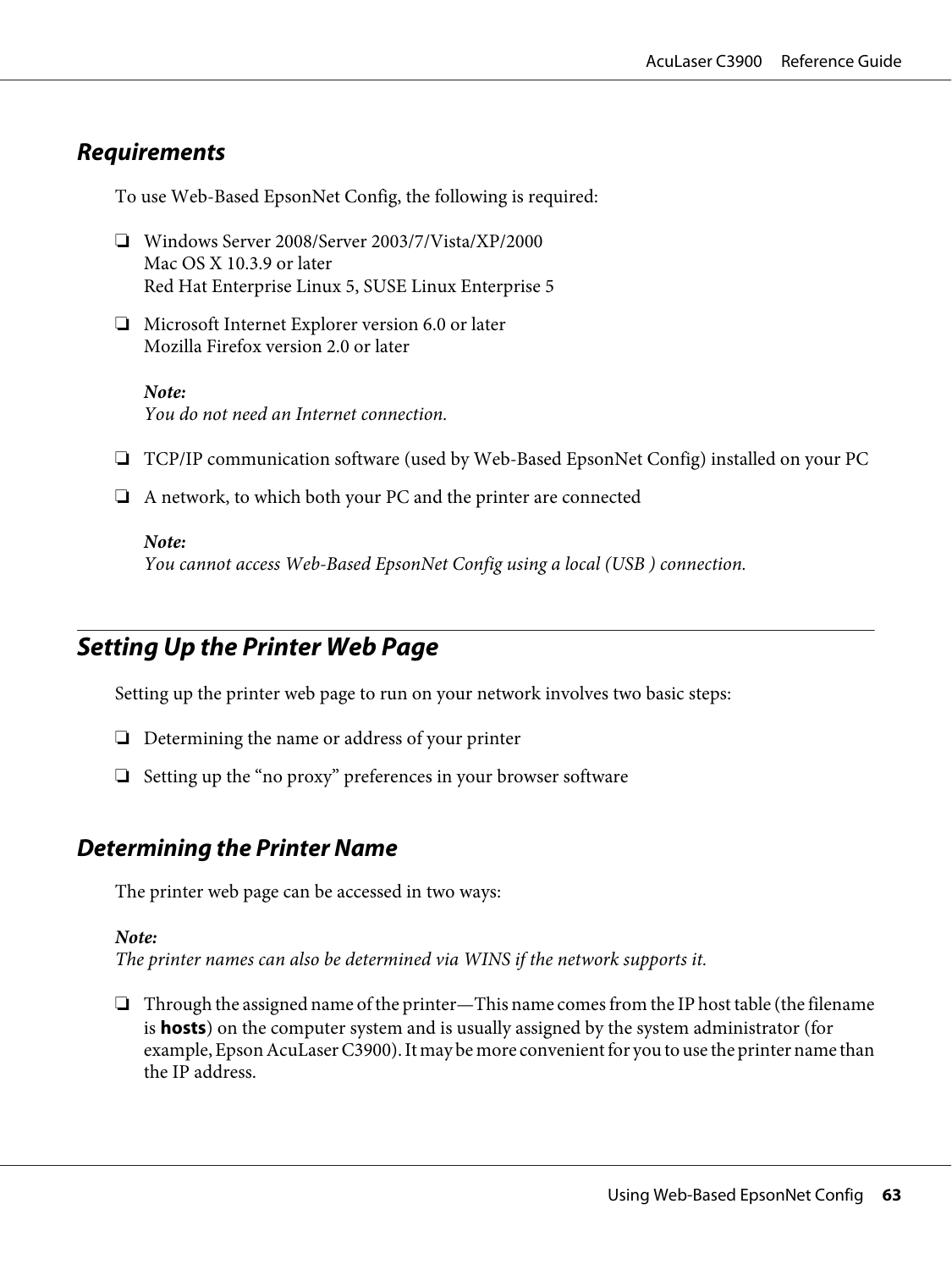# **Requirements**

To use Web-Based EpsonNet Config, the following is required:

- ❏ Windows Server 2008/Server 2003/7/Vista/XP/2000 Mac OS X 10.3.9 or later Red Hat Enterprise Linux 5, SUSE Linux Enterprise 5
- ❏ Microsoft Internet Explorer version 6.0 or later Mozilla Firefox version 2.0 or later

*Note: You do not need an Internet connection.*

- ❏ TCP/IP communication software (used by Web-Based EpsonNet Config) installed on your PC
- ❏ A network, to which both your PC and the printer are connected

#### *Note:*

*You cannot access Web-Based EpsonNet Config using a local (USB ) connection.*

# **Setting Up the Printer Web Page**

Setting up the printer web page to run on your network involves two basic steps:

- ❏ Determining the name or address of your printer
- ❏ Setting up the "no proxy" preferences in your browser software

# **Determining the Printer Name**

The printer web page can be accessed in two ways:

#### *Note:*

*The printer names can also be determined via WINS if the network supports it.*

❏ Through the assigned name of the printer—This name comes from the IP host table (the filename is **hosts**) on the computer system and is usually assigned by the system administrator (for example, Epson AcuLaser C3900). It may be more convenient for you to use the printer name than the IP address.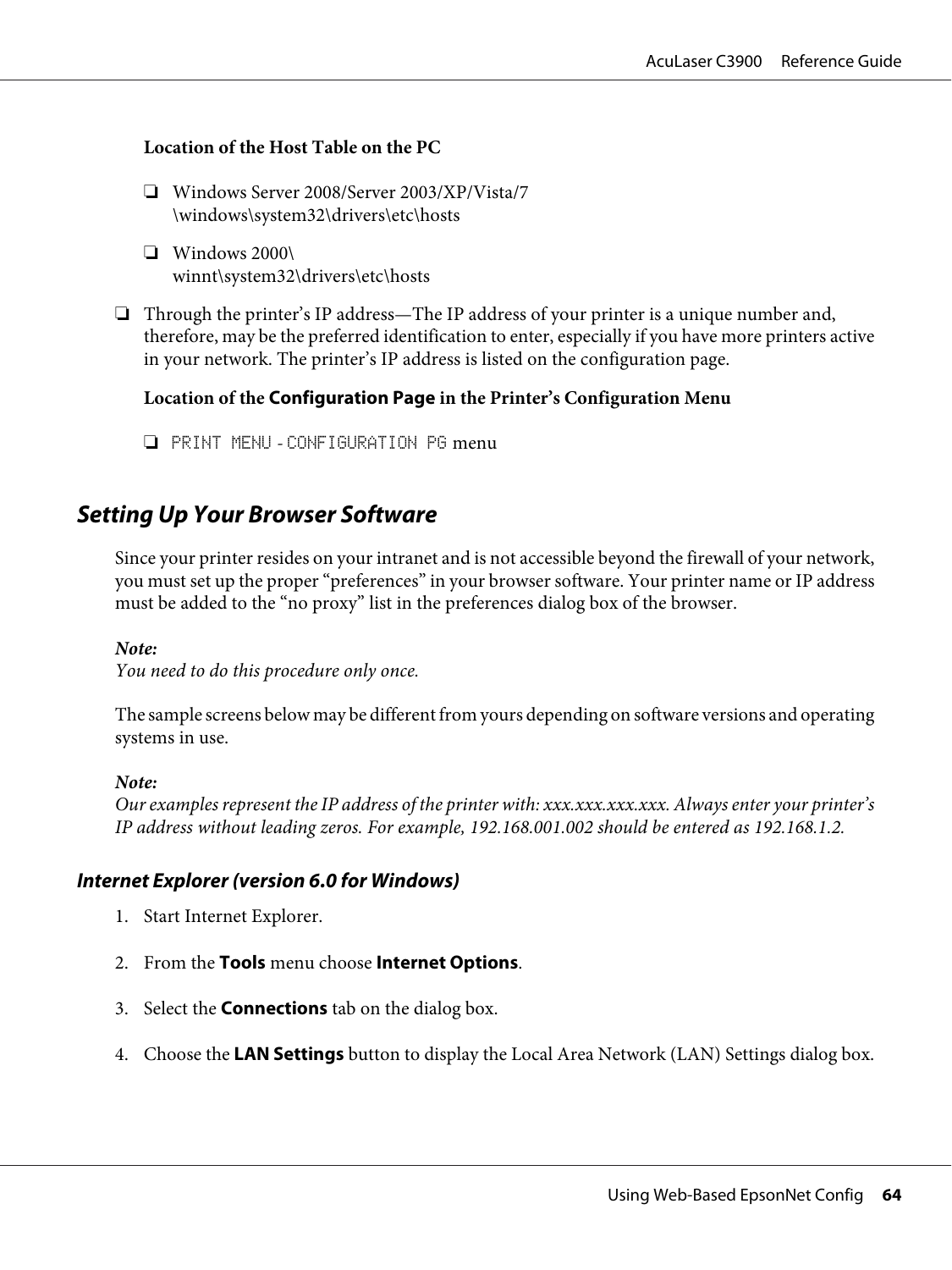#### **Location of the Host Table on the PC**

- ❏ Windows Server 2008/Server 2003/XP/Vista/7 \windows\system32\drivers\etc\hosts
- ❏ Windows 2000\ winnt\system32\drivers\etc\hosts
- ❏ Through the printer's IP address—The IP address of your printer is a unique number and, therefore, may be the preferred identification to enter, especially if you have more printers active in your network. The printer's IP address is listed on the configuration page.

#### **Location of the Configuration Page in the Printer's Configuration Menu**

❏ PRINT MENU - CONFIGURATION PG menu

# **Setting Up Your Browser Software**

Since your printer resides on your intranet and is not accessible beyond the firewall of your network, you must set up the proper "preferences" in your browser software. Your printer name or IP address must be added to the "no proxy" list in the preferences dialog box of the browser.

#### *Note:*

*You need to do this procedure only once.*

The sample screens below may be different from yours depending on software versions and operating systems in use.

#### *Note:*

*Our examples represent the IP address of the printer with: xxx.xxx.xxx.xxx. Always enter your printer's IP address without leading zeros. For example, 192.168.001.002 should be entered as 192.168.1.2.*

#### **Internet Explorer (version 6.0 for Windows)**

- 1. Start Internet Explorer.
- 2. From the **Tools** menu choose **Internet Options**.
- 3. Select the **Connections** tab on the dialog box.
- 4. Choose the **LAN Settings** button to display the Local Area Network (LAN) Settings dialog box.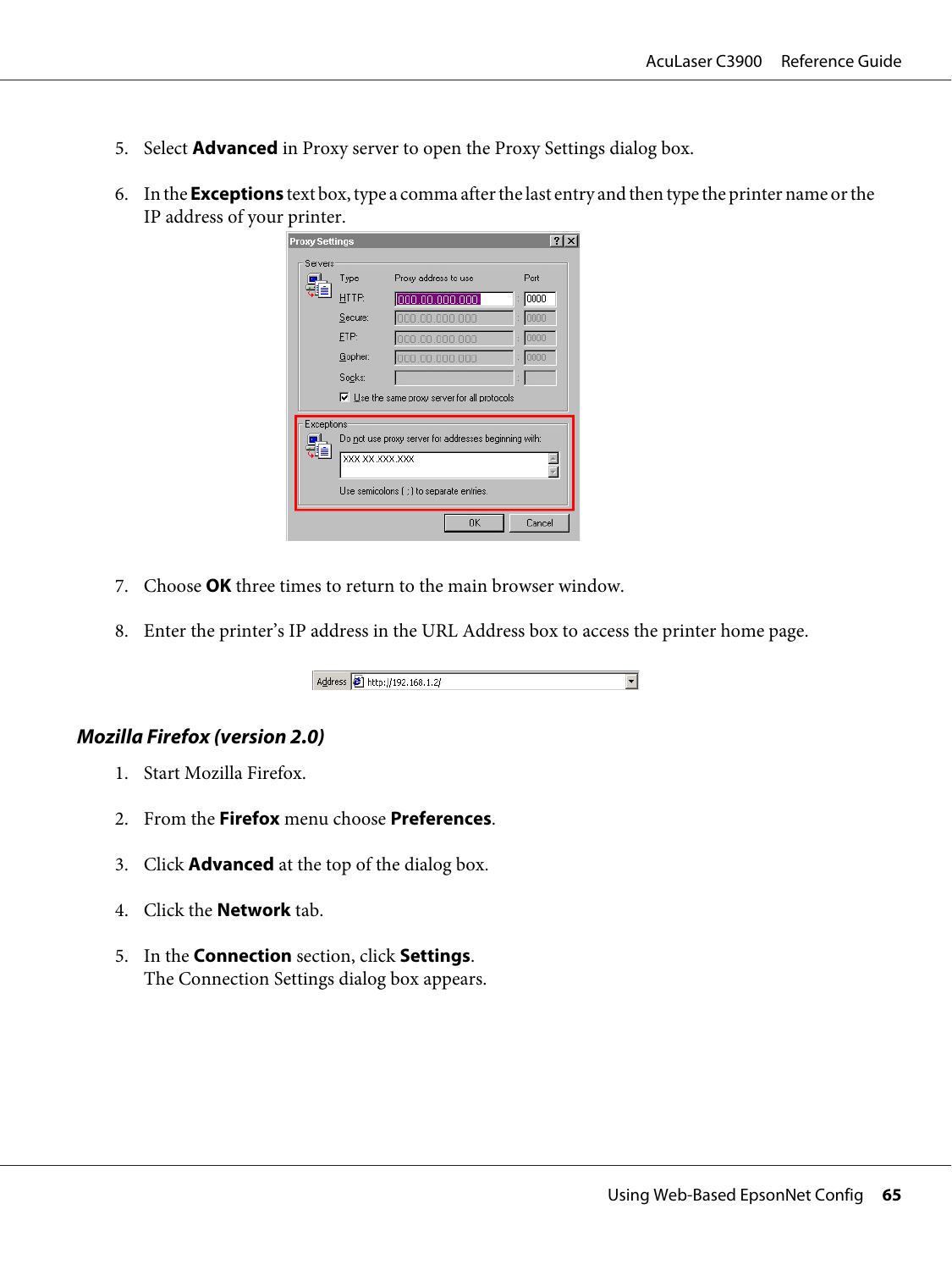- 5. Select **Advanced** in Proxy server to open the Proxy Settings dialog box.
- 6. In the **Exceptions** text box, type a comma after the last entry and then type the printer name or the IP address of your printer.

| <b>Proxy Settings</b> |                |                                                                                                    |         |
|-----------------------|----------------|----------------------------------------------------------------------------------------------------|---------|
| Servers               |                |                                                                                                    |         |
|                       | Type           | Proxy address to use                                                                               | Port    |
|                       | HTTP:          | 000.00.000.000                                                                                     | :  0000 |
|                       | Secure:        | 000.00.000.000                                                                                     | : 10000 |
|                       | FTP:           | 000.00.000.000                                                                                     | 0000    |
|                       | Gopher:        | 000.00.000.000                                                                                     | 0000    |
|                       | Socks:         |                                                                                                    |         |
|                       |                | $\triangledown$ Use the same proxy server for all protocols                                        |         |
| Exceptions<br>用信      | XXX XX XXX XXX | Do not use proxy server for addresses beginning with:<br>Use semicolons ( ; ) to separate entries. |         |
|                       |                | <b>OK</b>                                                                                          | Cancel  |

- 7. Choose **OK** three times to return to the main browser window.
- 8. Enter the printer's IP address in the URL Address box to access the printer home page.



## **Mozilla Firefox (version 2.0)**

- 1. Start Mozilla Firefox.
- 2. From the **Firefox** menu choose **Preferences**.
- 3. Click **Advanced** at the top of the dialog box.
- 4. Click the **Network** tab.
- 5. In the **Connection** section, click **Settings**. The Connection Settings dialog box appears.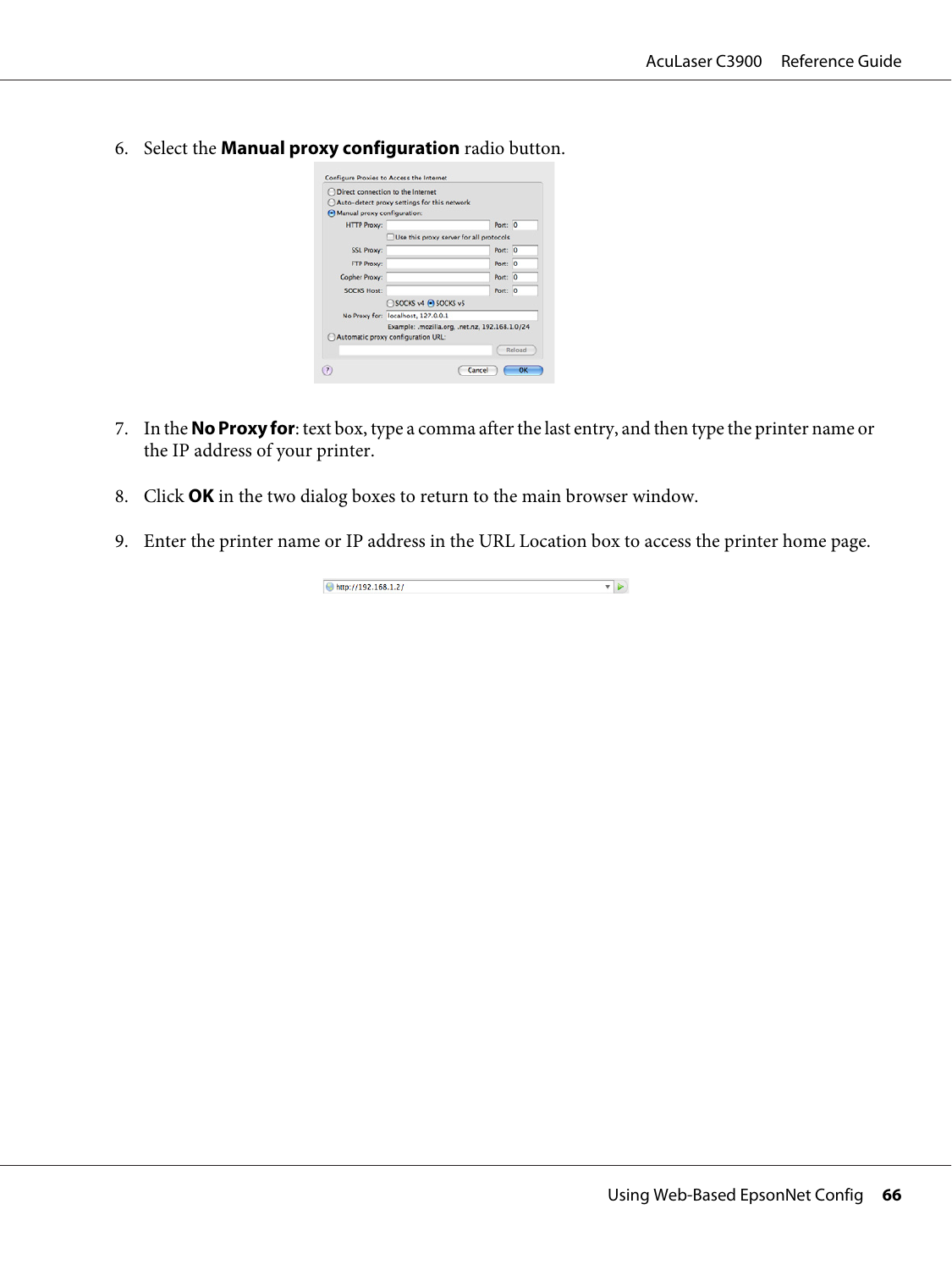6. Select the **Manual proxy configuration** radio button.

| O Direct connection to the Internet |                                                 |         |        |
|-------------------------------------|-------------------------------------------------|---------|--------|
|                                     | (C) Auto-detect proxy settings for this network |         |        |
| A Manual proxy configuration:       |                                                 |         |        |
| <b>HTTP Proxy:</b>                  |                                                 | Port: 0 |        |
|                                     | Use this proxy server for all protocols         |         |        |
| <b>SSL Proxy:</b>                   |                                                 | Port: 0 |        |
| <b>FTP Proxy:</b>                   |                                                 | Port: 0 |        |
| <b>Gopher Proxy:</b>                |                                                 | Port: 0 |        |
| <b>SOCKS Host:</b>                  |                                                 | Port: 0 |        |
|                                     | SOCKS v4 @ SOCKS v5                             |         |        |
|                                     | No Proxy for: localhost, 127.0.0.1              |         |        |
|                                     | Example: .mozilla.org, .net.nz, 192.168.1.0/24  |         |        |
|                                     | Automatic proxy configuration URL:              |         |        |
|                                     |                                                 |         | Reload |

- 7. In the **No Proxy for**: text box, type a comma after the last entry, and then type the printer name or the IP address of your printer.
- 8. Click **OK** in the two dialog boxes to return to the main browser window.
- 9. Enter the printer name or IP address in the URL Location box to access the printer home page.

| http://102.168.1.27<br>-<br>1.1.1.001111 |  |
|------------------------------------------|--|
|------------------------------------------|--|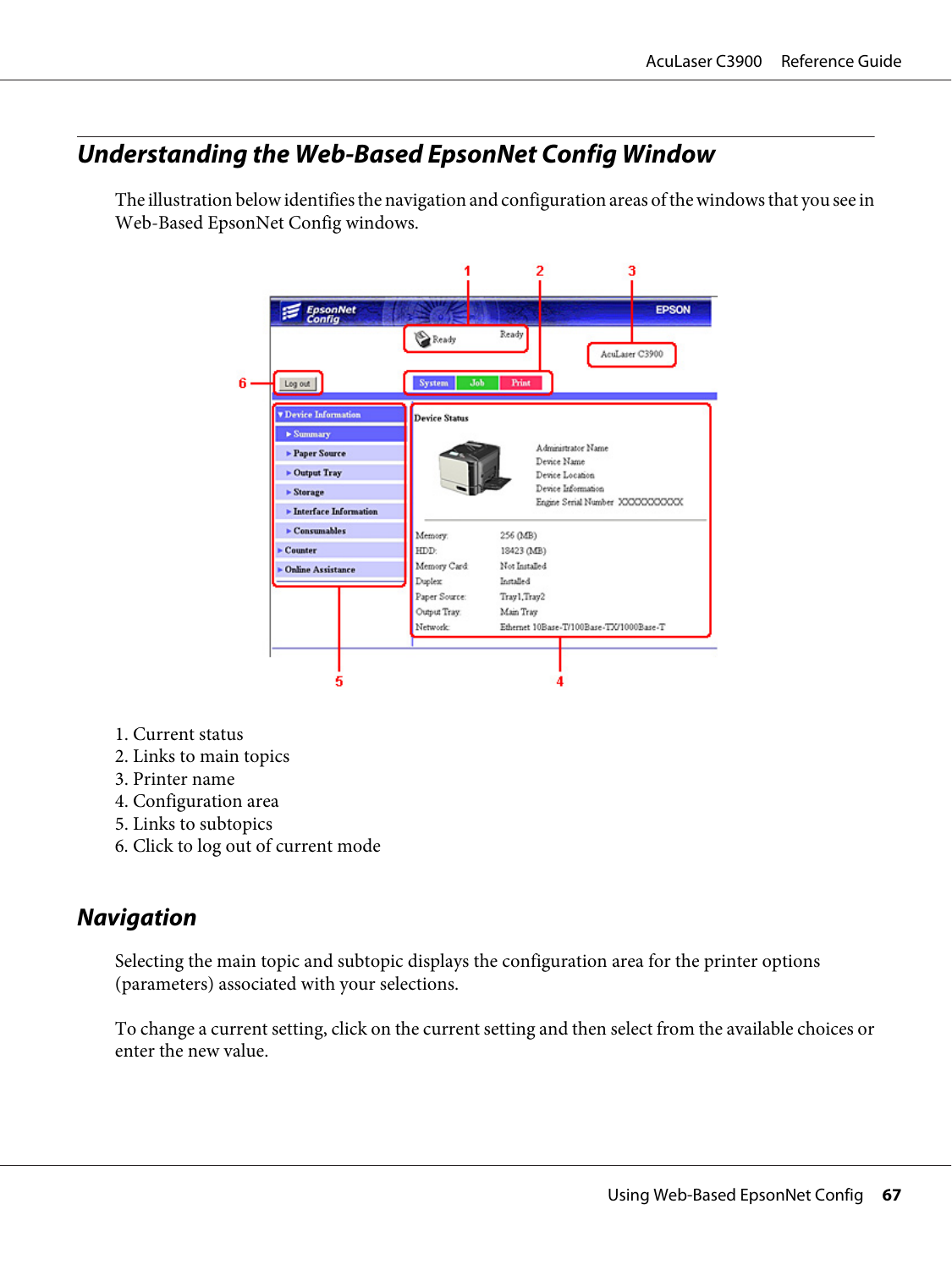# **Understanding the Web-Based EpsonNet Config Window**

The illustration below identifies the navigation and configuration areas of the windows that you see in Web-Based EpsonNet Config windows.



- 1. Current status
- 2. Links to main topics
- 3. Printer name
- 4. Configuration area
- 5. Links to subtopics
- 6. Click to log out of current mode

# **Navigation**

Selecting the main topic and subtopic displays the configuration area for the printer options (parameters) associated with your selections.

To change a current setting, click on the current setting and then select from the available choices or enter the new value.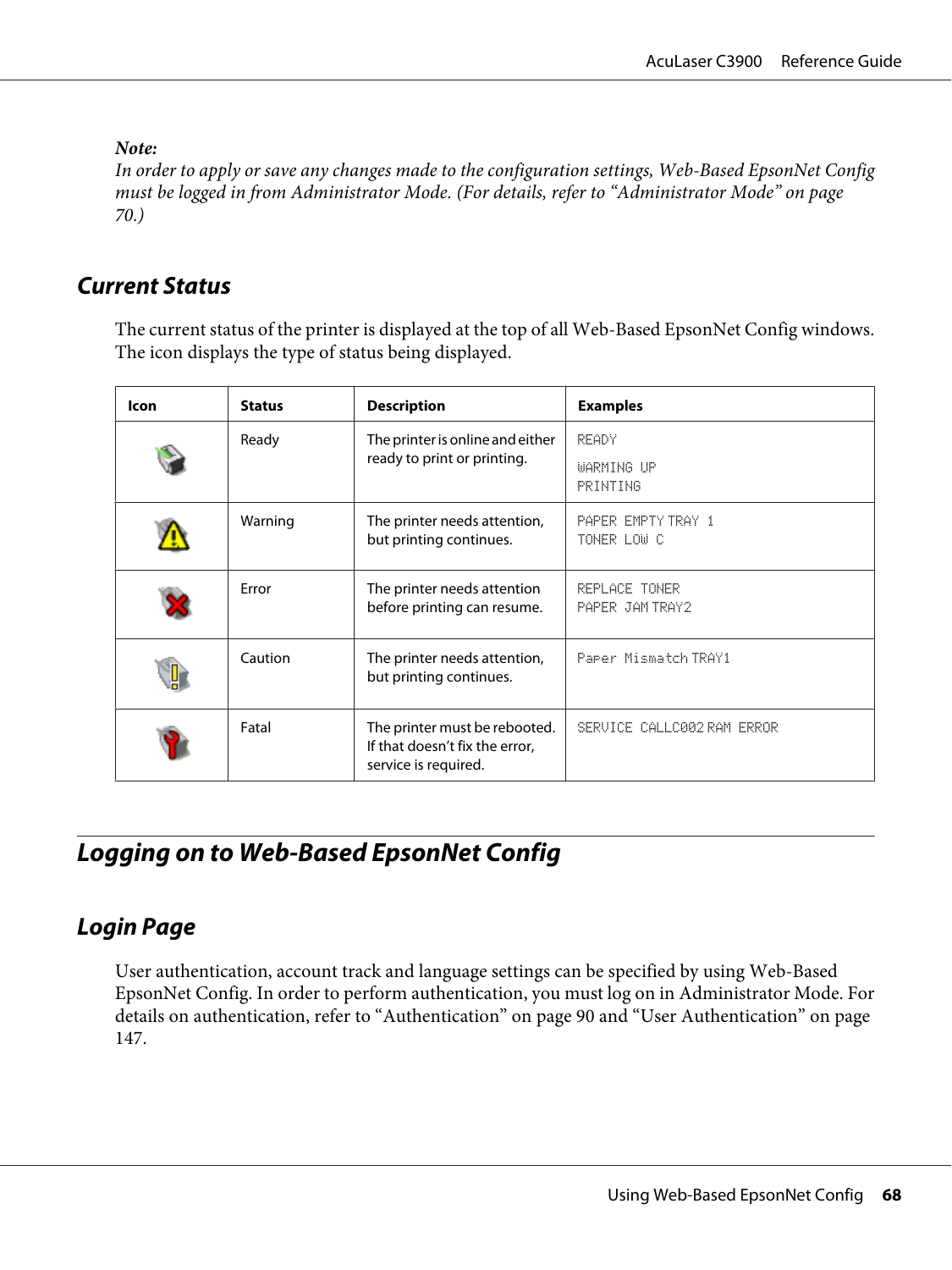*Note:*

*In order to apply or save any changes made to the configuration settings, Web-Based EpsonNet Config must be logged in from Administrator Mode. (For details, refer to ["Administrator Mode" on page](#page-69-0) [70](#page-69-0).)*

# **Current Status**

The current status of the printer is displayed at the top of all Web-Based EpsonNet Config windows. The icon displays the type of status being displayed.

| lcon | <b>Status</b> | <b>Description</b>                                                                      | <b>Examples</b>                         |
|------|---------------|-----------------------------------------------------------------------------------------|-----------------------------------------|
|      | Ready         | The printer is online and either<br>ready to print or printing.                         | <b>READY</b><br>WARMING UP<br>PRINTING  |
|      | Warning       | The printer needs attention,<br>but printing continues.                                 | PAPER EMPTY TRAY 1<br>TONER LOW C       |
|      | Error         | The printer needs attention<br>before printing can resume.                              | <b>REPLACE TONER</b><br>PAPER JAM TRAY2 |
|      | Caution       | The printer needs attention,<br>but printing continues.                                 | Paper Mismatch TRAY1                    |
|      | Fatal         | The printer must be rebooted.<br>If that doesn't fix the error,<br>service is required. | SERVICE CALLC002 RAM ERROR              |

# **Logging on to Web-Based EpsonNet Config**

# **Login Page**

User authentication, account track and language settings can be specified by using Web-Based EpsonNet Config. In order to perform authentication, you must log on in Administrator Mode. For details on authentication, refer to ["Authentication" on page 90](#page-89-0) and ["User Authentication" on page](#page-146-0) [147](#page-146-0).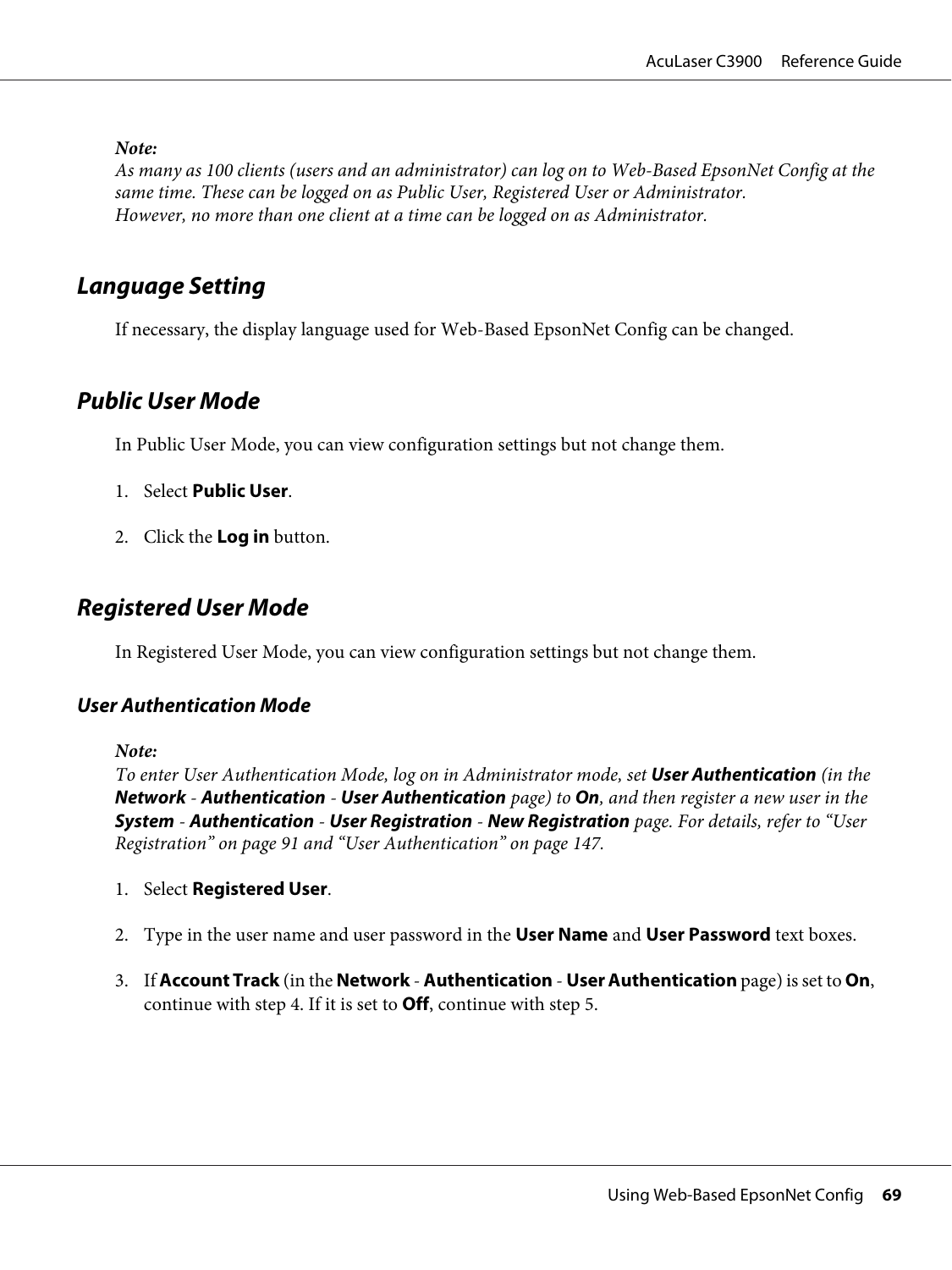<span id="page-68-0"></span>*Note:*

*As many as 100 clients (users and an administrator) can log on to Web-Based EpsonNet Config at the same time. These can be logged on as Public User, Registered User or Administrator. However, no more than one client at a time can be logged on as Administrator.*

# **Language Setting**

If necessary, the display language used for Web-Based EpsonNet Config can be changed.

# **Public User Mode**

In Public User Mode, you can view configuration settings but not change them.

- 1. Select **Public User**.
- 2. Click the **Log in** button.

# **Registered User Mode**

In Registered User Mode, you can view configuration settings but not change them.

## **User Authentication Mode**

*Note:*

*To enter User Authentication Mode, log on in Administrator mode, set* **User Authentication** *(in the* **Network** *-* **Authentication** *-* **User Authentication** *page) to* **On***, and then register a new user in the* **System** *-* **Authentication** *-* **User Registration** *-* **New Registration** *page. For details, refer to ["User](#page-90-0) [Registration" on page 91](#page-90-0) and ["User Authentication" on page 147](#page-146-0).*

- 1. Select **Registered User**.
- 2. Type in the user name and user password in the **User Name** and **User Password** text boxes.
- 3. If **Account Track** (in the **Network Authentication User Authentication** page) is set to **On**, continue with step 4. If it is set to **Off**, continue with step 5.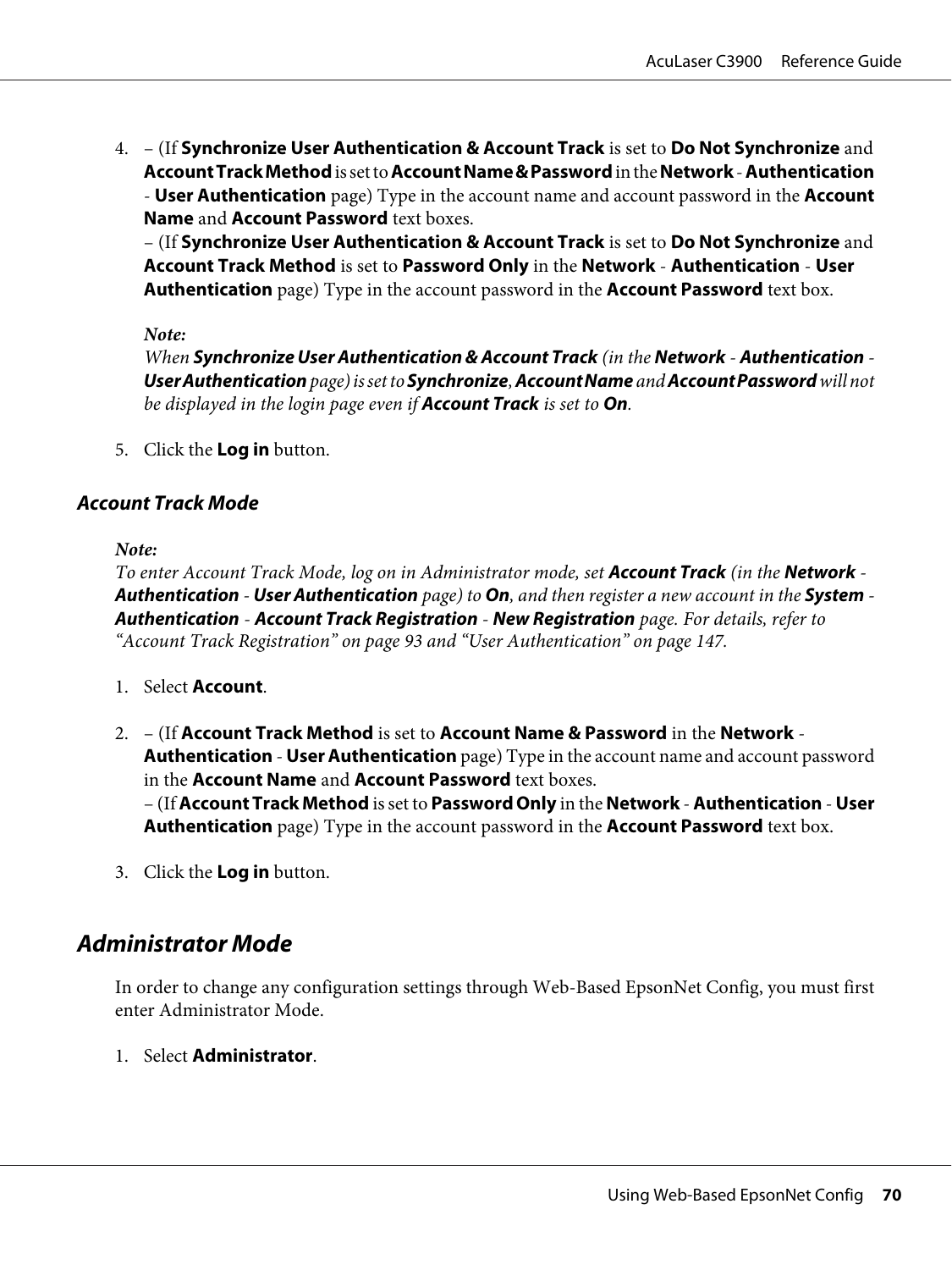<span id="page-69-0"></span>4. – (If **Synchronize User Authentication & Account Track** is set to **Do Not Synchronize** and **Account Track Method** is set to **Account Name & Password** in the **Network** - **Authentication** - **User Authentication** page) Type in the account name and account password in the **Account Name** and **Account Password** text boxes.

– (If **Synchronize User Authentication & Account Track** is set to **Do Not Synchronize** and **Account Track Method** is set to **Password Only** in the **Network** - **Authentication** - **User Authentication** page) Type in the account password in the **Account Password** text box.

#### *Note:*

*When* **Synchronize User Authentication & Account Track** *(in the* **Network** *-* **Authentication** *-* **User Authentication** *page) is set to* **Synchronize***,* **Account Name** *and* **Account Password** *will not be displayed in the login page even if* **Account Track** *is set to* **On***.*

5. Click the **Log in** button.

## **Account Track Mode**

#### *Note:*

*To enter Account Track Mode, log on in Administrator mode, set* **Account Track** *(in the* **Network** *-* **Authentication** *-* **User Authentication** *page) to* **On***, and then register a new account in the* **System** *-* **Authentication** *-* **Account Track Registration** *-* **New Registration** *page. For details, refer to ["Account Track Registration" on page 93](#page-92-0) and ["User Authentication" on page 147.](#page-146-0)*

- 1. Select **Account**.
- 2. (If **Account Track Method** is set to **Account Name & Password** in the **Network Authentication** - **User Authentication** page) Type in the account name and account password in the **Account Name** and **Account Password** text boxes. – (If **Account Track Method** is set to **Password Only** in the **Network** - **Authentication** - **User Authentication** page) Type in the account password in the **Account Password** text box.
- 3. Click the **Log in** button.

# **Administrator Mode**

In order to change any configuration settings through Web-Based EpsonNet Config, you must first enter Administrator Mode.

1. Select **Administrator**.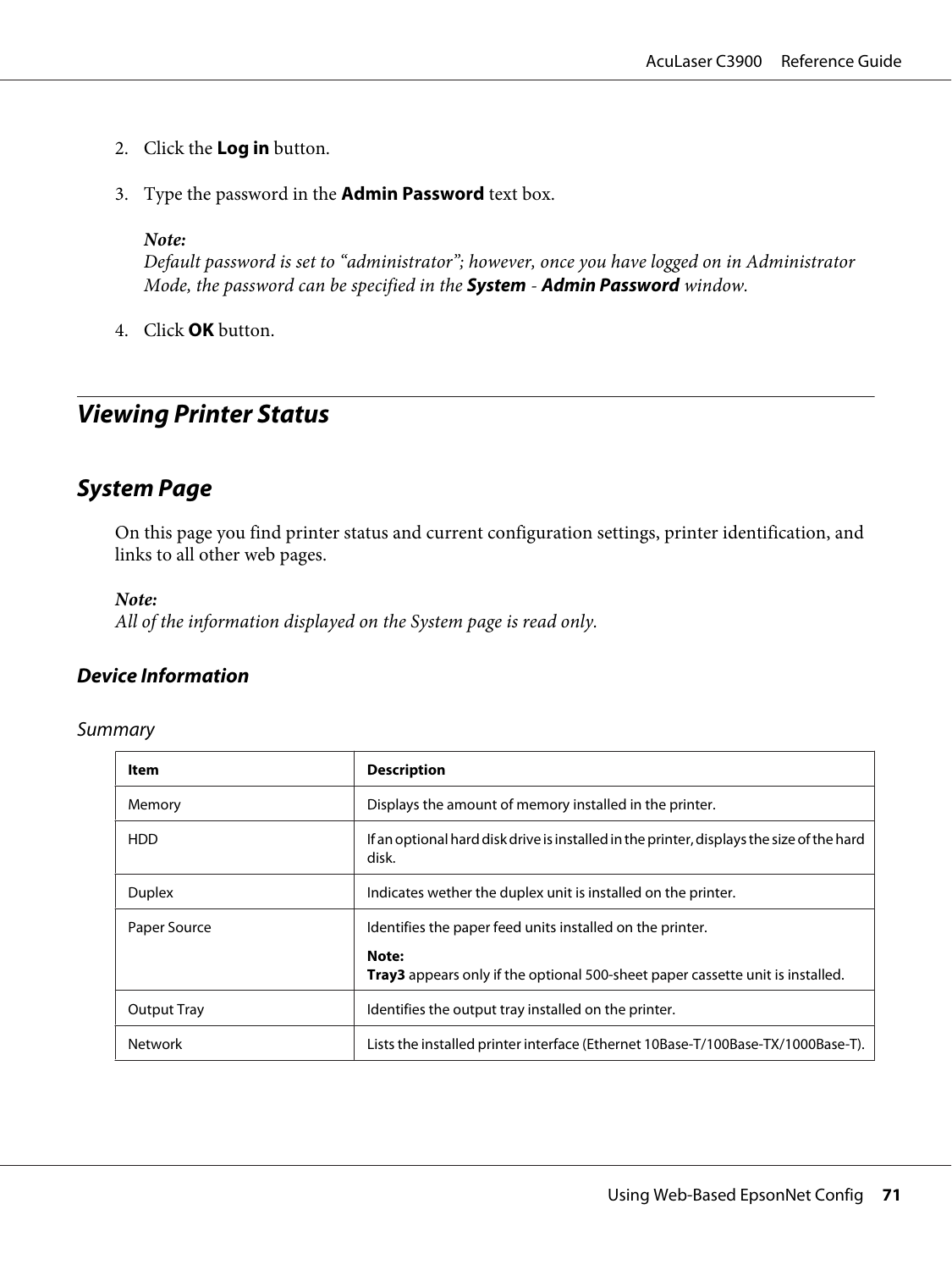- 2. Click the **Log in** button.
- 3. Type the password in the **Admin Password** text box.

#### *Note:*

*Default password is set to "administrator"; however, once you have logged on in Administrator Mode, the password can be specified in the* **System** *-* **Admin Password** *window.*

4. Click **OK** button.

# **Viewing Printer Status**

# **System Page**

On this page you find printer status and current configuration settings, printer identification, and links to all other web pages.

#### *Note:*

*All of the information displayed on the System page is read only.*

## **Device Information**

#### Summary

| Item               | <b>Description</b>                                                                                                                                          |
|--------------------|-------------------------------------------------------------------------------------------------------------------------------------------------------------|
| Memory             | Displays the amount of memory installed in the printer.                                                                                                     |
| HDD                | If an optional hard disk drive is installed in the printer, displays the size of the hard<br>disk.                                                          |
| <b>Duplex</b>      | Indicates wether the duplex unit is installed on the printer.                                                                                               |
| Paper Source       | Identifies the paper feed units installed on the printer.<br>Note:<br><b>Tray3</b> appears only if the optional 500-sheet paper cassette unit is installed. |
| <b>Output Tray</b> | Identifies the output tray installed on the printer.                                                                                                        |
| <b>Network</b>     | Lists the installed printer interface (Ethernet 10Base-T/100Base-TX/1000Base-T).                                                                            |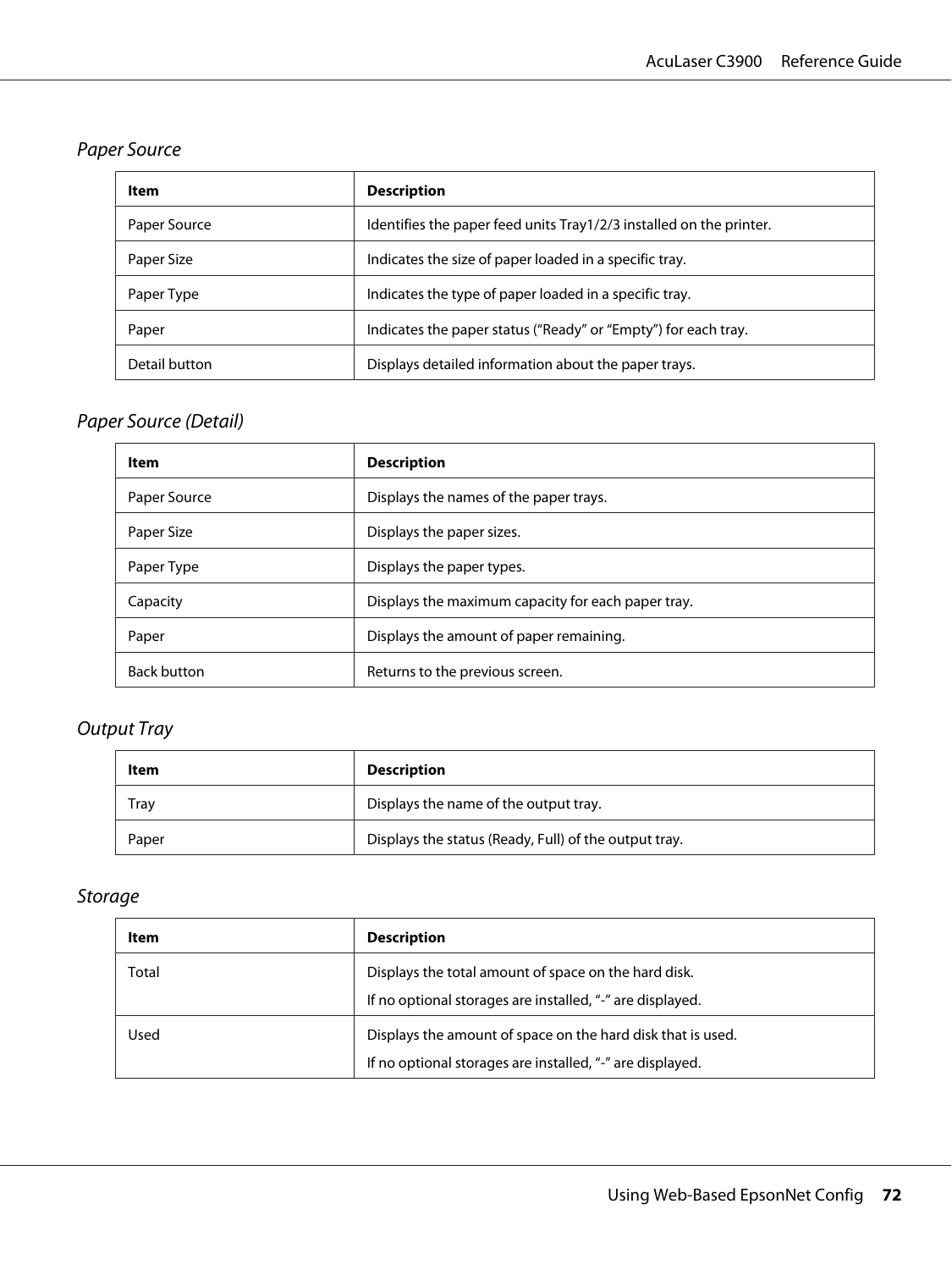# Paper Source

| ltem          | <b>Description</b>                                                   |
|---------------|----------------------------------------------------------------------|
| Paper Source  | Identifies the paper feed units Tray 1/2/3 installed on the printer. |
| Paper Size    | Indicates the size of paper loaded in a specific tray.               |
| Paper Type    | Indicates the type of paper loaded in a specific tray.               |
| Paper         | Indicates the paper status ("Ready" or "Empty") for each tray.       |
| Detail button | Displays detailed information about the paper trays.                 |

# Paper Source (Detail)

| Item               | <b>Description</b>                                 |
|--------------------|----------------------------------------------------|
| Paper Source       | Displays the names of the paper trays.             |
| Paper Size         | Displays the paper sizes.                          |
| Paper Type         | Displays the paper types.                          |
| Capacity           | Displays the maximum capacity for each paper tray. |
| Paper              | Displays the amount of paper remaining.            |
| <b>Back button</b> | Returns to the previous screen.                    |

# Output Tray

| ltem  | <b>Description</b>                                    |
|-------|-------------------------------------------------------|
| Tray  | Displays the name of the output tray.                 |
| Paper | Displays the status (Ready, Full) of the output tray. |

# Storage

| Item  | <b>Description</b>                                                                                                       |
|-------|--------------------------------------------------------------------------------------------------------------------------|
| Total | Displays the total amount of space on the hard disk.<br>If no optional storages are installed, "-" are displayed.        |
| Used  | Displays the amount of space on the hard disk that is used.<br>If no optional storages are installed, "-" are displayed. |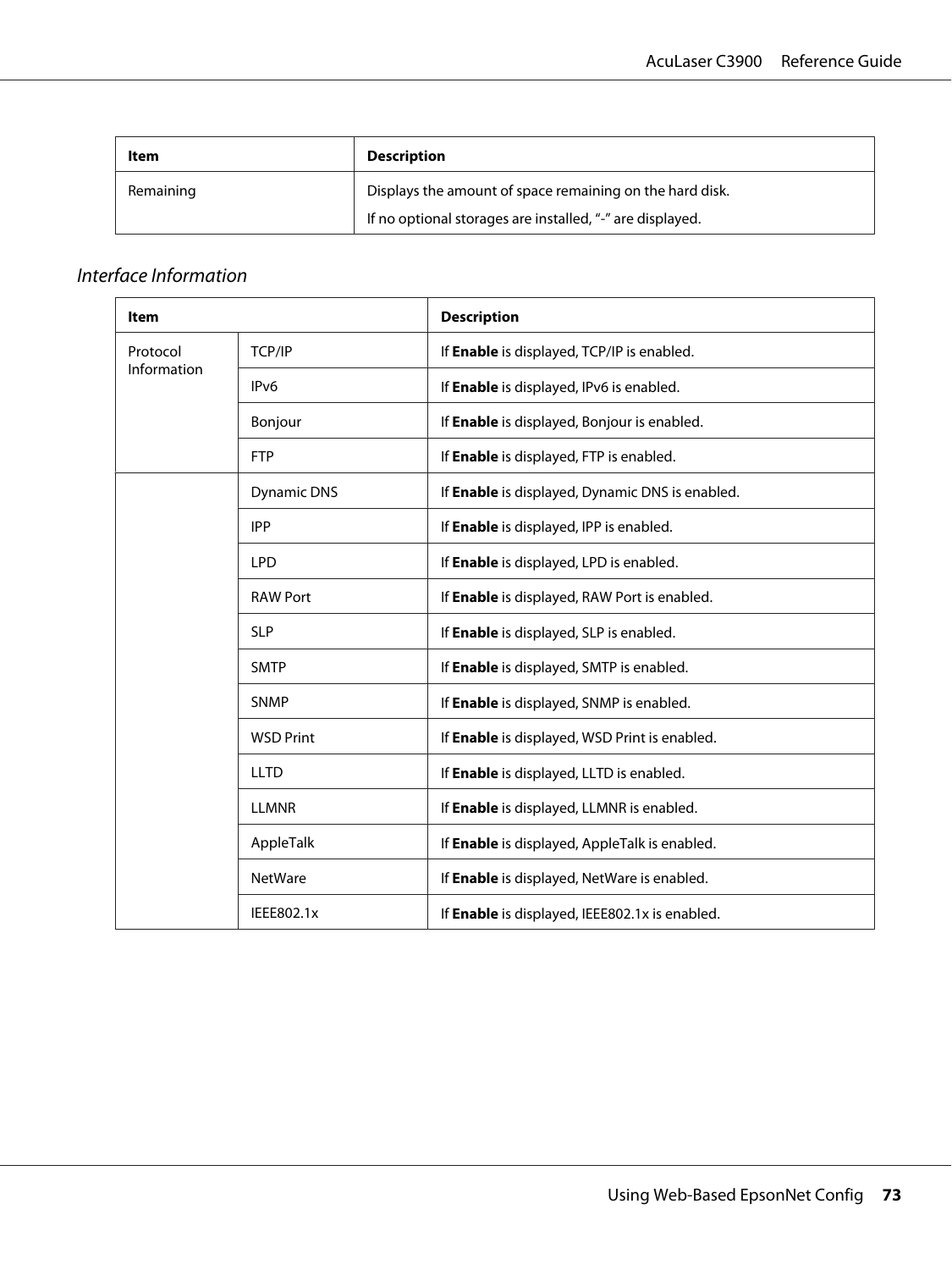| Item      | <b>Description</b>                                        |
|-----------|-----------------------------------------------------------|
| Remaining | Displays the amount of space remaining on the hard disk.  |
|           | If no optional storages are installed, "-" are displayed. |

#### Interface Information

| <b>Item</b>             |                    | <b>Description</b>                              |
|-------------------------|--------------------|-------------------------------------------------|
| Protocol<br>Information | TCP/IP             | If Enable is displayed, TCP/IP is enabled.      |
|                         | IP <sub>v6</sub>   | If Enable is displayed, IPv6 is enabled.        |
|                         | Bonjour            | If Enable is displayed, Bonjour is enabled.     |
|                         | <b>FTP</b>         | If Enable is displayed, FTP is enabled.         |
|                         | <b>Dynamic DNS</b> | If Enable is displayed, Dynamic DNS is enabled. |
|                         | <b>IPP</b>         | If Enable is displayed, IPP is enabled.         |
|                         | <b>LPD</b>         | If Enable is displayed, LPD is enabled.         |
|                         | <b>RAW Port</b>    | If Enable is displayed, RAW Port is enabled.    |
|                         | <b>SLP</b>         | If Enable is displayed, SLP is enabled.         |
|                         | <b>SMTP</b>        | If Enable is displayed, SMTP is enabled.        |
|                         | <b>SNMP</b>        | If Enable is displayed, SNMP is enabled.        |
|                         | <b>WSD Print</b>   | If Enable is displayed, WSD Print is enabled.   |
|                         | <b>LLTD</b>        | If Enable is displayed, LLTD is enabled.        |
|                         | <b>LLMNR</b>       | If Enable is displayed, LLMNR is enabled.       |
|                         | AppleTalk          | If Enable is displayed, AppleTalk is enabled.   |
|                         | <b>NetWare</b>     | If Enable is displayed, NetWare is enabled.     |
|                         | IEEE802.1x         | If Enable is displayed, IEEE802.1x is enabled.  |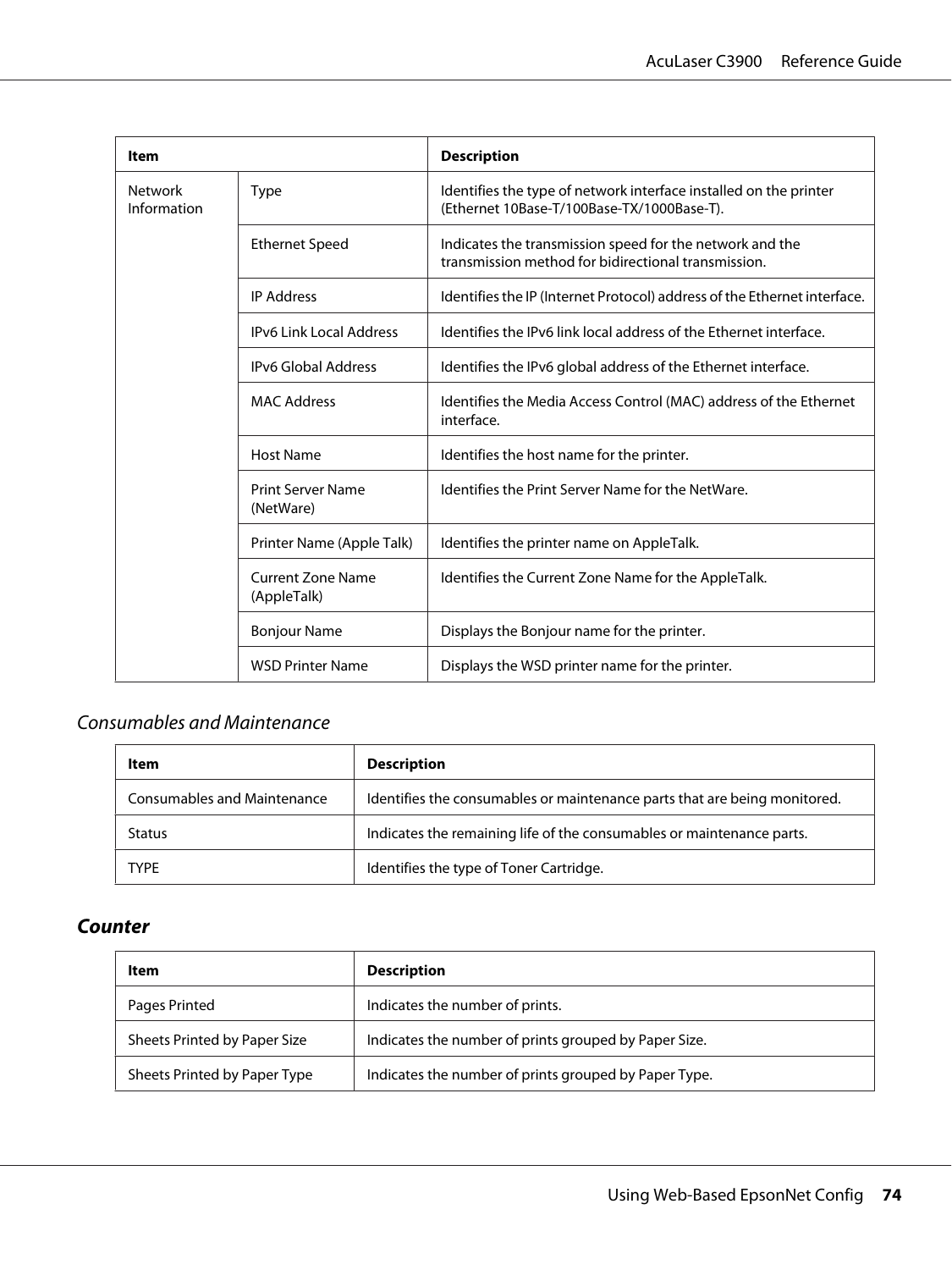| Item                          |                                         | <b>Description</b>                                                                                              |
|-------------------------------|-----------------------------------------|-----------------------------------------------------------------------------------------------------------------|
| <b>Network</b><br>Information | <b>Type</b>                             | Identifies the type of network interface installed on the printer<br>(Ethernet 10Base-T/100Base-TX/1000Base-T). |
|                               | <b>Ethernet Speed</b>                   | Indicates the transmission speed for the network and the<br>transmission method for bidirectional transmission. |
|                               | <b>IP Address</b>                       | Identifies the IP (Internet Protocol) address of the Ethernet interface.                                        |
|                               | <b>IPv6 Link Local Address</b>          | Identifies the IPv6 link local address of the Ethernet interface.                                               |
|                               | <b>IPv6 Global Address</b>              | Identifies the IPv6 global address of the Ethernet interface.                                                   |
|                               | <b>MAC Address</b>                      | Identifies the Media Access Control (MAC) address of the Ethernet<br>interface.                                 |
|                               | <b>Host Name</b>                        | Identifies the host name for the printer.                                                                       |
|                               | Print Server Name<br>(NetWare)          | Identifies the Print Server Name for the NetWare.                                                               |
|                               | Printer Name (Apple Talk)               | Identifies the printer name on AppleTalk.                                                                       |
|                               | <b>Current Zone Name</b><br>(AppleTalk) | Identifies the Current Zone Name for the AppleTalk.                                                             |
|                               | <b>Bonjour Name</b>                     | Displays the Bonjour name for the printer.                                                                      |
|                               | <b>WSD Printer Name</b>                 | Displays the WSD printer name for the printer.                                                                  |

## Consumables and Maintenance

| Item                        | <b>Description</b>                                                        |
|-----------------------------|---------------------------------------------------------------------------|
| Consumables and Maintenance | Identifies the consumables or maintenance parts that are being monitored. |
| <b>Status</b>               | Indicates the remaining life of the consumables or maintenance parts.     |
| <b>TYPF</b>                 | Identifies the type of Toner Cartridge.                                   |

### **Counter**

| Item                         | <b>Description</b>                                    |
|------------------------------|-------------------------------------------------------|
| Pages Printed                | Indicates the number of prints.                       |
| Sheets Printed by Paper Size | Indicates the number of prints grouped by Paper Size. |
| Sheets Printed by Paper Type | Indicates the number of prints grouped by Paper Type. |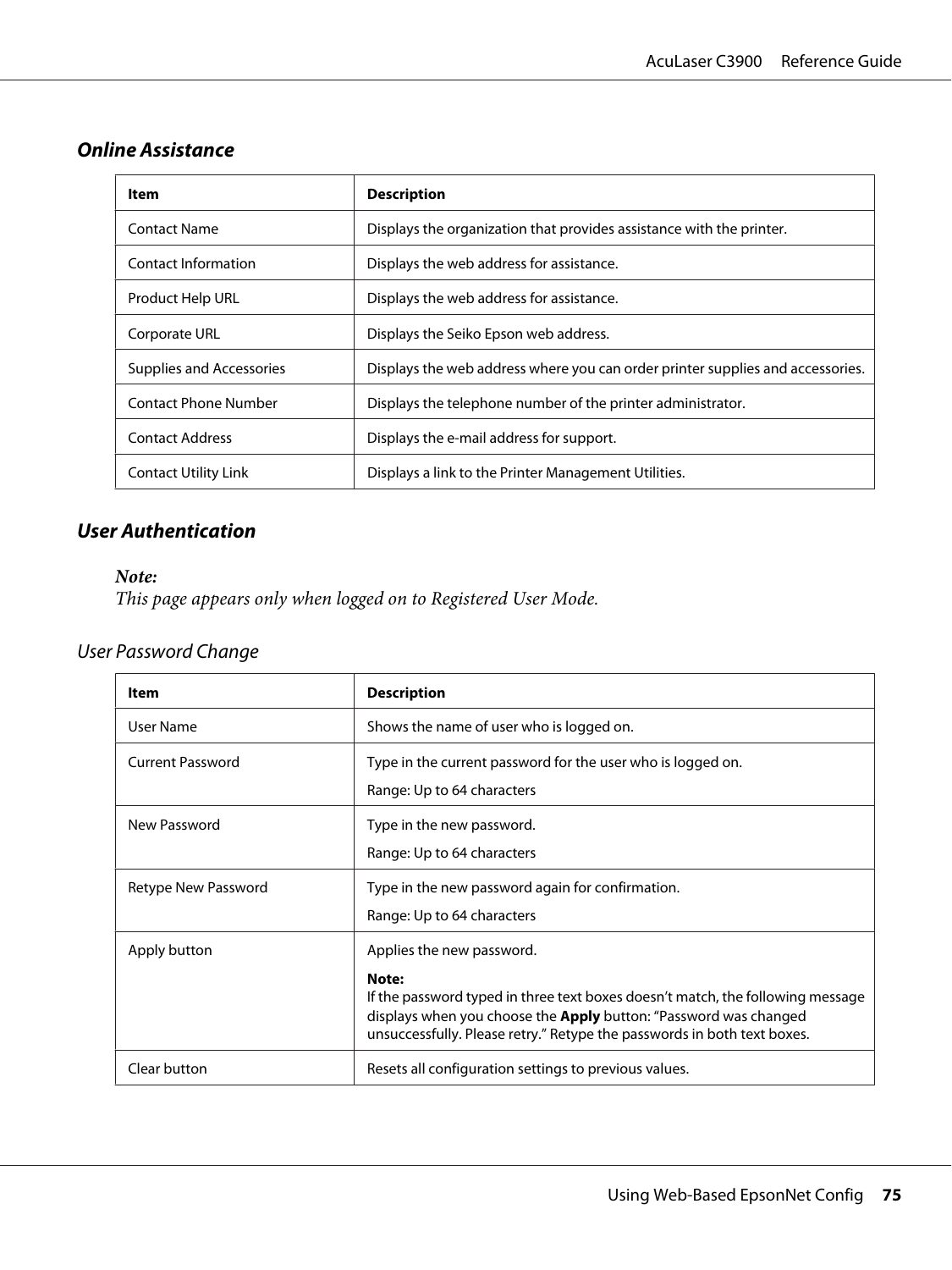### **Online Assistance**

| Item                            | <b>Description</b>                                                             |
|---------------------------------|--------------------------------------------------------------------------------|
| <b>Contact Name</b>             | Displays the organization that provides assistance with the printer.           |
| Contact Information             | Displays the web address for assistance.                                       |
| <b>Product Help URL</b>         | Displays the web address for assistance.                                       |
| Corporate URL                   | Displays the Seiko Epson web address.                                          |
| <b>Supplies and Accessories</b> | Displays the web address where you can order printer supplies and accessories. |
| <b>Contact Phone Number</b>     | Displays the telephone number of the printer administrator.                    |
| <b>Contact Address</b>          | Displays the e-mail address for support.                                       |
| <b>Contact Utility Link</b>     | Displays a link to the Printer Management Utilities.                           |

### **User Authentication**

#### *Note:*

*This page appears only when logged on to Registered User Mode.*

## User Password Change

| Item                    | <b>Description</b>                                                                                                                                                                                                                                                         |
|-------------------------|----------------------------------------------------------------------------------------------------------------------------------------------------------------------------------------------------------------------------------------------------------------------------|
| User Name               | Shows the name of user who is logged on.                                                                                                                                                                                                                                   |
| <b>Current Password</b> | Type in the current password for the user who is logged on.<br>Range: Up to 64 characters                                                                                                                                                                                  |
| New Password            | Type in the new password.<br>Range: Up to 64 characters                                                                                                                                                                                                                    |
| Retype New Password     | Type in the new password again for confirmation.<br>Range: Up to 64 characters                                                                                                                                                                                             |
| Apply button            | Applies the new password.<br>Note:<br>If the password typed in three text boxes doesn't match, the following message<br>displays when you choose the <b>Apply</b> button: "Password was changed<br>unsuccessfully. Please retry." Retype the passwords in both text boxes. |
| Clear button            | Resets all configuration settings to previous values.                                                                                                                                                                                                                      |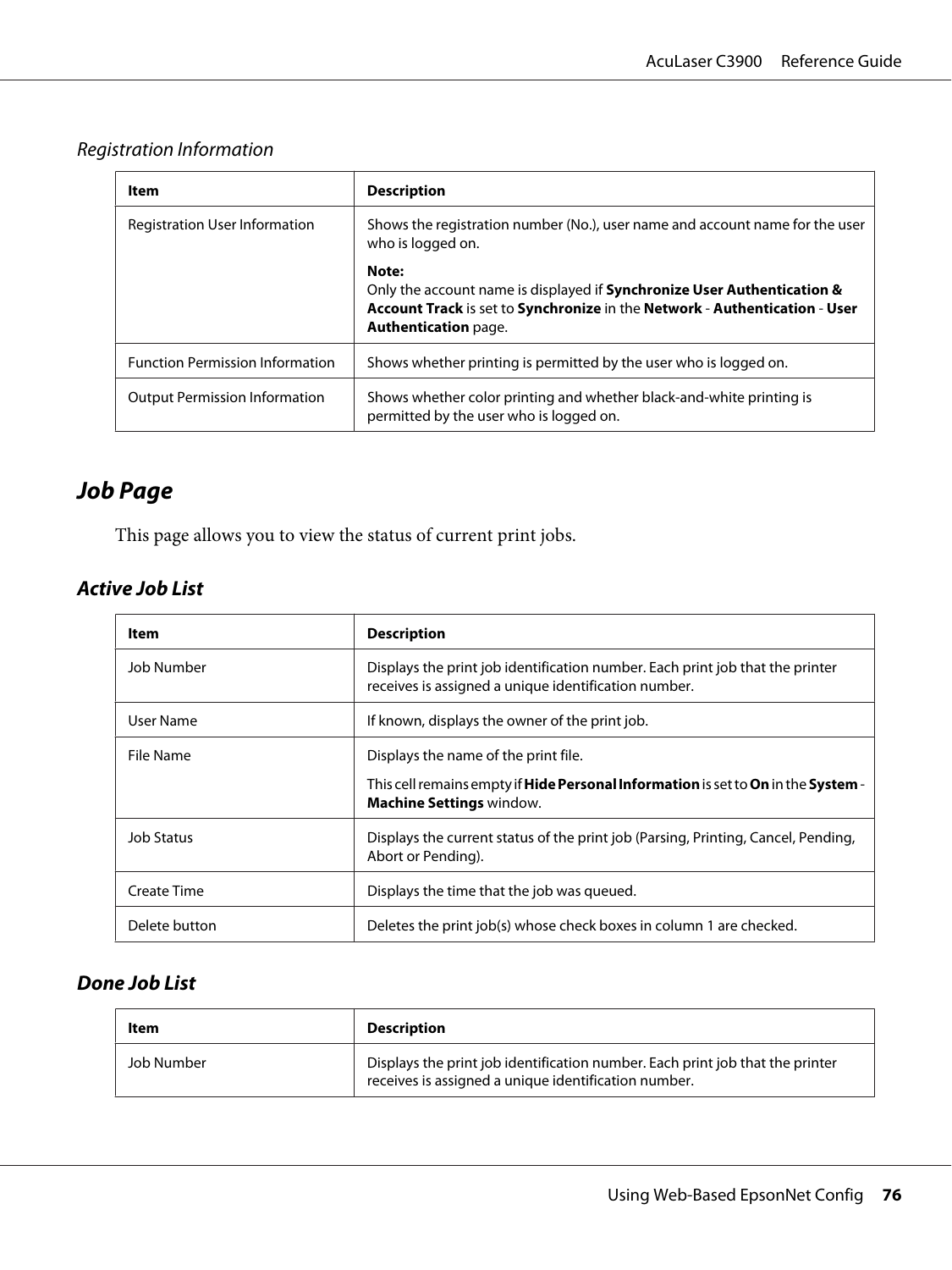#### Registration Information

| Item                                   | <b>Description</b>                                                                                                                                                                                |
|----------------------------------------|---------------------------------------------------------------------------------------------------------------------------------------------------------------------------------------------------|
| <b>Registration User Information</b>   | Shows the registration number (No.), user name and account name for the user<br>who is logged on.                                                                                                 |
|                                        | Note:<br>Only the account name is displayed if <b>Synchronize User Authentication &amp;</b><br>Account Track is set to Synchronize in the Network - Authentication - User<br>Authentication page. |
| <b>Function Permission Information</b> | Shows whether printing is permitted by the user who is logged on.                                                                                                                                 |
| <b>Output Permission Information</b>   | Shows whether color printing and whether black-and-white printing is<br>permitted by the user who is logged on.                                                                                   |

# **Job Page**

This page allows you to view the status of current print jobs.

## **Active Job List**

| ltem          | <b>Description</b>                                                                                                                                                  |
|---------------|---------------------------------------------------------------------------------------------------------------------------------------------------------------------|
| Job Number    | Displays the print job identification number. Each print job that the printer<br>receives is assigned a unique identification number.                               |
| User Name     | If known, displays the owner of the print job.                                                                                                                      |
| File Name     | Displays the name of the print file.<br>This cell remains empty if <b>Hide Personal Information</b> is set to On in the System -<br><b>Machine Settings window.</b> |
| Job Status    | Displays the current status of the print job (Parsing, Printing, Cancel, Pending,<br>Abort or Pending).                                                             |
| Create Time   | Displays the time that the job was queued.                                                                                                                          |
| Delete button | Deletes the print job(s) whose check boxes in column 1 are checked.                                                                                                 |

### **Done Job List**

| Item       | <b>Description</b>                                                                                                                    |
|------------|---------------------------------------------------------------------------------------------------------------------------------------|
| Job Number | Displays the print job identification number. Each print job that the printer<br>receives is assigned a unique identification number. |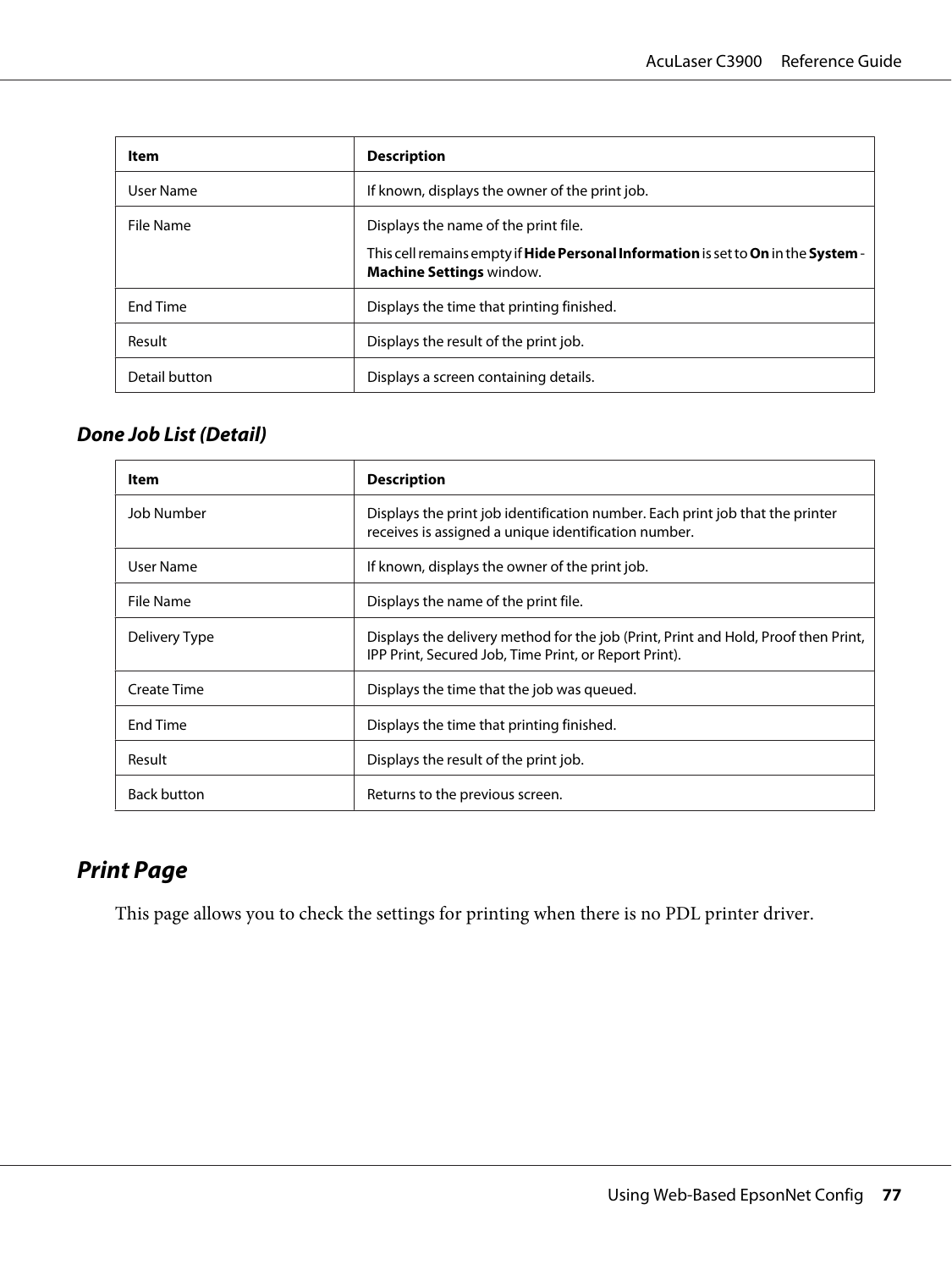| Item            | <b>Description</b>                                                                                                                                           |
|-----------------|--------------------------------------------------------------------------------------------------------------------------------------------------------------|
| User Name       | If known, displays the owner of the print job.                                                                                                               |
| File Name       | Displays the name of the print file.<br>This cell remains empty if Hide Personal Information is set to On in the System -<br><b>Machine Settings window.</b> |
| <b>Fnd Time</b> | Displays the time that printing finished.                                                                                                                    |
| Result          | Displays the result of the print job.                                                                                                                        |
| Detail button   | Displays a screen containing details.                                                                                                                        |

#### **Done Job List (Detail)**

| Item               | <b>Description</b>                                                                                                                          |
|--------------------|---------------------------------------------------------------------------------------------------------------------------------------------|
| Job Number         | Displays the print job identification number. Each print job that the printer<br>receives is assigned a unique identification number.       |
| User Name          | If known, displays the owner of the print job.                                                                                              |
| File Name          | Displays the name of the print file.                                                                                                        |
| Delivery Type      | Displays the delivery method for the job (Print, Print and Hold, Proof then Print,<br>IPP Print, Secured Job, Time Print, or Report Print). |
| Create Time        | Displays the time that the job was queued.                                                                                                  |
| End Time           | Displays the time that printing finished.                                                                                                   |
| Result             | Displays the result of the print job.                                                                                                       |
| <b>Back button</b> | Returns to the previous screen.                                                                                                             |

# **Print Page**

This page allows you to check the settings for printing when there is no PDL printer driver.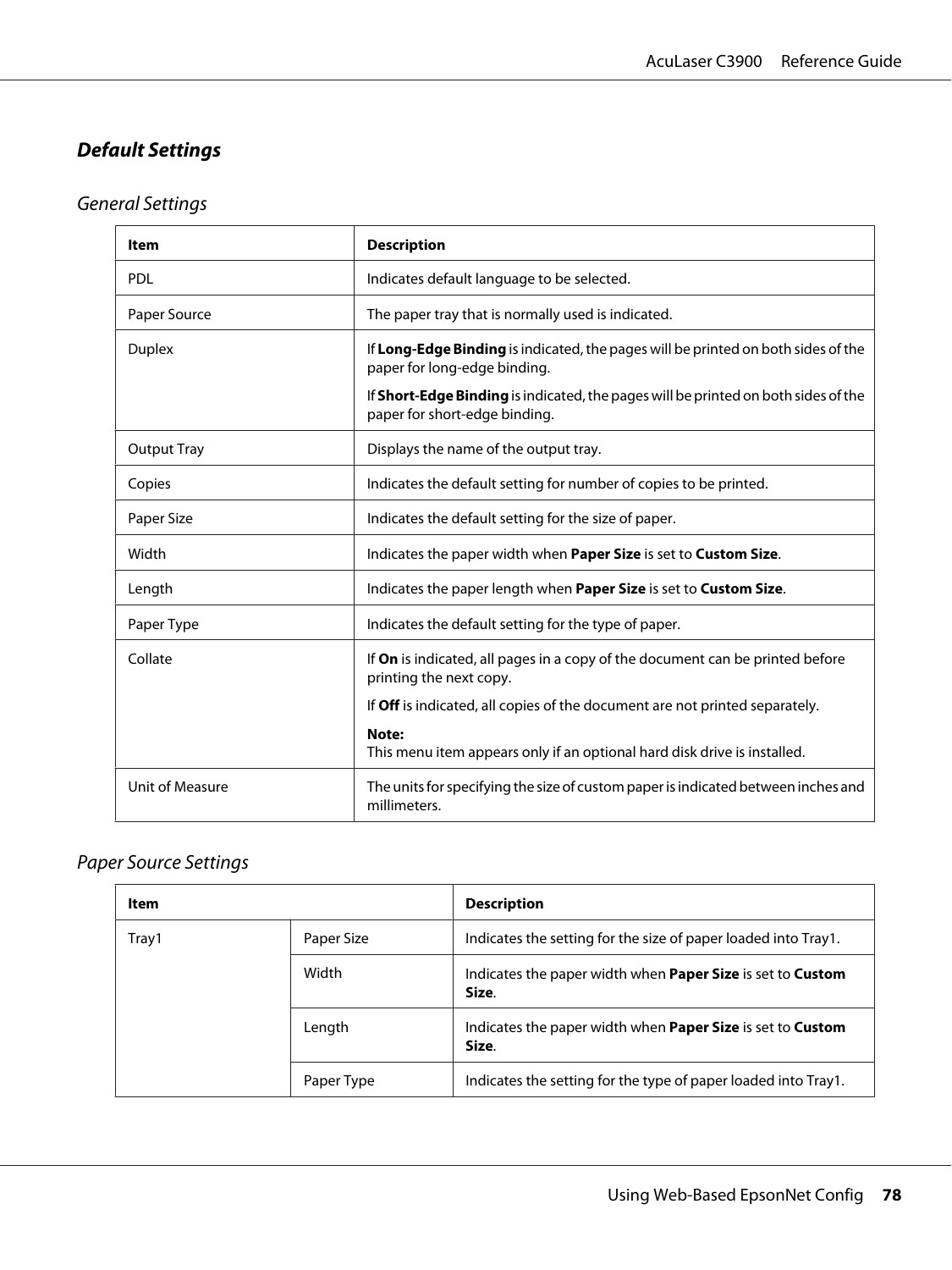### **Default Settings**

## General Settings

| Item               | <b>Description</b>                                                                                                  |  |
|--------------------|---------------------------------------------------------------------------------------------------------------------|--|
| <b>PDL</b>         | Indicates default language to be selected.                                                                          |  |
| Paper Source       | The paper tray that is normally used is indicated.                                                                  |  |
| <b>Duplex</b>      | If Long-Edge Binding is indicated, the pages will be printed on both sides of the<br>paper for long-edge binding.   |  |
|                    | If Short-Edge Binding is indicated, the pages will be printed on both sides of the<br>paper for short-edge binding. |  |
| <b>Output Tray</b> | Displays the name of the output tray.                                                                               |  |
| Copies             | Indicates the default setting for number of copies to be printed.                                                   |  |
| Paper Size         | Indicates the default setting for the size of paper.                                                                |  |
| Width              | Indicates the paper width when Paper Size is set to Custom Size.                                                    |  |
| Length             | Indicates the paper length when <b>Paper Size</b> is set to <b>Custom Size</b> .                                    |  |
| Paper Type         | Indicates the default setting for the type of paper.                                                                |  |
| Collate            | If On is indicated, all pages in a copy of the document can be printed before<br>printing the next copy.            |  |
|                    | If Off is indicated, all copies of the document are not printed separately.                                         |  |
|                    | Note:<br>This menu item appears only if an optional hard disk drive is installed.                                   |  |
| Unit of Measure    | The units for specifying the size of custom paper is indicated between inches and<br>millimeters.                   |  |

#### Paper Source Settings

| Item  |            | <b>Description</b>                                                                |
|-------|------------|-----------------------------------------------------------------------------------|
| Tray1 | Paper Size | Indicates the setting for the size of paper loaded into Tray1.                    |
|       | Width      | Indicates the paper width when <b>Paper Size</b> is set to <b>Custom</b><br>Size. |
|       | Length     | Indicates the paper width when <b>Paper Size</b> is set to <b>Custom</b><br>Size. |
|       | Paper Type | Indicates the setting for the type of paper loaded into Tray1.                    |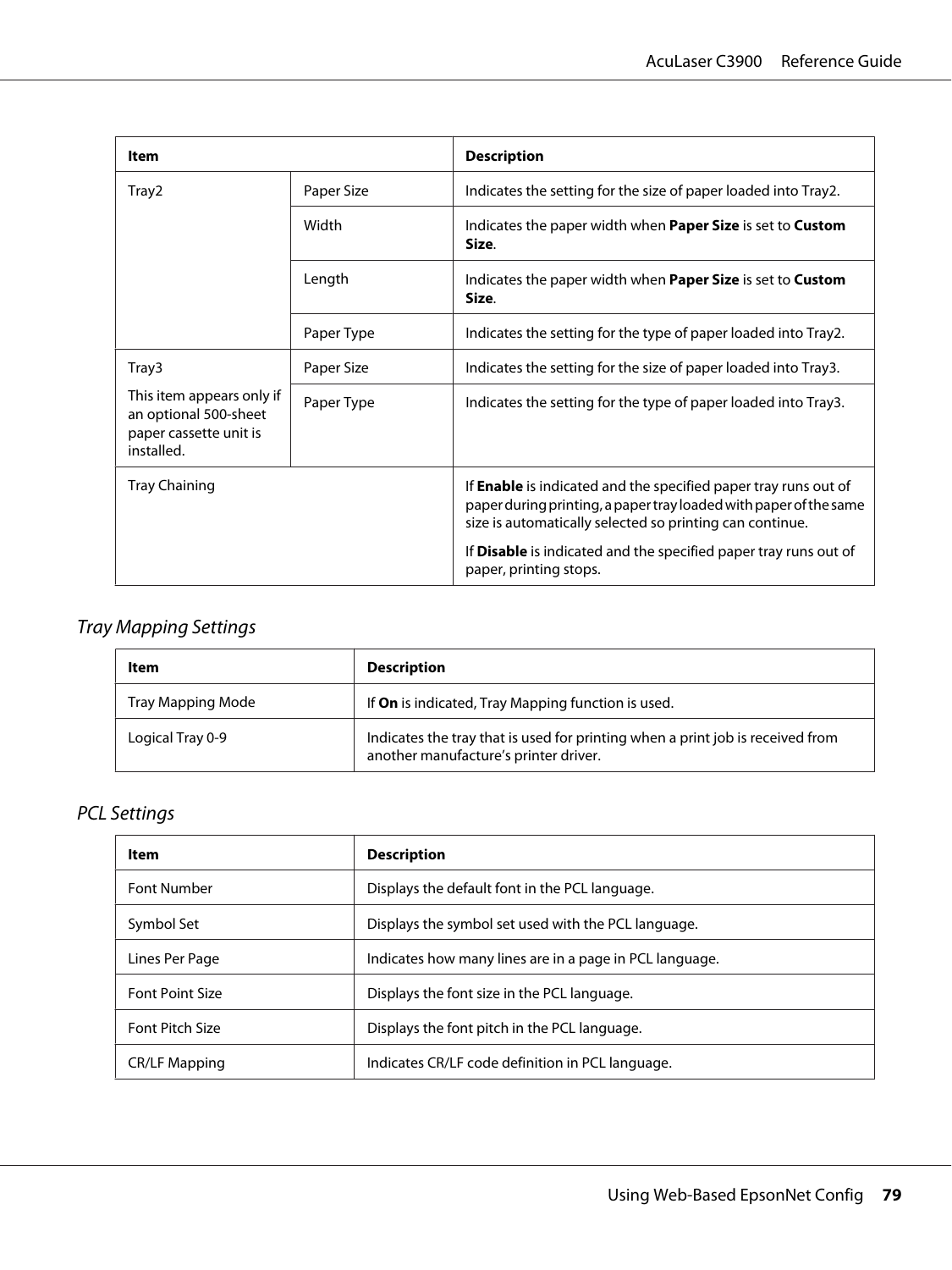| Item                                                                                       |            | <b>Description</b>                                                                                                                                                                                      |
|--------------------------------------------------------------------------------------------|------------|---------------------------------------------------------------------------------------------------------------------------------------------------------------------------------------------------------|
| Tray2                                                                                      | Paper Size | Indicates the setting for the size of paper loaded into Tray2.                                                                                                                                          |
|                                                                                            | Width      | Indicates the paper width when <b>Paper Size</b> is set to <b>Custom</b><br>Size.                                                                                                                       |
|                                                                                            | Length     | Indicates the paper width when <b>Paper Size</b> is set to <b>Custom</b><br>Size.                                                                                                                       |
|                                                                                            | Paper Type | Indicates the setting for the type of paper loaded into Tray2.                                                                                                                                          |
| Tray3                                                                                      | Paper Size | Indicates the setting for the size of paper loaded into Tray3.                                                                                                                                          |
| This item appears only if<br>an optional 500-sheet<br>paper cassette unit is<br>installed. | Paper Type | Indicates the setting for the type of paper loaded into Tray3.                                                                                                                                          |
| Tray Chaining                                                                              |            | If <b>Enable</b> is indicated and the specified paper tray runs out of<br>paper during printing, a paper tray loaded with paper of the same<br>size is automatically selected so printing can continue. |
|                                                                                            |            | If <b>Disable</b> is indicated and the specified paper tray runs out of<br>paper, printing stops.                                                                                                       |

## Tray Mapping Settings

| Item              | <b>Description</b>                                                                                                      |
|-------------------|-------------------------------------------------------------------------------------------------------------------------|
| Tray Mapping Mode | If <b>On</b> is indicated, Tray Mapping function is used.                                                               |
| Logical Tray 0-9  | Indicates the tray that is used for printing when a print job is received from<br>another manufacture's printer driver. |

# PCL Settings

| <b>Item</b>            | <b>Description</b>                                      |
|------------------------|---------------------------------------------------------|
| <b>Font Number</b>     | Displays the default font in the PCL language.          |
| Symbol Set             | Displays the symbol set used with the PCL language.     |
| Lines Per Page         | Indicates how many lines are in a page in PCL language. |
| <b>Font Point Size</b> | Displays the font size in the PCL language.             |
| <b>Font Pitch Size</b> | Displays the font pitch in the PCL language.            |
| <b>CR/LF Mapping</b>   | Indicates CR/LF code definition in PCL language.        |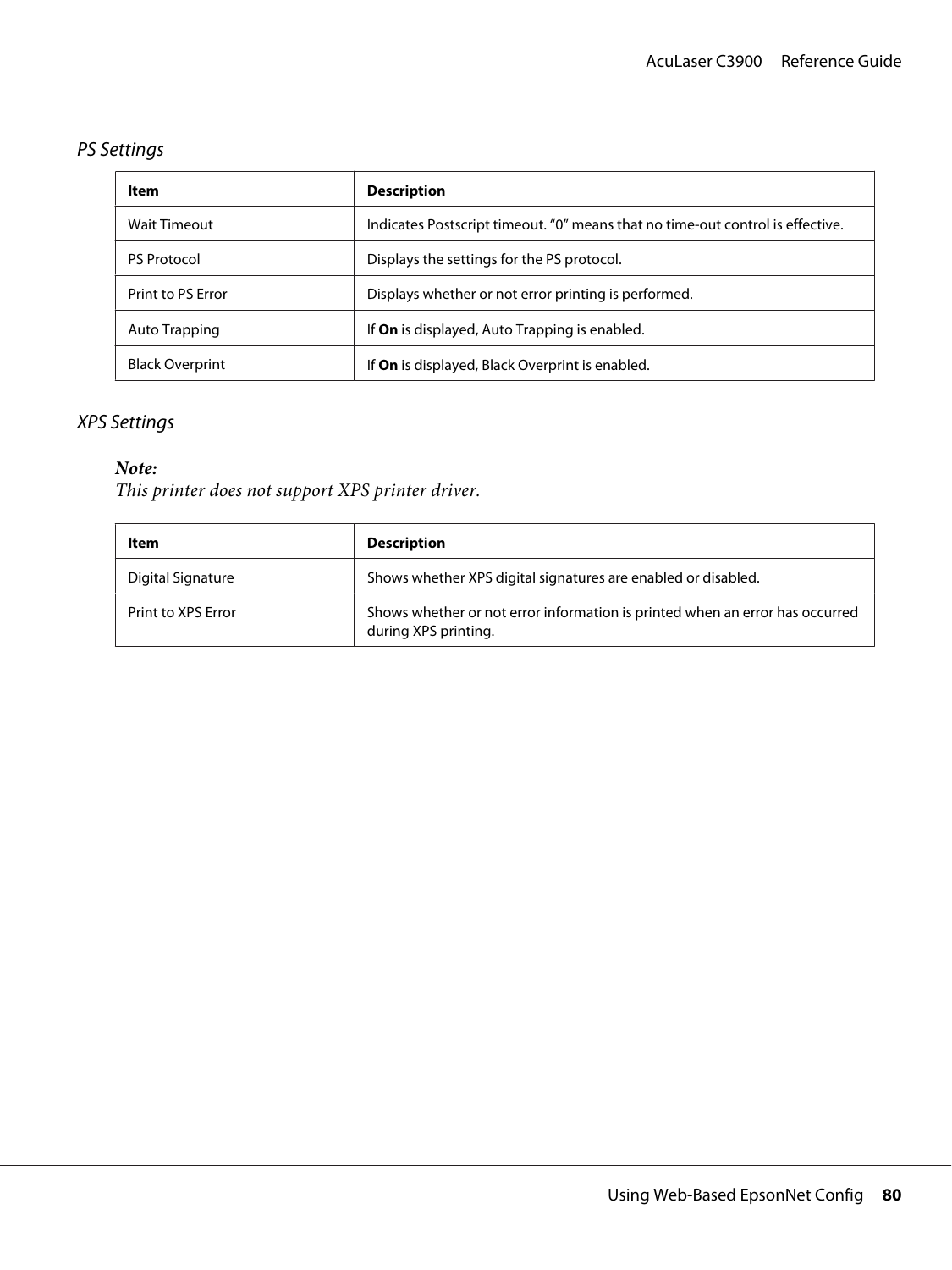## PS Settings

| Item                   | <b>Description</b>                                                             |
|------------------------|--------------------------------------------------------------------------------|
| <b>Wait Timeout</b>    | Indicates Postscript timeout. "0" means that no time-out control is effective. |
| <b>PS</b> Protocol     | Displays the settings for the PS protocol.                                     |
| Print to PS Frror      | Displays whether or not error printing is performed.                           |
| Auto Trapping          | If <b>On</b> is displayed, Auto Trapping is enabled.                           |
| <b>Black Overprint</b> | If <b>On</b> is displayed, Black Overprint is enabled.                         |

#### XPS Settings

#### *Note:*

*This printer does not support XPS printer driver.*

| ltem               | <b>Description</b>                                                                                   |
|--------------------|------------------------------------------------------------------------------------------------------|
| Digital Signature  | Shows whether XPS digital signatures are enabled or disabled.                                        |
| Print to XPS Error | Shows whether or not error information is printed when an error has occurred<br>during XPS printing. |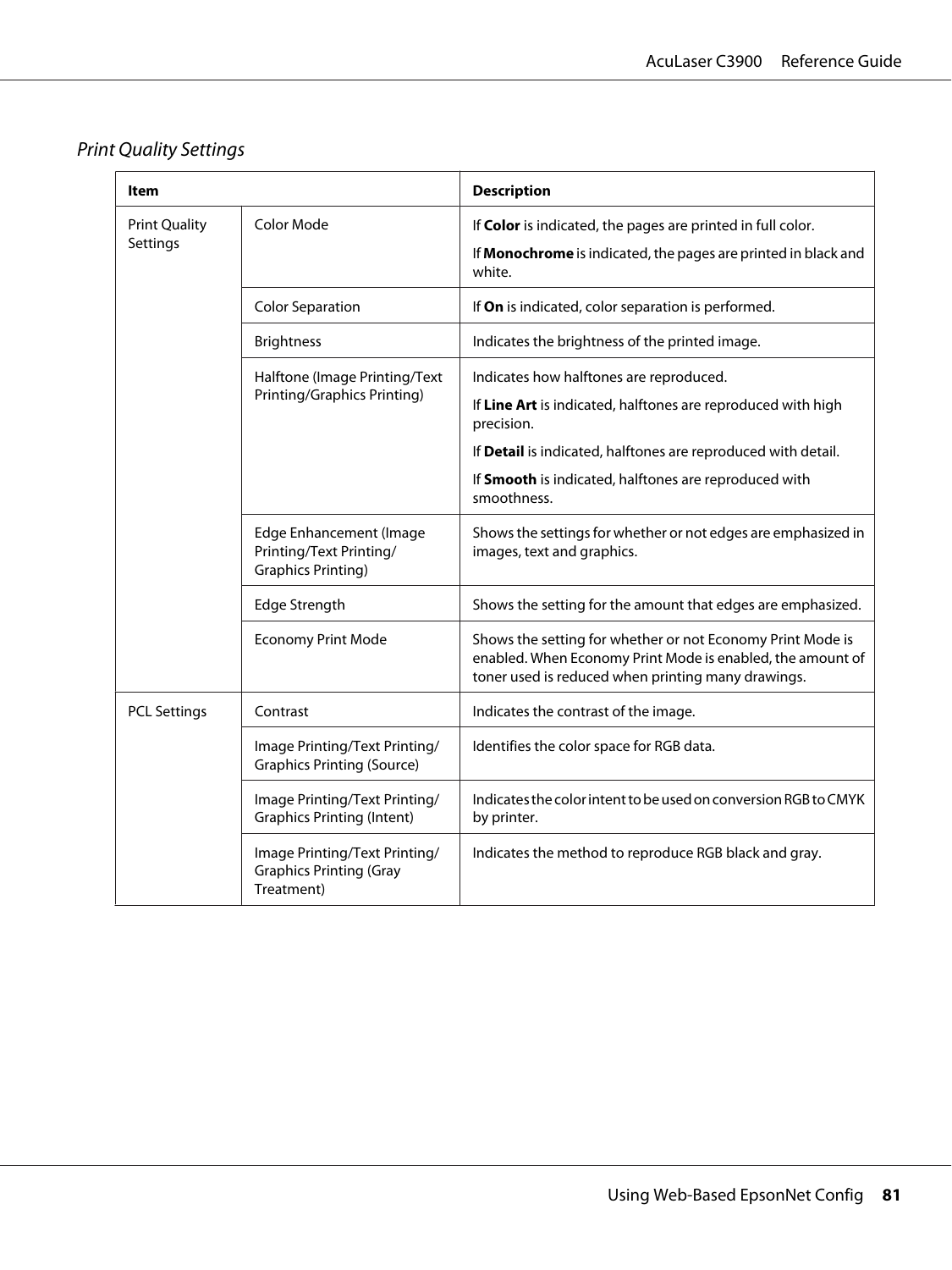# Print Quality Settings

| ltem                             |                                                                                        | <b>Description</b>                                                                                                                                                                     |
|----------------------------------|----------------------------------------------------------------------------------------|----------------------------------------------------------------------------------------------------------------------------------------------------------------------------------------|
| <b>Print Quality</b><br>Settings | Color Mode                                                                             | If Color is indicated, the pages are printed in full color.<br>If Monochrome is indicated, the pages are printed in black and<br>white.                                                |
|                                  | <b>Color Separation</b>                                                                | If On is indicated, color separation is performed.                                                                                                                                     |
|                                  | <b>Brightness</b>                                                                      | Indicates the brightness of the printed image.                                                                                                                                         |
|                                  | Halftone (Image Printing/Text<br><b>Printing/Graphics Printing)</b>                    | Indicates how halftones are reproduced.<br>If Line Art is indicated, halftones are reproduced with high<br>precision.<br>If Detail is indicated, halftones are reproduced with detail. |
|                                  |                                                                                        | If Smooth is indicated, halftones are reproduced with<br>smoothness.                                                                                                                   |
|                                  | <b>Edge Enhancement (Image</b><br>Printing/Text Printing/<br><b>Graphics Printing)</b> | Shows the settings for whether or not edges are emphasized in<br>images, text and graphics.                                                                                            |
|                                  | Edge Strength                                                                          | Shows the setting for the amount that edges are emphasized.                                                                                                                            |
|                                  | <b>Economy Print Mode</b>                                                              | Shows the setting for whether or not Economy Print Mode is<br>enabled. When Economy Print Mode is enabled, the amount of<br>toner used is reduced when printing many drawings.         |
| <b>PCL Settings</b>              | Contrast                                                                               | Indicates the contrast of the image.                                                                                                                                                   |
|                                  | Image Printing/Text Printing/<br><b>Graphics Printing (Source)</b>                     | Identifies the color space for RGB data.                                                                                                                                               |
|                                  | Image Printing/Text Printing/<br><b>Graphics Printing (Intent)</b>                     | Indicates the color intent to be used on conversion RGB to CMYK<br>by printer.                                                                                                         |
|                                  | Image Printing/Text Printing/<br><b>Graphics Printing (Gray</b><br>Treatment)          | Indicates the method to reproduce RGB black and gray.                                                                                                                                  |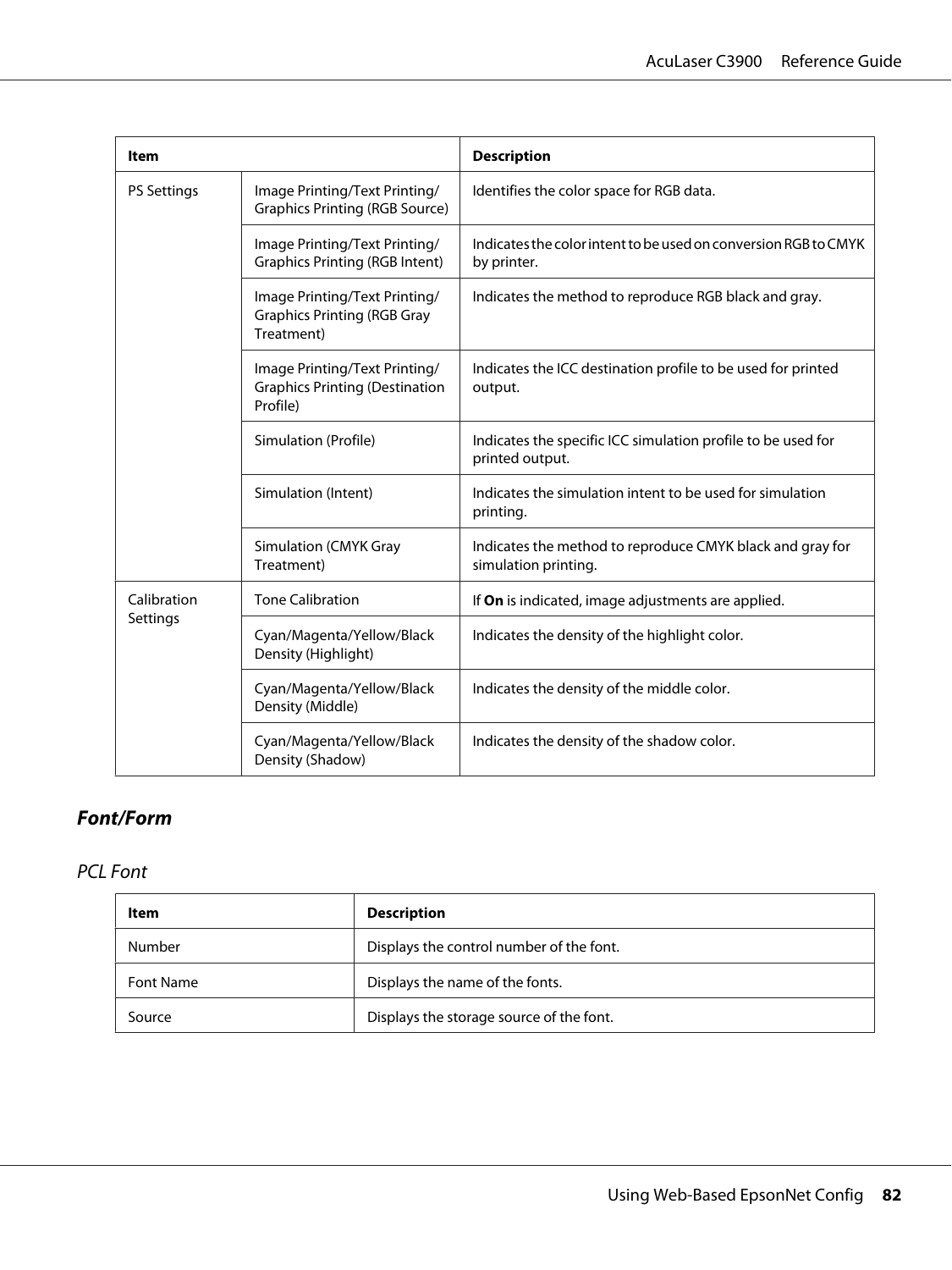| ltem                                                                    |                                                                                    | <b>Description</b>                                                                |
|-------------------------------------------------------------------------|------------------------------------------------------------------------------------|-----------------------------------------------------------------------------------|
| <b>PS Settings</b>                                                      | Image Printing/Text Printing/<br><b>Graphics Printing (RGB Source)</b>             | Identifies the color space for RGB data.                                          |
|                                                                         | Image Printing/Text Printing/<br><b>Graphics Printing (RGB Intent)</b>             | Indicates the color intent to be used on conversion RGB to CMYK<br>by printer.    |
|                                                                         | Image Printing/Text Printing/<br><b>Graphics Printing (RGB Gray</b><br>Treatment)  | Indicates the method to reproduce RGB black and gray.                             |
|                                                                         | Image Printing/Text Printing/<br><b>Graphics Printing (Destination</b><br>Profile) | Indicates the ICC destination profile to be used for printed<br>output.           |
|                                                                         | Simulation (Profile)                                                               | Indicates the specific ICC simulation profile to be used for<br>printed output.   |
|                                                                         | Simulation (Intent)                                                                | Indicates the simulation intent to be used for simulation<br>printing.            |
|                                                                         | Simulation (CMYK Gray<br>Treatment)                                                | Indicates the method to reproduce CMYK black and gray for<br>simulation printing. |
| Calibration                                                             | <b>Tone Calibration</b>                                                            | If On is indicated, image adjustments are applied.                                |
| Settings<br>Density (Highlight)<br>Density (Middle)<br>Density (Shadow) | Cyan/Magenta/Yellow/Black                                                          | Indicates the density of the highlight color.                                     |
|                                                                         | Cyan/Magenta/Yellow/Black                                                          | Indicates the density of the middle color.                                        |
|                                                                         | Cyan/Magenta/Yellow/Black                                                          | Indicates the density of the shadow color.                                        |

## **Font/Form**

### PCL Font

| Item      | <b>Description</b>                       |
|-----------|------------------------------------------|
| Number    | Displays the control number of the font. |
| Font Name | Displays the name of the fonts.          |
| Source    | Displays the storage source of the font. |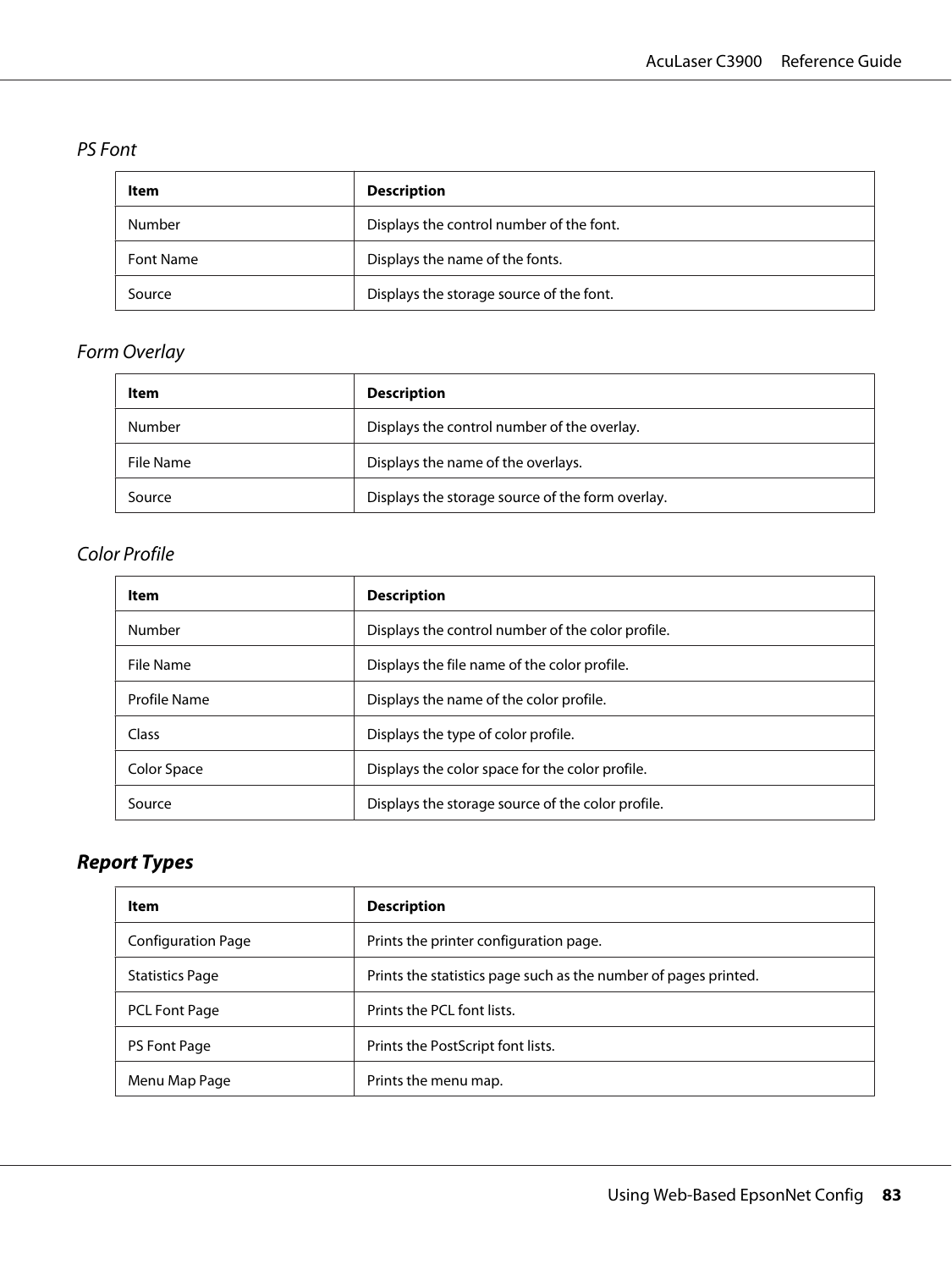### PS Font

| Item      | <b>Description</b>                       |
|-----------|------------------------------------------|
| Number    | Displays the control number of the font. |
| Font Name | Displays the name of the fonts.          |
| Source    | Displays the storage source of the font. |

## Form Overlay

| Item      | <b>Description</b>                               |
|-----------|--------------------------------------------------|
| Number    | Displays the control number of the overlay.      |
| File Name | Displays the name of the overlays.               |
| Source    | Displays the storage source of the form overlay. |

## Color Profile

| Item         | <b>Description</b>                                |  |
|--------------|---------------------------------------------------|--|
| Number       | Displays the control number of the color profile. |  |
| File Name    | Displays the file name of the color profile.      |  |
| Profile Name | Displays the name of the color profile.           |  |
| Class        | Displays the type of color profile.               |  |
| Color Space  | Displays the color space for the color profile.   |  |
| Source       | Displays the storage source of the color profile. |  |

# **Report Types**

| Item                   | <b>Description</b>                                              |  |
|------------------------|-----------------------------------------------------------------|--|
| Configuration Page     | Prints the printer configuration page.                          |  |
| <b>Statistics Page</b> | Prints the statistics page such as the number of pages printed. |  |
| PCL Font Page          | Prints the PCL font lists.                                      |  |
| PS Font Page           | Prints the PostScript font lists.                               |  |
| Menu Map Page          | Prints the menu map.                                            |  |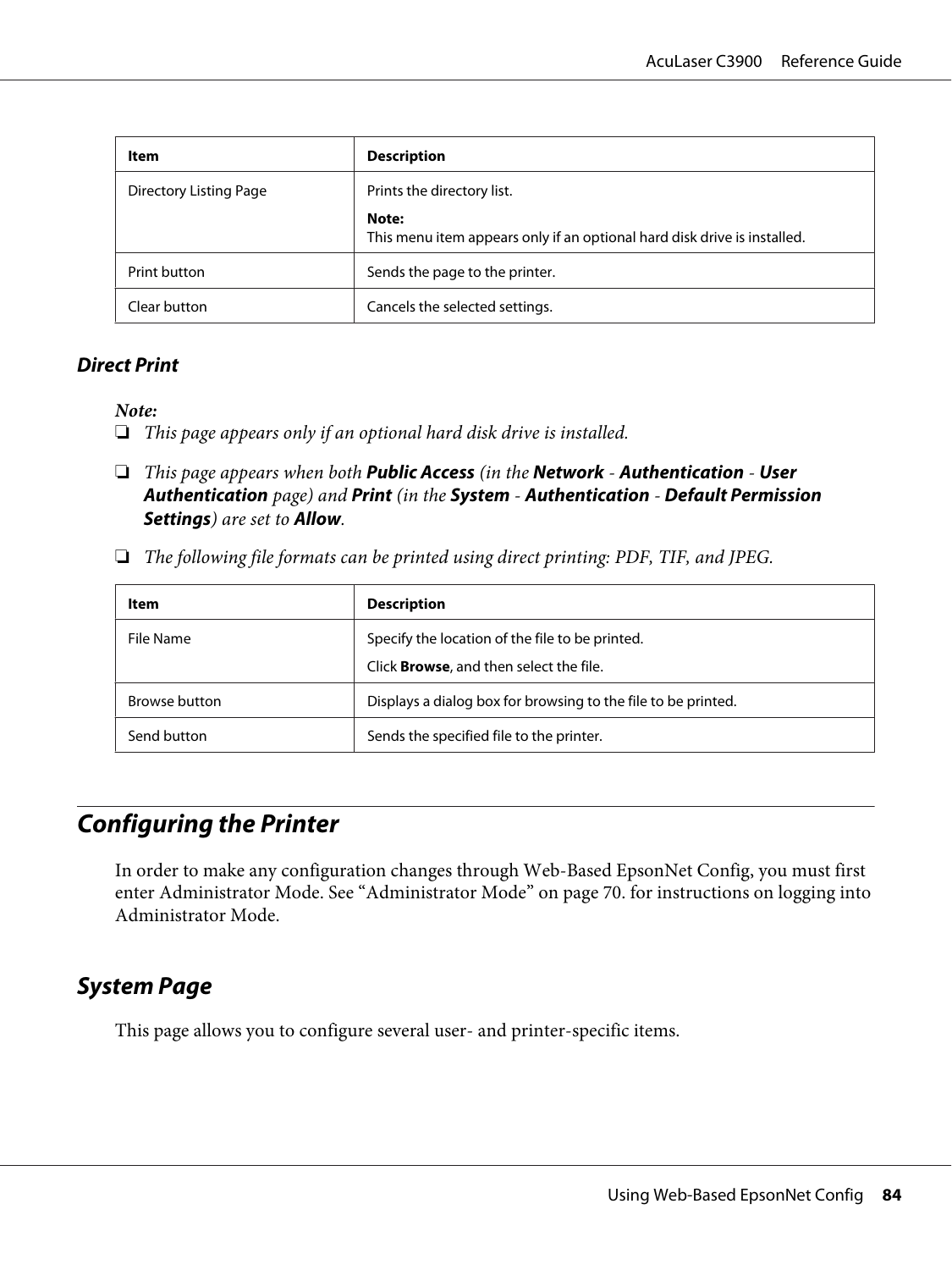| Item                   | <b>Description</b>                                                                |  |
|------------------------|-----------------------------------------------------------------------------------|--|
| Directory Listing Page | Prints the directory list.                                                        |  |
|                        | Note:<br>This menu item appears only if an optional hard disk drive is installed. |  |
| Print button           | Sends the page to the printer.                                                    |  |
| Clear button           | Cancels the selected settings.                                                    |  |

#### **Direct Print**

*Note:*

- ❏ *This page appears only if an optional hard disk drive is installed.*
- ❏ *This page appears when both* **Public Access** *(in the* **Network****Authentication****User Authentication** *page) and* **Print** *(in the* **System** *-* **Authentication** *-* **Default Permission Settings***) are set to* **Allow***.*
- ❏ *The following file formats can be printed using direct printing: PDF, TIF, and JPEG.*

| ltem          | <b>Description</b>                                            |  |
|---------------|---------------------------------------------------------------|--|
| File Name     | Specify the location of the file to be printed.               |  |
|               | Click <b>Browse</b> , and then select the file.               |  |
| Browse button | Displays a dialog box for browsing to the file to be printed. |  |
| Send button   | Sends the specified file to the printer.                      |  |

# **Configuring the Printer**

In order to make any configuration changes through Web-Based EpsonNet Config, you must first enter Administrator Mode. See ["Administrator Mode" on page 70.](#page-69-0) for instructions on logging into Administrator Mode.

## **System Page**

This page allows you to configure several user- and printer-specific items.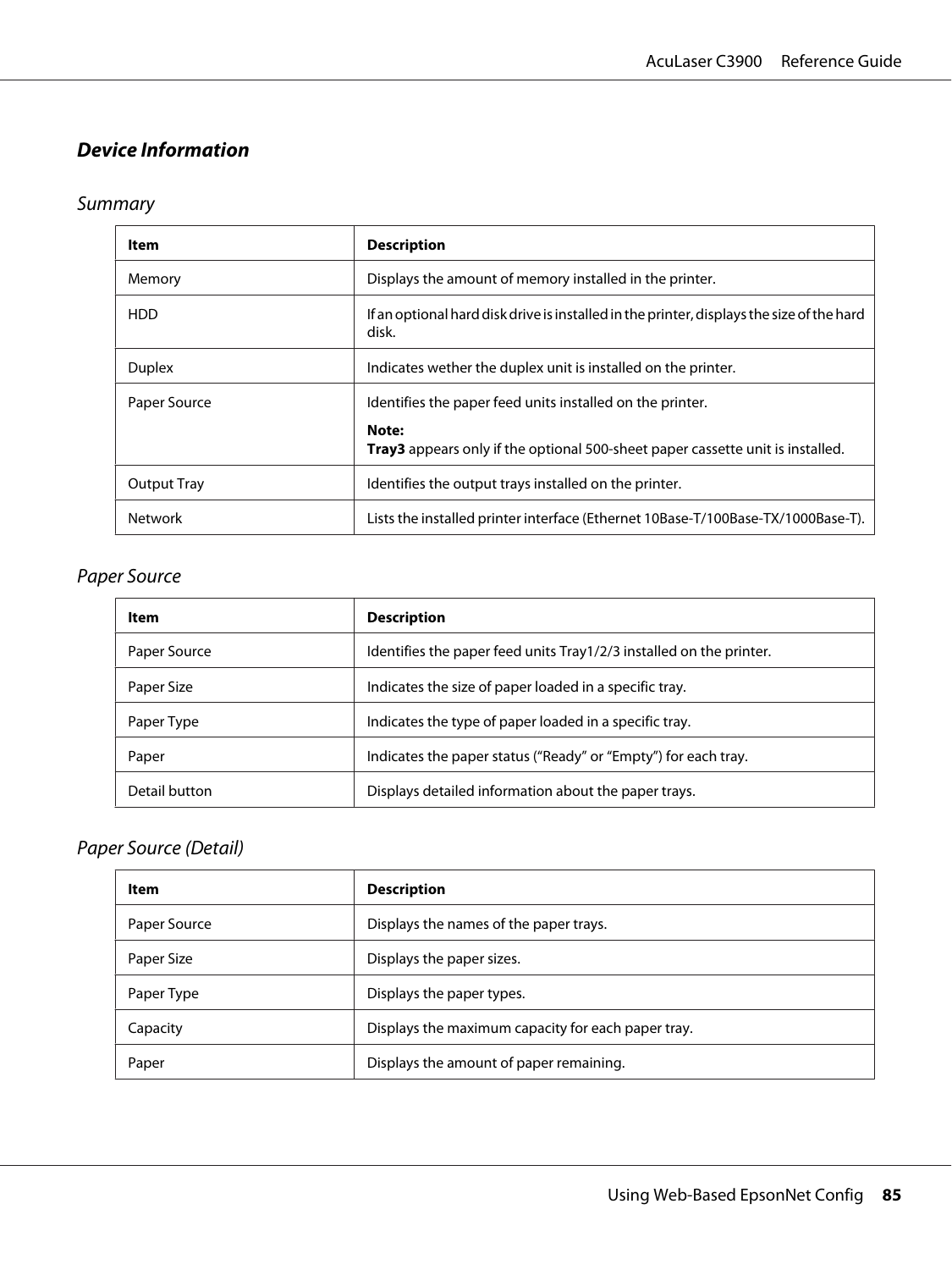## **Device Information**

## Summary

| Item               | <b>Description</b>                                                                                                                                   |  |
|--------------------|------------------------------------------------------------------------------------------------------------------------------------------------------|--|
| Memory             | Displays the amount of memory installed in the printer.                                                                                              |  |
| <b>HDD</b>         | If an optional hard disk drive is installed in the printer, displays the size of the hard<br>disk.                                                   |  |
| <b>Duplex</b>      | Indicates wether the duplex unit is installed on the printer.                                                                                        |  |
| Paper Source       | Identifies the paper feed units installed on the printer.<br>Note:<br>Tray3 appears only if the optional 500-sheet paper cassette unit is installed. |  |
| <b>Output Tray</b> | Identifies the output trays installed on the printer.                                                                                                |  |
| <b>Network</b>     | Lists the installed printer interface (Ethernet 10Base-T/100Base-TX/1000Base-T).                                                                     |  |

#### Paper Source

| ltem          | <b>Description</b>                                                   |  |
|---------------|----------------------------------------------------------------------|--|
| Paper Source  | Identifies the paper feed units Tray 1/2/3 installed on the printer. |  |
| Paper Size    | Indicates the size of paper loaded in a specific tray.               |  |
| Paper Type    | Indicates the type of paper loaded in a specific tray.               |  |
| Paper         | Indicates the paper status ("Ready" or "Empty") for each tray.       |  |
| Detail button | Displays detailed information about the paper trays.                 |  |

#### Paper Source (Detail)

| <b>Item</b>  | <b>Description</b>                                 |  |
|--------------|----------------------------------------------------|--|
| Paper Source | Displays the names of the paper trays.             |  |
| Paper Size   | Displays the paper sizes.                          |  |
| Paper Type   | Displays the paper types.                          |  |
| Capacity     | Displays the maximum capacity for each paper tray. |  |
| Paper        | Displays the amount of paper remaining.            |  |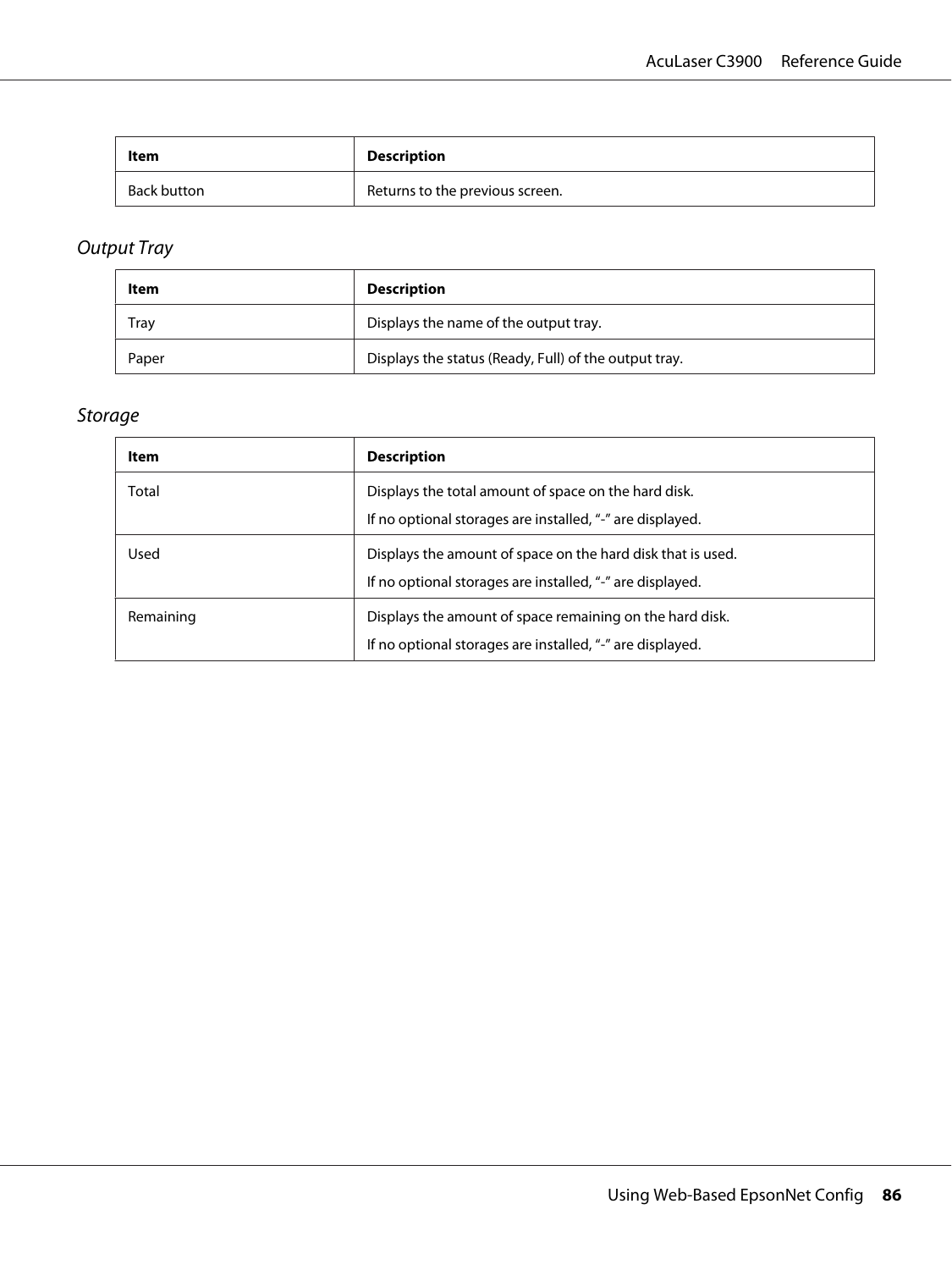| ltem        | <b>Description</b>              |  |
|-------------|---------------------------------|--|
| Back button | Returns to the previous screen. |  |

# Output Tray

| Item  | <b>Description</b>                                    |  |
|-------|-------------------------------------------------------|--|
| Tray  | Displays the name of the output tray.                 |  |
| Paper | Displays the status (Ready, Full) of the output tray. |  |

## Storage

| ltem      | <b>Description</b>                                                                                                       |  |
|-----------|--------------------------------------------------------------------------------------------------------------------------|--|
| Total     | Displays the total amount of space on the hard disk.<br>If no optional storages are installed, "-" are displayed.        |  |
| Used      | Displays the amount of space on the hard disk that is used.<br>If no optional storages are installed, "-" are displayed. |  |
| Remaining | Displays the amount of space remaining on the hard disk.<br>If no optional storages are installed, "-" are displayed.    |  |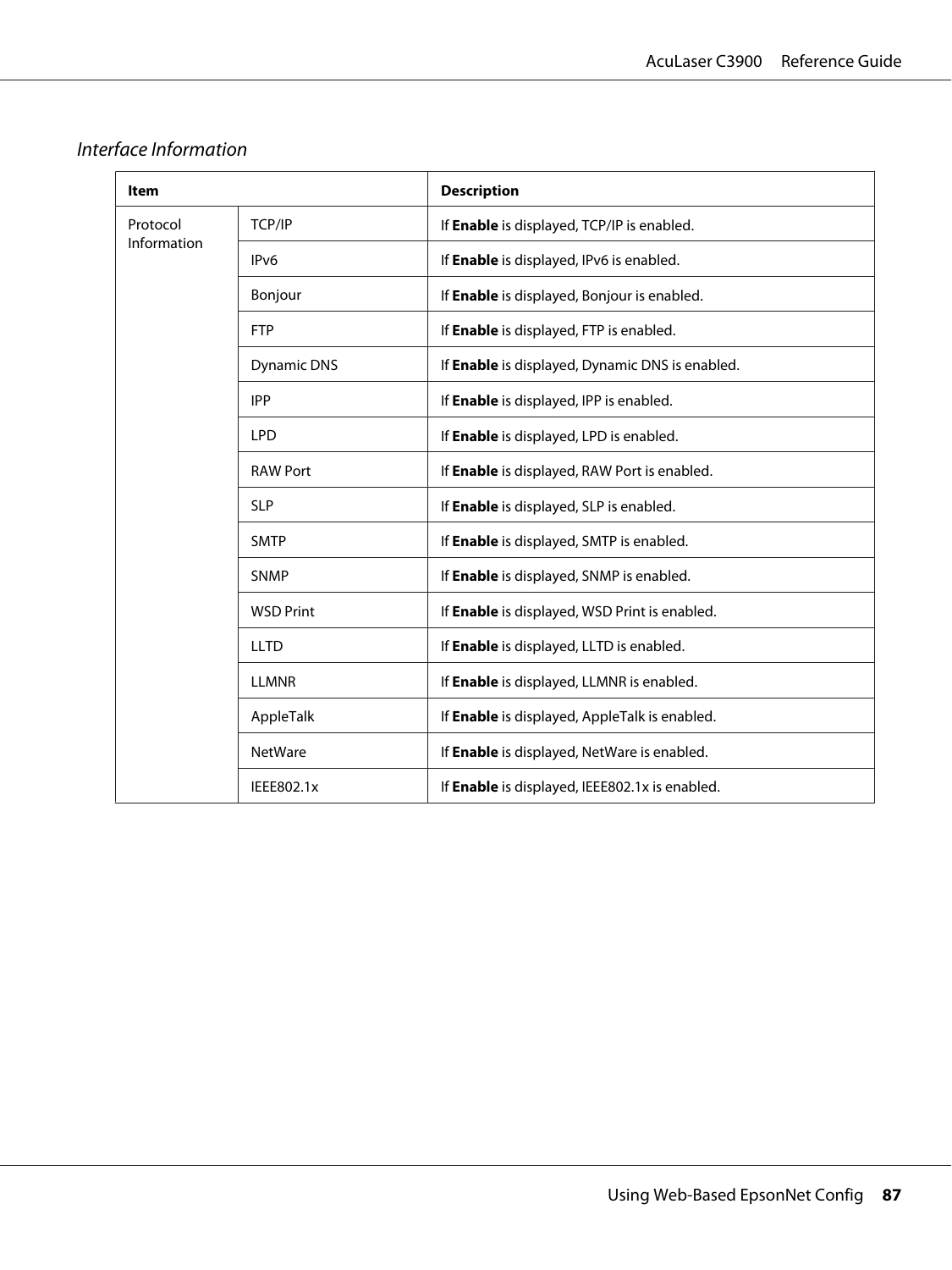| <b>Item</b> |                    | <b>Description</b>                              |
|-------------|--------------------|-------------------------------------------------|
| Protocol    | TCP/IP             | If Enable is displayed, TCP/IP is enabled.      |
| Information | IP <sub>v6</sub>   | If Enable is displayed, IPv6 is enabled.        |
|             | Bonjour            | If Enable is displayed, Bonjour is enabled.     |
|             | <b>FTP</b>         | If Enable is displayed, FTP is enabled.         |
|             | <b>Dynamic DNS</b> | If Enable is displayed, Dynamic DNS is enabled. |
|             | <b>IPP</b>         | If Enable is displayed, IPP is enabled.         |
|             | <b>LPD</b>         | If Enable is displayed, LPD is enabled.         |
|             | <b>RAW Port</b>    | If Enable is displayed, RAW Port is enabled.    |
|             | <b>SLP</b>         | If Enable is displayed, SLP is enabled.         |
|             | <b>SMTP</b>        | If Enable is displayed, SMTP is enabled.        |
|             | <b>SNMP</b>        | If Enable is displayed, SNMP is enabled.        |
|             | <b>WSD Print</b>   | If Enable is displayed, WSD Print is enabled.   |
|             | <b>LLTD</b>        | If Enable is displayed, LLTD is enabled.        |
|             | <b>LLMNR</b>       | If Enable is displayed, LLMNR is enabled.       |
|             | AppleTalk          | If Enable is displayed, AppleTalk is enabled.   |
|             | <b>NetWare</b>     | If Enable is displayed, NetWare is enabled.     |
|             | IEEE802.1x         | If Enable is displayed, IEEE802.1x is enabled.  |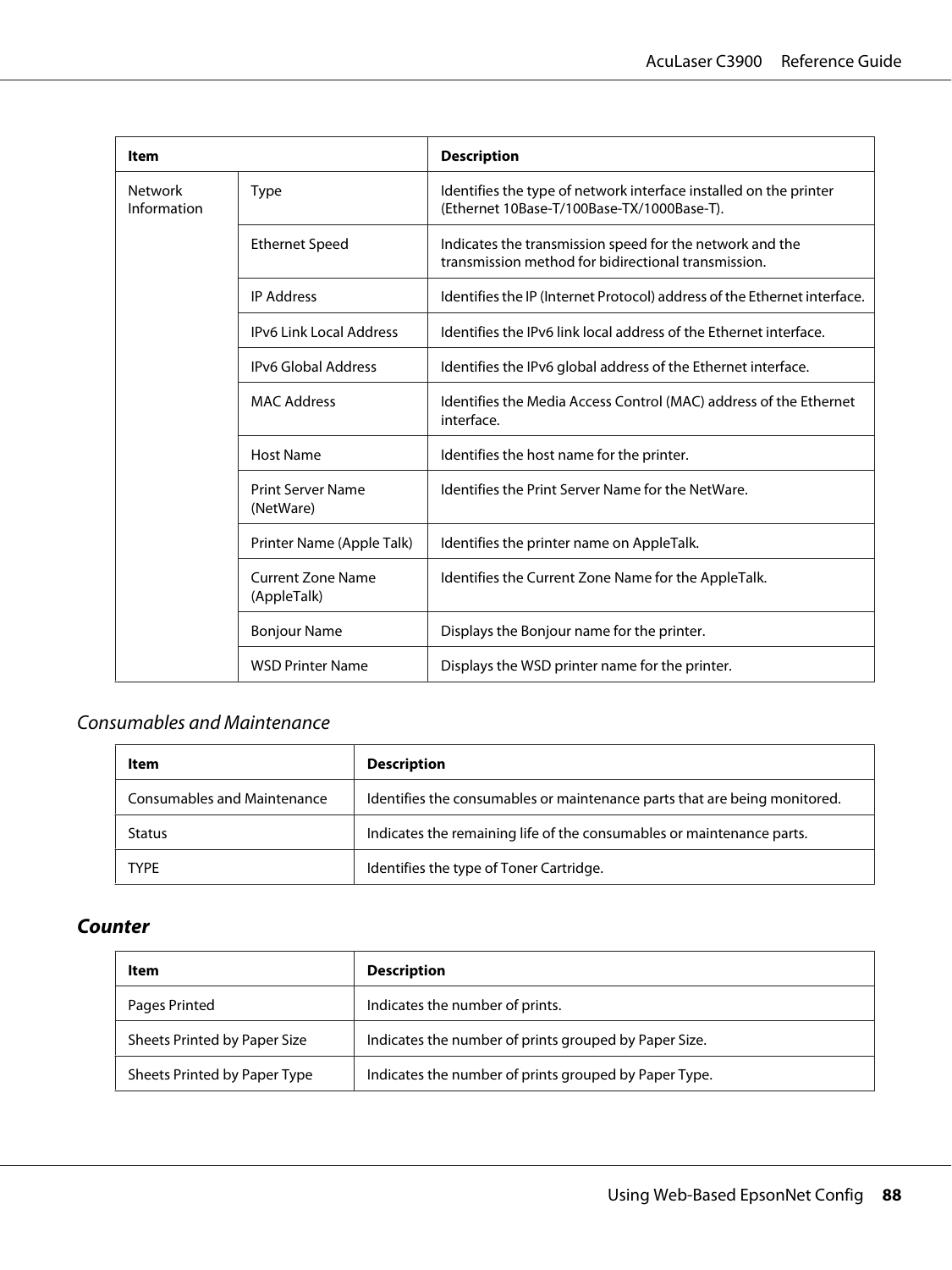| Item                          |                                         | <b>Description</b>                                                                                              |
|-------------------------------|-----------------------------------------|-----------------------------------------------------------------------------------------------------------------|
| <b>Network</b><br>Information | <b>Type</b>                             | Identifies the type of network interface installed on the printer<br>(Ethernet 10Base-T/100Base-TX/1000Base-T). |
|                               | <b>Ethernet Speed</b>                   | Indicates the transmission speed for the network and the<br>transmission method for bidirectional transmission. |
|                               | <b>IP Address</b>                       | Identifies the IP (Internet Protocol) address of the Ethernet interface.                                        |
|                               | <b>IPv6 Link Local Address</b>          | Identifies the IPv6 link local address of the Ethernet interface.                                               |
|                               | <b>IPv6 Global Address</b>              | Identifies the IPv6 global address of the Ethernet interface.                                                   |
|                               | <b>MAC Address</b>                      | Identifies the Media Access Control (MAC) address of the Ethernet<br>interface.                                 |
| <b>Host Name</b>              |                                         | Identifies the host name for the printer.                                                                       |
|                               | Print Server Name<br>(NetWare)          | Identifies the Print Server Name for the NetWare.                                                               |
|                               | Printer Name (Apple Talk)               | Identifies the printer name on AppleTalk.                                                                       |
|                               | <b>Current Zone Name</b><br>(AppleTalk) | Identifies the Current Zone Name for the AppleTalk.                                                             |
|                               | <b>Bonjour Name</b>                     | Displays the Bonjour name for the printer.                                                                      |
|                               | <b>WSD Printer Name</b>                 | Displays the WSD printer name for the printer.                                                                  |

## Consumables and Maintenance

| Item                        | <b>Description</b>                                                        |
|-----------------------------|---------------------------------------------------------------------------|
| Consumables and Maintenance | Identifies the consumables or maintenance parts that are being monitored. |
| <b>Status</b>               | Indicates the remaining life of the consumables or maintenance parts.     |
| <b>TYPF</b>                 | Identifies the type of Toner Cartridge.                                   |

### **Counter**

| Item                         | <b>Description</b>                                    |
|------------------------------|-------------------------------------------------------|
| Pages Printed                | Indicates the number of prints.                       |
| Sheets Printed by Paper Size | Indicates the number of prints grouped by Paper Size. |
| Sheets Printed by Paper Type | Indicates the number of prints grouped by Paper Type. |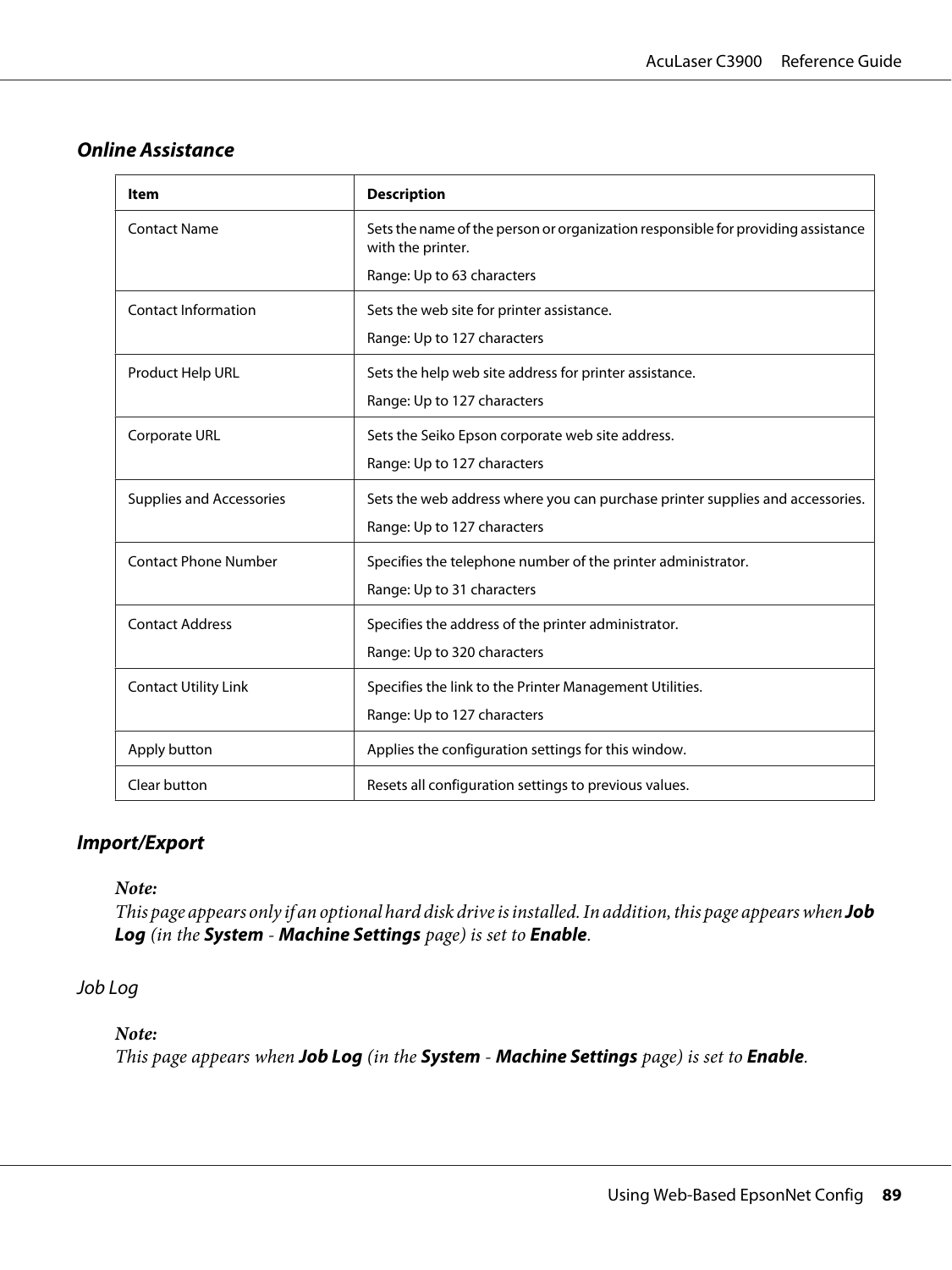#### **Online Assistance**

| ltem                            | <b>Description</b>                                                                                    |
|---------------------------------|-------------------------------------------------------------------------------------------------------|
| <b>Contact Name</b>             | Sets the name of the person or organization responsible for providing assistance<br>with the printer. |
|                                 | Range: Up to 63 characters                                                                            |
| <b>Contact Information</b>      | Sets the web site for printer assistance.                                                             |
|                                 | Range: Up to 127 characters                                                                           |
| Product Help URL                | Sets the help web site address for printer assistance.                                                |
|                                 | Range: Up to 127 characters                                                                           |
| Corporate URL                   | Sets the Seiko Epson corporate web site address.                                                      |
|                                 | Range: Up to 127 characters                                                                           |
| <b>Supplies and Accessories</b> | Sets the web address where you can purchase printer supplies and accessories.                         |
|                                 | Range: Up to 127 characters                                                                           |
| <b>Contact Phone Number</b>     | Specifies the telephone number of the printer administrator.                                          |
|                                 | Range: Up to 31 characters                                                                            |
| <b>Contact Address</b>          | Specifies the address of the printer administrator.                                                   |
|                                 | Range: Up to 320 characters                                                                           |
| <b>Contact Utility Link</b>     | Specifies the link to the Printer Management Utilities.                                               |
|                                 | Range: Up to 127 characters                                                                           |
| Apply button                    | Applies the configuration settings for this window.                                                   |
| Clear button                    | Resets all configuration settings to previous values.                                                 |

#### **Import/Export**

#### *Note:*

*This page appears only if an optional hard disk drive is installed. In addition, this page appears when Job* **Log** *(in the* **System** *-* **Machine Settings** *page) is set to* **Enable***.*

#### Job Log

#### *Note:*

*This page appears when* **Job Log** *(in the* **System** *-* **Machine Settings** *page) is set to* **Enable***.*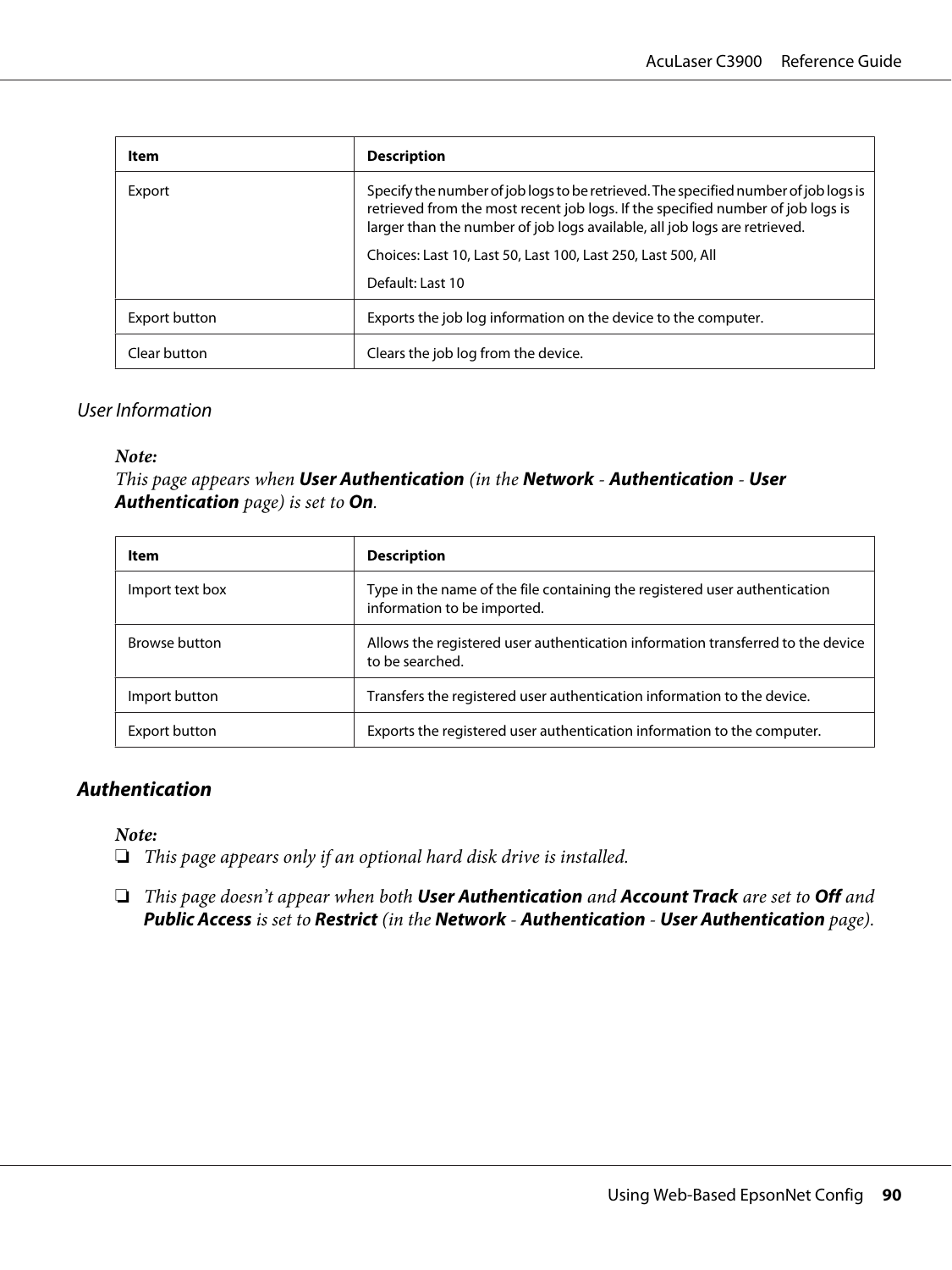| Item          | <b>Description</b>                                                                                                                                                                                                                                  |
|---------------|-----------------------------------------------------------------------------------------------------------------------------------------------------------------------------------------------------------------------------------------------------|
| Export        | Specify the number of job logs to be retrieved. The specified number of job logs is<br>retrieved from the most recent job logs. If the specified number of job logs is<br>larger than the number of job logs available, all job logs are retrieved. |
|               | Choices: Last 10, Last 50, Last 100, Last 250, Last 500, All                                                                                                                                                                                        |
|               | Default: Last 10                                                                                                                                                                                                                                    |
| Export button | Exports the job log information on the device to the computer.                                                                                                                                                                                      |
| Clear button  | Clears the job log from the device.                                                                                                                                                                                                                 |

#### User Information

#### *Note:*

*This page appears when* **User Authentication** *(in the* **Network** *-* **Authentication** *-* **User Authentication** *page) is set to* **On***.*

| Item                 | <b>Description</b>                                                                                        |
|----------------------|-----------------------------------------------------------------------------------------------------------|
| Import text box      | Type in the name of the file containing the registered user authentication<br>information to be imported. |
| <b>Browse button</b> | Allows the registered user authentication information transferred to the device<br>to be searched.        |
| Import button        | Transfers the registered user authentication information to the device.                                   |
| Export button        | Exports the registered user authentication information to the computer.                                   |

#### **Authentication**

*Note:*

- ❏ *This page appears only if an optional hard disk drive is installed.*
- ❏ *This page doesn't appear when both* **User Authentication** *and* **Account Track** *are set to* **Off** *and* **Public Access** *is set to* **Restrict** *(in the* **Network** *-* **Authentication** *-* **User Authentication** *page).*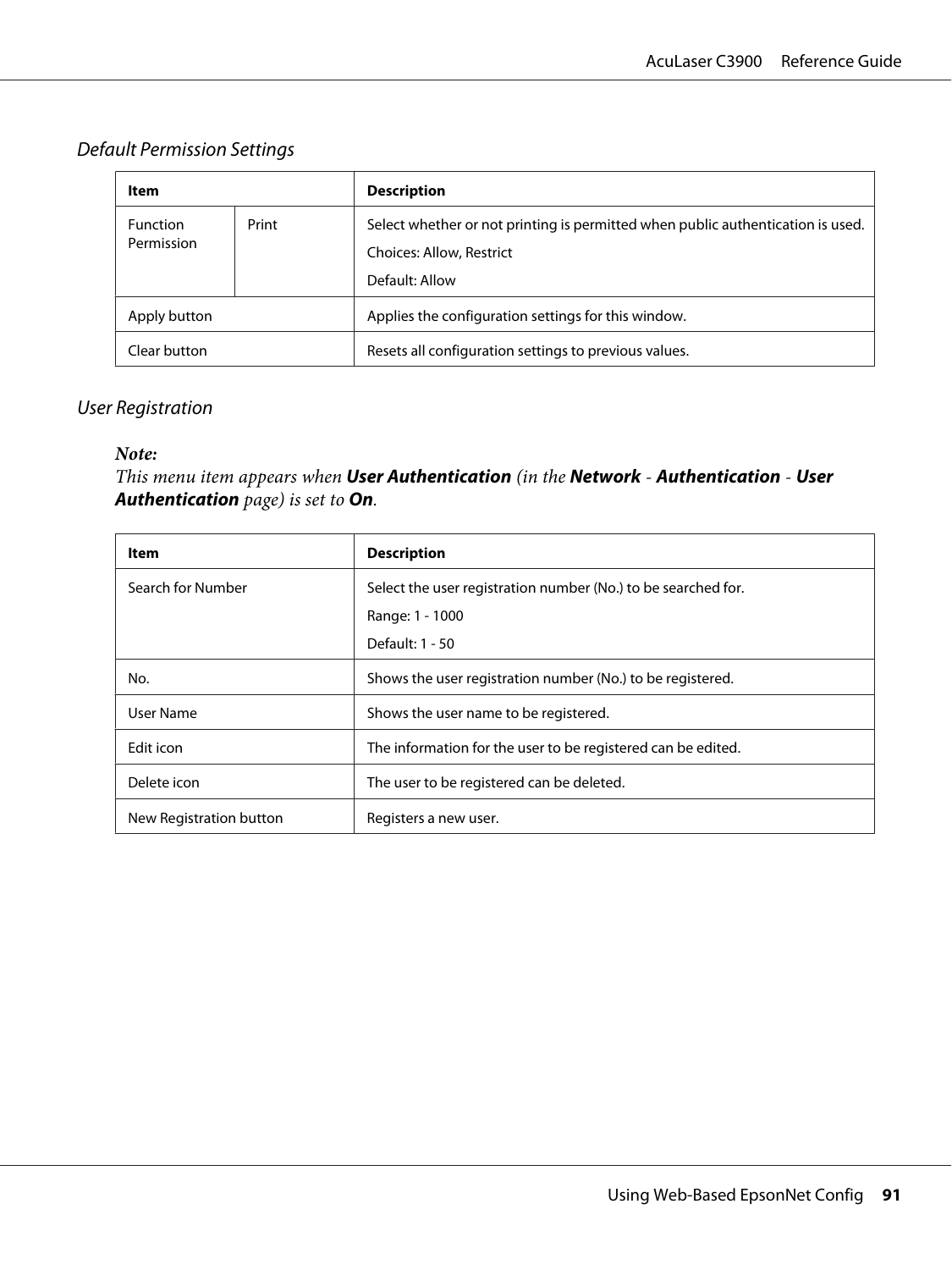#### Default Permission Settings

| Item                          |       | <b>Description</b>                                                                                                            |
|-------------------------------|-------|-------------------------------------------------------------------------------------------------------------------------------|
| <b>Function</b><br>Permission | Print | Select whether or not printing is permitted when public authentication is used.<br>Choices: Allow, Restrict<br>Default: Allow |
| Apply button                  |       | Applies the configuration settings for this window.                                                                           |
| Clear button                  |       | Resets all configuration settings to previous values.                                                                         |

#### User Registration

#### *Note:*

*This menu item appears when* **User Authentication** *(in the* **Network** *-* **Authentication** *-* **User Authentication** *page) is set to* **On***.*

| Item                    | <b>Description</b>                                            |
|-------------------------|---------------------------------------------------------------|
| Search for Number       | Select the user registration number (No.) to be searched for. |
|                         | Range: 1 - 1000                                               |
|                         | Default: 1 - 50                                               |
| No.                     | Shows the user registration number (No.) to be registered.    |
| User Name               | Shows the user name to be registered.                         |
| Edit icon               | The information for the user to be registered can be edited.  |
| Delete icon             | The user to be registered can be deleted.                     |
| New Registration button | Registers a new user.                                         |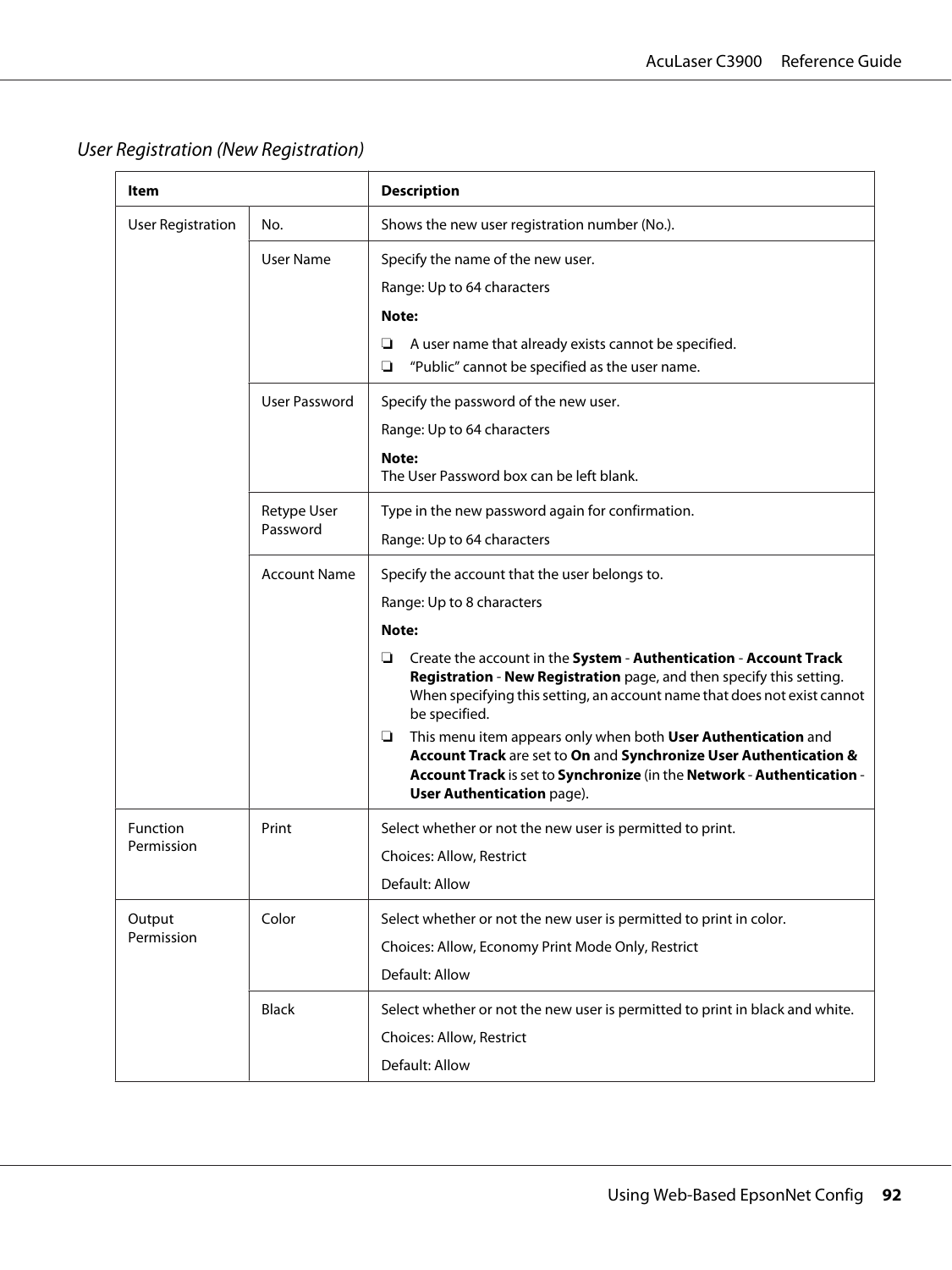| Item                     |                         | <b>Description</b>                                                                                                                                                                                                                              |
|--------------------------|-------------------------|-------------------------------------------------------------------------------------------------------------------------------------------------------------------------------------------------------------------------------------------------|
| <b>User Registration</b> | No.                     | Shows the new user registration number (No.).                                                                                                                                                                                                   |
|                          | User Name               | Specify the name of the new user.                                                                                                                                                                                                               |
|                          |                         | Range: Up to 64 characters                                                                                                                                                                                                                      |
|                          |                         | Note:                                                                                                                                                                                                                                           |
|                          |                         | A user name that already exists cannot be specified.<br>❏                                                                                                                                                                                       |
|                          |                         | "Public" cannot be specified as the user name.<br>❏                                                                                                                                                                                             |
|                          | User Password           | Specify the password of the new user.                                                                                                                                                                                                           |
|                          |                         | Range: Up to 64 characters                                                                                                                                                                                                                      |
|                          |                         | Note:                                                                                                                                                                                                                                           |
|                          |                         | The User Password box can be left blank.                                                                                                                                                                                                        |
|                          | Retype User<br>Password | Type in the new password again for confirmation.                                                                                                                                                                                                |
|                          |                         | Range: Up to 64 characters                                                                                                                                                                                                                      |
|                          | <b>Account Name</b>     | Specify the account that the user belongs to.                                                                                                                                                                                                   |
|                          |                         | Range: Up to 8 characters                                                                                                                                                                                                                       |
|                          |                         | Note:                                                                                                                                                                                                                                           |
|                          |                         | Create the account in the System - Authentication - Account Track<br>❏<br>Registration - New Registration page, and then specify this setting.<br>When specifying this setting, an account name that does not exist cannot<br>be specified.     |
|                          |                         | This menu item appears only when both User Authentication and<br>□<br>Account Track are set to On and Synchronize User Authentication &<br>Account Track is set to Synchronize (in the Network - Authentication -<br>User Authentication page). |
| Function                 | Print                   | Select whether or not the new user is permitted to print.                                                                                                                                                                                       |
| Permission               |                         | Choices: Allow, Restrict                                                                                                                                                                                                                        |
|                          |                         | Default: Allow                                                                                                                                                                                                                                  |
| Output<br>Permission     | Color                   | Select whether or not the new user is permitted to print in color.                                                                                                                                                                              |
|                          |                         | Choices: Allow, Economy Print Mode Only, Restrict                                                                                                                                                                                               |
|                          |                         | Default: Allow                                                                                                                                                                                                                                  |
|                          | <b>Black</b>            | Select whether or not the new user is permitted to print in black and white.                                                                                                                                                                    |
|                          |                         | Choices: Allow, Restrict                                                                                                                                                                                                                        |
|                          |                         | Default: Allow                                                                                                                                                                                                                                  |

## User Registration (New Registration)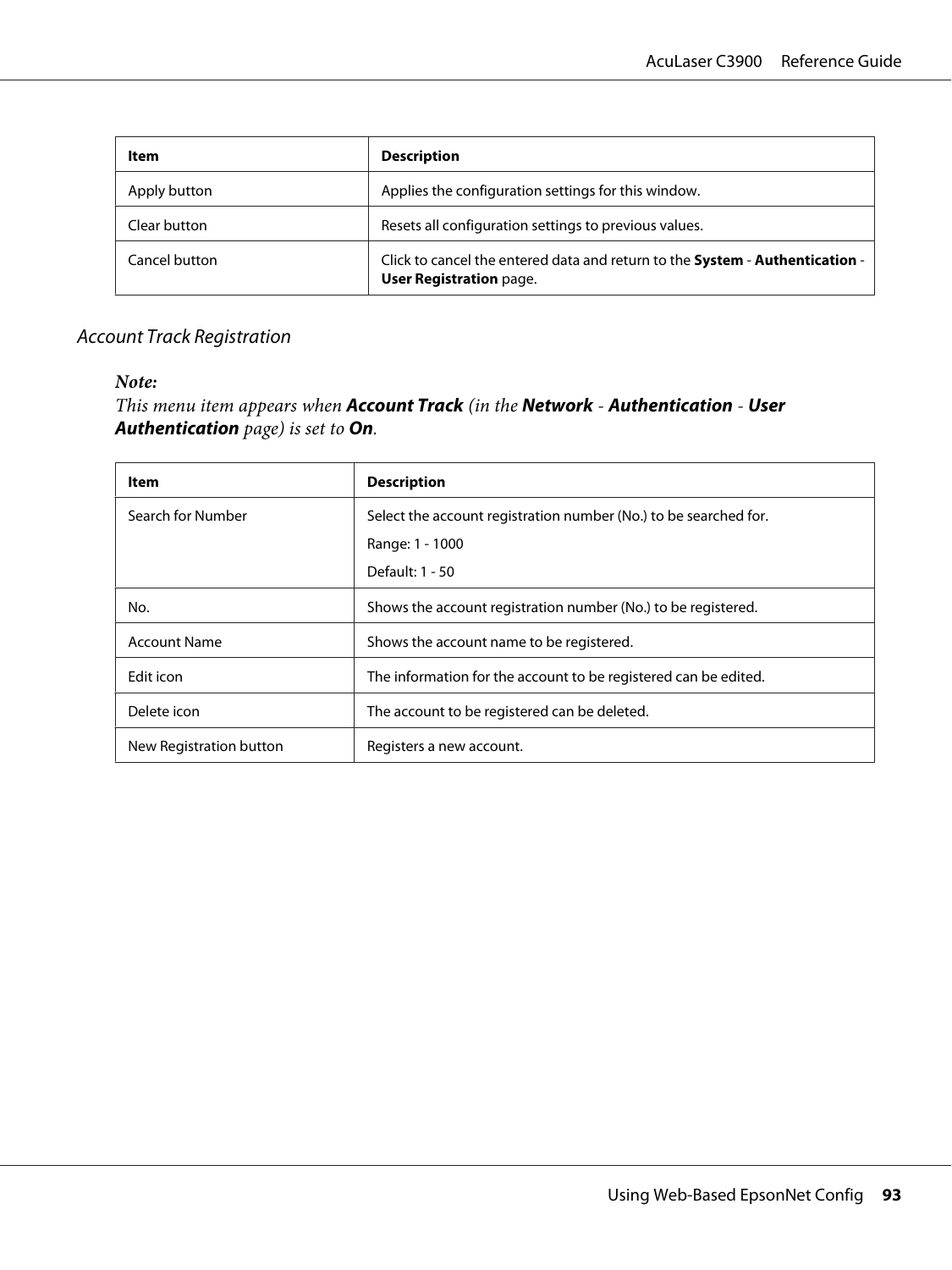| Item          | <b>Description</b>                                                                                             |
|---------------|----------------------------------------------------------------------------------------------------------------|
| Apply button  | Applies the configuration settings for this window.                                                            |
| Clear button  | Resets all configuration settings to previous values.                                                          |
| Cancel button | Click to cancel the entered data and return to the System - Authentication -<br><b>User Registration page.</b> |

#### Account Track Registration

#### *Note:*

*This menu item appears when* **Account Track** *(in the* **Network** *-* **Authentication** *-* **User Authentication** *page) is set to* **On***.*

| Item                    | <b>Description</b>                                               |
|-------------------------|------------------------------------------------------------------|
| Search for Number       | Select the account registration number (No.) to be searched for. |
|                         | Range: 1 - 1000                                                  |
|                         | Default: 1 - 50                                                  |
| No.                     | Shows the account registration number (No.) to be registered.    |
| <b>Account Name</b>     | Shows the account name to be registered.                         |
| Edit icon               | The information for the account to be registered can be edited.  |
| Delete icon             | The account to be registered can be deleted.                     |
| New Registration button | Registers a new account.                                         |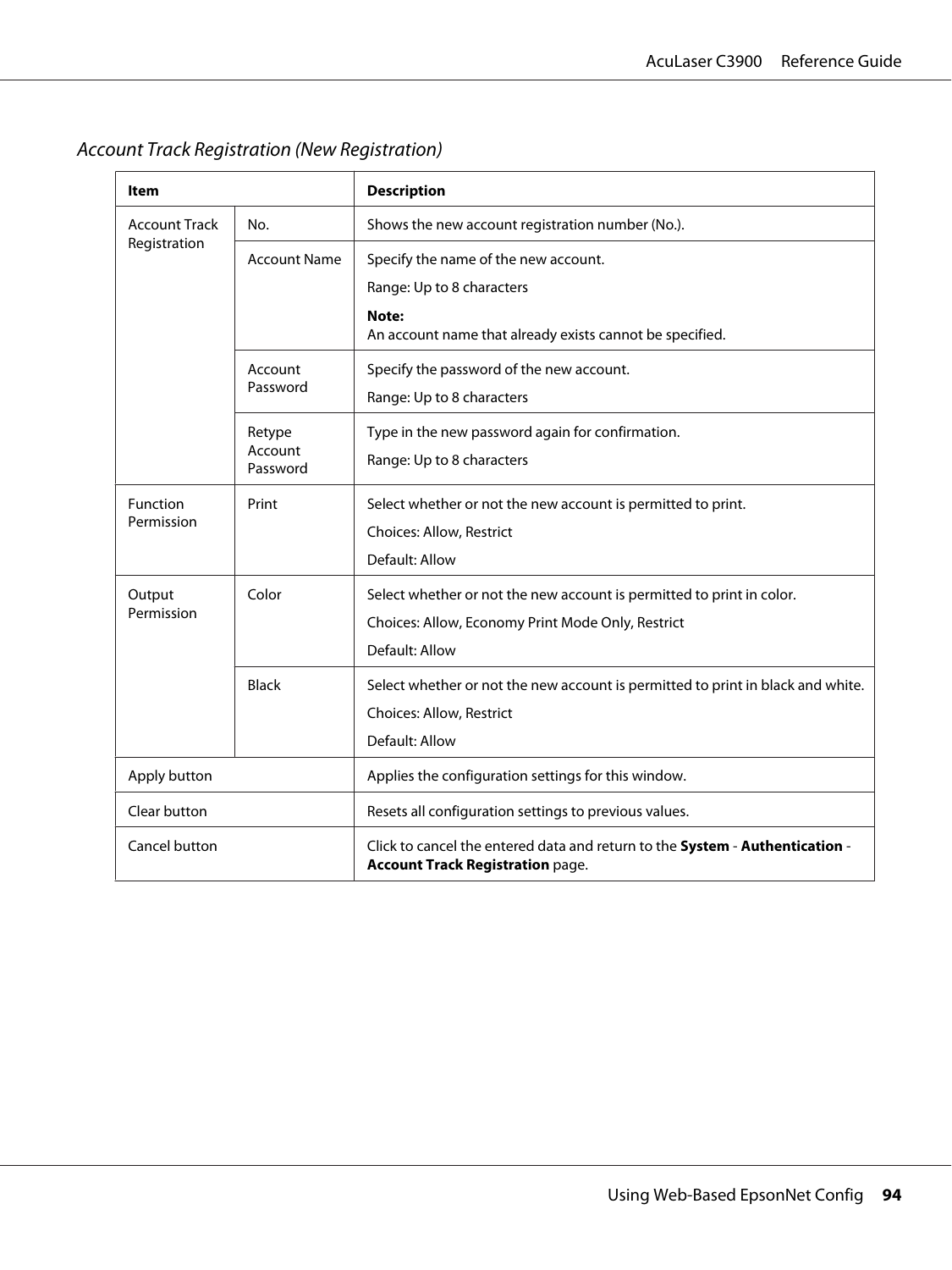| Item                                 |                     | <b>Description</b>                                                                                                      |
|--------------------------------------|---------------------|-------------------------------------------------------------------------------------------------------------------------|
| <b>Account Track</b><br>Registration | No.                 | Shows the new account registration number (No.).                                                                        |
|                                      | <b>Account Name</b> | Specify the name of the new account.                                                                                    |
|                                      |                     | Range: Up to 8 characters                                                                                               |
|                                      |                     | Note:<br>An account name that already exists cannot be specified.                                                       |
|                                      | Account             | Specify the password of the new account.                                                                                |
|                                      | Password            | Range: Up to 8 characters                                                                                               |
|                                      | Retype              | Type in the new password again for confirmation.                                                                        |
|                                      | Account<br>Password | Range: Up to 8 characters                                                                                               |
| Function                             | Print               | Select whether or not the new account is permitted to print.                                                            |
| Permission                           |                     | Choices: Allow, Restrict                                                                                                |
|                                      |                     | Default: Allow                                                                                                          |
| Output                               | Color               | Select whether or not the new account is permitted to print in color.                                                   |
| Permission                           |                     | Choices: Allow, Economy Print Mode Only, Restrict                                                                       |
|                                      |                     | Default: Allow                                                                                                          |
|                                      | <b>Black</b>        | Select whether or not the new account is permitted to print in black and white.                                         |
|                                      |                     | Choices: Allow, Restrict                                                                                                |
|                                      |                     | Default: Allow                                                                                                          |
| Apply button                         |                     | Applies the configuration settings for this window.                                                                     |
| Clear button                         |                     | Resets all configuration settings to previous values.                                                                   |
| Cancel button                        |                     | Click to cancel the entered data and return to the System - Authentication -<br><b>Account Track Registration page.</b> |

Account Track Registration (New Registration)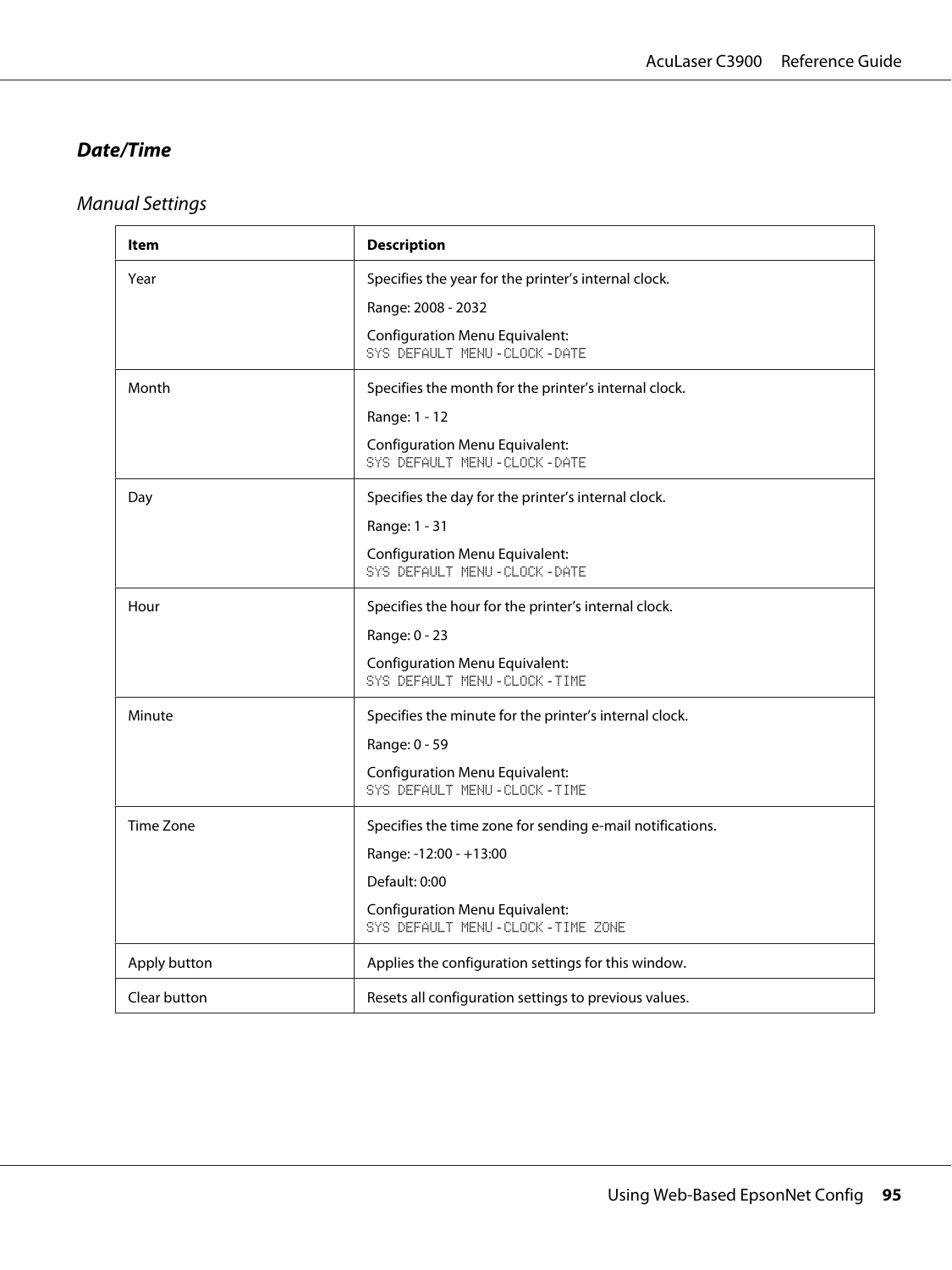### **Date/Time**

# Manual Settings

| Item         | <b>Description</b>                                                        |  |  |
|--------------|---------------------------------------------------------------------------|--|--|
| Year         | Specifies the year for the printer's internal clock.                      |  |  |
|              | Range: 2008 - 2032                                                        |  |  |
|              | <b>Configuration Menu Equivalent:</b><br>SYS DEFAULT MENU - CLOCK - DATE  |  |  |
| Month        | Specifies the month for the printer's internal clock.                     |  |  |
|              | Range: 1 - 12                                                             |  |  |
|              | <b>Configuration Menu Equivalent:</b><br>SYS DEFAULT MENU - CLOCK - DATE  |  |  |
| Day          | Specifies the day for the printer's internal clock.                       |  |  |
|              | Range: 1 - 31                                                             |  |  |
|              | <b>Configuration Menu Equivalent:</b><br>SYS DEFAULT MENU - CLOCK - DATE  |  |  |
| Hour         | Specifies the hour for the printer's internal clock.                      |  |  |
|              | Range: 0 - 23                                                             |  |  |
|              | <b>Configuration Menu Equivalent:</b><br>SYS DEFAULT MENU - CLOCK - TIME  |  |  |
| Minute       | Specifies the minute for the printer's internal clock.                    |  |  |
|              | Range: 0 - 59                                                             |  |  |
|              | <b>Configuration Menu Equivalent:</b><br>SYS DEFAULT MENU-CLOCK-TIME      |  |  |
| Time Zone    | Specifies the time zone for sending e-mail notifications.                 |  |  |
|              | Range: -12:00 - +13:00                                                    |  |  |
|              | Default: 0:00                                                             |  |  |
|              | <b>Configuration Menu Equivalent:</b><br>SYS DEFAULT MENU-CLOCK-TIME ZONE |  |  |
| Apply button | Applies the configuration settings for this window.                       |  |  |
| Clear button | Resets all configuration settings to previous values.                     |  |  |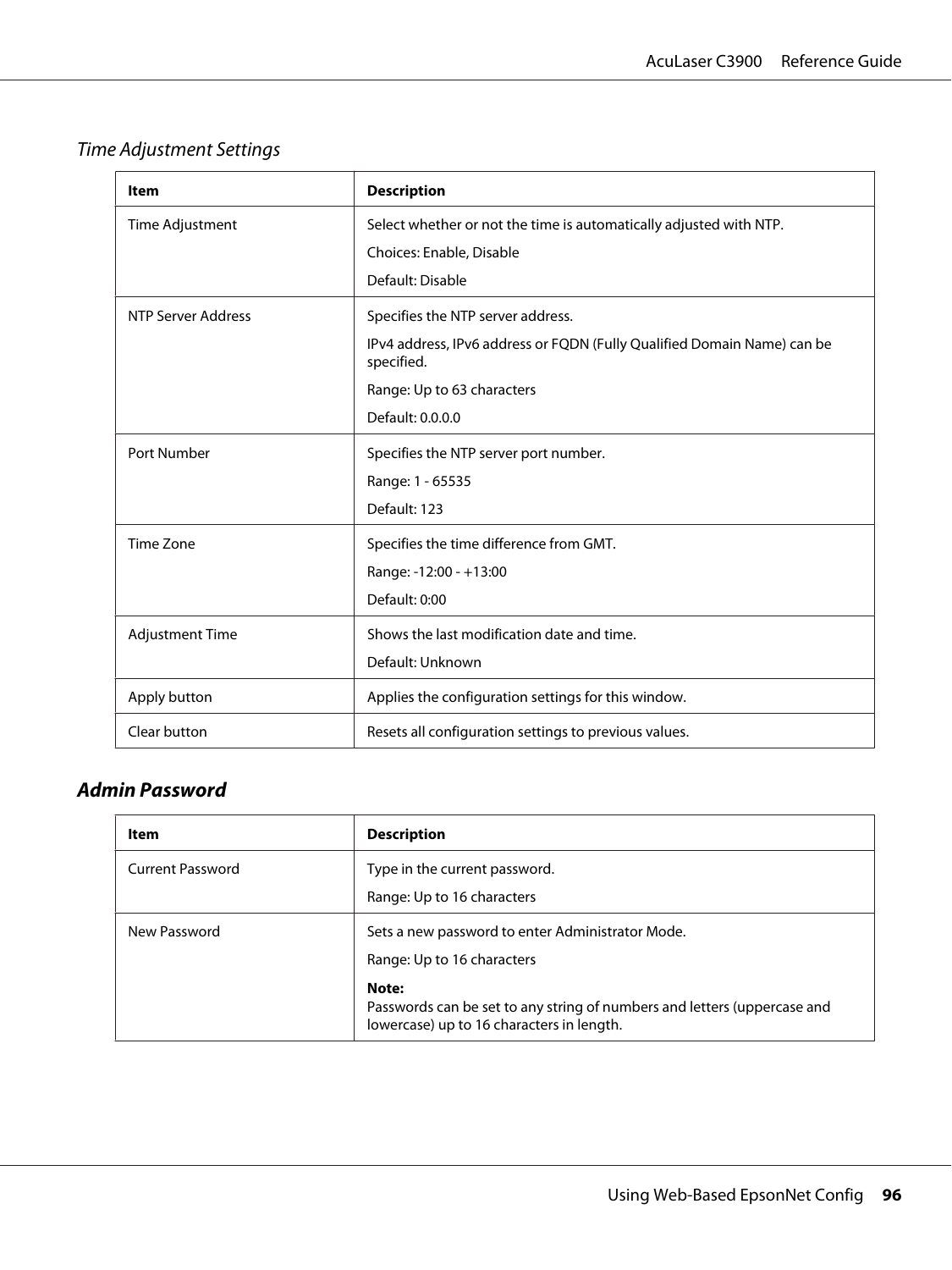## Time Adjustment Settings

| Item                   | <b>Description</b>                                                                             |  |  |
|------------------------|------------------------------------------------------------------------------------------------|--|--|
| Time Adjustment        | Select whether or not the time is automatically adjusted with NTP.<br>Choices: Enable, Disable |  |  |
|                        | Default: Disable                                                                               |  |  |
| NTP Server Address     | Specifies the NTP server address.                                                              |  |  |
|                        | IPv4 address, IPv6 address or FQDN (Fully Qualified Domain Name) can be<br>specified.          |  |  |
|                        | Range: Up to 63 characters                                                                     |  |  |
|                        | Default: 0.0.0.0                                                                               |  |  |
| Port Number            | Specifies the NTP server port number.                                                          |  |  |
|                        | Range: 1 - 65535                                                                               |  |  |
|                        | Default: 123                                                                                   |  |  |
| Time Zone              | Specifies the time difference from GMT.                                                        |  |  |
|                        | Range: -12:00 - +13:00                                                                         |  |  |
|                        | Default: 0:00                                                                                  |  |  |
| <b>Adjustment Time</b> | Shows the last modification date and time.                                                     |  |  |
|                        | Default: Unknown                                                                               |  |  |
| Apply button           | Applies the configuration settings for this window.                                            |  |  |
| Clear button           | Resets all configuration settings to previous values.                                          |  |  |

## **Admin Password**

| Item                    | <b>Description</b>                                                                                                             |  |
|-------------------------|--------------------------------------------------------------------------------------------------------------------------------|--|
| <b>Current Password</b> | Type in the current password.<br>Range: Up to 16 characters                                                                    |  |
| New Password            | Sets a new password to enter Administrator Mode.<br>Range: Up to 16 characters                                                 |  |
|                         | Note:<br>Passwords can be set to any string of numbers and letters (uppercase and<br>lowercase) up to 16 characters in length. |  |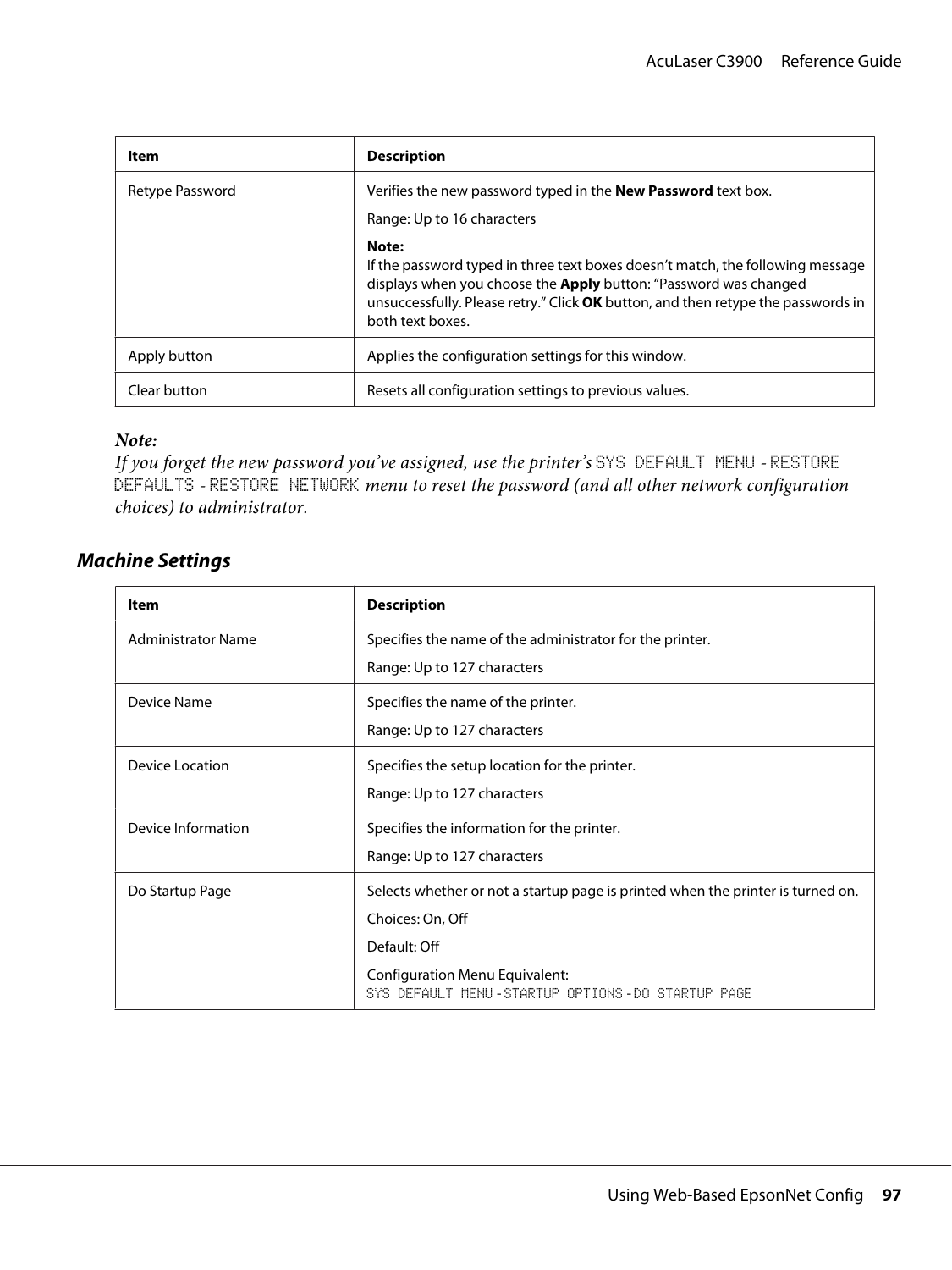| Item            | <b>Description</b>                                                                                                                                                                                                                                                         |  |
|-----------------|----------------------------------------------------------------------------------------------------------------------------------------------------------------------------------------------------------------------------------------------------------------------------|--|
| Retype Password | Verifies the new password typed in the <b>New Password</b> text box.                                                                                                                                                                                                       |  |
|                 | Range: Up to 16 characters                                                                                                                                                                                                                                                 |  |
|                 | Note:<br>If the password typed in three text boxes doesn't match, the following message<br>displays when you choose the <b>Apply</b> button: "Password was changed<br>unsuccessfully. Please retry." Click OK button, and then retype the passwords in<br>both text boxes. |  |
| Apply button    | Applies the configuration settings for this window.                                                                                                                                                                                                                        |  |
| Clear button    | Resets all configuration settings to previous values.                                                                                                                                                                                                                      |  |

#### *Note:*

*If you forget the new password you've assigned, use the printer's* SYS DEFAULT MENU *-* RESTORE DEFAULTS *-* RESTORE NETWORK *menu to reset the password (and all other network configuration choices) to administrator.*

#### **Machine Settings**

| Item                      | <b>Description</b>                                                                 |  |
|---------------------------|------------------------------------------------------------------------------------|--|
| <b>Administrator Name</b> | Specifies the name of the administrator for the printer.                           |  |
|                           | Range: Up to 127 characters                                                        |  |
| Device Name               | Specifies the name of the printer.                                                 |  |
|                           | Range: Up to 127 characters                                                        |  |
| Device Location           | Specifies the setup location for the printer.                                      |  |
|                           | Range: Up to 127 characters                                                        |  |
| Device Information        | Specifies the information for the printer.                                         |  |
|                           | Range: Up to 127 characters                                                        |  |
| Do Startup Page           | Selects whether or not a startup page is printed when the printer is turned on.    |  |
|                           | Choices: On, Off                                                                   |  |
|                           | Default: Off                                                                       |  |
|                           | Configuration Menu Equivalent:<br>SYS DEFAULT MENU-STARTUP OPTIONS-DO STARTUP PAGE |  |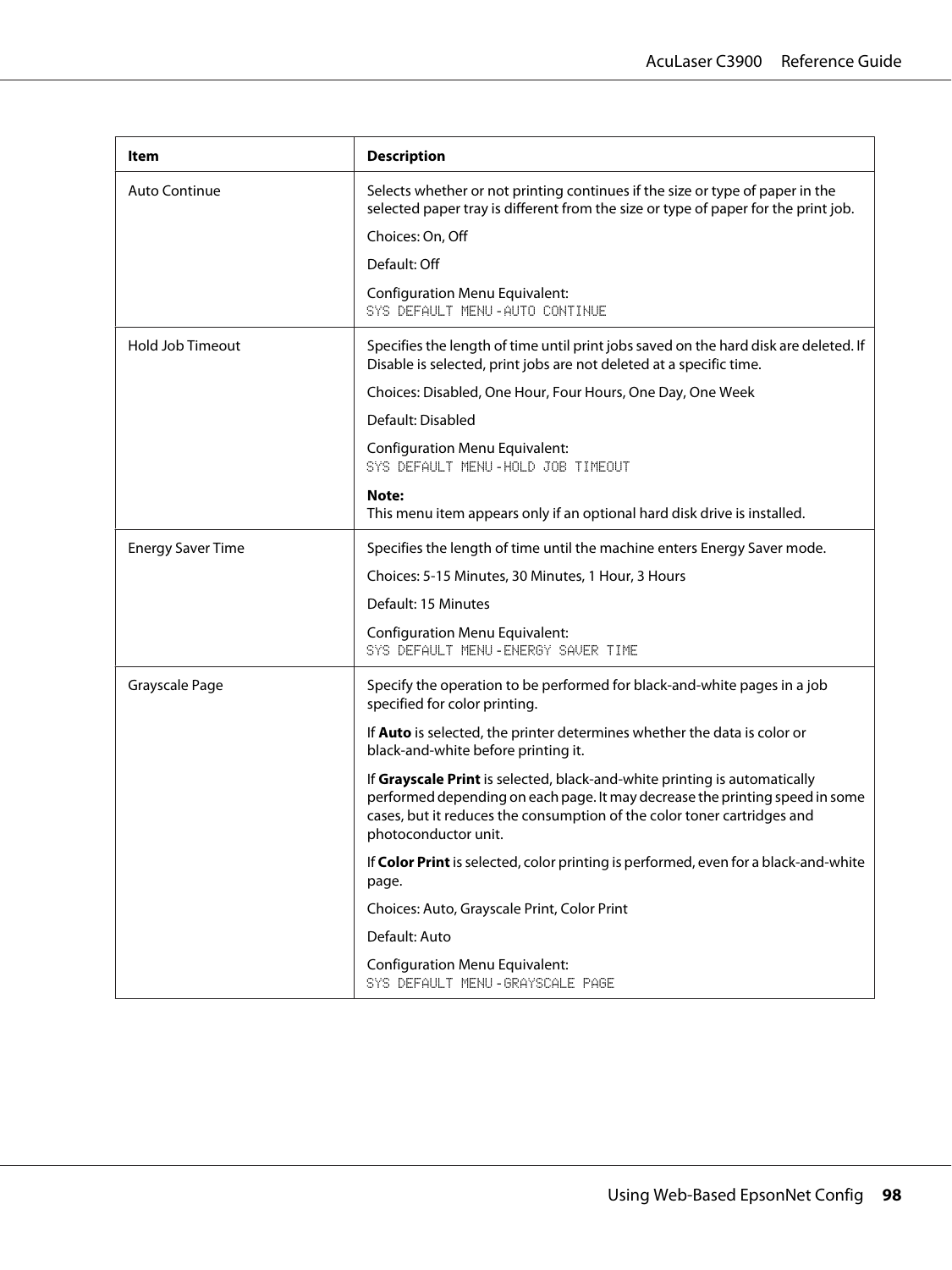| Item                     | <b>Description</b>                                                                                                                                                                                                                                           |  |  |
|--------------------------|--------------------------------------------------------------------------------------------------------------------------------------------------------------------------------------------------------------------------------------------------------------|--|--|
| Auto Continue            | Selects whether or not printing continues if the size or type of paper in the<br>selected paper tray is different from the size or type of paper for the print job.                                                                                          |  |  |
|                          | Choices: On, Off                                                                                                                                                                                                                                             |  |  |
|                          | Default: Off                                                                                                                                                                                                                                                 |  |  |
|                          | <b>Configuration Menu Equivalent:</b><br>SYS DEFAULT MENU-AUTO CONTINUE                                                                                                                                                                                      |  |  |
| <b>Hold Job Timeout</b>  | Specifies the length of time until print jobs saved on the hard disk are deleted. If<br>Disable is selected, print jobs are not deleted at a specific time.                                                                                                  |  |  |
|                          | Choices: Disabled, One Hour, Four Hours, One Day, One Week                                                                                                                                                                                                   |  |  |
|                          | Default: Disabled                                                                                                                                                                                                                                            |  |  |
|                          | <b>Configuration Menu Equivalent:</b><br>SYS DEFAULT MENU-HOLD JOB TIMEOUT                                                                                                                                                                                   |  |  |
|                          | Note:<br>This menu item appears only if an optional hard disk drive is installed.                                                                                                                                                                            |  |  |
| <b>Energy Saver Time</b> | Specifies the length of time until the machine enters Energy Saver mode.                                                                                                                                                                                     |  |  |
|                          | Choices: 5-15 Minutes, 30 Minutes, 1 Hour, 3 Hours                                                                                                                                                                                                           |  |  |
|                          | Default: 15 Minutes                                                                                                                                                                                                                                          |  |  |
|                          | <b>Configuration Menu Equivalent:</b><br>SYS DEFAULT MENU-ENERGY SAVER TIME                                                                                                                                                                                  |  |  |
| Grayscale Page           | Specify the operation to be performed for black-and-white pages in a job<br>specified for color printing.                                                                                                                                                    |  |  |
|                          | If Auto is selected, the printer determines whether the data is color or<br>black-and-white before printing it.                                                                                                                                              |  |  |
|                          | If Grayscale Print is selected, black-and-white printing is automatically<br>performed depending on each page. It may decrease the printing speed in some<br>cases, but it reduces the consumption of the color toner cartridges and<br>photoconductor unit. |  |  |
|                          | If Color Print is selected, color printing is performed, even for a black-and-white<br>page.                                                                                                                                                                 |  |  |
|                          | Choices: Auto, Grayscale Print, Color Print                                                                                                                                                                                                                  |  |  |
|                          | Default: Auto                                                                                                                                                                                                                                                |  |  |
|                          | <b>Configuration Menu Equivalent:</b><br>SYS DEFAULT MENU - GRAYSCALE PAGE                                                                                                                                                                                   |  |  |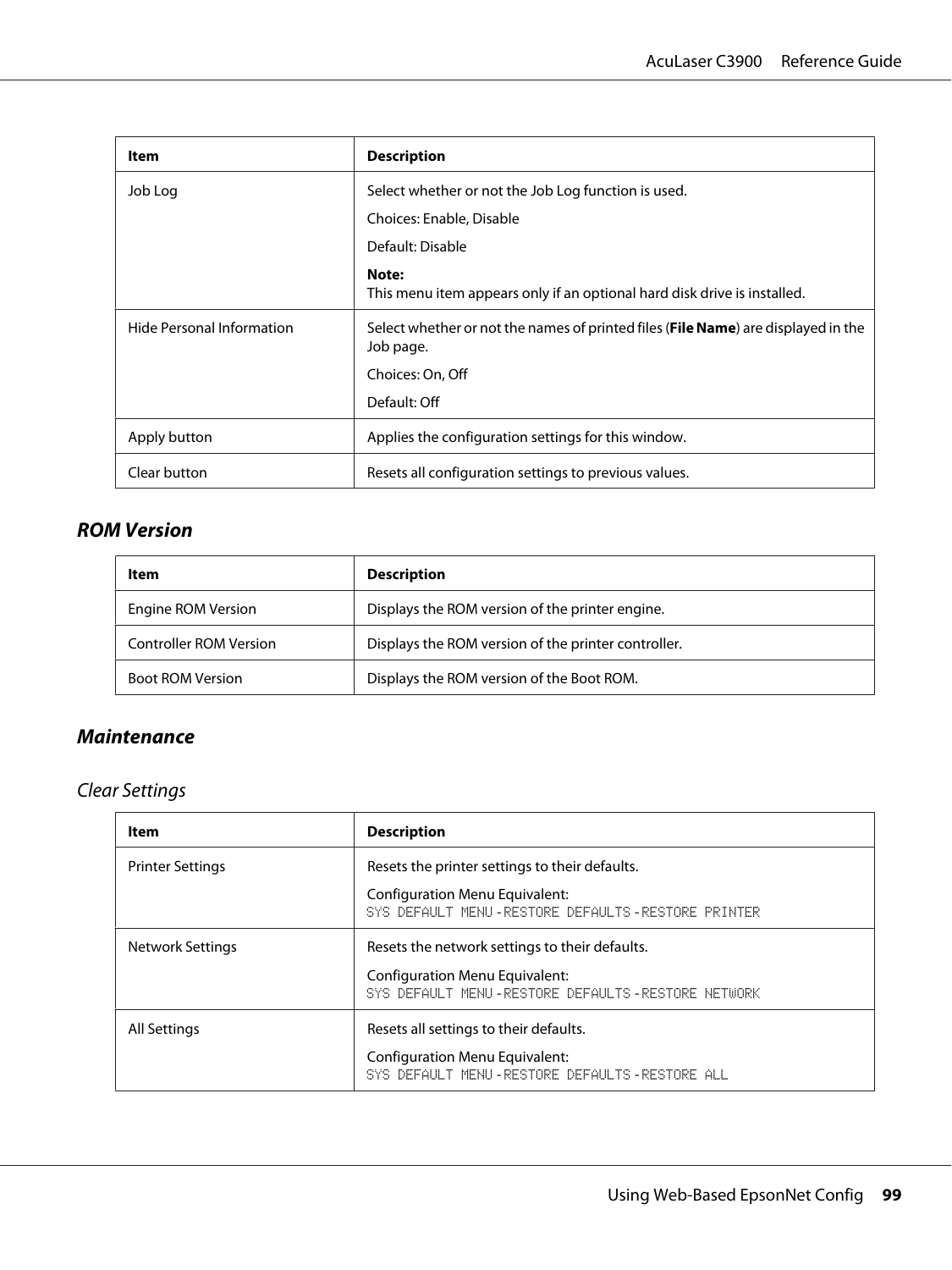| Item                      | <b>Description</b>                                                                             |  |  |
|---------------------------|------------------------------------------------------------------------------------------------|--|--|
| Job Log                   | Select whether or not the Job Log function is used.                                            |  |  |
|                           | Choices: Enable, Disable                                                                       |  |  |
|                           | Default: Disable                                                                               |  |  |
|                           | Note:<br>This menu item appears only if an optional hard disk drive is installed.              |  |  |
| Hide Personal Information | Select whether or not the names of printed files (File Name) are displayed in the<br>Job page. |  |  |
|                           | Choices: On, Off                                                                               |  |  |
|                           | Default: Off                                                                                   |  |  |
| Apply button              | Applies the configuration settings for this window.                                            |  |  |
| Clear button              | Resets all configuration settings to previous values.                                          |  |  |

### **ROM Version**

| Item                          | <b>Description</b>                                  |  |
|-------------------------------|-----------------------------------------------------|--|
| Engine ROM Version            | Displays the ROM version of the printer engine.     |  |
| <b>Controller ROM Version</b> | Displays the ROM version of the printer controller. |  |
| <b>Boot ROM Version</b>       | Displays the ROM version of the Boot ROM.           |  |

### **Maintenance**

#### Clear Settings

| Item                    | <b>Description</b>                                                                             |  |  |
|-------------------------|------------------------------------------------------------------------------------------------|--|--|
| <b>Printer Settings</b> | Resets the printer settings to their defaults.                                                 |  |  |
|                         | Configuration Menu Equivalent:<br>SYS DEFAULT MENU-RESTORE DEFAULTS-RESTORE PRINTER            |  |  |
| <b>Network Settings</b> | Resets the network settings to their defaults.                                                 |  |  |
|                         | <b>Configuration Menu Equivalent:</b><br>SYS DEFAULT MENU - RESTORE DEFAULTS - RESTORE NETWORK |  |  |
| <b>All Settings</b>     | Resets all settings to their defaults.                                                         |  |  |
|                         | <b>Configuration Menu Equivalent:</b><br>SYS DEFAULT MENU-RESTORE DEFAULTS-RESTORE ALL         |  |  |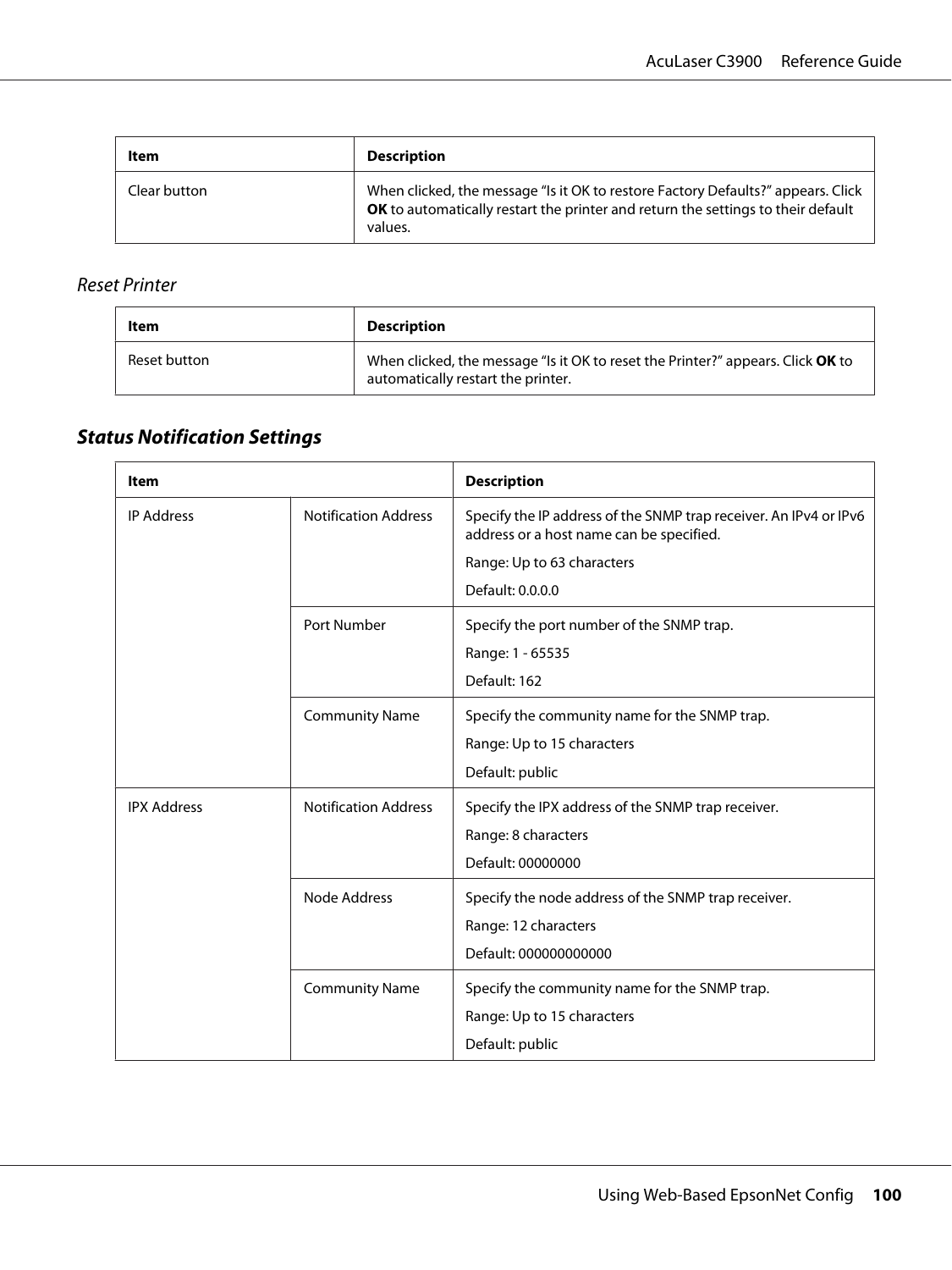| Item         | <b>Description</b>                                                                                                                                                              |  |
|--------------|---------------------------------------------------------------------------------------------------------------------------------------------------------------------------------|--|
| Clear button | When clicked, the message "Is it OK to restore Factory Defaults?" appears. Click<br>OK to automatically restart the printer and return the settings to their default<br>values. |  |

#### Reset Printer

| Item         | <b>Description</b>                                                                                                    |  |
|--------------|-----------------------------------------------------------------------------------------------------------------------|--|
| Reset button | When clicked, the message "Is it OK to reset the Printer?" appears. Click OK to<br>automatically restart the printer. |  |

# **Status Notification Settings**

| Item               |                             | <b>Description</b>                                                                                            |
|--------------------|-----------------------------|---------------------------------------------------------------------------------------------------------------|
| <b>IP Address</b>  | <b>Notification Address</b> | Specify the IP address of the SNMP trap receiver. An IPv4 or IPv6<br>address or a host name can be specified. |
|                    |                             | Range: Up to 63 characters                                                                                    |
|                    |                             | Default: 0.0.0.0                                                                                              |
|                    | Port Number                 | Specify the port number of the SNMP trap.                                                                     |
|                    |                             | Range: 1 - 65535                                                                                              |
|                    |                             | Default: 162                                                                                                  |
|                    | <b>Community Name</b>       | Specify the community name for the SNMP trap.                                                                 |
|                    |                             | Range: Up to 15 characters                                                                                    |
|                    |                             | Default: public                                                                                               |
| <b>IPX Address</b> | <b>Notification Address</b> | Specify the IPX address of the SNMP trap receiver.                                                            |
|                    |                             | Range: 8 characters                                                                                           |
|                    |                             | Default: 00000000                                                                                             |
|                    | Node Address                | Specify the node address of the SNMP trap receiver.                                                           |
|                    |                             | Range: 12 characters                                                                                          |
|                    |                             | Default: 000000000000                                                                                         |
|                    | <b>Community Name</b>       | Specify the community name for the SNMP trap.                                                                 |
|                    |                             | Range: Up to 15 characters                                                                                    |
|                    |                             | Default: public                                                                                               |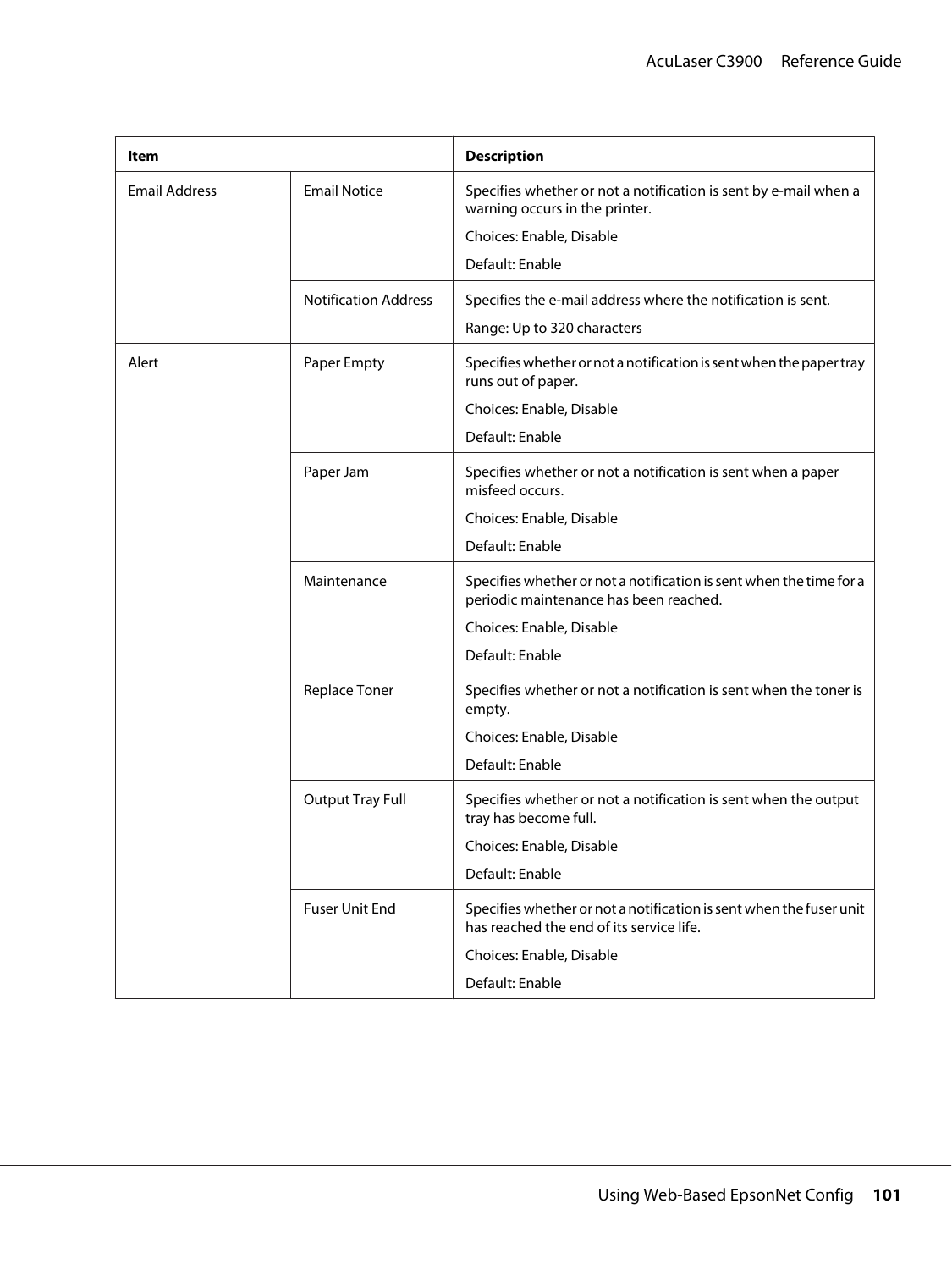| Item                 |                             | <b>Description</b>                                                                                              |
|----------------------|-----------------------------|-----------------------------------------------------------------------------------------------------------------|
| <b>Email Address</b> | <b>Email Notice</b>         | Specifies whether or not a notification is sent by e-mail when a<br>warning occurs in the printer.              |
|                      |                             | Choices: Enable, Disable                                                                                        |
|                      |                             | Default: Enable                                                                                                 |
|                      | <b>Notification Address</b> | Specifies the e-mail address where the notification is sent.                                                    |
|                      |                             | Range: Up to 320 characters                                                                                     |
| Alert                | Paper Empty                 | Specifies whether or not a notification is sent when the paper tray<br>runs out of paper.                       |
|                      |                             | Choices: Enable, Disable                                                                                        |
|                      |                             | Default: Enable                                                                                                 |
|                      | Paper Jam                   | Specifies whether or not a notification is sent when a paper<br>misfeed occurs.                                 |
|                      |                             | Choices: Enable, Disable                                                                                        |
|                      |                             | Default: Enable                                                                                                 |
|                      | Maintenance                 | Specifies whether or not a notification is sent when the time for a<br>periodic maintenance has been reached.   |
|                      |                             | Choices: Enable, Disable                                                                                        |
|                      |                             | Default: Enable                                                                                                 |
|                      | Replace Toner               | Specifies whether or not a notification is sent when the toner is<br>empty.                                     |
|                      |                             | Choices: Enable, Disable                                                                                        |
|                      |                             | Default: Enable                                                                                                 |
|                      | <b>Output Tray Full</b>     | Specifies whether or not a notification is sent when the output<br>tray has become full.                        |
|                      |                             | Choices: Enable, Disable                                                                                        |
|                      |                             | Default: Enable                                                                                                 |
|                      | <b>Fuser Unit End</b>       | Specifies whether or not a notification is sent when the fuser unit<br>has reached the end of its service life. |
|                      |                             | Choices: Enable, Disable                                                                                        |
|                      |                             | Default: Enable                                                                                                 |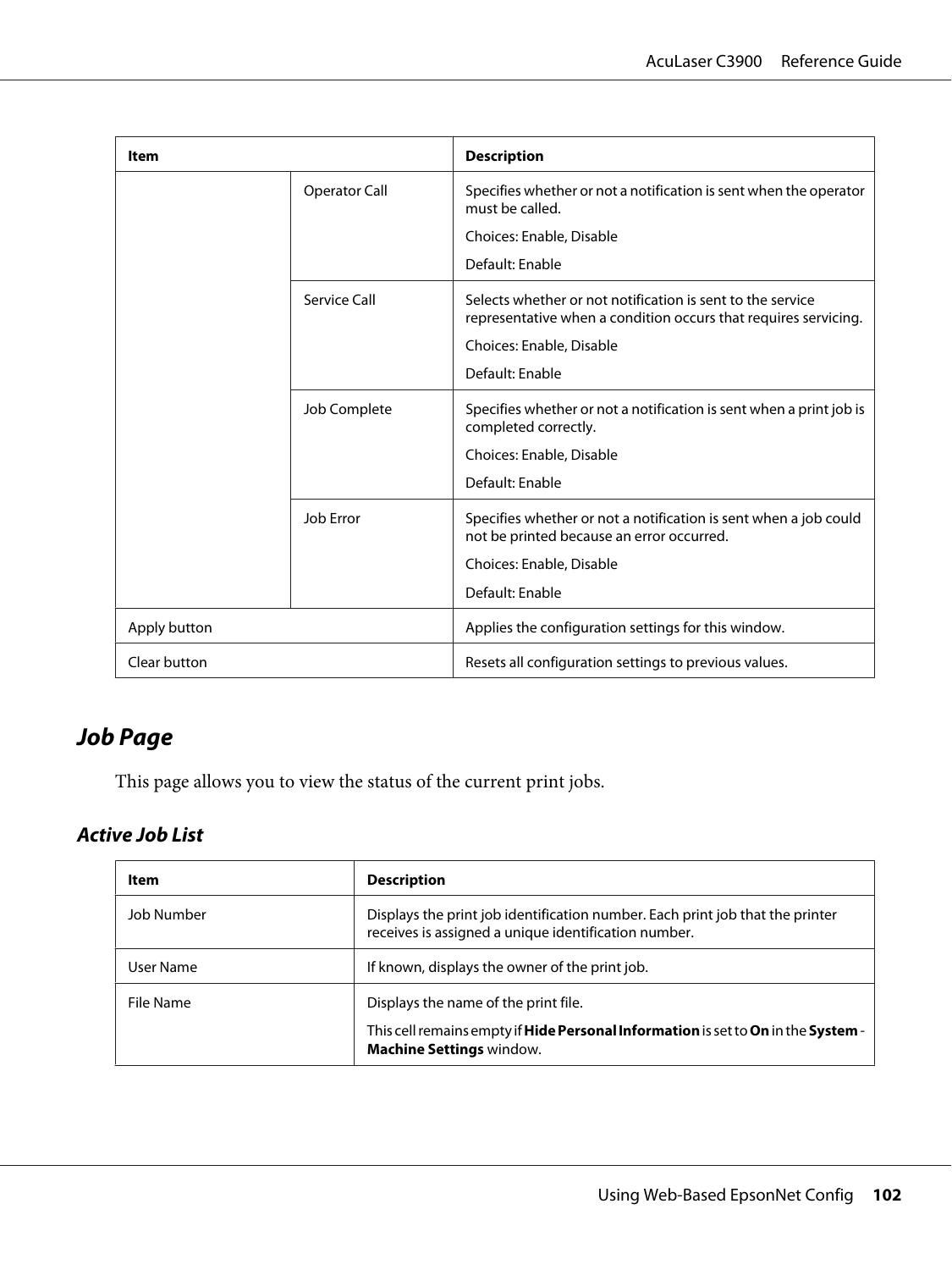| Item         |                      | <b>Description</b>                                                                                                                                        |
|--------------|----------------------|-----------------------------------------------------------------------------------------------------------------------------------------------------------|
|              | <b>Operator Call</b> | Specifies whether or not a notification is sent when the operator<br>must be called.                                                                      |
|              |                      | Choices: Enable, Disable                                                                                                                                  |
|              |                      | Default: Enable                                                                                                                                           |
|              | Service Call         | Selects whether or not notification is sent to the service<br>representative when a condition occurs that requires servicing.<br>Choices: Enable, Disable |
|              |                      | Default: Enable                                                                                                                                           |
|              | Job Complete         | Specifies whether or not a notification is sent when a print job is<br>completed correctly.                                                               |
|              |                      | Choices: Enable, Disable                                                                                                                                  |
|              |                      | Default: Enable                                                                                                                                           |
|              | Job Error            | Specifies whether or not a notification is sent when a job could<br>not be printed because an error occurred.                                             |
|              |                      | Choices: Enable, Disable                                                                                                                                  |
|              |                      | Default: Enable                                                                                                                                           |
| Apply button |                      | Applies the configuration settings for this window.                                                                                                       |
| Clear button |                      | Resets all configuration settings to previous values.                                                                                                     |

# **Job Page**

This page allows you to view the status of the current print jobs.

### **Active Job List**

| Item       | <b>Description</b>                                                                                                                        |  |
|------------|-------------------------------------------------------------------------------------------------------------------------------------------|--|
| Job Number | Displays the print job identification number. Each print job that the printer<br>receives is assigned a unique identification number.     |  |
| User Name  | If known, displays the owner of the print job.                                                                                            |  |
| File Name  | Displays the name of the print file.                                                                                                      |  |
|            | This cell remains empty if <b>Hide Personal Information</b> is set to <b>On</b> in the <b>System</b> -<br><b>Machine Settings window.</b> |  |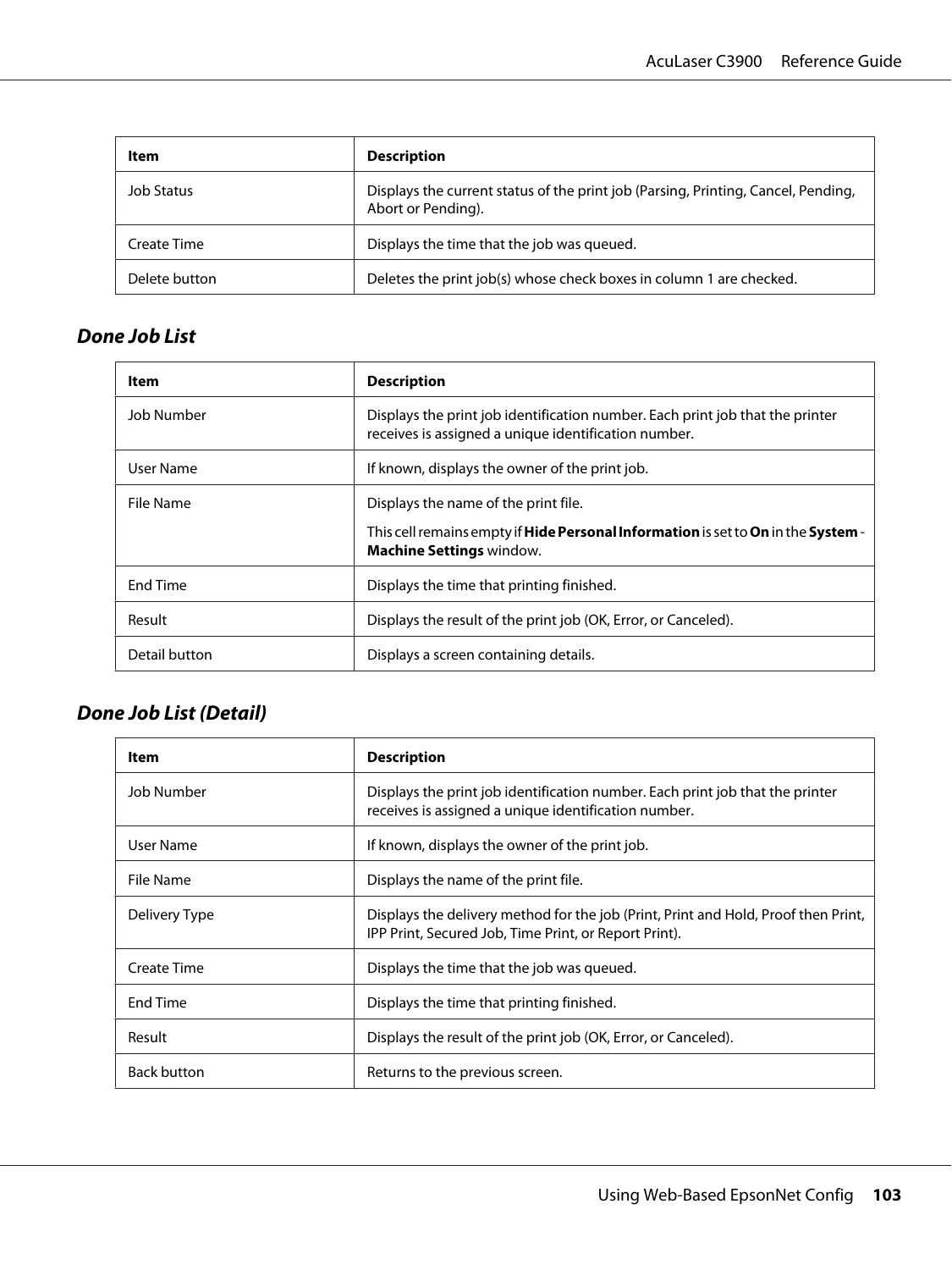| ltem          | <b>Description</b>                                                                                      |
|---------------|---------------------------------------------------------------------------------------------------------|
| Job Status    | Displays the current status of the print job (Parsing, Printing, Cancel, Pending,<br>Abort or Pending). |
| Create Time   | Displays the time that the job was queued.                                                              |
| Delete button | Deletes the print job(s) whose check boxes in column 1 are checked.                                     |

### **Done Job List**

| Item          | <b>Description</b>                                                                                                                        |  |
|---------------|-------------------------------------------------------------------------------------------------------------------------------------------|--|
| Job Number    | Displays the print job identification number. Each print job that the printer<br>receives is assigned a unique identification number.     |  |
| User Name     | If known, displays the owner of the print job.                                                                                            |  |
| File Name     | Displays the name of the print file.                                                                                                      |  |
|               | This cell remains empty if <b>Hide Personal Information</b> is set to <b>On</b> in the <b>System</b> -<br><b>Machine Settings window.</b> |  |
| End Time      | Displays the time that printing finished.                                                                                                 |  |
| Result        | Displays the result of the print job (OK, Error, or Canceled).                                                                            |  |
| Detail button | Displays a screen containing details.                                                                                                     |  |

### **Done Job List (Detail)**

| Item               | <b>Description</b>                                                                                                                          |  |
|--------------------|---------------------------------------------------------------------------------------------------------------------------------------------|--|
| Job Number         | Displays the print job identification number. Each print job that the printer<br>receives is assigned a unique identification number.       |  |
| User Name          | If known, displays the owner of the print job.                                                                                              |  |
| File Name          | Displays the name of the print file.                                                                                                        |  |
| Delivery Type      | Displays the delivery method for the job (Print, Print and Hold, Proof then Print,<br>IPP Print, Secured Job, Time Print, or Report Print). |  |
| Create Time        | Displays the time that the job was queued.                                                                                                  |  |
| <b>End Time</b>    | Displays the time that printing finished.                                                                                                   |  |
| Result             | Displays the result of the print job (OK, Error, or Canceled).                                                                              |  |
| <b>Back button</b> | Returns to the previous screen.                                                                                                             |  |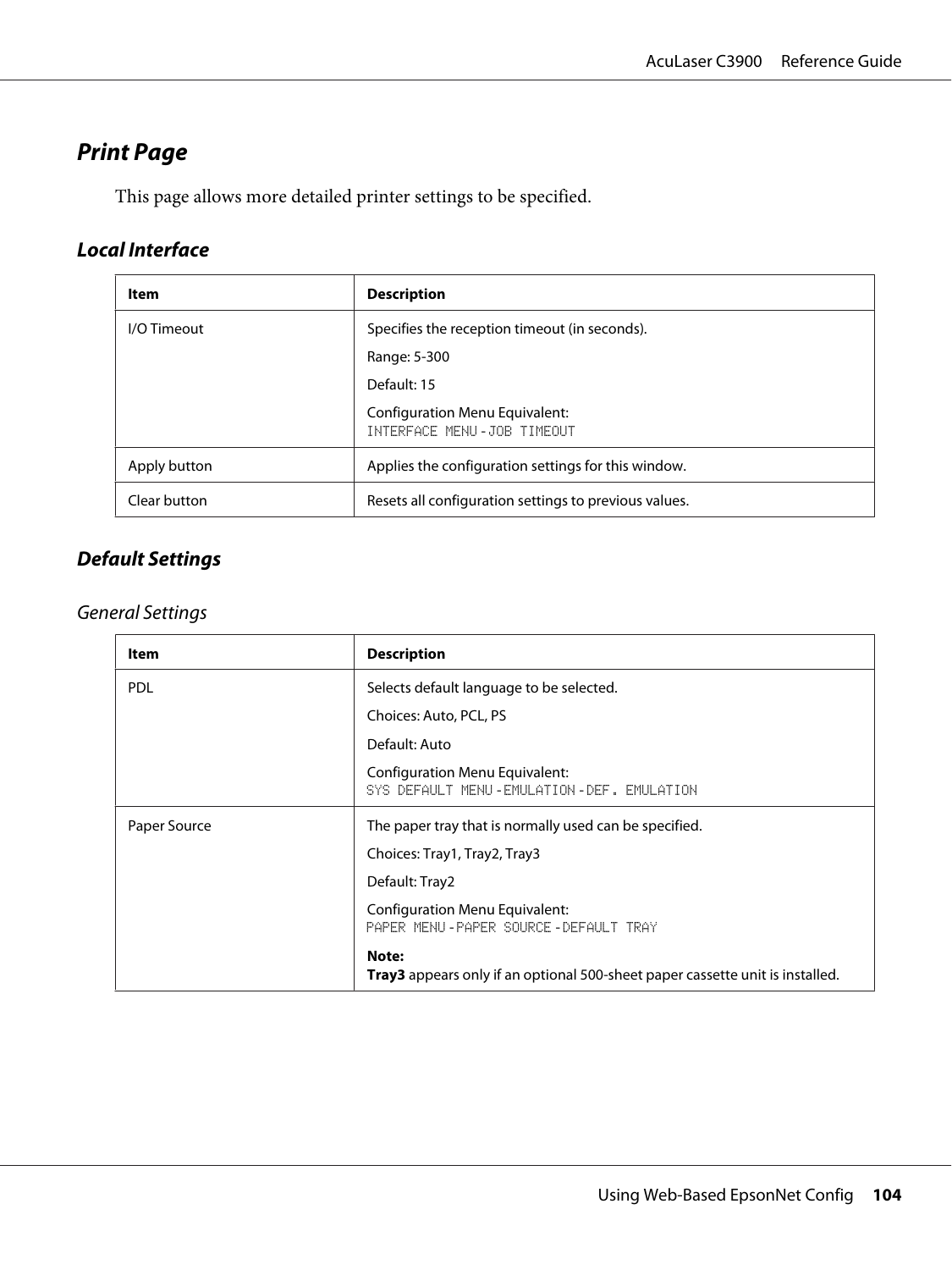## **Print Page**

This page allows more detailed printer settings to be specified.

## **Local Interface**

| Item         | <b>Description</b>                                           |  |
|--------------|--------------------------------------------------------------|--|
| I/O Timeout  | Specifies the reception timeout (in seconds).                |  |
|              | Range: 5-300                                                 |  |
|              | Default: 15                                                  |  |
|              | Configuration Menu Equivalent:<br>INTERFACE MENU-JOB TIMEOUT |  |
| Apply button | Applies the configuration settings for this window.          |  |
| Clear button | Resets all configuration settings to previous values.        |  |

### **Default Settings**

#### General Settings

| Item         | <b>Description</b>                                                                     |  |
|--------------|----------------------------------------------------------------------------------------|--|
| <b>PDL</b>   | Selects default language to be selected.                                               |  |
|              | Choices: Auto, PCL, PS                                                                 |  |
|              | Default: Auto                                                                          |  |
|              | Configuration Menu Equivalent:<br>SYS DEFAULT MENU-EMULATION-DEF. EMULATION            |  |
| Paper Source | The paper tray that is normally used can be specified.<br>Choices: Tray1, Tray2, Tray3 |  |
|              |                                                                                        |  |
|              | Default: Tray2                                                                         |  |
|              | Configuration Menu Equivalent:<br>PAPER MENU-PAPER SOURCE-DEFAULT TRAY                 |  |
|              | Note:<br>Tray3 appears only if an optional 500-sheet paper cassette unit is installed. |  |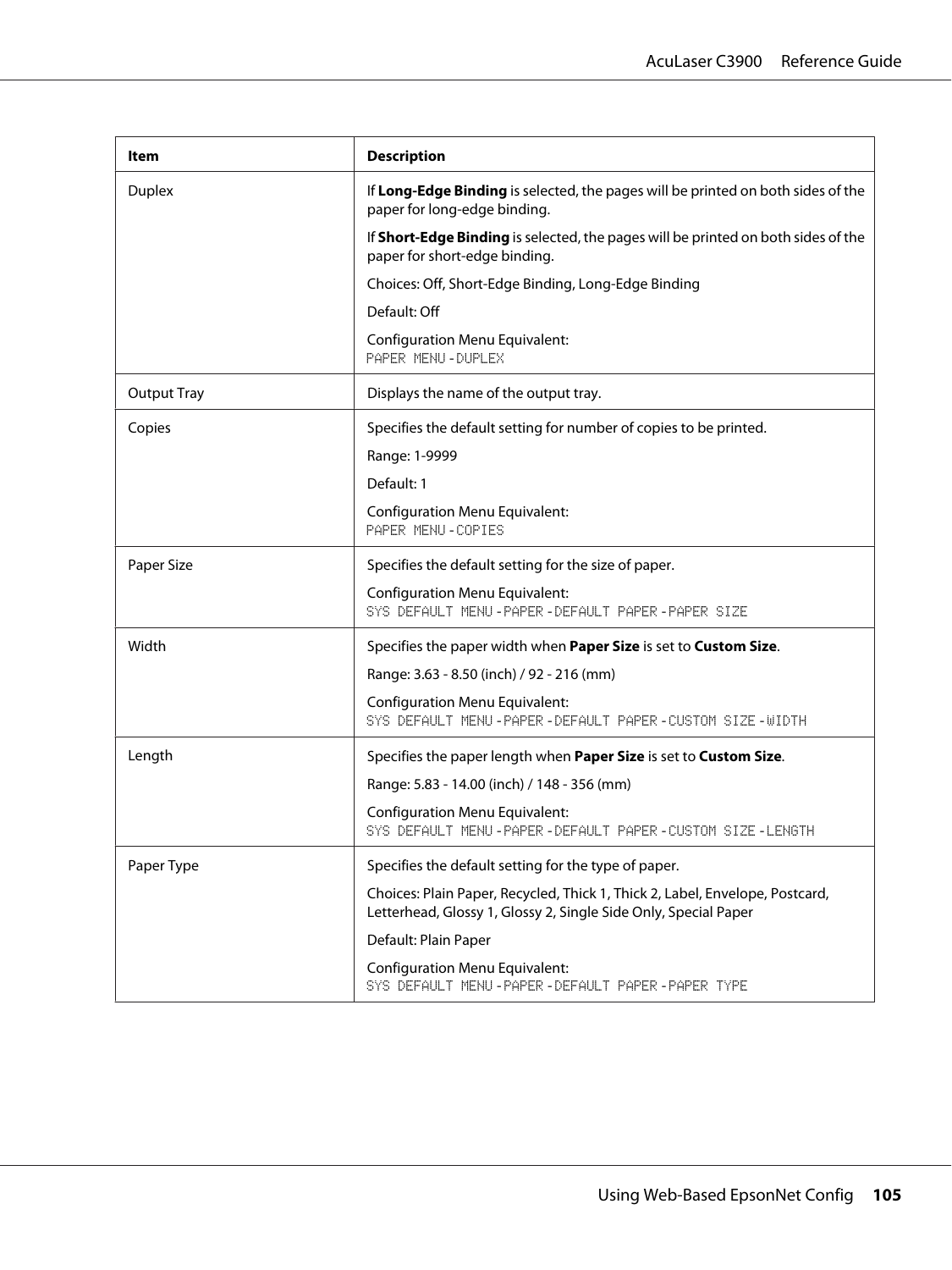| ltem               | <b>Description</b>                                                                                                                              |  |
|--------------------|-------------------------------------------------------------------------------------------------------------------------------------------------|--|
| <b>Duplex</b>      | If Long-Edge Binding is selected, the pages will be printed on both sides of the<br>paper for long-edge binding.                                |  |
|                    | If Short-Edge Binding is selected, the pages will be printed on both sides of the<br>paper for short-edge binding.                              |  |
|                    | Choices: Off, Short-Edge Binding, Long-Edge Binding                                                                                             |  |
|                    | Default: Off                                                                                                                                    |  |
|                    | <b>Configuration Menu Equivalent:</b><br>PAPER MENU - DUPLEX                                                                                    |  |
| <b>Output Tray</b> | Displays the name of the output tray.                                                                                                           |  |
| Copies             | Specifies the default setting for number of copies to be printed.                                                                               |  |
|                    | Range: 1-9999                                                                                                                                   |  |
|                    | Default: 1                                                                                                                                      |  |
|                    | <b>Configuration Menu Equivalent:</b><br>PAPER MENU-COPIES                                                                                      |  |
| Paper Size         | Specifies the default setting for the size of paper.                                                                                            |  |
|                    | <b>Configuration Menu Equivalent:</b><br>SYS DEFAULT MENU-PAPER-DEFAULT PAPER-PAPER SIZE                                                        |  |
| Width              | Specifies the paper width when Paper Size is set to Custom Size.                                                                                |  |
|                    | Range: 3.63 - 8.50 (inch) / 92 - 216 (mm)                                                                                                       |  |
|                    | <b>Configuration Menu Equivalent:</b><br>SYS DEFAULT MENU-PAPER-DEFAULT PAPER-CUSTOM SIZE-WIDTH                                                 |  |
| Length             | Specifies the paper length when Paper Size is set to Custom Size.                                                                               |  |
|                    | Range: 5.83 - 14.00 (inch) / 148 - 356 (mm)                                                                                                     |  |
|                    | <b>Configuration Menu Equivalent:</b><br>SYS DEFAULT MENU-PAPER-DEFAULT PAPER-CUSTOM SIZE-LENGTH                                                |  |
| Paper Type         | Specifies the default setting for the type of paper.                                                                                            |  |
|                    | Choices: Plain Paper, Recycled, Thick 1, Thick 2, Label, Envelope, Postcard,<br>Letterhead, Glossy 1, Glossy 2, Single Side Only, Special Paper |  |
|                    | Default: Plain Paper                                                                                                                            |  |
|                    | <b>Configuration Menu Equivalent:</b><br>SYS DEFAULT MENU-PAPER-DEFAULT PAPER-PAPER TYPE                                                        |  |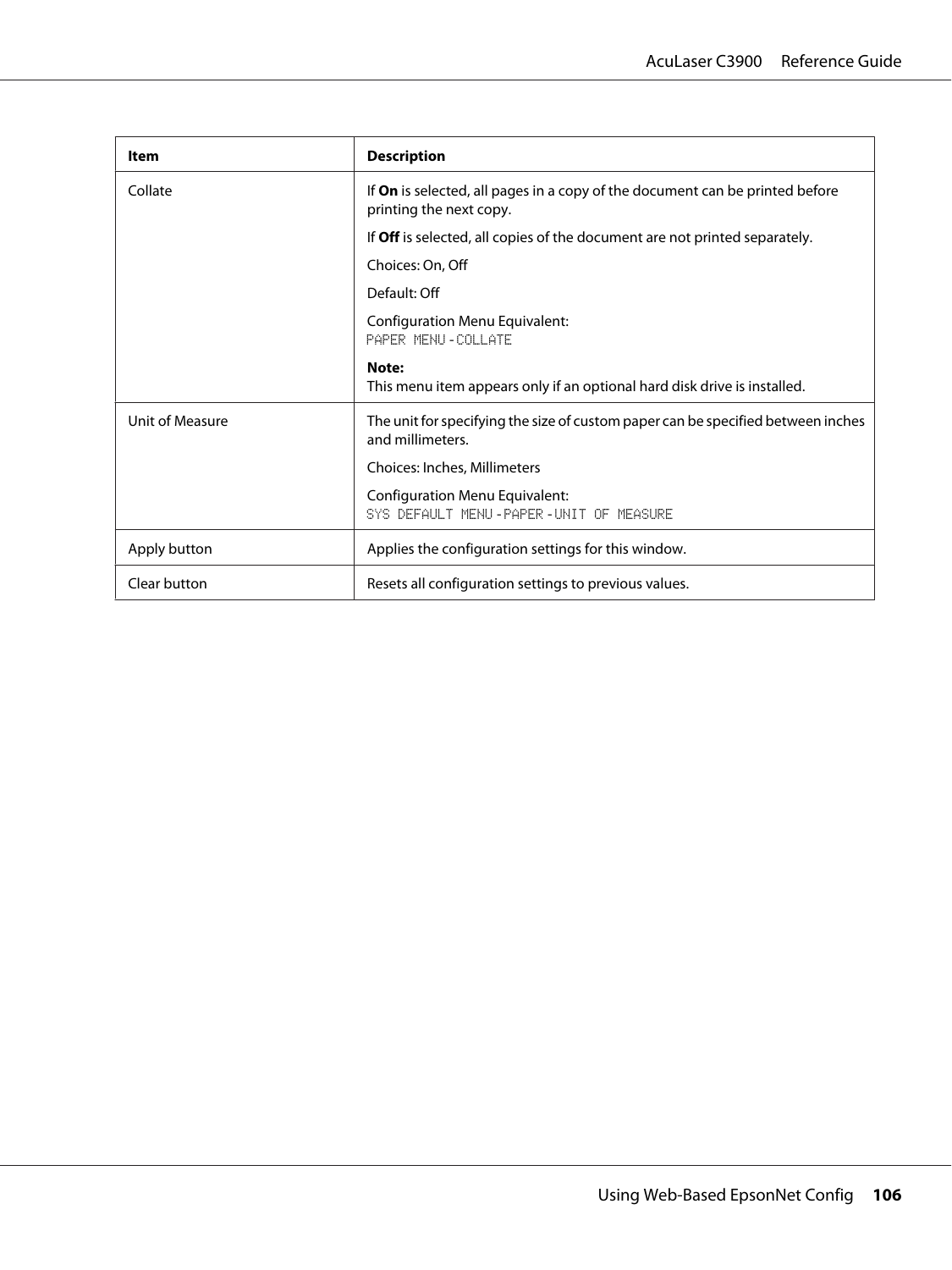| <b>Item</b>     | <b>Description</b>                                                                                             |  |
|-----------------|----------------------------------------------------------------------------------------------------------------|--|
| Collate         | If <b>On</b> is selected, all pages in a copy of the document can be printed before<br>printing the next copy. |  |
|                 | If Off is selected, all copies of the document are not printed separately.                                     |  |
|                 | Choices: On, Off                                                                                               |  |
|                 | Default: Off                                                                                                   |  |
|                 | <b>Configuration Menu Equivalent:</b><br>PAPER MENU - COLLATE                                                  |  |
|                 | Note:<br>This menu item appears only if an optional hard disk drive is installed.                              |  |
| Unit of Measure | The unit for specifying the size of custom paper can be specified between inches<br>and millimeters.           |  |
|                 | Choices: Inches, Millimeters                                                                                   |  |
|                 | Configuration Menu Equivalent:<br>SYS DEFAULT MENU-PAPER-UNIT OF MEASURE                                       |  |
| Apply button    | Applies the configuration settings for this window.                                                            |  |
| Clear button    | Resets all configuration settings to previous values.                                                          |  |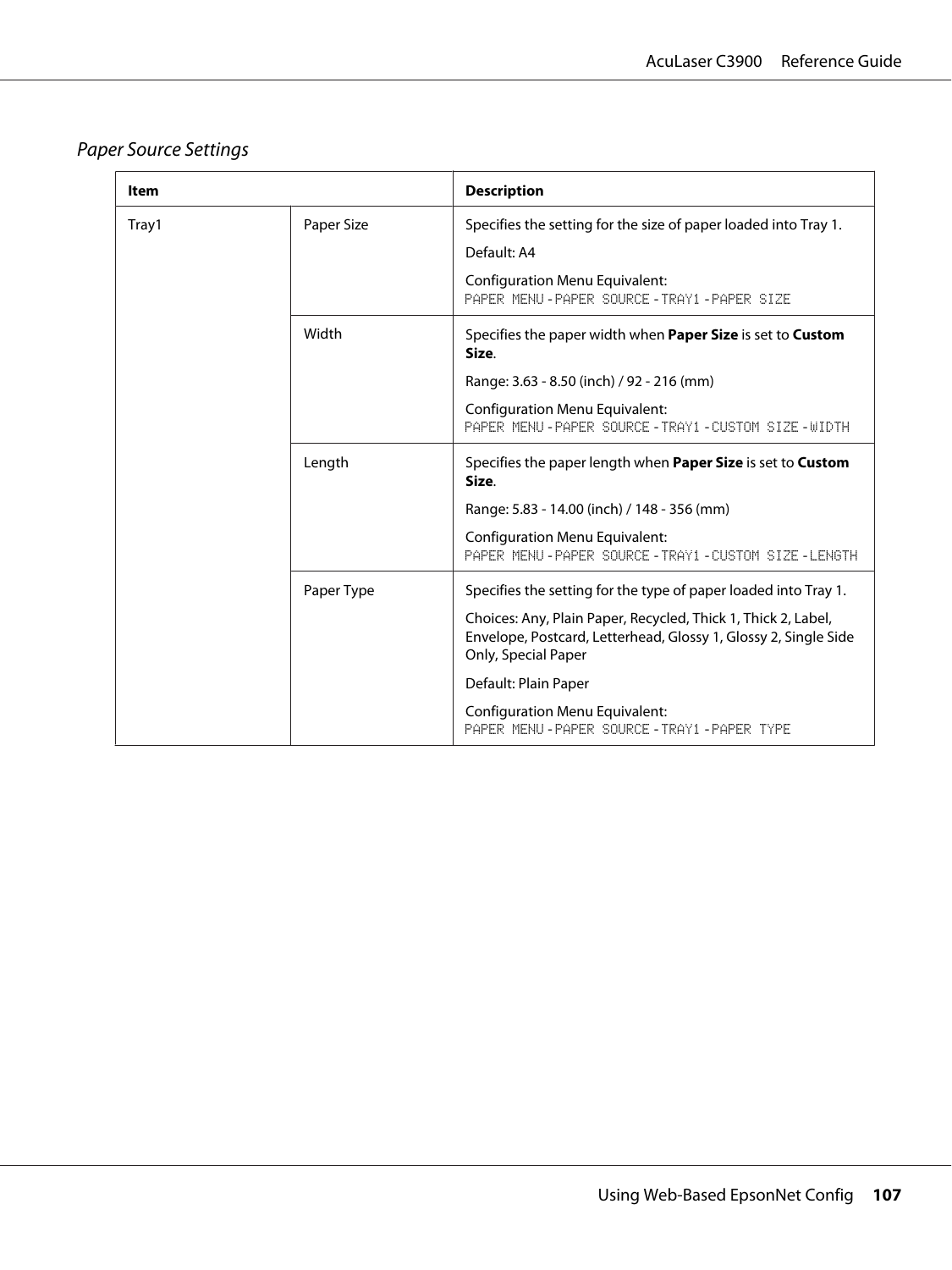# Paper Source Settings

| Item  |            | <b>Description</b>                                                                                                                                                        |
|-------|------------|---------------------------------------------------------------------------------------------------------------------------------------------------------------------------|
| Tray1 | Paper Size | Specifies the setting for the size of paper loaded into Tray 1.<br>Default: A4<br><b>Configuration Menu Equivalent:</b><br>PAPER MENU - PAPER SOURCE - TRAY1 - PAPER SIZE |
|       | Width      | Specifies the paper width when <b>Paper Size</b> is set to <b>Custom</b><br>Size.                                                                                         |
|       |            | Range: 3.63 - 8.50 (inch) / 92 - 216 (mm)<br>Configuration Menu Equivalent:                                                                                               |
|       |            | PAPER MENU-PAPER SOURCE-TRAY1-CUSTOM STZE-MIDTH                                                                                                                           |
|       | Length     | Specifies the paper length when <b>Paper Size</b> is set to <b>Custom</b><br>Size.                                                                                        |
|       |            | Range: 5.83 - 14.00 (inch) / 148 - 356 (mm)                                                                                                                               |
|       |            | <b>Configuration Menu Equivalent:</b><br>PAPER MENU-PAPER SOURCE-TRAY1-CUSTOM SIZE-LENGTH                                                                                 |
|       | Paper Type | Specifies the setting for the type of paper loaded into Tray 1.                                                                                                           |
|       |            | Choices: Any, Plain Paper, Recycled, Thick 1, Thick 2, Label,<br>Envelope, Postcard, Letterhead, Glossy 1, Glossy 2, Single Side<br>Only, Special Paper                   |
|       |            | Default: Plain Paper                                                                                                                                                      |
|       |            | <b>Configuration Menu Equivalent:</b><br>PAPER MENU-PAPER SOURCE-TRAY1-PAPER TYPE                                                                                         |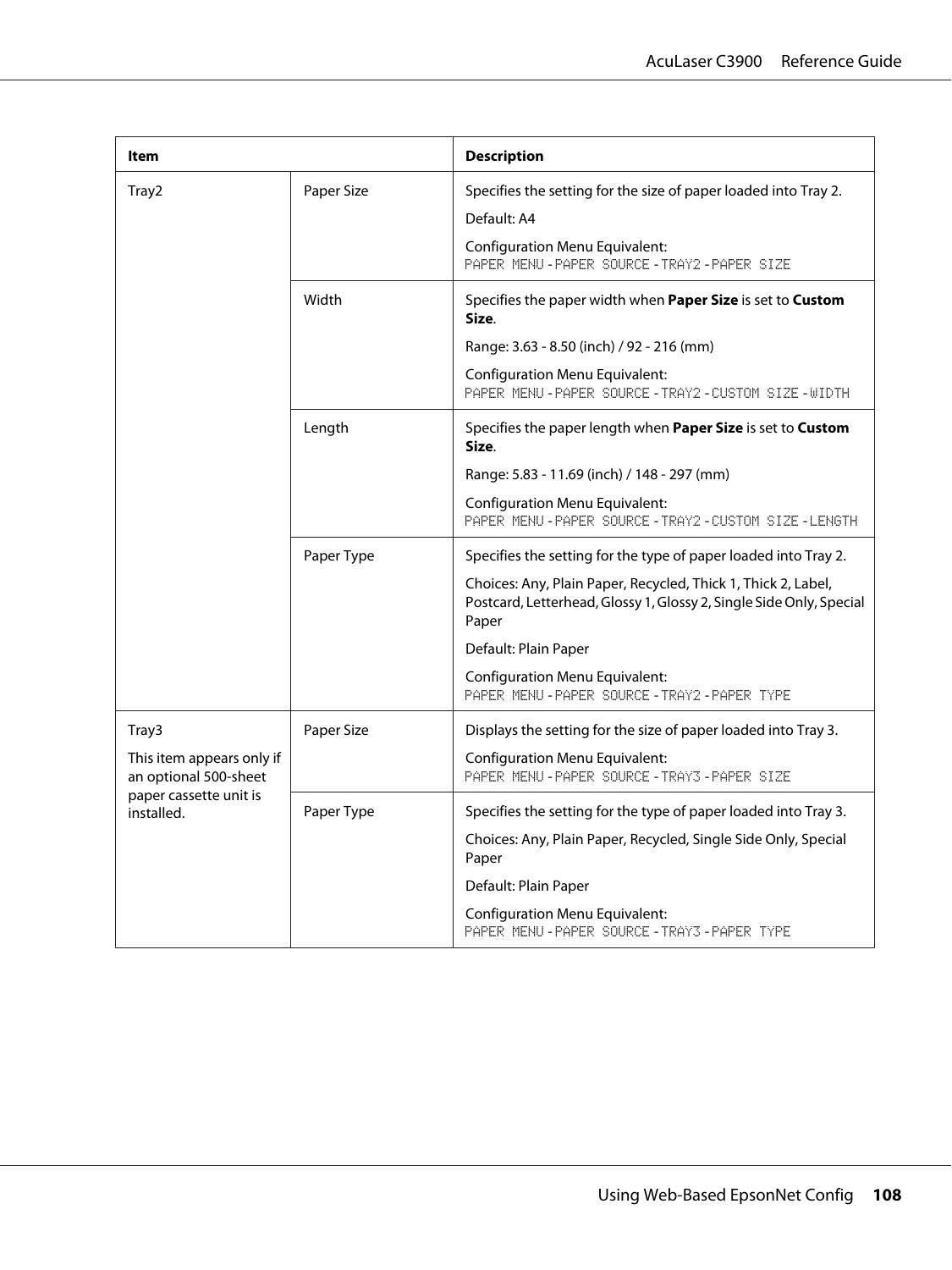| Item                                                                                       |            | <b>Description</b>                                                                                                                            |
|--------------------------------------------------------------------------------------------|------------|-----------------------------------------------------------------------------------------------------------------------------------------------|
| Tray2                                                                                      | Paper Size | Specifies the setting for the size of paper loaded into Tray 2.                                                                               |
|                                                                                            |            | Default: A4                                                                                                                                   |
|                                                                                            |            | <b>Configuration Menu Equivalent:</b><br>PAPER MENU-PAPER SOURCE-TRAY2-PAPER SIZE                                                             |
|                                                                                            | Width      | Specifies the paper width when Paper Size is set to Custom<br>Size.                                                                           |
|                                                                                            |            | Range: 3.63 - 8.50 (inch) / 92 - 216 (mm)                                                                                                     |
|                                                                                            |            | <b>Configuration Menu Equivalent:</b><br>PAPER MENU-PAPER SOURCE-TRAY2-CUSTOM SIZE-WIDTH                                                      |
|                                                                                            | Length     | Specifies the paper length when Paper Size is set to Custom<br>Size.                                                                          |
|                                                                                            |            | Range: 5.83 - 11.69 (inch) / 148 - 297 (mm)                                                                                                   |
|                                                                                            |            | <b>Configuration Menu Equivalent:</b><br>PAPER MENU-PAPER SOURCE-TRAY2-CUSTOM SIZE-LENGTH                                                     |
|                                                                                            | Paper Type | Specifies the setting for the type of paper loaded into Tray 2.                                                                               |
|                                                                                            |            | Choices: Any, Plain Paper, Recycled, Thick 1, Thick 2, Label,<br>Postcard, Letterhead, Glossy 1, Glossy 2, Single Side Only, Special<br>Paper |
|                                                                                            |            | Default: Plain Paper                                                                                                                          |
|                                                                                            |            | <b>Configuration Menu Equivalent:</b><br>PAPER MENU-PAPER SOURCE-TRAY2-PAPER TYPE                                                             |
| Tray3                                                                                      | Paper Size | Displays the setting for the size of paper loaded into Tray 3.                                                                                |
| This item appears only if<br>an optional 500-sheet<br>paper cassette unit is<br>installed. |            | <b>Configuration Menu Equivalent:</b><br>PAPER MENU-PAPER SOURCE-TRAY3-PAPER SIZE                                                             |
|                                                                                            | Paper Type | Specifies the setting for the type of paper loaded into Tray 3.                                                                               |
|                                                                                            |            | Choices: Any, Plain Paper, Recycled, Single Side Only, Special<br>Paper                                                                       |
|                                                                                            |            | Default: Plain Paper                                                                                                                          |
|                                                                                            |            | <b>Configuration Menu Equivalent:</b><br>PAPER MENU-PAPER SOURCE-TRAY3-PAPER TYPE                                                             |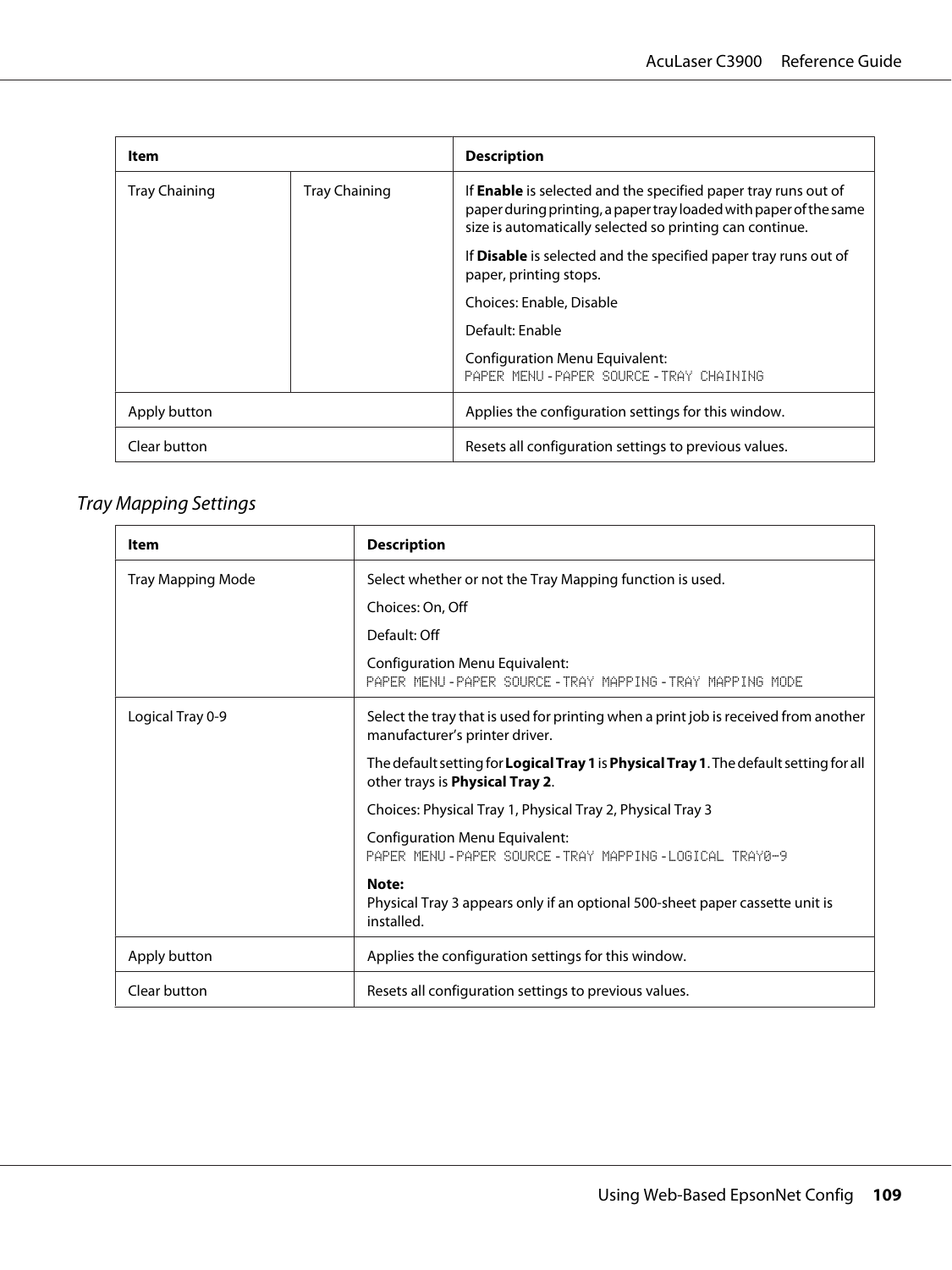| Item                 |                      | <b>Description</b>                                                                                                                                                                                     |
|----------------------|----------------------|--------------------------------------------------------------------------------------------------------------------------------------------------------------------------------------------------------|
| <b>Tray Chaining</b> | <b>Tray Chaining</b> | If <b>Enable</b> is selected and the specified paper tray runs out of<br>paper during printing, a paper tray loaded with paper of the same<br>size is automatically selected so printing can continue. |
|                      |                      | If <b>Disable</b> is selected and the specified paper tray runs out of<br>paper, printing stops.                                                                                                       |
|                      |                      | Choices: Enable, Disable                                                                                                                                                                               |
|                      |                      | Default: Enable                                                                                                                                                                                        |
|                      |                      | Configuration Menu Equivalent:<br>PAPER MENU-PAPER SOURCE-TRAY CHAINING                                                                                                                                |
| Apply button         |                      | Applies the configuration settings for this window.                                                                                                                                                    |
| Clear button         |                      | Resets all configuration settings to previous values.                                                                                                                                                  |

# Tray Mapping Settings

| Item                     | <b>Description</b>                                                                                                                       |
|--------------------------|------------------------------------------------------------------------------------------------------------------------------------------|
| <b>Tray Mapping Mode</b> | Select whether or not the Tray Mapping function is used.                                                                                 |
|                          | Choices: On, Off                                                                                                                         |
|                          | Default: Off                                                                                                                             |
|                          | <b>Configuration Menu Equivalent:</b><br>PAPER MENU-PAPER SOURCE-TRAY MAPPING-TRAY MAPPING MODE                                          |
| Logical Tray 0-9         | Select the tray that is used for printing when a print job is received from another<br>manufacturer's printer driver.                    |
|                          | The default setting for <b>Logical Tray 1</b> is <b>Physical Tray 1</b> . The default setting for all<br>other trays is Physical Tray 2. |
|                          | Choices: Physical Tray 1, Physical Tray 2, Physical Tray 3                                                                               |
|                          | <b>Configuration Menu Equivalent:</b><br>PAPER MENIL-PAPER SOURCE-TRAY MAPPING-LOGICAL TRAYR-9                                           |
|                          | Note:<br>Physical Tray 3 appears only if an optional 500-sheet paper cassette unit is<br>installed.                                      |
| Apply button             | Applies the configuration settings for this window.                                                                                      |
| Clear button             | Resets all configuration settings to previous values.                                                                                    |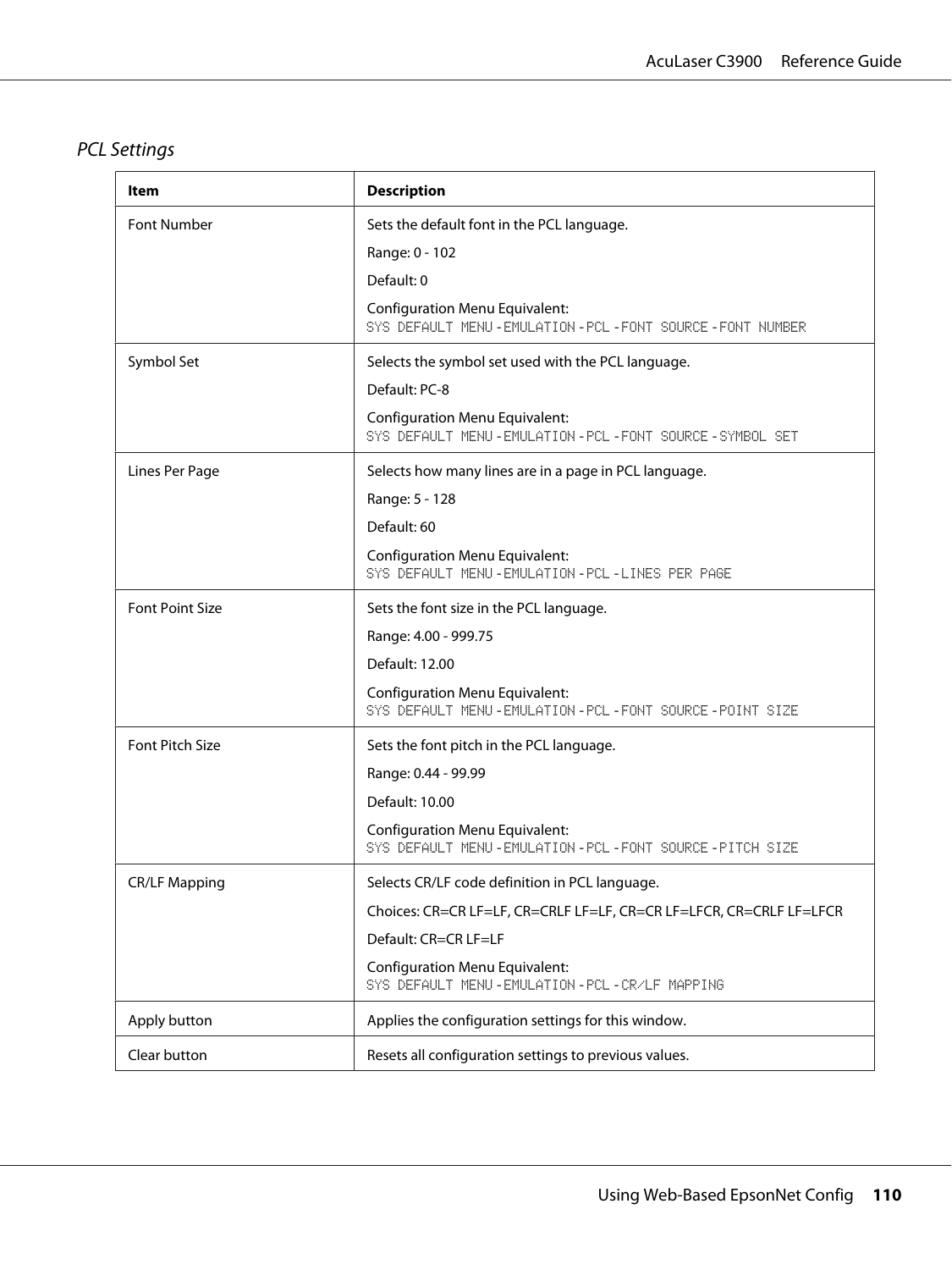# PCL Settings

| ltem                   | <b>Description</b>                                                                                                                                                                                                                     |
|------------------------|----------------------------------------------------------------------------------------------------------------------------------------------------------------------------------------------------------------------------------------|
| Font Number            | Sets the default font in the PCL language.<br>Range: 0 - 102<br>Default: 0<br><b>Configuration Menu Equivalent:</b><br>SYS DEFAULT MENU - EMULATION - PCL - FONT SOURCE - FONT NUMBER                                                  |
| Symbol Set             | Selects the symbol set used with the PCL language.<br>Default: PC-8<br><b>Configuration Menu Equivalent:</b><br>SYS DEFAULT MENU - EMULATION - PCL - FONT SOURCE - SYMBOL SET                                                          |
| Lines Per Page         | Selects how many lines are in a page in PCL language.<br>Range: 5 - 128<br>Default: 60<br><b>Configuration Menu Equivalent:</b><br>SYS DEFAULT MENU-EMULATION-PCL-LINES PER PAGE                                                       |
| <b>Font Point Size</b> | Sets the font size in the PCL language.<br>Range: 4.00 - 999.75<br>Default: 12.00<br><b>Configuration Menu Equivalent:</b><br>SYS DEFAULT MENU - EMULATION - PCL - FONT SOURCE - POINT SIZE                                            |
| <b>Font Pitch Size</b> | Sets the font pitch in the PCL language.<br>Range: 0.44 - 99.99<br>Default: 10.00<br><b>Configuration Menu Equivalent:</b><br>SYS DEFAULT MENU-EMULATION-PCL-FONT SOURCE-PITCH SIZE                                                    |
| <b>CR/LF Mapping</b>   | Selects CR/LF code definition in PCL language.<br>Choices: CR=CR LF=LF, CR=CRLF LF=LF, CR=CR LF=LFCR, CR=CRLF LF=LFCR<br>Default: CR=CR LF=LF<br><b>Configuration Menu Equivalent:</b><br>SYS DEFAULT MENU-EMULATION-PCL-CR/LF MAPPING |
| Apply button           | Applies the configuration settings for this window.                                                                                                                                                                                    |
| Clear button           | Resets all configuration settings to previous values.                                                                                                                                                                                  |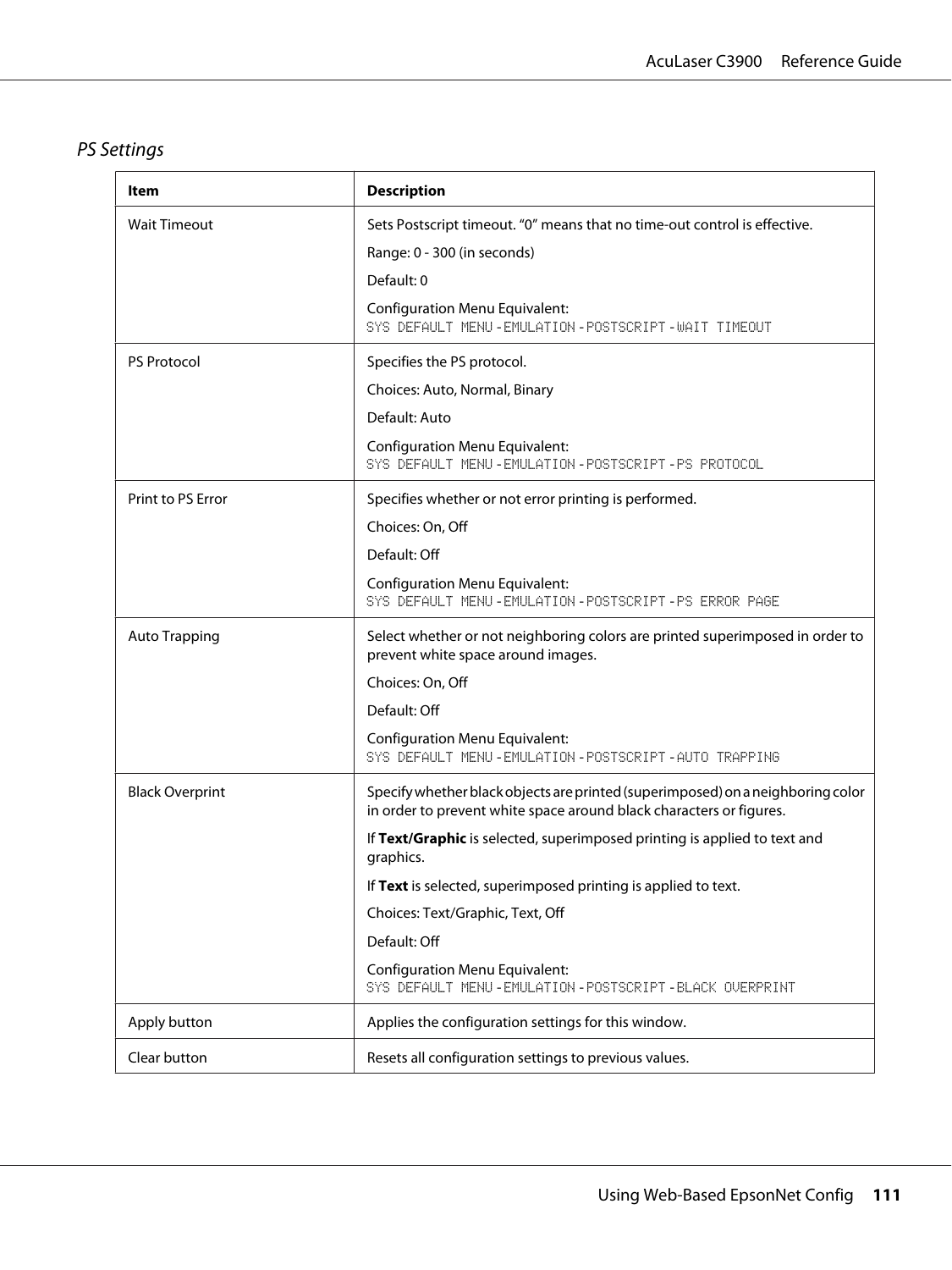# PS Settings

| Item                   | <b>Description</b>                                                                                                                                     |
|------------------------|--------------------------------------------------------------------------------------------------------------------------------------------------------|
| <b>Wait Timeout</b>    | Sets Postscript timeout. "0" means that no time-out control is effective.                                                                              |
|                        | Range: 0 - 300 (in seconds)                                                                                                                            |
|                        | Default: 0                                                                                                                                             |
|                        | <b>Configuration Menu Equivalent:</b><br>SYS DEFAULT MENU - EMULATION - POSTSCRIPT - WAIT TIMEOUT                                                      |
| <b>PS Protocol</b>     | Specifies the PS protocol.                                                                                                                             |
|                        | Choices: Auto, Normal, Binary                                                                                                                          |
|                        | Default: Auto                                                                                                                                          |
|                        | <b>Configuration Menu Equivalent:</b><br>SYS DEFAULT MENU-EMULATION-POSTSCRIPT-PS PROTOCOL                                                             |
| Print to PS Error      | Specifies whether or not error printing is performed.                                                                                                  |
|                        | Choices: On, Off                                                                                                                                       |
|                        | Default: Off                                                                                                                                           |
|                        | <b>Configuration Menu Equivalent:</b><br>SYS DEFAULT MENU-EMULATION-POSTSCRIPT-PS ERROR PAGE                                                           |
| <b>Auto Trapping</b>   | Select whether or not neighboring colors are printed superimposed in order to<br>prevent white space around images.                                    |
|                        | Choices: On, Off                                                                                                                                       |
|                        | Default: Off                                                                                                                                           |
|                        | <b>Configuration Menu Equivalent:</b><br>SYS DEFAULT MENU-EMULATION-POSTSCRIPT-AUTO TRAPPING                                                           |
| <b>Black Overprint</b> | Specify whether black objects are printed (superimposed) on a neighboring color<br>in order to prevent white space around black characters or figures. |
|                        | If Text/Graphic is selected, superimposed printing is applied to text and<br>graphics.                                                                 |
|                        | If Text is selected, superimposed printing is applied to text.                                                                                         |
|                        | Choices: Text/Graphic, Text, Off                                                                                                                       |
|                        | Default: Off                                                                                                                                           |
|                        | <b>Configuration Menu Equivalent:</b><br>SYS DEFAULT MENU-EMULATION-POSTSCRIPT-BLACK OVERPRINT                                                         |
| Apply button           | Applies the configuration settings for this window.                                                                                                    |
| Clear button           | Resets all configuration settings to previous values.                                                                                                  |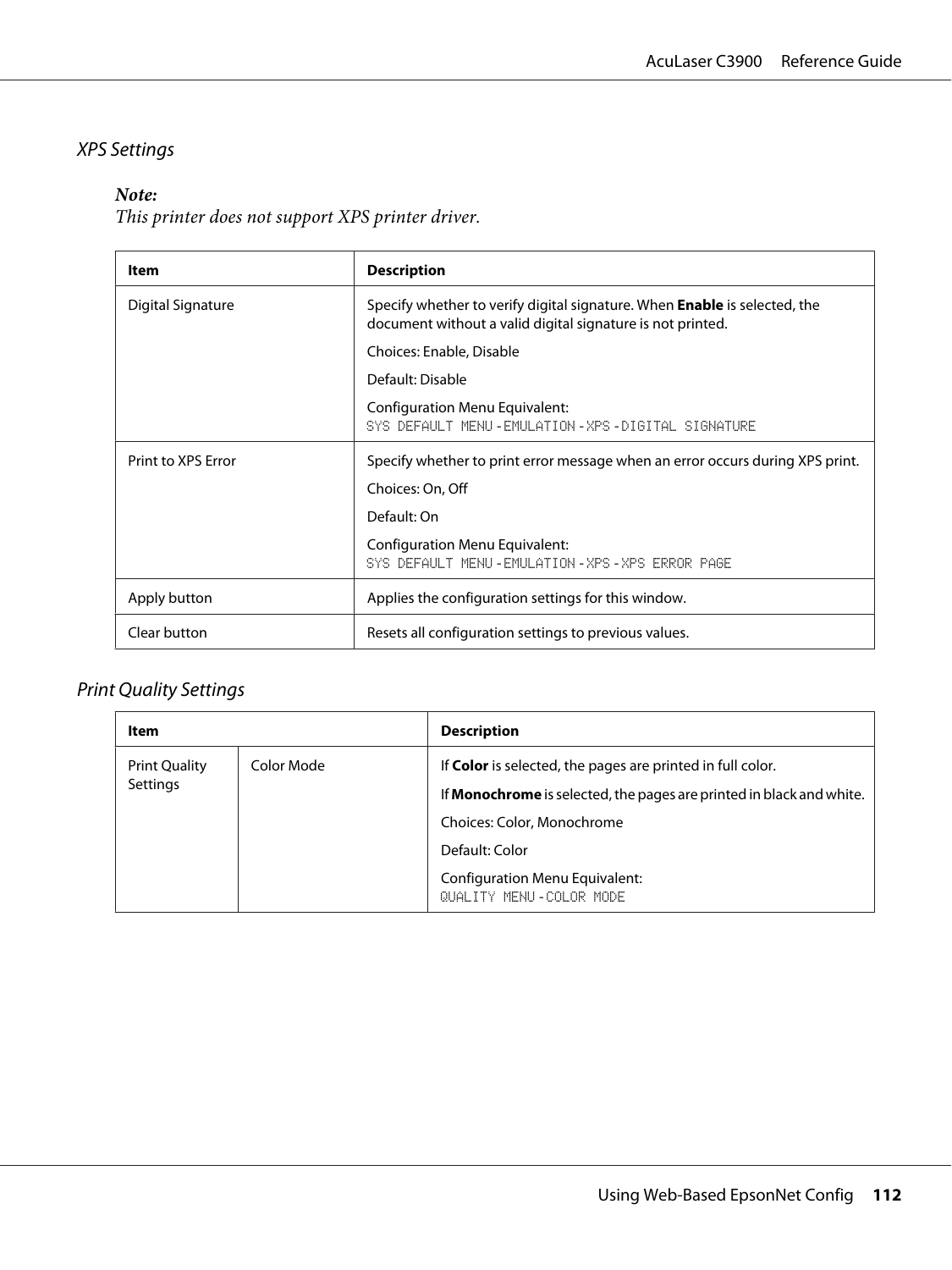### XPS Settings

### *Note:*

*This printer does not support XPS printer driver.*

| Item               | <b>Description</b>                                                                                                                             |  |
|--------------------|------------------------------------------------------------------------------------------------------------------------------------------------|--|
| Digital Signature  | Specify whether to verify digital signature. When <b>Enable</b> is selected, the<br>document without a valid digital signature is not printed. |  |
|                    | Choices: Enable, Disable                                                                                                                       |  |
|                    | Default: Disable                                                                                                                               |  |
|                    | <b>Configuration Menu Equivalent:</b><br>SYS DEFAULT MENU-EMULATION-XPS-DIGITAL SIGNATURE                                                      |  |
| Print to XPS Error | Specify whether to print error message when an error occurs during XPS print.                                                                  |  |
|                    | Choices: On, Off                                                                                                                               |  |
|                    | Default: On                                                                                                                                    |  |
|                    | Configuration Menu Equivalent:<br>SYS DEFAULT MENU-EMULATION-XPS-XPS ERROR PAGE                                                                |  |
| Apply button       | Applies the configuration settings for this window.                                                                                            |  |
| Clear button       | Resets all configuration settings to previous values.                                                                                          |  |

### Print Quality Settings

| Item                 |            | <b>Description</b>                                                          |
|----------------------|------------|-----------------------------------------------------------------------------|
| <b>Print Quality</b> | Color Mode | If Color is selected, the pages are printed in full color.                  |
| Settings             |            | If <b>Monochrome</b> is selected, the pages are printed in black and white. |
|                      |            | Choices: Color, Monochrome                                                  |
|                      |            | Default: Color                                                              |
|                      |            | Configuration Menu Equivalent:<br>QUALITY MENU - COLOR MODE                 |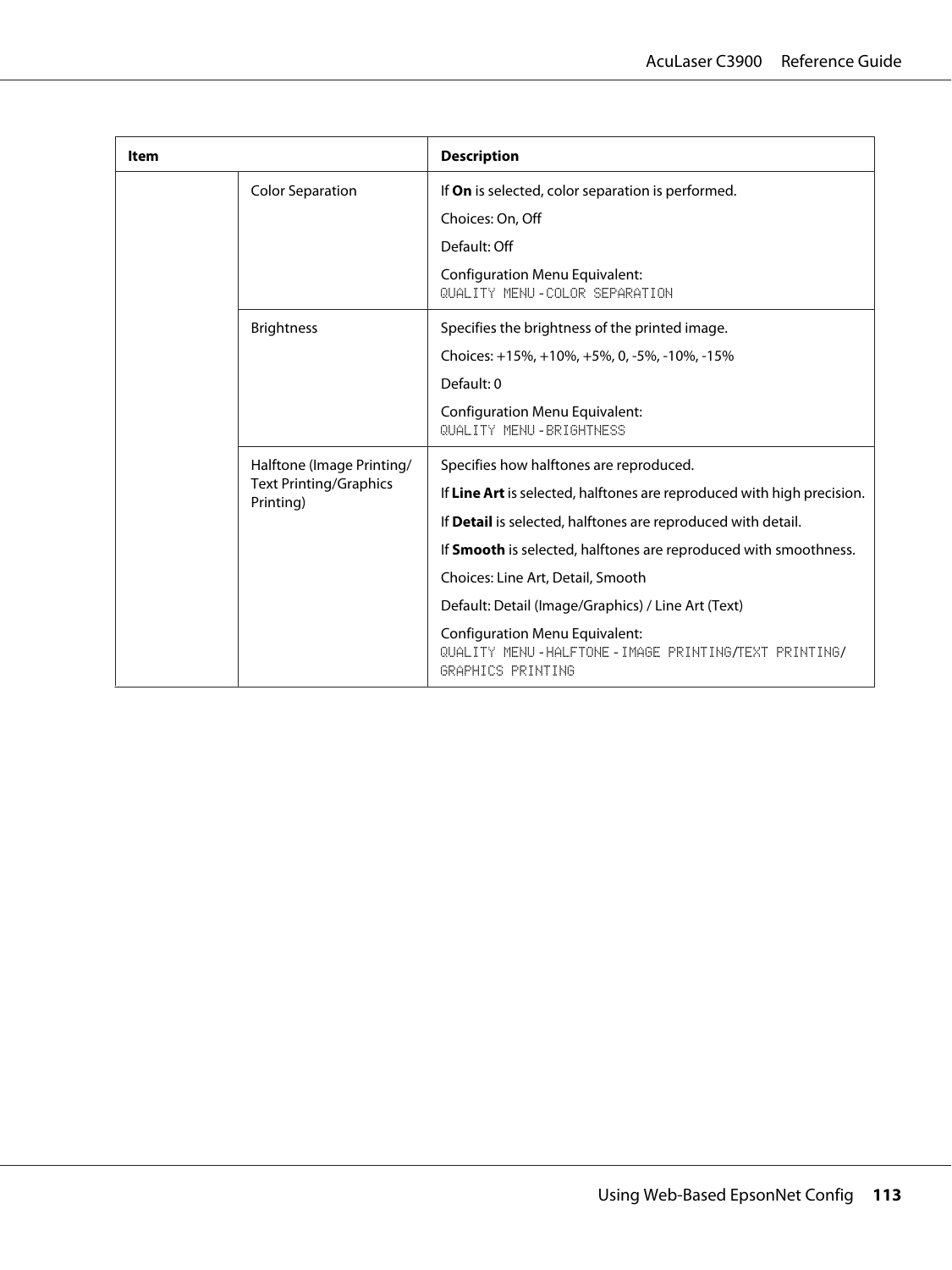| Item |                                                                         | <b>Description</b>                                                                                                |
|------|-------------------------------------------------------------------------|-------------------------------------------------------------------------------------------------------------------|
|      | <b>Color Separation</b>                                                 | If <b>On</b> is selected, color separation is performed.                                                          |
|      |                                                                         | Choices: On, Off                                                                                                  |
|      |                                                                         | Default: Off                                                                                                      |
|      |                                                                         | <b>Configuration Menu Equivalent:</b><br>QUALITY MENU-COLOR SEPARATION                                            |
|      | <b>Brightness</b>                                                       | Specifies the brightness of the printed image.                                                                    |
|      |                                                                         | Choices: +15%, +10%, +5%, 0, -5%, -10%, -15%                                                                      |
|      |                                                                         | Default: 0                                                                                                        |
|      |                                                                         | <b>Configuration Menu Equivalent:</b><br>QUALITY MENU - RRIGHTNESS                                                |
|      | Halftone (Image Printing/<br><b>Text Printing/Graphics</b><br>Printing) | Specifies how halftones are reproduced.                                                                           |
|      |                                                                         | If Line Art is selected, halftones are reproduced with high precision.                                            |
|      |                                                                         | If <b>Detail</b> is selected, halftones are reproduced with detail.                                               |
|      |                                                                         | If Smooth is selected, halftones are reproduced with smoothness.                                                  |
|      |                                                                         | Choices: Line Art, Detail, Smooth                                                                                 |
|      |                                                                         | Default: Detail (Image/Graphics) / Line Art (Text)                                                                |
|      |                                                                         | <b>Configuration Menu Equivalent:</b><br>QUALITY MENU-HALFTONE-IMAGE PRINTING/TEXT PRINTING/<br>GRAPHICS PRINTING |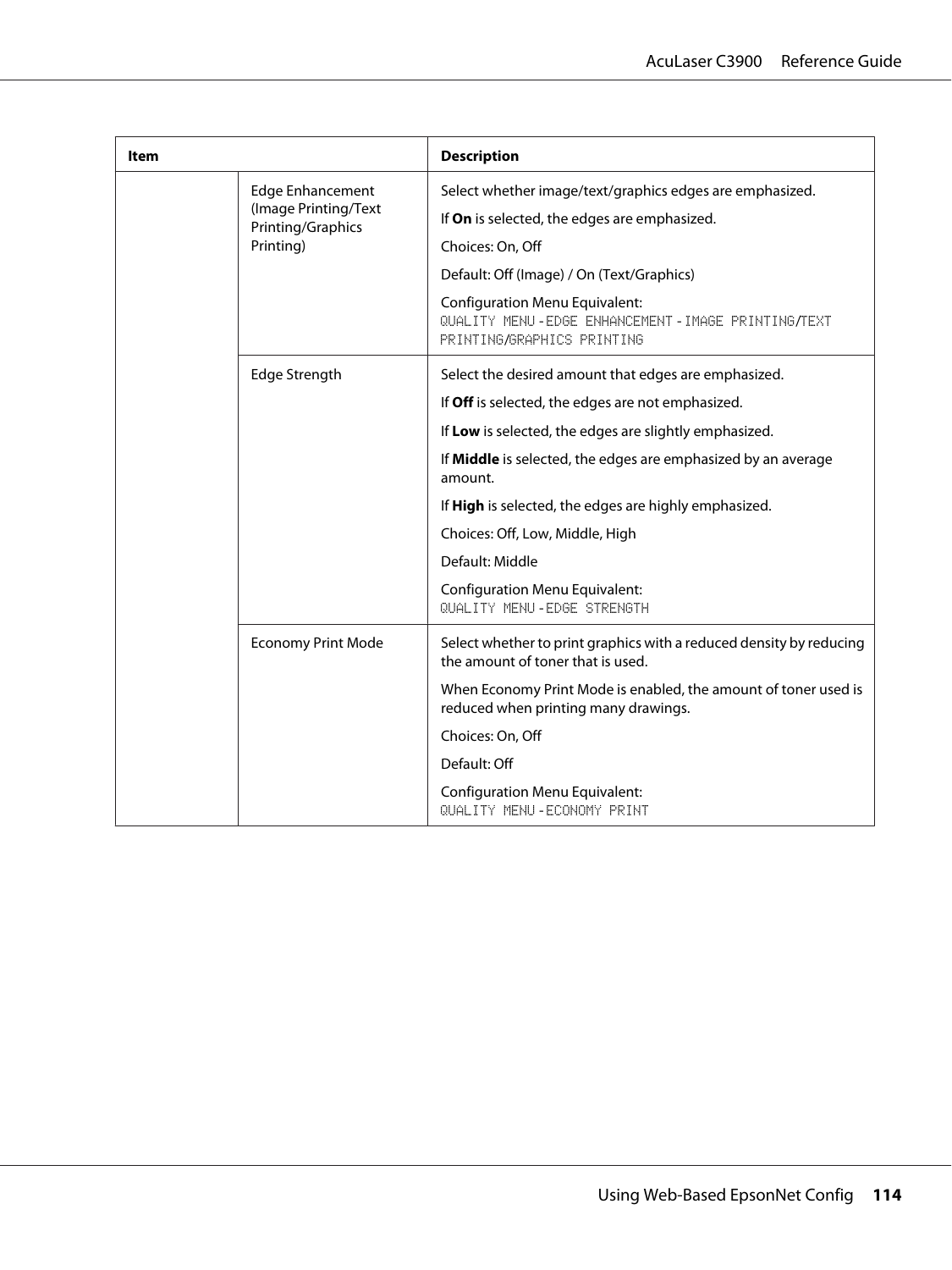| Item |                                                                                   | <b>Description</b>                                                                                                       |
|------|-----------------------------------------------------------------------------------|--------------------------------------------------------------------------------------------------------------------------|
|      | <b>Edge Enhancement</b><br>(Image Printing/Text<br>Printing/Graphics<br>Printing) | Select whether image/text/graphics edges are emphasized.                                                                 |
|      |                                                                                   | If On is selected, the edges are emphasized.                                                                             |
|      |                                                                                   | Choices: On, Off                                                                                                         |
|      |                                                                                   | Default: Off (Image) / On (Text/Graphics)                                                                                |
|      |                                                                                   | <b>Configuration Menu Equivalent:</b><br>QUALITY MENU-EDGE ENHANCEMENT-IMAGE PRINTING/TEXT<br>PRINTING/GRAPHICS PRINTING |
|      | Edge Strength                                                                     | Select the desired amount that edges are emphasized.                                                                     |
|      |                                                                                   | If Off is selected, the edges are not emphasized.                                                                        |
|      |                                                                                   | If Low is selected, the edges are slightly emphasized.                                                                   |
|      |                                                                                   | If Middle is selected, the edges are emphasized by an average<br>amount.                                                 |
|      |                                                                                   | If High is selected, the edges are highly emphasized.                                                                    |
|      |                                                                                   | Choices: Off, Low, Middle, High                                                                                          |
|      |                                                                                   | Default: Middle                                                                                                          |
|      |                                                                                   | <b>Configuration Menu Equivalent:</b><br>QUALITY MENU - FDGE STRENGTH                                                    |
|      | <b>Economy Print Mode</b>                                                         | Select whether to print graphics with a reduced density by reducing<br>the amount of toner that is used.                 |
|      |                                                                                   | When Economy Print Mode is enabled, the amount of toner used is<br>reduced when printing many drawings.                  |
|      | Choices: On, Off                                                                  |                                                                                                                          |
|      |                                                                                   | Default: Off                                                                                                             |
|      |                                                                                   | <b>Configuration Menu Equivalent:</b><br>QUALITY MENU-ECONOMY PRINT                                                      |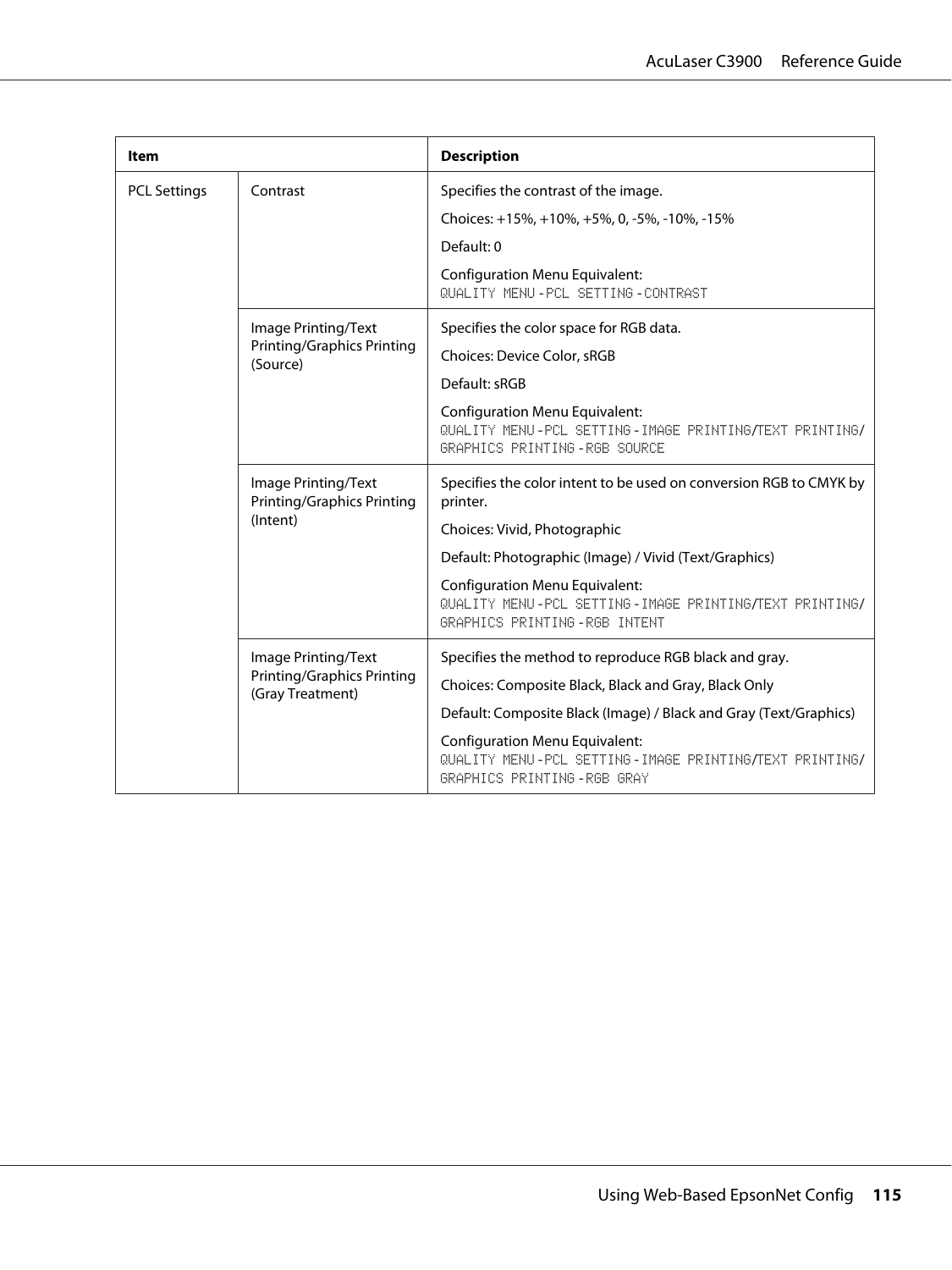| ltem                |                                                                              | <b>Description</b>                                                                                                              |
|---------------------|------------------------------------------------------------------------------|---------------------------------------------------------------------------------------------------------------------------------|
| <b>PCL Settings</b> | Contrast                                                                     | Specifies the contrast of the image.                                                                                            |
|                     |                                                                              | Choices: +15%, +10%, +5%, 0, -5%, -10%, -15%                                                                                    |
|                     |                                                                              | Default: 0                                                                                                                      |
|                     |                                                                              | <b>Configuration Menu Equivalent:</b><br>QUALITY MENU-PCL SETTING-CONTRAST                                                      |
|                     | Image Printing/Text                                                          | Specifies the color space for RGB data.                                                                                         |
|                     | <b>Printing/Graphics Printing</b><br>(Source)                                | Choices: Device Color, sRGB                                                                                                     |
|                     |                                                                              | Default: sRGB                                                                                                                   |
|                     |                                                                              | <b>Configuration Menu Equivalent:</b><br>QUALITY MENU-PCL SETTING-IMAGE PRINTING/TEXT PRINTING/<br>GRAPHICS PRINTING-RGB SOURCE |
|                     | Image Printing/Text<br><b>Printing/Graphics Printing</b><br>(Intent)         | Specifies the color intent to be used on conversion RGB to CMYK by<br>printer.                                                  |
|                     |                                                                              | Choices: Vivid, Photographic                                                                                                    |
|                     |                                                                              | Default: Photographic (Image) / Vivid (Text/Graphics)                                                                           |
|                     |                                                                              | <b>Configuration Menu Equivalent:</b><br>QUALITY MENU-PCL SETTING-IMAGE PRINTING/TEXT PRINTING/<br>GRAPHICS PRINTING-RGB INTENT |
|                     | Image Printing/Text<br><b>Printing/Graphics Printing</b><br>(Gray Treatment) | Specifies the method to reproduce RGB black and gray.                                                                           |
|                     |                                                                              | Choices: Composite Black, Black and Gray, Black Only                                                                            |
|                     |                                                                              | Default: Composite Black (Image) / Black and Gray (Text/Graphics)                                                               |
|                     |                                                                              | <b>Configuration Menu Equivalent:</b><br>QUALITY MENU-PCL SETTING-IMAGE PRINTING/TEXT PRINTING/<br>GRAPHICS PRINTING-RGB GRAY   |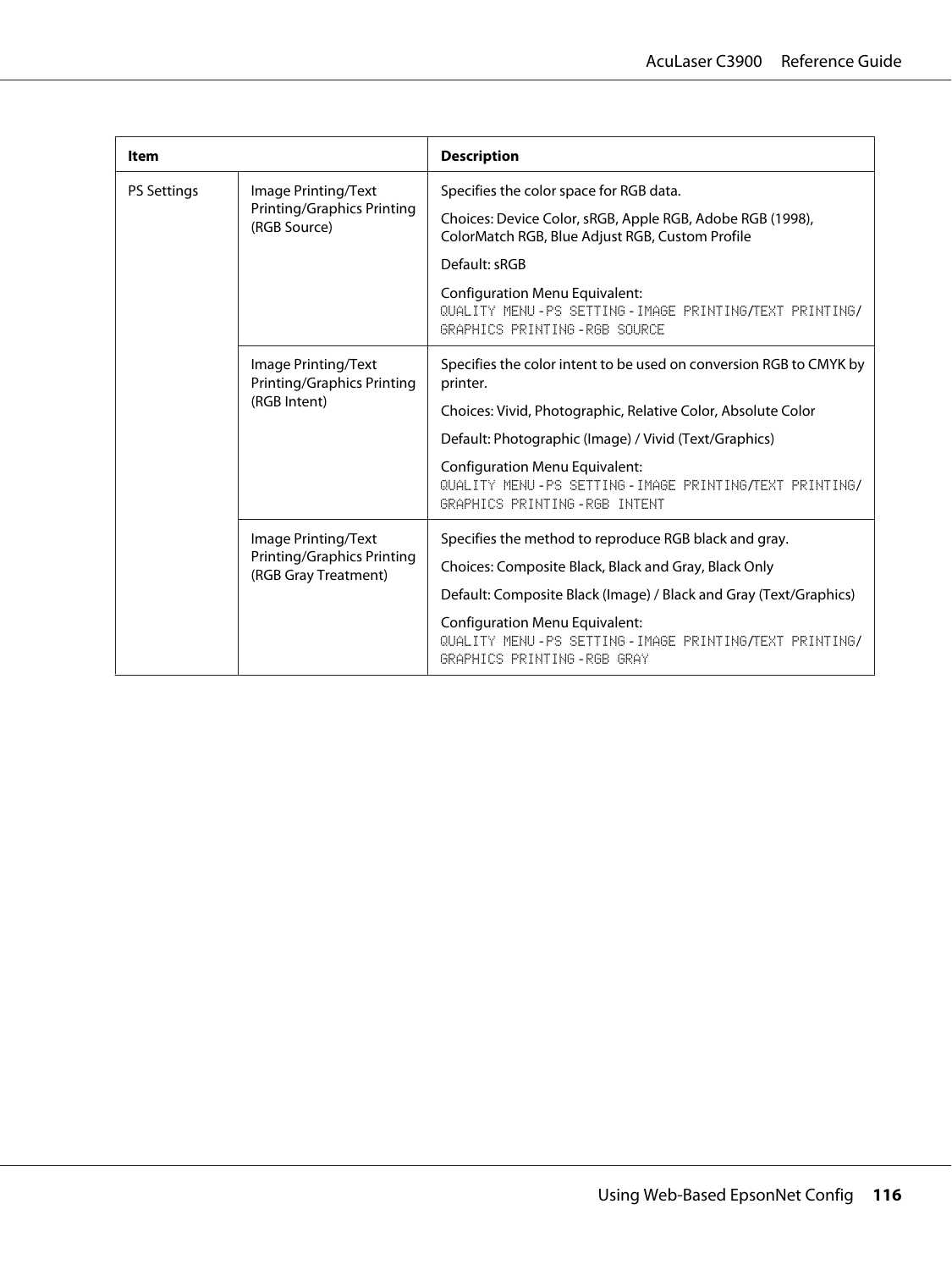| Item               |                                                                                  | <b>Description</b>                                                                                                             |
|--------------------|----------------------------------------------------------------------------------|--------------------------------------------------------------------------------------------------------------------------------|
| <b>PS Settings</b> | Image Printing/Text<br><b>Printing/Graphics Printing</b><br>(RGB Source)         | Specifies the color space for RGB data.                                                                                        |
|                    |                                                                                  | Choices: Device Color, sRGB, Apple RGB, Adobe RGB (1998),<br>ColorMatch RGB, Blue Adjust RGB, Custom Profile                   |
|                    |                                                                                  | Default: sRGB                                                                                                                  |
|                    |                                                                                  | <b>Configuration Menu Equivalent:</b><br>QUALITY MENU-PS SETTING-IMAGE PRINTING/TEXT PRINTING/<br>GRAPHICS PRINTING-RGB SOURCE |
|                    | Image Printing/Text<br><b>Printing/Graphics Printing</b><br>(RGB Intent)         | Specifies the color intent to be used on conversion RGB to CMYK by<br>printer.                                                 |
|                    |                                                                                  | Choices: Vivid, Photographic, Relative Color, Absolute Color                                                                   |
|                    |                                                                                  | Default: Photographic (Image) / Vivid (Text/Graphics)                                                                          |
|                    |                                                                                  | <b>Configuration Menu Equivalent:</b><br>QUALITY MENU-PS SETTING-IMAGE PRINTING/TEXT PRINTING/<br>GRAPHICS PRINTING-RGB INTENT |
|                    | Image Printing/Text<br><b>Printing/Graphics Printing</b><br>(RGB Gray Treatment) | Specifies the method to reproduce RGB black and gray.                                                                          |
|                    |                                                                                  | Choices: Composite Black, Black and Gray, Black Only                                                                           |
|                    |                                                                                  | Default: Composite Black (Image) / Black and Gray (Text/Graphics)                                                              |
|                    |                                                                                  | <b>Configuration Menu Equivalent:</b><br>QUALITY MENU-PS SETTING-IMAGE PRINTING/TEXT PRINTING/<br>GRAPHICS PRINTING-RGB GRAY   |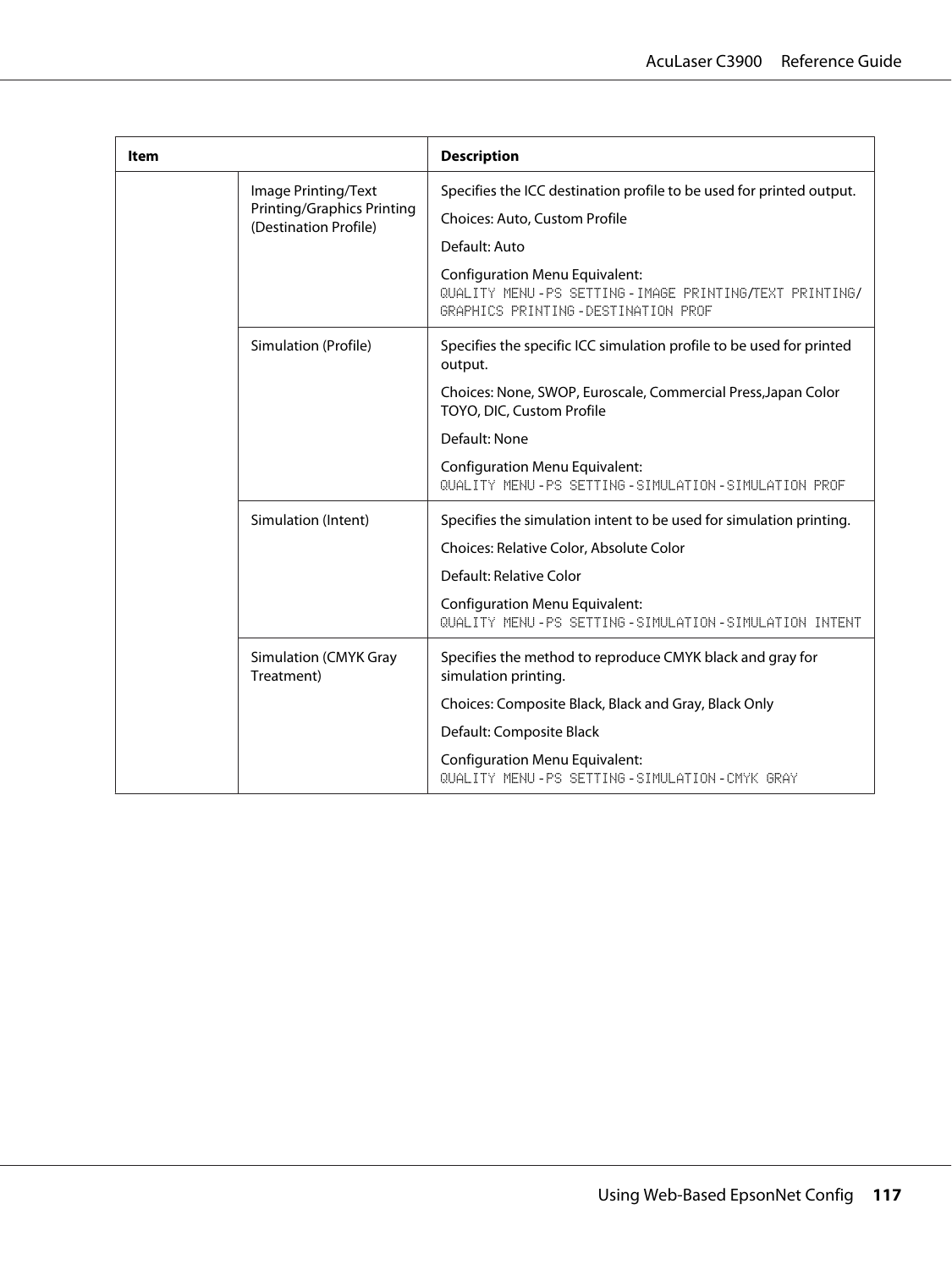| ltem |                                                            | <b>Description</b>                                                                                                                   |
|------|------------------------------------------------------------|--------------------------------------------------------------------------------------------------------------------------------------|
|      | Image Printing/Text                                        | Specifies the ICC destination profile to be used for printed output.                                                                 |
|      | <b>Printing/Graphics Printing</b><br>(Destination Profile) | Choices: Auto, Custom Profile                                                                                                        |
|      |                                                            | Default: Auto                                                                                                                        |
|      |                                                            | <b>Configuration Menu Equivalent:</b><br>QUALITY MENU-PS SETTING-IMAGE PRINTING/TEXT PRINTING/<br>GRAPHICS PRINTING-DESTINATION PROF |
|      | Simulation (Profile)                                       | Specifies the specific ICC simulation profile to be used for printed<br>output.                                                      |
|      |                                                            | Choices: None, SWOP, Euroscale, Commercial Press, Japan Color<br>TOYO, DIC, Custom Profile                                           |
|      |                                                            | Default: None                                                                                                                        |
|      |                                                            | <b>Configuration Menu Equivalent:</b><br>QUALITY MENU-PS SETTING-SIMULATION-SIMULATION PROF                                          |
|      | Simulation (Intent)                                        | Specifies the simulation intent to be used for simulation printing.                                                                  |
|      |                                                            | Choices: Relative Color, Absolute Color                                                                                              |
|      |                                                            | Default: Relative Color                                                                                                              |
|      |                                                            | <b>Configuration Menu Equivalent:</b><br>QUALITY MENU-PS SETTING-SIMULATION-SIMULATION INTENT                                        |
|      | Simulation (CMYK Gray<br>Treatment)                        | Specifies the method to reproduce CMYK black and gray for<br>simulation printing.                                                    |
|      |                                                            | Choices: Composite Black, Black and Gray, Black Only                                                                                 |
|      |                                                            | Default: Composite Black                                                                                                             |
|      |                                                            | <b>Configuration Menu Equivalent:</b><br>QUALITY MENU-PS SETTING-SIMULATION-CMYK GRAY                                                |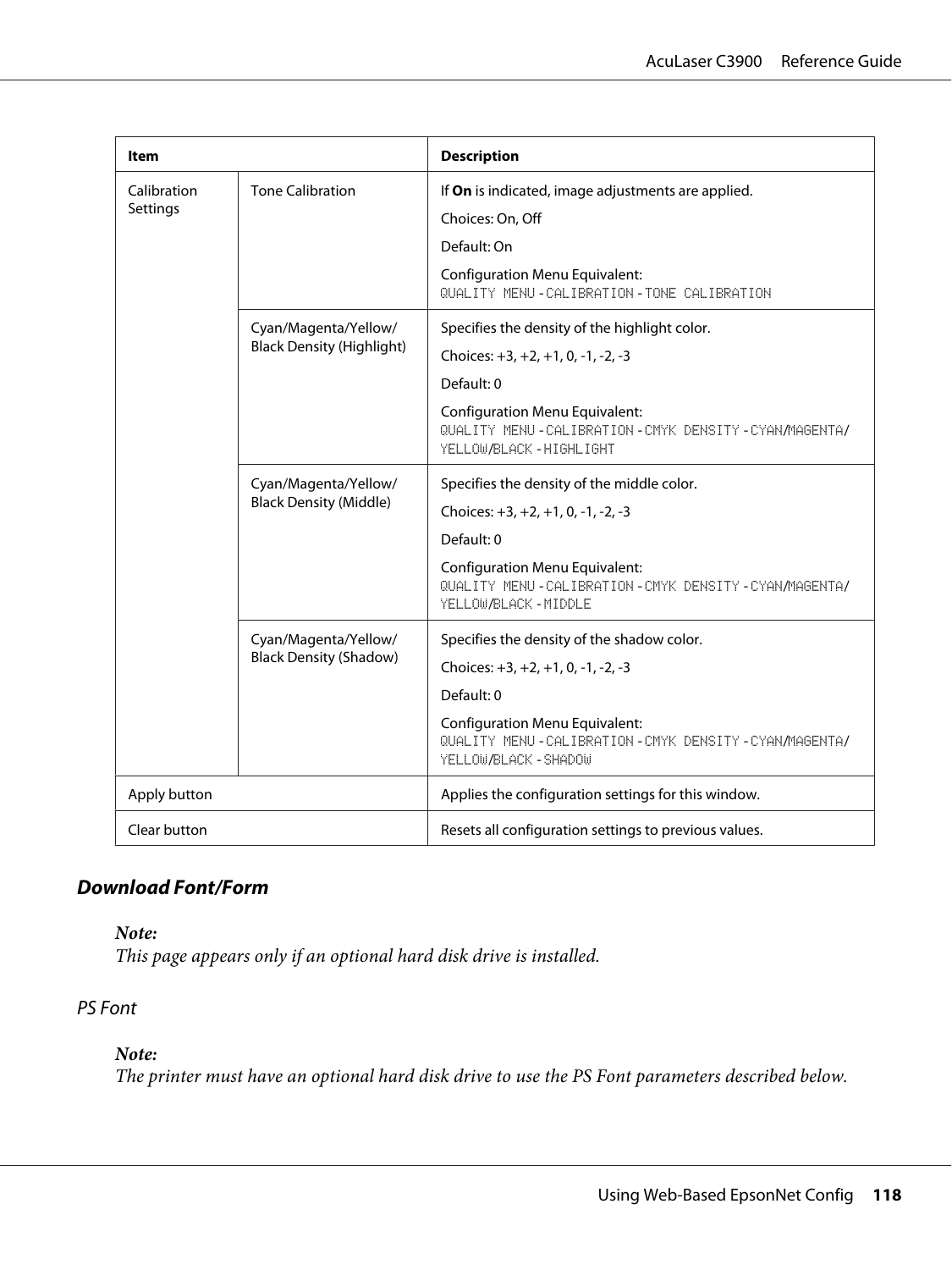| Item         |                                                       | <b>Description</b>                                                                                                       |
|--------------|-------------------------------------------------------|--------------------------------------------------------------------------------------------------------------------------|
| Calibration  | <b>Tone Calibration</b>                               | If On is indicated, image adjustments are applied.                                                                       |
| Settings     |                                                       | Choices: On, Off                                                                                                         |
|              |                                                       | Default: On                                                                                                              |
|              |                                                       | <b>Configuration Menu Equivalent:</b><br>QUALITY MENU-CALIBRATION-TONE CALIBRATION                                       |
|              | Cyan/Magenta/Yellow/                                  | Specifies the density of the highlight color.                                                                            |
|              | <b>Black Density (Highlight)</b>                      | Choices: +3, +2, +1, 0, -1, -2, -3                                                                                       |
|              |                                                       | Default: 0                                                                                                               |
|              |                                                       | <b>Configuration Menu Equivalent:</b><br>QUALITY MENU-CALIBRATION-CMYK DENSITY-CYAN/MAGENTA/<br>YELLOW/BLACK - HIGHLIGHT |
|              | Cyan/Magenta/Yellow/<br><b>Black Density (Middle)</b> | Specifies the density of the middle color.                                                                               |
|              |                                                       | Choices: $+3, +2, +1, 0, -1, -2, -3$                                                                                     |
|              |                                                       | Default: 0                                                                                                               |
|              |                                                       | <b>Configuration Menu Equivalent:</b><br>QUALITY MENU-CALIBRATION-CMYK DENSITY-CYAN/MAGENTA/<br>YELLOW/BLACK - MIDDLE    |
|              | Cyan/Magenta/Yellow/<br><b>Black Density (Shadow)</b> | Specifies the density of the shadow color.                                                                               |
|              |                                                       | Choices: $+3, +2, +1, 0, -1, -2, -3$                                                                                     |
|              |                                                       | Default: 0                                                                                                               |
|              |                                                       | <b>Configuration Menu Equivalent:</b><br>QUALITY MENU-CALIBRATION-CMYK DENSITY-CYAN/MAGENTA/<br>YELLOW/BLACK - SHADOW    |
| Apply button |                                                       | Applies the configuration settings for this window.                                                                      |
| Clear button |                                                       | Resets all configuration settings to previous values.                                                                    |

## **Download Font/Form**

*Note:*

*This page appears only if an optional hard disk drive is installed.*

### PS Font

## *Note:*

*The printer must have an optional hard disk drive to use the PS Font parameters described below.*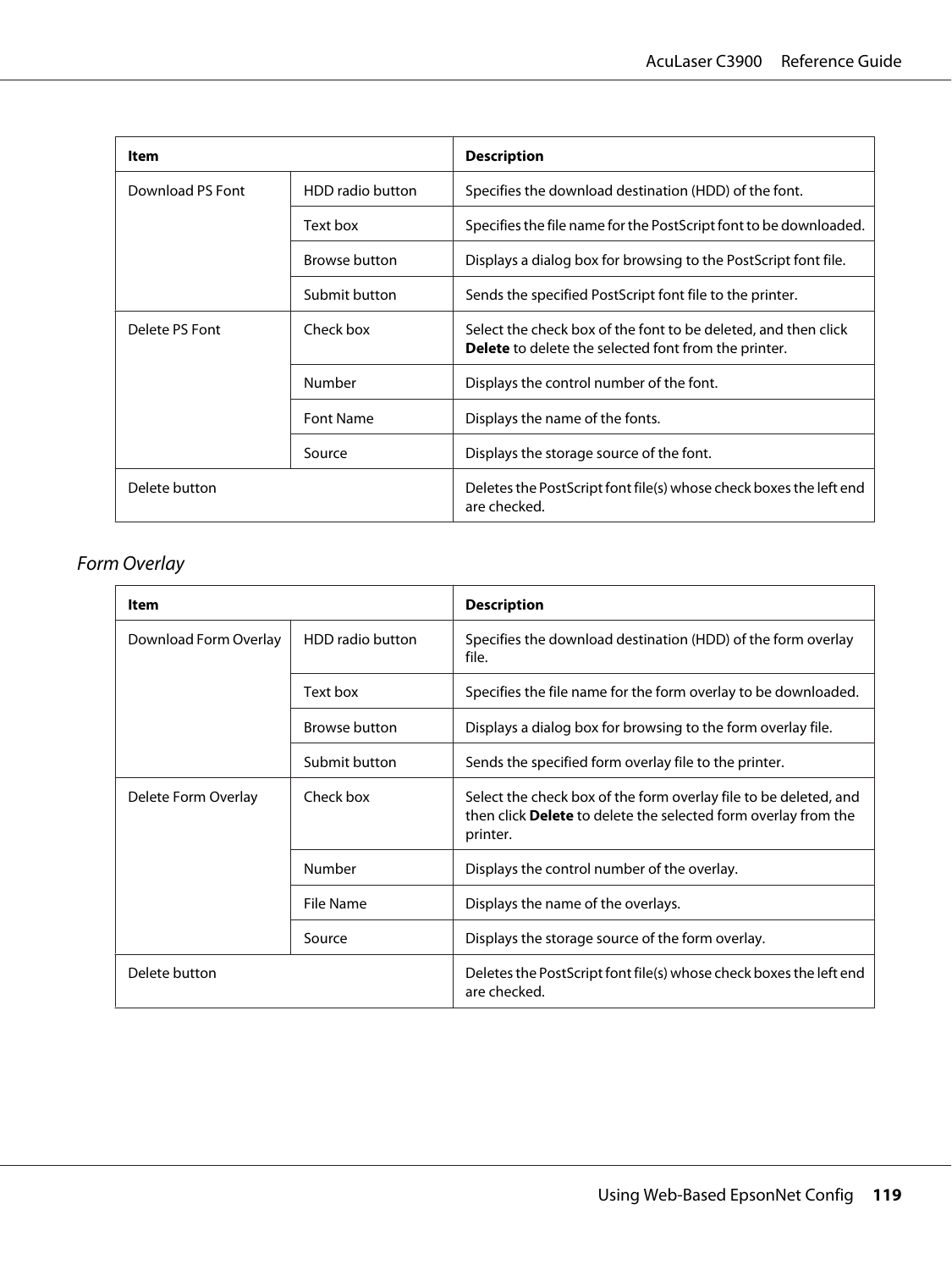| Item             |                      | <b>Description</b>                                                                                                            |
|------------------|----------------------|-------------------------------------------------------------------------------------------------------------------------------|
| Download PS Font | HDD radio button     | Specifies the download destination (HDD) of the font.                                                                         |
|                  | Text box             | Specifies the file name for the PostScript font to be downloaded.                                                             |
|                  | <b>Browse button</b> | Displays a dialog box for browsing to the PostScript font file.                                                               |
|                  | Submit button        | Sends the specified PostScript font file to the printer.                                                                      |
| Delete PS Font   | Check box            | Select the check box of the font to be deleted, and then click<br><b>Delete</b> to delete the selected font from the printer. |
|                  | Number               | Displays the control number of the font.                                                                                      |
|                  | <b>Font Name</b>     | Displays the name of the fonts.                                                                                               |
|                  | Source               | Displays the storage source of the font.                                                                                      |
| Delete button    |                      | Deletes the PostScript font file(s) whose check boxes the left end<br>are checked.                                            |

# Form Overlay

| Item                  |                      | <b>Description</b>                                                                                                                             |
|-----------------------|----------------------|------------------------------------------------------------------------------------------------------------------------------------------------|
| Download Form Overlay | HDD radio button     | Specifies the download destination (HDD) of the form overlay<br>file.                                                                          |
|                       | Text box             | Specifies the file name for the form overlay to be downloaded.                                                                                 |
|                       | <b>Browse button</b> | Displays a dialog box for browsing to the form overlay file.                                                                                   |
|                       | Submit button        | Sends the specified form overlay file to the printer.                                                                                          |
| Delete Form Overlay   | Check box            | Select the check box of the form overlay file to be deleted, and<br>then click Delete to delete the selected form overlay from the<br>printer. |
|                       | Number               | Displays the control number of the overlay.                                                                                                    |
|                       | File Name            | Displays the name of the overlays.                                                                                                             |
|                       | Source               | Displays the storage source of the form overlay.                                                                                               |
| Delete button         |                      | Deletes the PostScript font file(s) whose check boxes the left end<br>are checked.                                                             |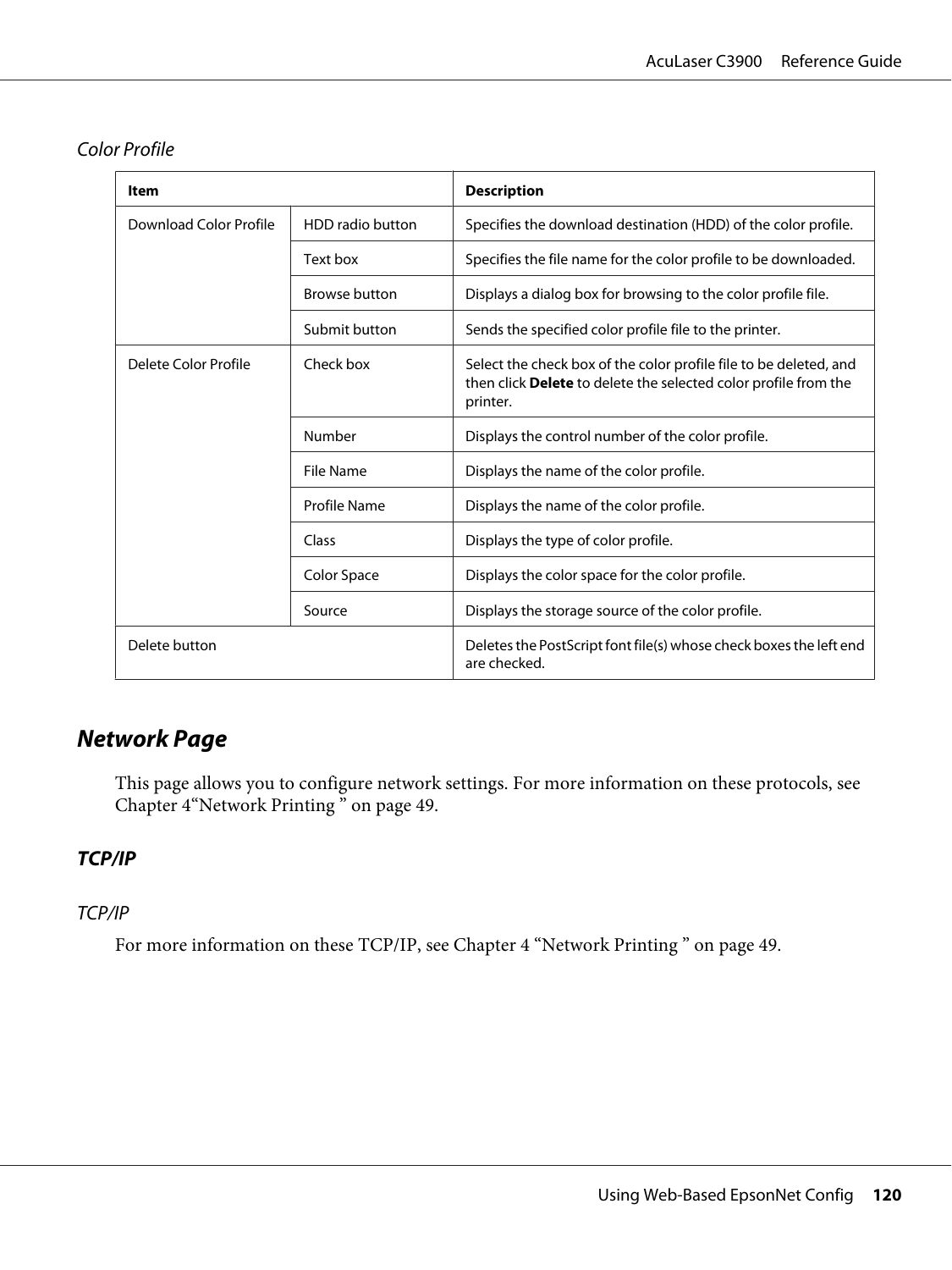| ltem                   |                      | <b>Description</b>                                                                                                                               |
|------------------------|----------------------|--------------------------------------------------------------------------------------------------------------------------------------------------|
| Download Color Profile | HDD radio button     | Specifies the download destination (HDD) of the color profile.                                                                                   |
|                        | Text box             | Specifies the file name for the color profile to be downloaded.                                                                                  |
|                        | <b>Browse button</b> | Displays a dialog box for browsing to the color profile file.                                                                                    |
|                        | Submit button        | Sends the specified color profile file to the printer.                                                                                           |
| Delete Color Profile   | Check box            | Select the check box of the color profile file to be deleted, and<br>then click Delete to delete the selected color profile from the<br>printer. |
|                        | Number               | Displays the control number of the color profile.                                                                                                |
|                        | File Name            | Displays the name of the color profile.                                                                                                          |
|                        | Profile Name         | Displays the name of the color profile.                                                                                                          |
|                        | Class                | Displays the type of color profile.                                                                                                              |
|                        | Color Space          | Displays the color space for the color profile.                                                                                                  |
|                        | Source               | Displays the storage source of the color profile.                                                                                                |
| Delete button          |                      | Deletes the PostScript font file(s) whose check boxes the left end<br>are checked.                                                               |

#### Color Profile

# **Network Page**

This page allows you to configure network settings. For more information on these protocols, see Chapter 4["Network Printing " on page 49.](#page-48-0)

## **TCP/IP**

### TCP/IP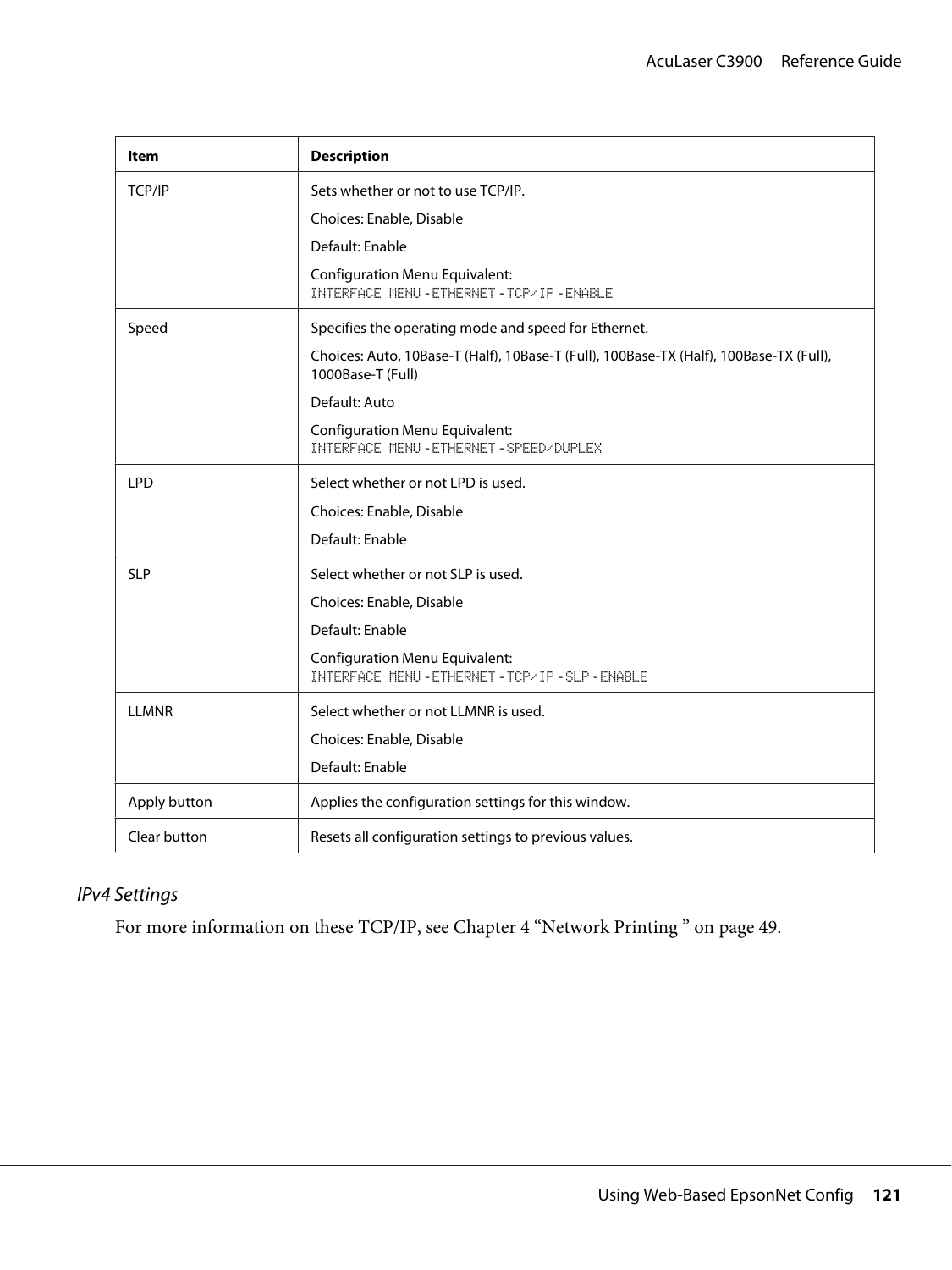| ltem         | <b>Description</b>                                                                                          |
|--------------|-------------------------------------------------------------------------------------------------------------|
| TCP/IP       | Sets whether or not to use TCP/IP.                                                                          |
|              | Choices: Enable, Disable                                                                                    |
|              | Default: Enable                                                                                             |
|              | <b>Configuration Menu Equivalent:</b><br><b>INTERFACE MENU-ETHERNET-TCP/IP-ENABLE</b>                       |
| Speed        | Specifies the operating mode and speed for Ethernet.                                                        |
|              | Choices: Auto, 10Base-T (Half), 10Base-T (Full), 100Base-TX (Half), 100Base-TX (Full),<br>1000Base-T (Full) |
|              | Default: Auto                                                                                               |
|              | <b>Configuration Menu Equivalent:</b><br>INTERFACE MENU - ETHERNET - SPEED/DUPLEX                           |
| <b>LPD</b>   | Select whether or not LPD is used.                                                                          |
|              | Choices: Enable, Disable                                                                                    |
|              | Default: Enable                                                                                             |
| <b>SLP</b>   | Select whether or not SLP is used.                                                                          |
|              | Choices: Enable, Disable                                                                                    |
|              | Default: Enable                                                                                             |
|              | <b>Configuration Menu Equivalent:</b><br>INTERFACE MENU - ETHERNET - TCP/IP - SLP - ENABLE                  |
| <b>LLMNR</b> | Select whether or not LLMNR is used.                                                                        |
|              | Choices: Enable, Disable                                                                                    |
|              | Default: Enable                                                                                             |
| Apply button | Applies the configuration settings for this window.                                                         |
| Clear button | Resets all configuration settings to previous values.                                                       |

# IPv4 Settings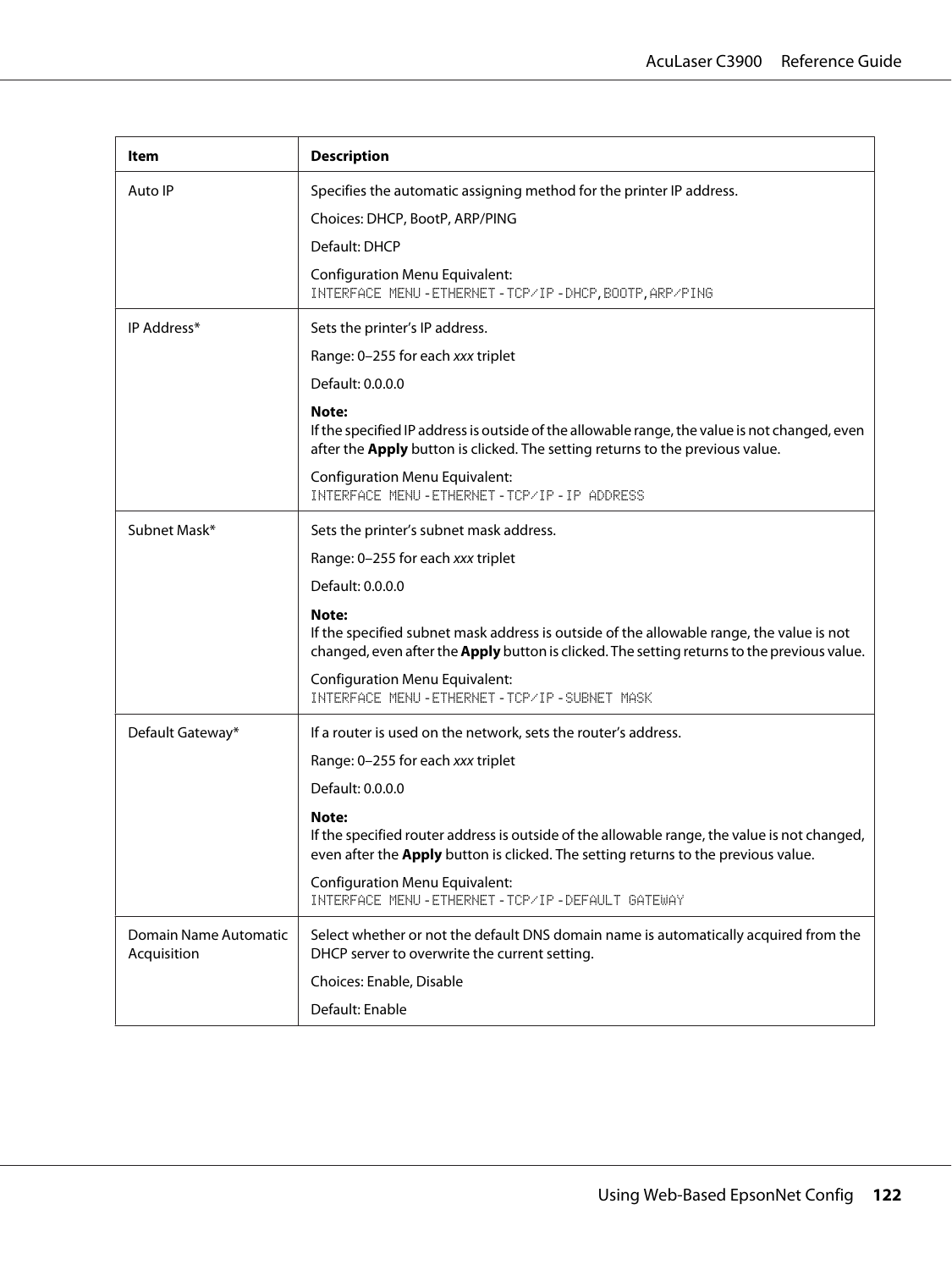| Item                                 | <b>Description</b>                                                                                                                                                                                      |
|--------------------------------------|---------------------------------------------------------------------------------------------------------------------------------------------------------------------------------------------------------|
| Auto IP                              | Specifies the automatic assigning method for the printer IP address.                                                                                                                                    |
|                                      | Choices: DHCP, BootP, ARP/PING                                                                                                                                                                          |
|                                      | Default: DHCP                                                                                                                                                                                           |
|                                      | <b>Configuration Menu Equivalent:</b><br>INTERFACE MENU-ETHERNET-TCP/IP-DHCP, BOOTP, ARP/PING                                                                                                           |
| IP Address*                          | Sets the printer's IP address.                                                                                                                                                                          |
|                                      | Range: 0-255 for each xxx triplet                                                                                                                                                                       |
|                                      | Default: 0.0.0.0                                                                                                                                                                                        |
|                                      | Note:<br>If the specified IP address is outside of the allowable range, the value is not changed, even<br>after the Apply button is clicked. The setting returns to the previous value.                 |
|                                      | <b>Configuration Menu Equivalent:</b><br>INTERFACE MENU-ETHERNET-TCP/IP-IP ADDRESS                                                                                                                      |
| Subnet Mask*                         | Sets the printer's subnet mask address.                                                                                                                                                                 |
|                                      | Range: 0-255 for each xxx triplet                                                                                                                                                                       |
|                                      | Default: 0.0.0.0                                                                                                                                                                                        |
|                                      | Note:<br>If the specified subnet mask address is outside of the allowable range, the value is not<br>changed, even after the <b>Apply</b> button is clicked. The setting returns to the previous value. |
|                                      | <b>Configuration Menu Equivalent:</b><br>INTERFACE MENU - ETHERNET - TCP/IP - SUBNET MASK                                                                                                               |
| Default Gateway*                     | If a router is used on the network, sets the router's address.                                                                                                                                          |
|                                      | Range: 0-255 for each xxx triplet                                                                                                                                                                       |
|                                      | Default: 0.0.0.0                                                                                                                                                                                        |
|                                      | Note:<br>If the specified router address is outside of the allowable range, the value is not changed,<br>even after the Apply button is clicked. The setting returns to the previous value.             |
|                                      | <b>Configuration Menu Equivalent:</b><br>INTERFACE MENU-ETHERNET-TCP/IP-DEFAULT GATEWAY                                                                                                                 |
| Domain Name Automatic<br>Acquisition | Select whether or not the default DNS domain name is automatically acquired from the<br>DHCP server to overwrite the current setting.                                                                   |
|                                      | Choices: Enable, Disable                                                                                                                                                                                |
|                                      | Default: Enable                                                                                                                                                                                         |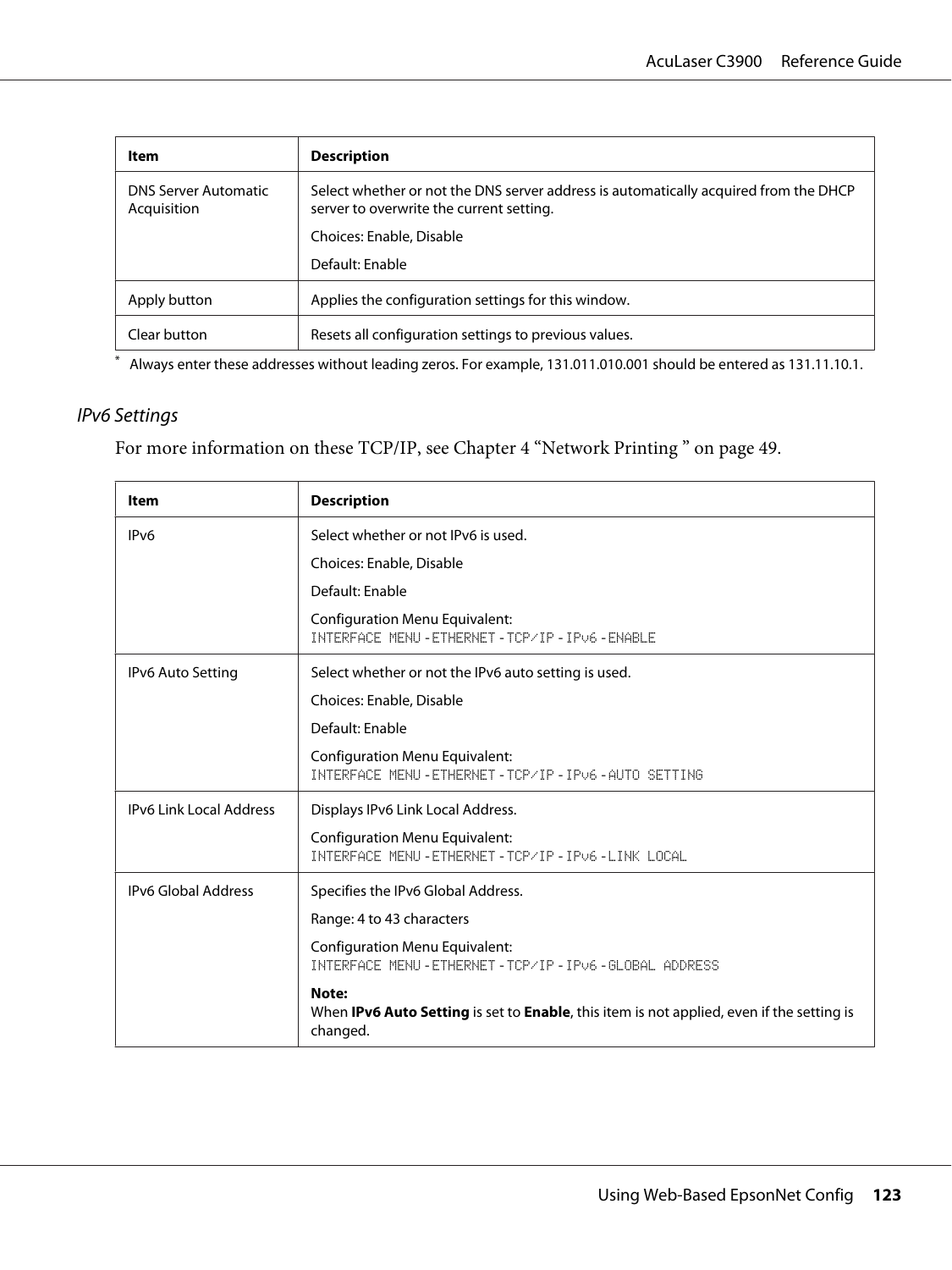| Item                                       | <b>Description</b>                                                                                                               |
|--------------------------------------------|----------------------------------------------------------------------------------------------------------------------------------|
| <b>DNS Server Automatic</b><br>Acquisition | Select whether or not the DNS server address is automatically acquired from the DHCP<br>server to overwrite the current setting. |
|                                            | Choices: Enable, Disable                                                                                                         |
|                                            | Default: Enable                                                                                                                  |
| Apply button                               | Applies the configuration settings for this window.                                                                              |
| Clear button                               | Resets all configuration settings to previous values.                                                                            |

\* Always enter these addresses without leading zeros. For example, 131.011.010.001 should be entered as 131.11.10.1.

### IPv6 Settings

| Item                           | <b>Description</b>                                                                                                            |
|--------------------------------|-------------------------------------------------------------------------------------------------------------------------------|
| IP <sub>v6</sub>               | Select whether or not IPv6 is used.                                                                                           |
|                                | Choices: Enable, Disable                                                                                                      |
|                                | Default: Enable                                                                                                               |
|                                | <b>Configuration Menu Equivalent:</b><br>INTERFACE MENU - ETHERNET - TCP/IP - IPv6 - ENABLE                                   |
| IPv6 Auto Setting              | Select whether or not the IPv6 auto setting is used.                                                                          |
|                                | Choices: Enable, Disable                                                                                                      |
|                                | Default: Enable                                                                                                               |
|                                | <b>Configuration Menu Equivalent:</b><br>INTERFACE MENU-ETHERNET-TCP/IP-IPv6-AUTO SETTING                                     |
| <b>IPv6 Link Local Address</b> | Displays IPv6 Link Local Address.                                                                                             |
|                                | <b>Configuration Menu Equivalent:</b><br>INTERFACE MENU-ETHERNET-TCP/IP-IPv6-LINK LOCAL                                       |
| <b>IPv6 Global Address</b>     | Specifies the IPv6 Global Address.                                                                                            |
|                                | Range: 4 to 43 characters                                                                                                     |
|                                | <b>Configuration Menu Equivalent:</b><br>INTERFACE MENU-ETHERNET-TCP/IP-IPv6-6LOBAL ADDRESS                                   |
|                                | Note:<br>When <b>IPv6 Auto Setting</b> is set to <b>Enable</b> , this item is not applied, even if the setting is<br>changed. |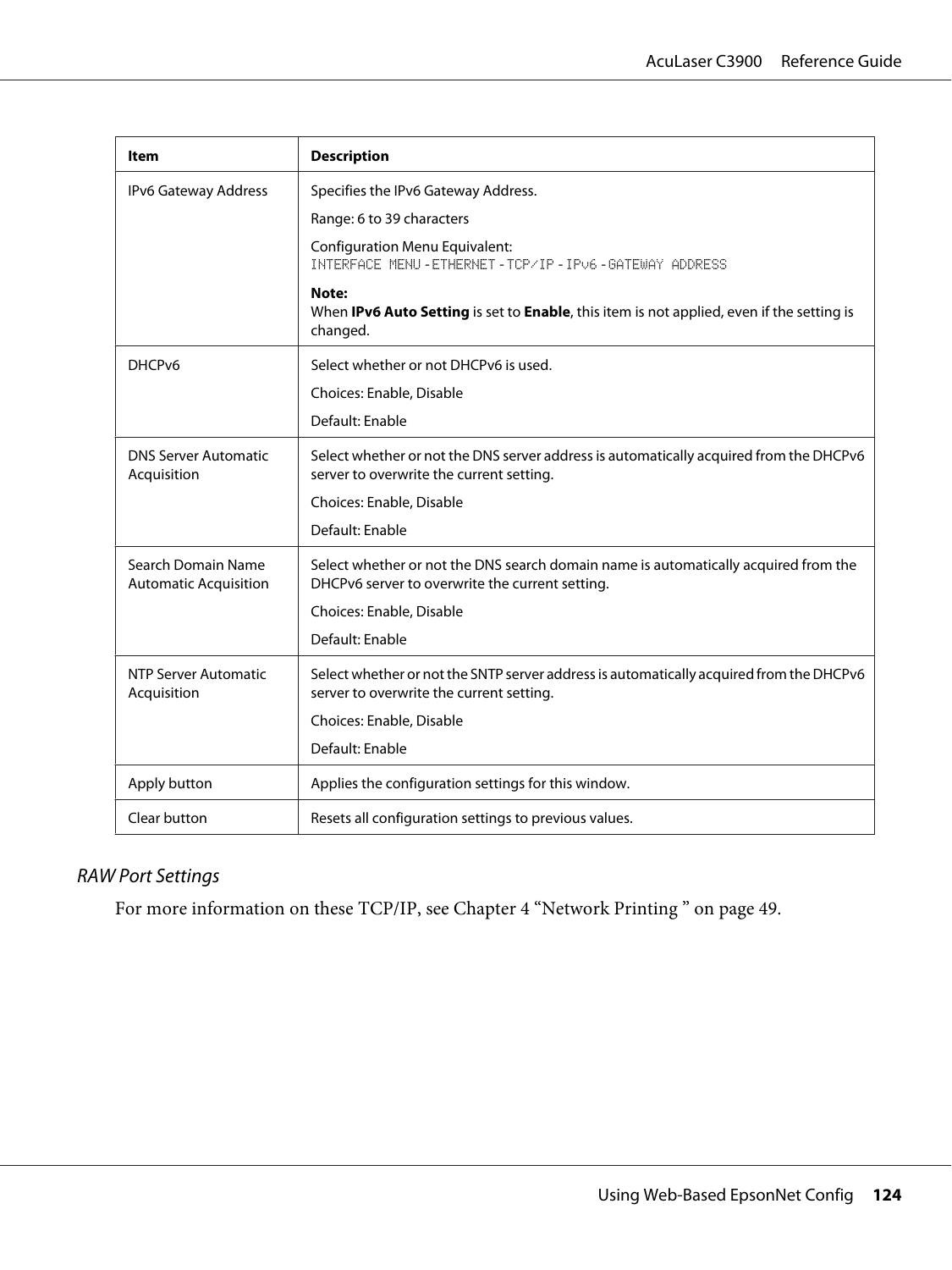| ltem                                               | <b>Description</b>                                                                                                                     |
|----------------------------------------------------|----------------------------------------------------------------------------------------------------------------------------------------|
| IPv6 Gateway Address                               | Specifies the IPv6 Gateway Address.                                                                                                    |
|                                                    | Range: 6 to 39 characters                                                                                                              |
|                                                    | <b>Configuration Menu Equivalent:</b><br>INTERFACE MENU - ETHERNET - TCP/IP - IPv6 - GATEWAY ADDRESS                                   |
|                                                    | Note:<br>When IPv6 Auto Setting is set to Enable, this item is not applied, even if the setting is<br>changed.                         |
| DHCP <sub>v6</sub>                                 | Select whether or not DHCPv6 is used.                                                                                                  |
|                                                    | Choices: Enable, Disable                                                                                                               |
|                                                    | Default: Enable                                                                                                                        |
| <b>DNS Server Automatic</b><br>Acquisition         | Select whether or not the DNS server address is automatically acquired from the DHCPv6<br>server to overwrite the current setting.     |
|                                                    | Choices: Enable, Disable                                                                                                               |
|                                                    | Default: Enable                                                                                                                        |
| Search Domain Name<br><b>Automatic Acquisition</b> | Select whether or not the DNS search domain name is automatically acquired from the<br>DHCPv6 server to overwrite the current setting. |
|                                                    | Choices: Enable, Disable                                                                                                               |
|                                                    | Default: Enable                                                                                                                        |
| <b>NTP Server Automatic</b><br>Acquisition         | Select whether or not the SNTP server address is automatically acquired from the DHCPv6<br>server to overwrite the current setting.    |
|                                                    | Choices: Enable, Disable                                                                                                               |
|                                                    | Default: Enable                                                                                                                        |
| Apply button                                       | Applies the configuration settings for this window.                                                                                    |
| Clear button                                       | Resets all configuration settings to previous values.                                                                                  |

# RAW Port Settings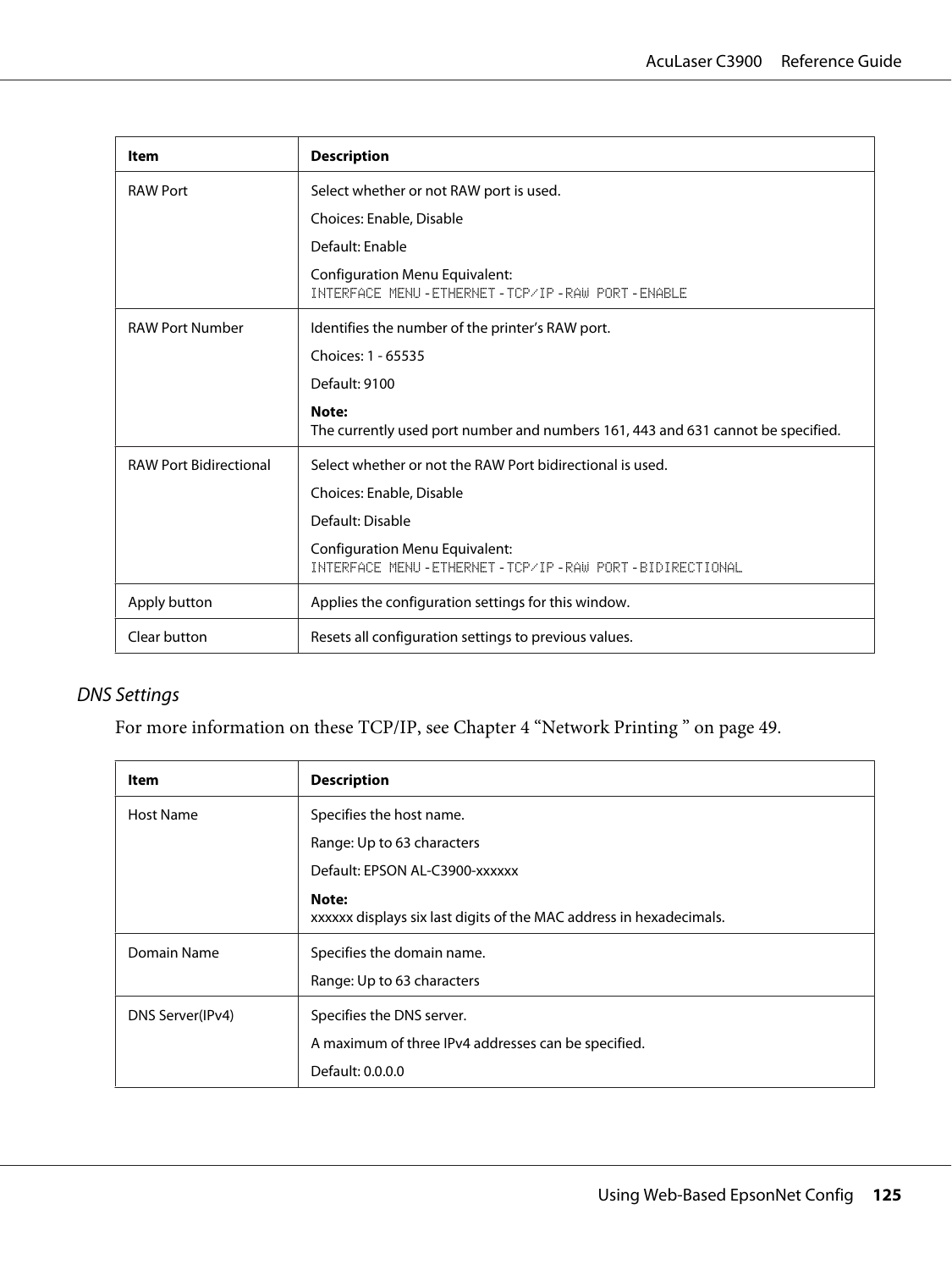| Item                          | <b>Description</b>                                                                              |
|-------------------------------|-------------------------------------------------------------------------------------------------|
| <b>RAW Port</b>               | Select whether or not RAW port is used.                                                         |
|                               | Choices: Enable, Disable                                                                        |
|                               | Default: Enable                                                                                 |
|                               | <b>Configuration Menu Equivalent:</b><br>INTERFACE MENU - ETHERNET - TCP/IP - RAW PORT - ENABLE |
| <b>RAW Port Number</b>        | Identifies the number of the printer's RAW port.                                                |
|                               | Choices: 1 - 65535                                                                              |
|                               | Default: 9100                                                                                   |
|                               | Note:<br>The currently used port number and numbers 161, 443 and 631 cannot be specified.       |
| <b>RAW Port Bidirectional</b> | Select whether or not the RAW Port bidirectional is used.                                       |
|                               | Choices: Enable, Disable                                                                        |
|                               | Default: Disable                                                                                |
|                               | <b>Configuration Menu Equivalent:</b><br>INTERFACE MENU-ETHERNET-TCP/IP-RAW PORT-BIDIRECTIONAL  |
| Apply button                  | Applies the configuration settings for this window.                                             |
| Clear button                  | Resets all configuration settings to previous values.                                           |

### DNS Settings

| Item             | <b>Description</b>                                                           |
|------------------|------------------------------------------------------------------------------|
| Host Name        | Specifies the host name.                                                     |
|                  | Range: Up to 63 characters                                                   |
|                  | Default: EPSON AL-C3900-xxxxxx                                               |
|                  | Note:<br>xxxxxx displays six last digits of the MAC address in hexadecimals. |
| Domain Name      | Specifies the domain name.                                                   |
|                  | Range: Up to 63 characters                                                   |
| DNS Server(IPv4) | Specifies the DNS server.                                                    |
|                  | A maximum of three IPv4 addresses can be specified.                          |
|                  | Default: 0.0.0.0                                                             |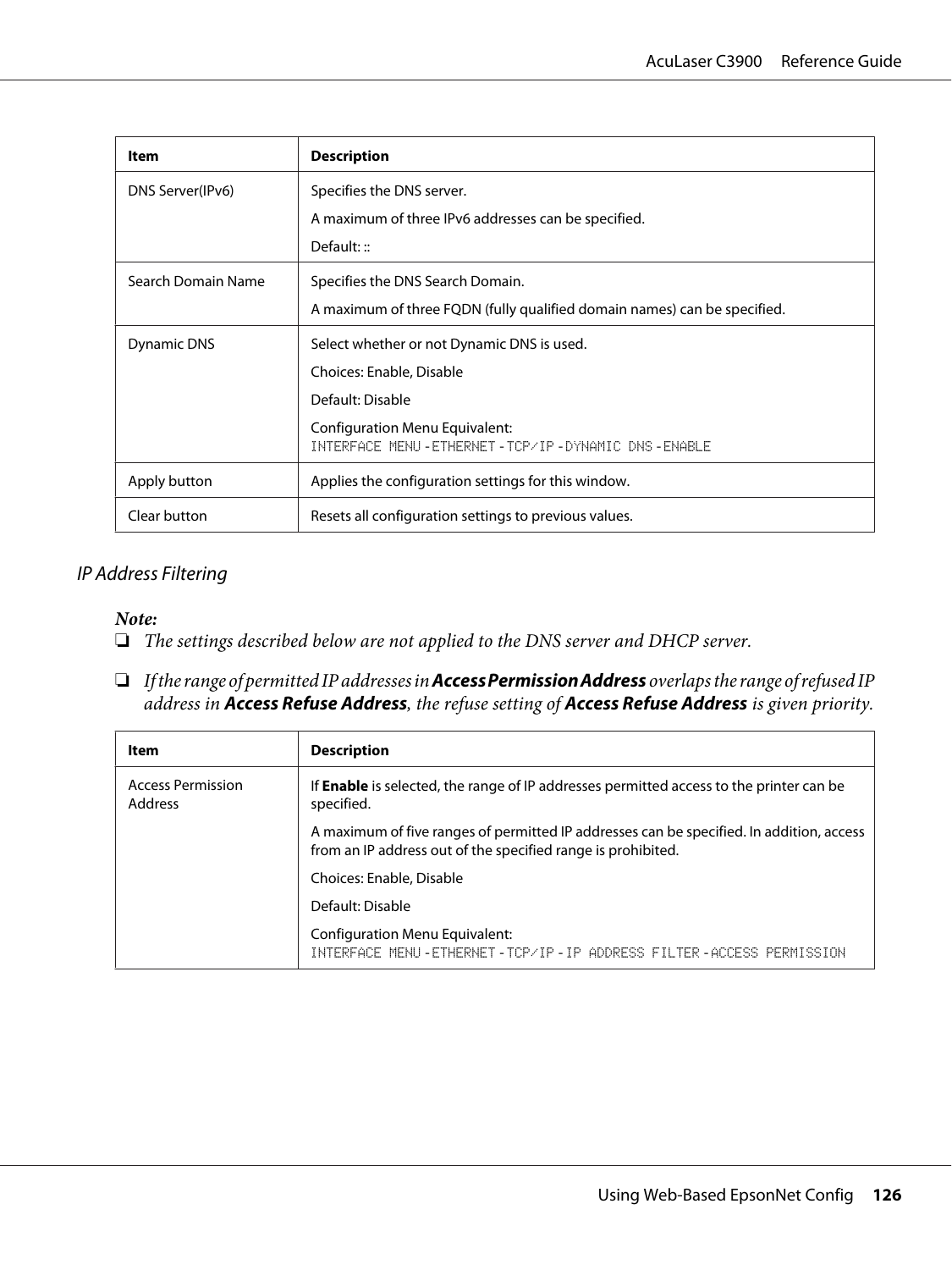| Item               | <b>Description</b>                                                                  |
|--------------------|-------------------------------------------------------------------------------------|
| DNS Server(IPv6)   | Specifies the DNS server.                                                           |
|                    | A maximum of three IPv6 addresses can be specified.                                 |
|                    | Default: $::$                                                                       |
| Search Domain Name | Specifies the DNS Search Domain.                                                    |
|                    | A maximum of three FQDN (fully qualified domain names) can be specified.            |
| Dynamic DNS        | Select whether or not Dynamic DNS is used.                                          |
|                    | Choices: Enable, Disable                                                            |
|                    | Default: Disable                                                                    |
|                    | Configuration Menu Equivalent:<br>INTERFACE MENU-ETHERNET-TCP/IP-DYNAMIC DNS-ENABLE |
| Apply button       | Applies the configuration settings for this window.                                 |
| Clear button       | Resets all configuration settings to previous values.                               |

### IP Address Filtering

#### *Note:*

- ❏ *The settings described below are not applied to the DNS server and DHCP server.*
- ❏ *If the range of permitted IP addresses in* **Access Permission Address** *overlaps the range of refused IP address in* **Access Refuse Address***, the refuse setting of* **Access Refuse Address** *is given priority.*

| <b>Item</b>                         | <b>Description</b>                                                                                                                                       |  |
|-------------------------------------|----------------------------------------------------------------------------------------------------------------------------------------------------------|--|
| <b>Access Permission</b><br>Address | If <b>Enable</b> is selected, the range of IP addresses permitted access to the printer can be<br>specified.                                             |  |
|                                     | A maximum of five ranges of permitted IP addresses can be specified. In addition, access<br>from an IP address out of the specified range is prohibited. |  |
|                                     | Choices: Enable, Disable                                                                                                                                 |  |
|                                     | Default: Disable                                                                                                                                         |  |
|                                     | <b>Configuration Menu Equivalent:</b><br>INTERFACE MENU-FIHERNEI-ICP/IP-IP ADDRESS FILIER-ACCESS PERMISSION                                              |  |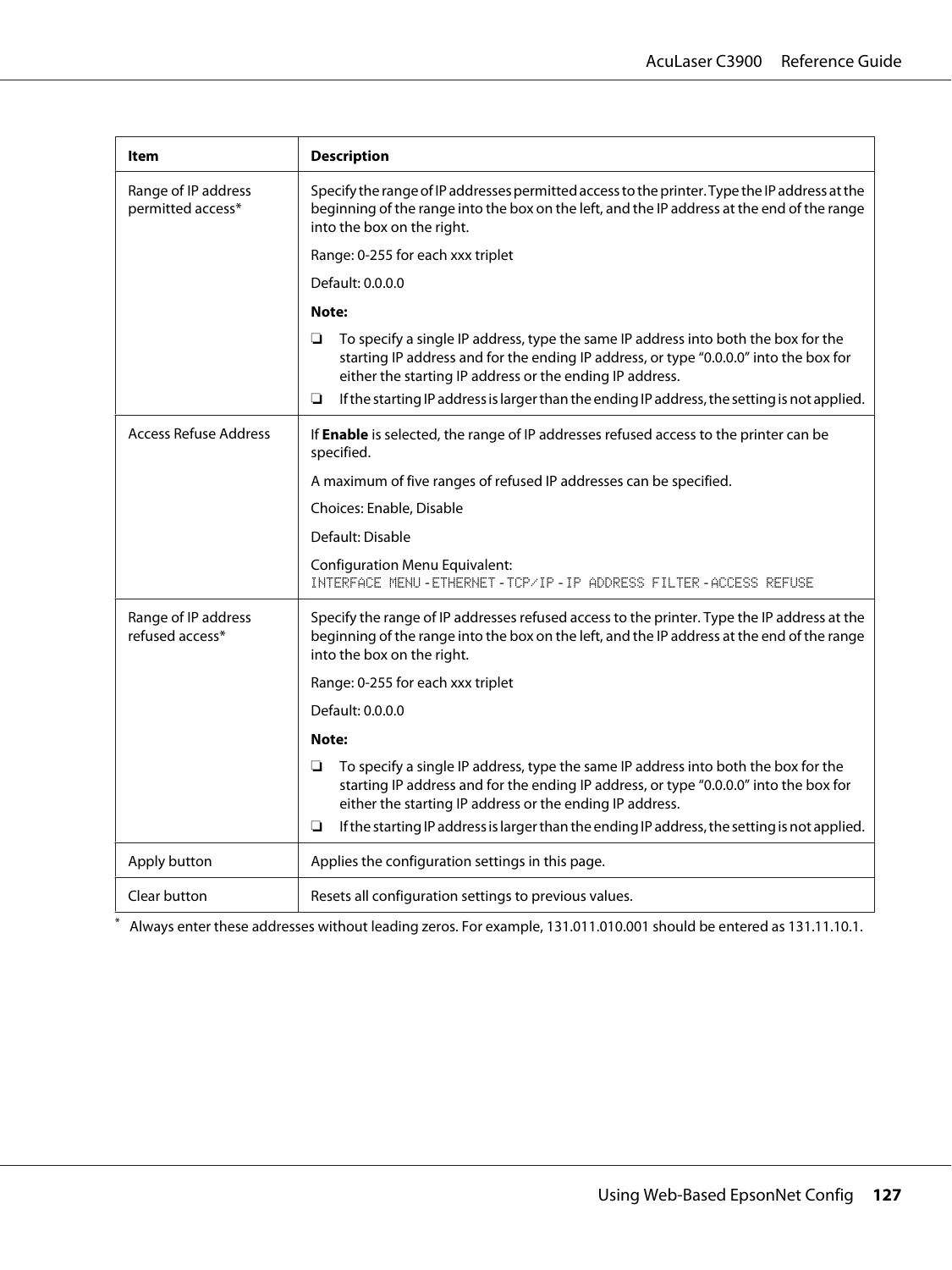| Item                                     | <b>Description</b>                                                                                                                                                                                                                           |
|------------------------------------------|----------------------------------------------------------------------------------------------------------------------------------------------------------------------------------------------------------------------------------------------|
| Range of IP address<br>permitted access* | Specify the range of IP addresses permitted access to the printer. Type the IP address at the<br>beginning of the range into the box on the left, and the IP address at the end of the range<br>into the box on the right.                   |
|                                          | Range: 0-255 for each xxx triplet                                                                                                                                                                                                            |
|                                          | Default: 0.0.0.0                                                                                                                                                                                                                             |
|                                          | Note:                                                                                                                                                                                                                                        |
|                                          | To specify a single IP address, type the same IP address into both the box for the<br>❏<br>starting IP address and for the ending IP address, or type "0.0.0.0" into the box for<br>either the starting IP address or the ending IP address. |
|                                          | If the starting IP address is larger than the ending IP address, the setting is not applied.<br>❏                                                                                                                                            |
| <b>Access Refuse Address</b>             | If Enable is selected, the range of IP addresses refused access to the printer can be<br>specified.                                                                                                                                          |
|                                          | A maximum of five ranges of refused IP addresses can be specified.                                                                                                                                                                           |
|                                          | Choices: Enable, Disable                                                                                                                                                                                                                     |
|                                          | Default: Disable                                                                                                                                                                                                                             |
|                                          | <b>Configuration Menu Equivalent:</b><br>INTERFACE MENU-ETHERNET-TCP/IP-IP ADDRESS FILTER-ACCESS REFUSE                                                                                                                                      |
| Range of IP address<br>refused access*   | Specify the range of IP addresses refused access to the printer. Type the IP address at the<br>beginning of the range into the box on the left, and the IP address at the end of the range<br>into the box on the right.                     |
|                                          | Range: 0-255 for each xxx triplet                                                                                                                                                                                                            |
|                                          | Default: 0.0.0.0                                                                                                                                                                                                                             |
|                                          | Note:                                                                                                                                                                                                                                        |
|                                          | To specify a single IP address, type the same IP address into both the box for the<br>❏<br>starting IP address and for the ending IP address, or type "0.0.0.0" into the box for<br>either the starting IP address or the ending IP address. |
|                                          | If the starting IP address is larger than the ending IP address, the setting is not applied.<br>❏                                                                                                                                            |
| Apply button                             | Applies the configuration settings in this page.                                                                                                                                                                                             |
| Clear button                             | Resets all configuration settings to previous values.                                                                                                                                                                                        |

\* Always enter these addresses without leading zeros. For example, 131.011.010.001 should be entered as 131.11.10.1.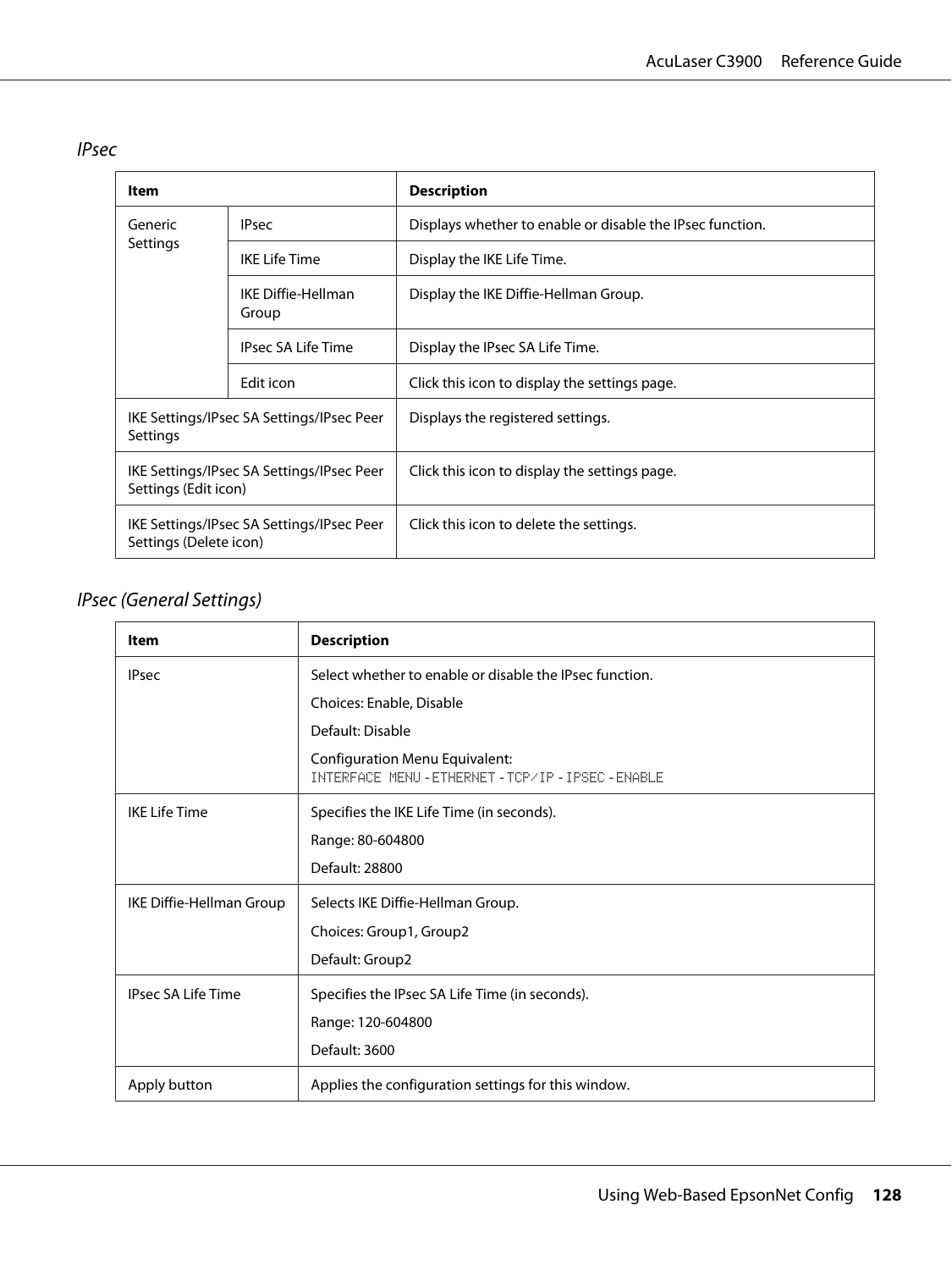IPsec

| Item                                                                |                                    | <b>Description</b>                                        |
|---------------------------------------------------------------------|------------------------------------|-----------------------------------------------------------|
| Generic                                                             | <b>IPsec</b>                       | Displays whether to enable or disable the IPsec function. |
| Settings                                                            | <b>IKE Life Time</b>               | Display the IKE Life Time.                                |
|                                                                     | <b>IKE Diffie-Hellman</b><br>Group | Display the IKE Diffie-Hellman Group.                     |
|                                                                     | <b>IPsec SA Life Time</b>          | Display the IPsec SA Life Time.                           |
|                                                                     | Edit icon                          | Click this icon to display the settings page.             |
| IKE Settings/IPsec SA Settings/IPsec Peer<br>Settings               |                                    | Displays the registered settings.                         |
| IKE Settings/IPsec SA Settings/IPsec Peer<br>Settings (Edit icon)   |                                    | Click this icon to display the settings page.             |
| IKE Settings/IPsec SA Settings/IPsec Peer<br>Settings (Delete icon) |                                    | Click this icon to delete the settings.                   |

# IPsec (General Settings)

| <b>Item</b>               | <b>Description</b>                                                                    |
|---------------------------|---------------------------------------------------------------------------------------|
| <b>IPsec</b>              | Select whether to enable or disable the IPsec function.                               |
|                           | Choices: Enable, Disable                                                              |
|                           | Default: Disable                                                                      |
|                           | Configuration Menu Equivalent:<br>INTERFACE MENU - ETHERNET - TCP/IP - IPSEC - ENABLE |
| <b>IKE Life Time</b>      | Specifies the IKE Life Time (in seconds).                                             |
|                           | Range: 80-604800                                                                      |
|                           | Default: 28800                                                                        |
| IKE Diffie-Hellman Group  | Selects IKE Diffie-Hellman Group.                                                     |
|                           | Choices: Group1, Group2                                                               |
|                           | Default: Group2                                                                       |
| <b>IPsec SA Life Time</b> | Specifies the IPsec SA Life Time (in seconds).                                        |
|                           | Range: 120-604800                                                                     |
|                           | Default: 3600                                                                         |
| Apply button              | Applies the configuration settings for this window.                                   |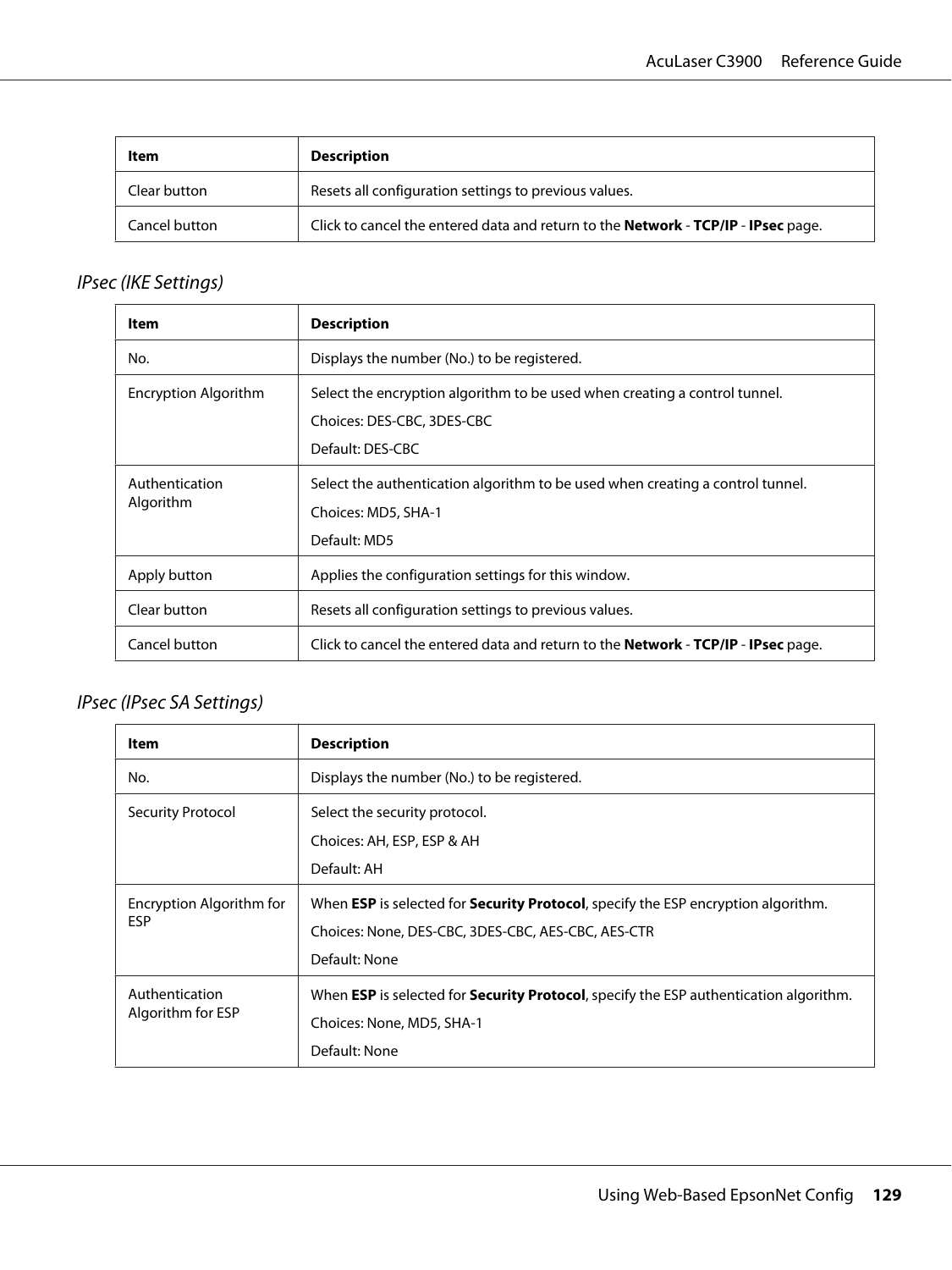| Item          | <b>Description</b>                                                                       |
|---------------|------------------------------------------------------------------------------------------|
| Clear button  | Resets all configuration settings to previous values.                                    |
| Cancel button | Click to cancel the entered data and return to the <b>Network - TCP/IP - IPsec</b> page. |

# IPsec (IKE Settings)

| Item                        | <b>Description</b>                                                                                                           |
|-----------------------------|------------------------------------------------------------------------------------------------------------------------------|
| No.                         | Displays the number (No.) to be registered.                                                                                  |
| Encryption Algorithm        | Select the encryption algorithm to be used when creating a control tunnel.<br>Choices: DES-CBC, 3DES-CBC<br>Default: DES-CBC |
| Authentication<br>Algorithm | Select the authentication algorithm to be used when creating a control tunnel.<br>Choices: MD5, SHA-1<br>Default: MD5        |
| Apply button                | Applies the configuration settings for this window.                                                                          |
| Clear button                | Resets all configuration settings to previous values.                                                                        |
| Cancel button               | Click to cancel the entered data and return to the <b>Network - TCP/IP - IPsec</b> page.                                     |

### IPsec (IPsec SA Settings)

| ltem                                   | <b>Description</b>                                                                                   |
|----------------------------------------|------------------------------------------------------------------------------------------------------|
| No.                                    | Displays the number (No.) to be registered.                                                          |
| Security Protocol                      | Select the security protocol.                                                                        |
|                                        | Choices: AH, ESP, ESP & AH                                                                           |
|                                        | Default: AH                                                                                          |
| Encryption Algorithm for<br><b>ESP</b> | When <b>ESP</b> is selected for <b>Security Protocol</b> , specify the ESP encryption algorithm.     |
|                                        | Choices: None, DES-CBC, 3DES-CBC, AES-CBC, AES-CTR                                                   |
|                                        | Default: None                                                                                        |
| Authentication<br>Algorithm for ESP    | When <b>ESP</b> is selected for <b>Security Protocol</b> , specify the ESP authentication algorithm. |
|                                        | Choices: None, MD5, SHA-1                                                                            |
|                                        | Default: None                                                                                        |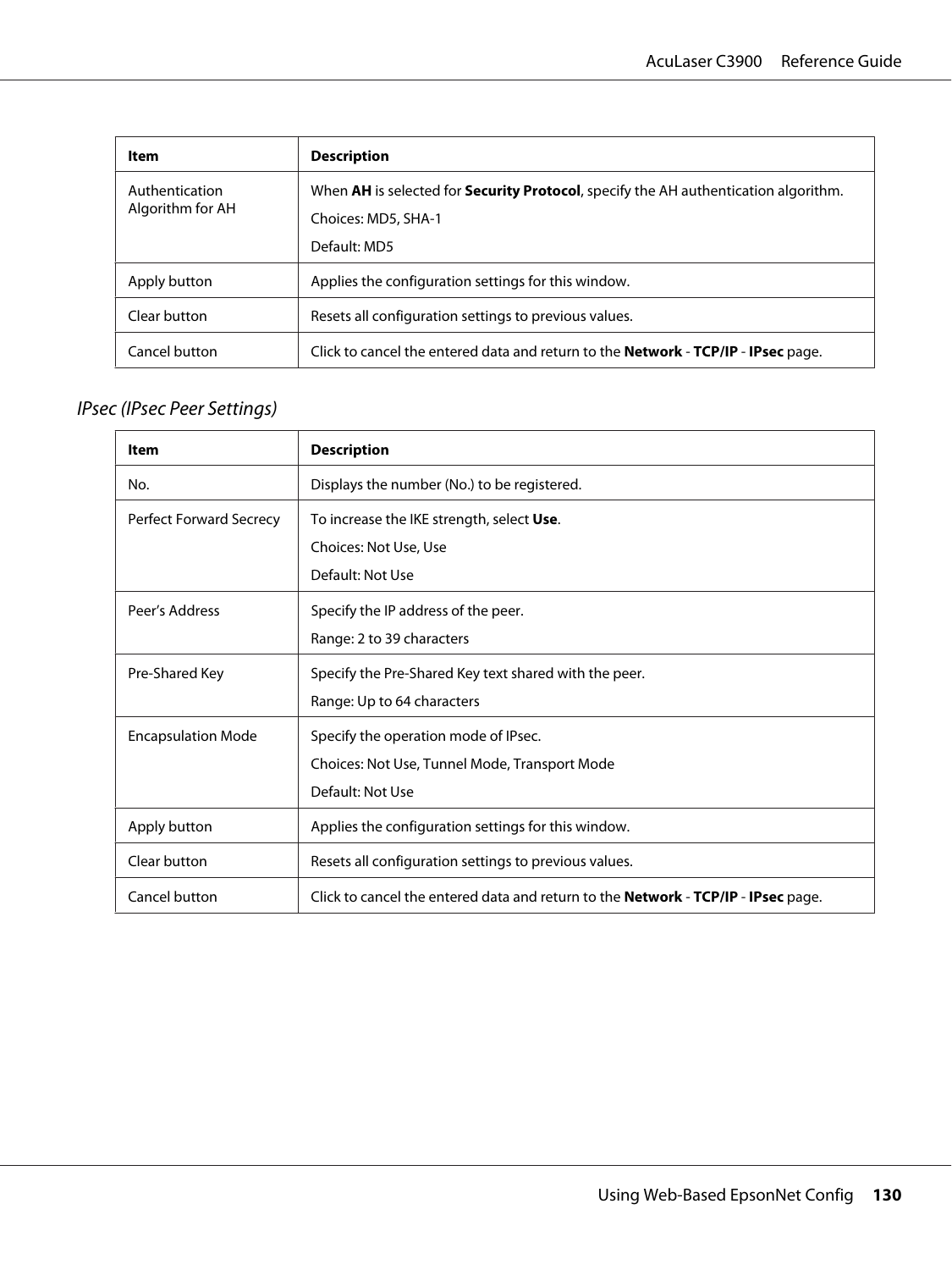| Item                               | <b>Description</b>                                                                                                                 |
|------------------------------------|------------------------------------------------------------------------------------------------------------------------------------|
| Authentication<br>Algorithm for AH | When AH is selected for <b>Security Protocol</b> , specify the AH authentication algorithm.<br>Choices: MD5, SHA-1<br>Default: MD5 |
| Apply button                       | Applies the configuration settings for this window.                                                                                |
| Clear button                       | Resets all configuration settings to previous values.                                                                              |
| Cancel button                      | Click to cancel the entered data and return to the <b>Network - TCP/IP - IPsec</b> page.                                           |

# IPsec (IPsec Peer Settings)

| <b>Item</b>                    | <b>Description</b>                                                                                        |
|--------------------------------|-----------------------------------------------------------------------------------------------------------|
| No.                            | Displays the number (No.) to be registered.                                                               |
| <b>Perfect Forward Secrecy</b> | To increase the IKE strength, select Use.<br>Choices: Not Use, Use<br>Default: Not Use                    |
| Peer's Address                 | Specify the IP address of the peer.<br>Range: 2 to 39 characters                                          |
| Pre-Shared Key                 | Specify the Pre-Shared Key text shared with the peer.<br>Range: Up to 64 characters                       |
| <b>Encapsulation Mode</b>      | Specify the operation mode of IPsec.<br>Choices: Not Use, Tunnel Mode, Transport Mode<br>Default: Not Use |
| Apply button                   | Applies the configuration settings for this window.                                                       |
| Clear button                   | Resets all configuration settings to previous values.                                                     |
| Cancel button                  | Click to cancel the entered data and return to the <b>Network - TCP/IP - IPsec</b> page.                  |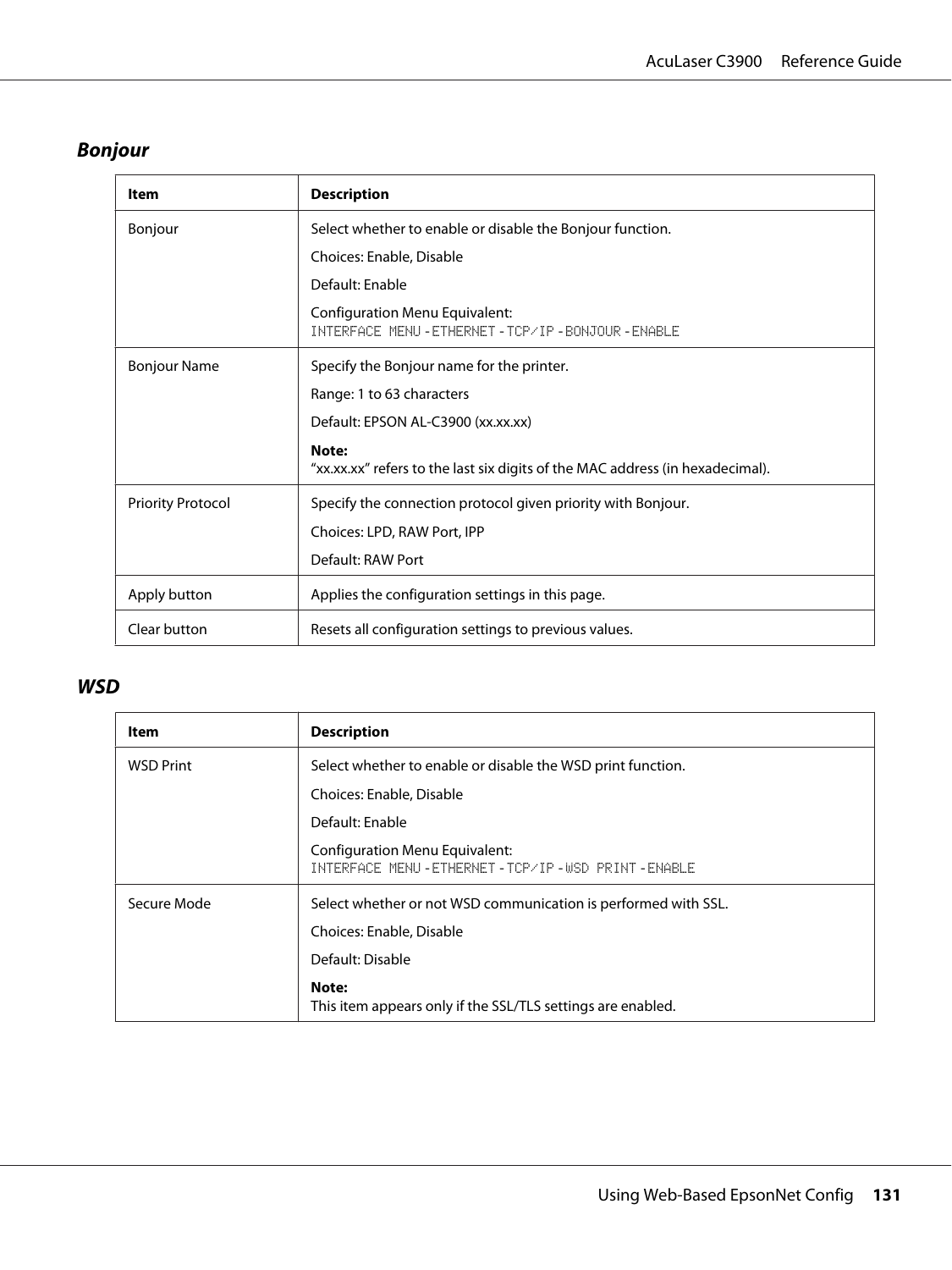# **Bonjour**

| Item                     | <b>Description</b>                                                                     |
|--------------------------|----------------------------------------------------------------------------------------|
| Bonjour                  | Select whether to enable or disable the Bonjour function.                              |
|                          | Choices: Enable, Disable                                                               |
|                          | Default: Enable                                                                        |
|                          | <b>Configuration Menu Equivalent:</b><br>INTERFACE MENU-ETHERNET-TCP/IP-BONJOUR-ENABLE |
| <b>Bonjour Name</b>      | Specify the Bonjour name for the printer.                                              |
|                          | Range: 1 to 63 characters                                                              |
|                          | Default: EPSON AL-C3900 (xx.xx.xx)                                                     |
|                          | Note:<br>"xx.xx.xx" refers to the last six digits of the MAC address (in hexadecimal). |
| <b>Priority Protocol</b> | Specify the connection protocol given priority with Bonjour.                           |
|                          | Choices: LPD, RAW Port, IPP                                                            |
|                          | Default: RAW Port                                                                      |
| Apply button             | Applies the configuration settings in this page.                                       |
| Clear button             | Resets all configuration settings to previous values.                                  |

### **WSD**

| <b>Item</b>      | <b>Description</b>                                                                       |
|------------------|------------------------------------------------------------------------------------------|
| <b>WSD Print</b> | Select whether to enable or disable the WSD print function.                              |
|                  | Choices: Enable, Disable                                                                 |
|                  | Default: Enable                                                                          |
|                  | <b>Configuration Menu Equivalent:</b><br>INTERFACE MENU-ETHERNET-TCP/IP-USD PRINT-ENABLE |
| Secure Mode      | Select whether or not WSD communication is performed with SSL.                           |
|                  | Choices: Enable, Disable                                                                 |
|                  | Default: Disable                                                                         |
|                  | Note:<br>This item appears only if the SSL/TLS settings are enabled.                     |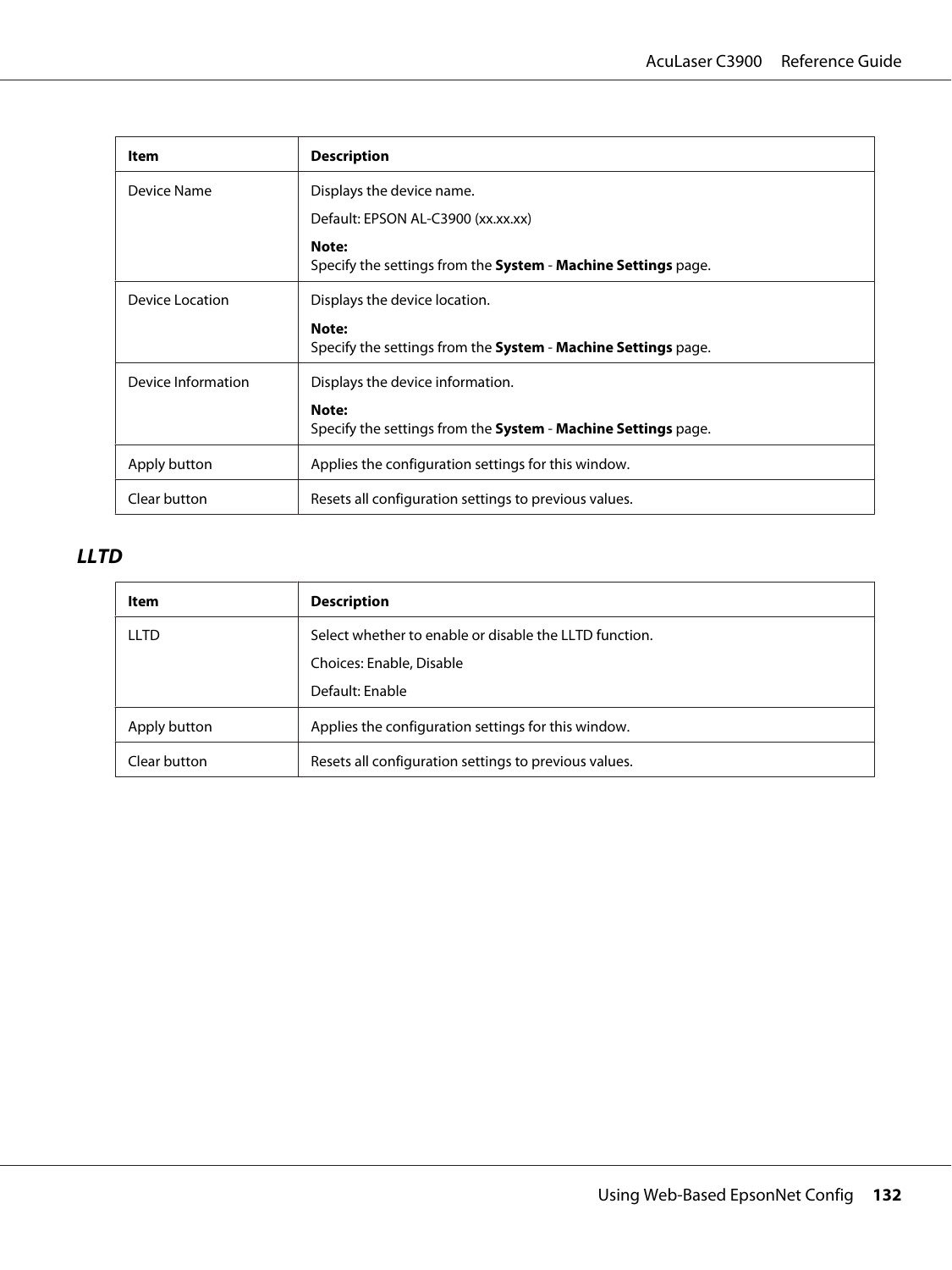| <b>Item</b>        | <b>Description</b>                                                                   |
|--------------------|--------------------------------------------------------------------------------------|
| Device Name        | Displays the device name.                                                            |
|                    | Default: EPSON AL-C3900 (xx.xx.xx)                                                   |
|                    | Note:<br>Specify the settings from the <b>System</b> - <b>Machine Settings</b> page. |
| Device Location    | Displays the device location.                                                        |
|                    | Note:<br>Specify the settings from the <b>System - Machine Settings</b> page.        |
| Device Information | Displays the device information.                                                     |
|                    | Note:<br>Specify the settings from the <b>System - Machine Settings</b> page.        |
| Apply button       | Applies the configuration settings for this window.                                  |
| Clear button       | Resets all configuration settings to previous values.                                |

### **LLTD**

| Item         | <b>Description</b>                                     |
|--------------|--------------------------------------------------------|
| LLTD         | Select whether to enable or disable the LLTD function. |
|              | Choices: Enable, Disable                               |
|              | Default: Enable                                        |
| Apply button | Applies the configuration settings for this window.    |
| Clear button | Resets all configuration settings to previous values.  |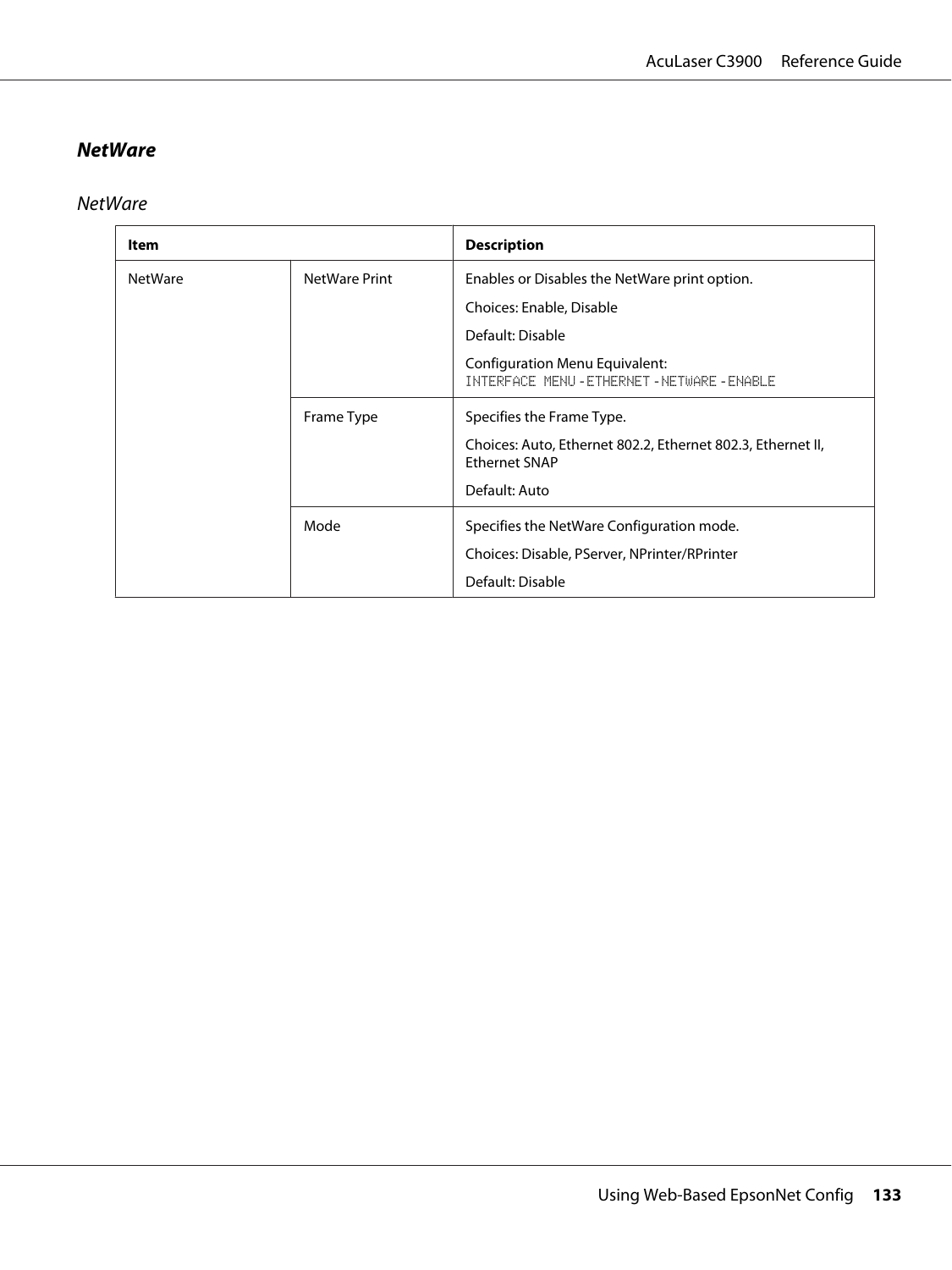### **NetWare**

**NetWare** 

| Item           |                      | <b>Description</b>                                                                    |
|----------------|----------------------|---------------------------------------------------------------------------------------|
| <b>NetWare</b> | <b>NetWare Print</b> | Enables or Disables the NetWare print option.                                         |
|                |                      | Choices: Enable, Disable                                                              |
|                |                      | Default: Disable                                                                      |
|                |                      | <b>Configuration Menu Equivalent:</b><br>INTERFACE MENU - ETHERNET - NETWARE - ENABLE |
|                | Frame Type           | Specifies the Frame Type.                                                             |
|                |                      | Choices: Auto, Ethernet 802.2, Ethernet 802.3, Ethernet II,<br><b>Ethernet SNAP</b>   |
|                |                      | Default: Auto                                                                         |
|                | Mode                 | Specifies the NetWare Configuration mode.                                             |
|                |                      | Choices: Disable, PServer, NPrinter/RPrinter                                          |
|                |                      | Default: Disable                                                                      |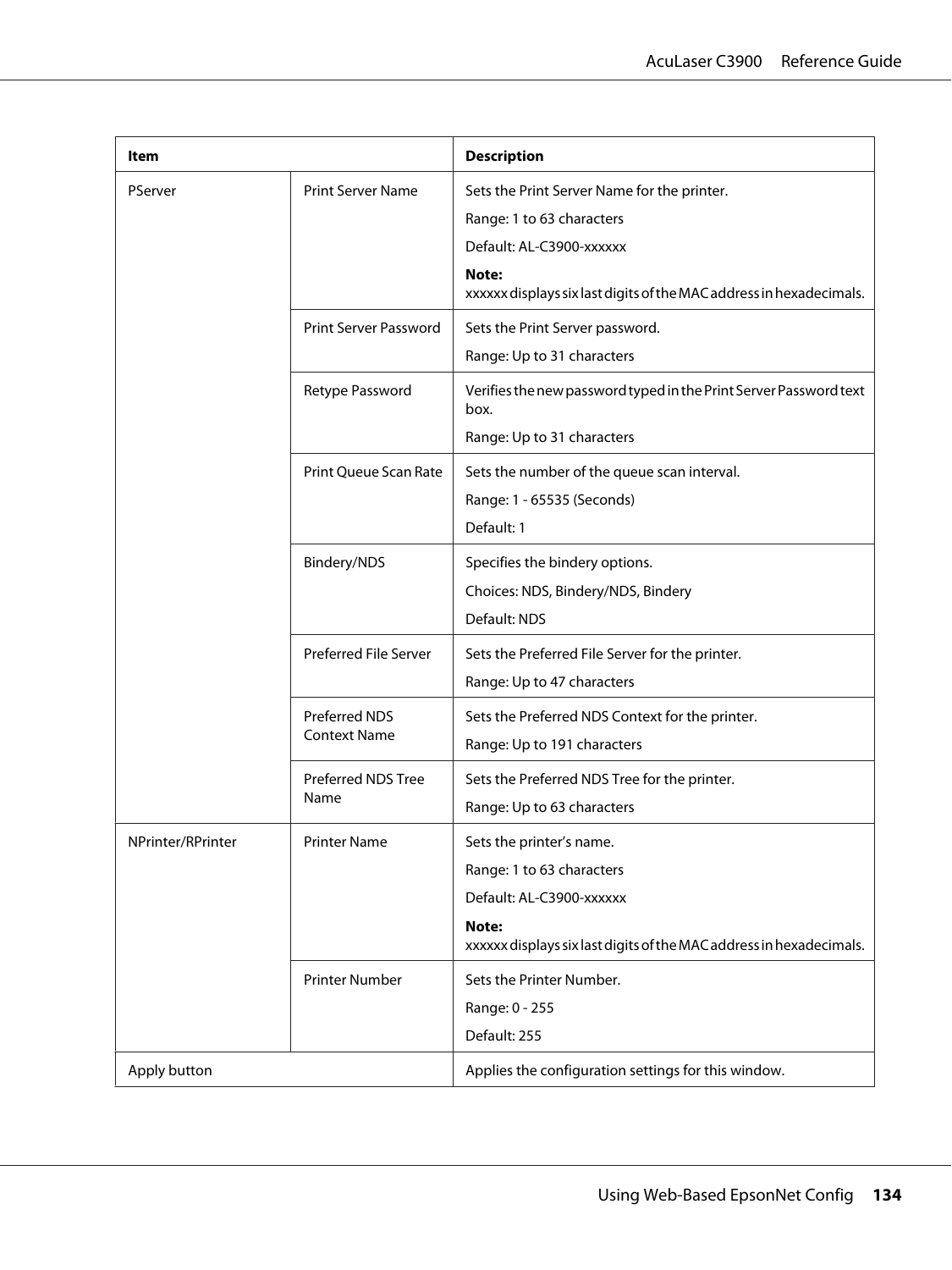| ltem              |                                             | <b>Description</b>                                                           |
|-------------------|---------------------------------------------|------------------------------------------------------------------------------|
| PServer           | <b>Print Server Name</b>                    | Sets the Print Server Name for the printer.                                  |
|                   |                                             | Range: 1 to 63 characters                                                    |
|                   |                                             | Default: AL-C3900-xxxxxx                                                     |
|                   |                                             | Note:<br>xxxxxx displays six last digits of the MAC address in hexadecimals. |
|                   | <b>Print Server Password</b>                | Sets the Print Server password.                                              |
|                   |                                             | Range: Up to 31 characters                                                   |
|                   | Retype Password                             | Verifies the new password typed in the Print Server Password text<br>box.    |
|                   |                                             | Range: Up to 31 characters                                                   |
|                   | Print Queue Scan Rate                       | Sets the number of the queue scan interval.                                  |
|                   |                                             | Range: 1 - 65535 (Seconds)                                                   |
|                   |                                             | Default: 1                                                                   |
|                   | Bindery/NDS                                 | Specifies the bindery options.                                               |
|                   |                                             | Choices: NDS, Bindery/NDS, Bindery                                           |
|                   |                                             | Default: NDS                                                                 |
|                   | Preferred File Server                       | Sets the Preferred File Server for the printer.                              |
|                   |                                             | Range: Up to 47 characters                                                   |
|                   | <b>Preferred NDS</b><br><b>Context Name</b> | Sets the Preferred NDS Context for the printer.                              |
|                   |                                             | Range: Up to 191 characters                                                  |
|                   | Preferred NDS Tree                          | Sets the Preferred NDS Tree for the printer.                                 |
|                   | Name                                        | Range: Up to 63 characters                                                   |
| NPrinter/RPrinter | <b>Printer Name</b>                         | Sets the printer's name.                                                     |
|                   |                                             | Range: 1 to 63 characters                                                    |
|                   |                                             | Default: AL-C3900-xxxxxx                                                     |
|                   |                                             | Note:<br>xxxxxx displays six last digits of the MAC address in hexadecimals. |
|                   | <b>Printer Number</b>                       | Sets the Printer Number.                                                     |
|                   |                                             | Range: 0 - 255                                                               |
|                   |                                             | Default: 255                                                                 |
| Apply button      |                                             | Applies the configuration settings for this window.                          |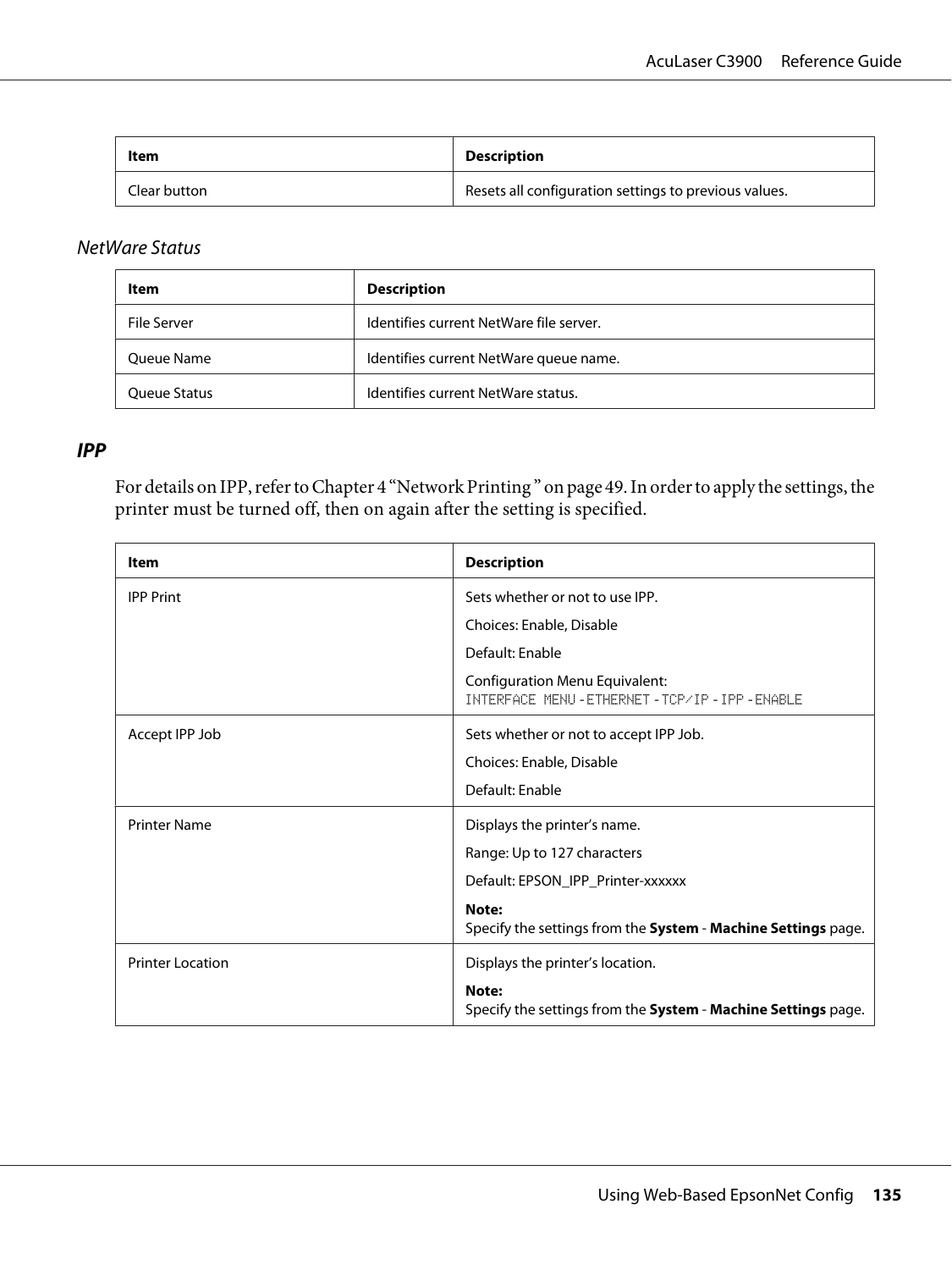| Item         | <b>Description</b>                                    |
|--------------|-------------------------------------------------------|
| Clear button | Resets all configuration settings to previous values. |

#### NetWare Status

| Item         | <b>Description</b>                      |
|--------------|-----------------------------------------|
| File Server  | Identifies current NetWare file server. |
| Queue Name   | Identifies current NetWare queue name.  |
| Oueue Status | Identifies current NetWare status.      |

#### **IPP**

For details on IPP, refer to Chapter 4 ["Network Printing " on page 49.](#page-48-0) In order to apply the settings, the printer must be turned off, then on again after the setting is specified.

| Item                    | <b>Description</b>                                                                         |
|-------------------------|--------------------------------------------------------------------------------------------|
| <b>IPP Print</b>        | Sets whether or not to use IPP.                                                            |
|                         | Choices: Enable, Disable                                                                   |
|                         | Default: Enable                                                                            |
|                         | <b>Configuration Menu Equivalent:</b><br>INTERFACE MENU - ETHERNET - TCP/IP - IPP - ENABLE |
| Accept IPP Job          | Sets whether or not to accept IPP Job.                                                     |
|                         | Choices: Enable, Disable                                                                   |
|                         | Default: Enable                                                                            |
| <b>Printer Name</b>     | Displays the printer's name.                                                               |
|                         | Range: Up to 127 characters                                                                |
|                         | Default: EPSON_IPP_Printer-xxxxxx                                                          |
|                         | Note:<br>Specify the settings from the System - Machine Settings page.                     |
| <b>Printer Location</b> | Displays the printer's location.                                                           |
|                         | Note:<br>Specify the settings from the System - Machine Settings page.                     |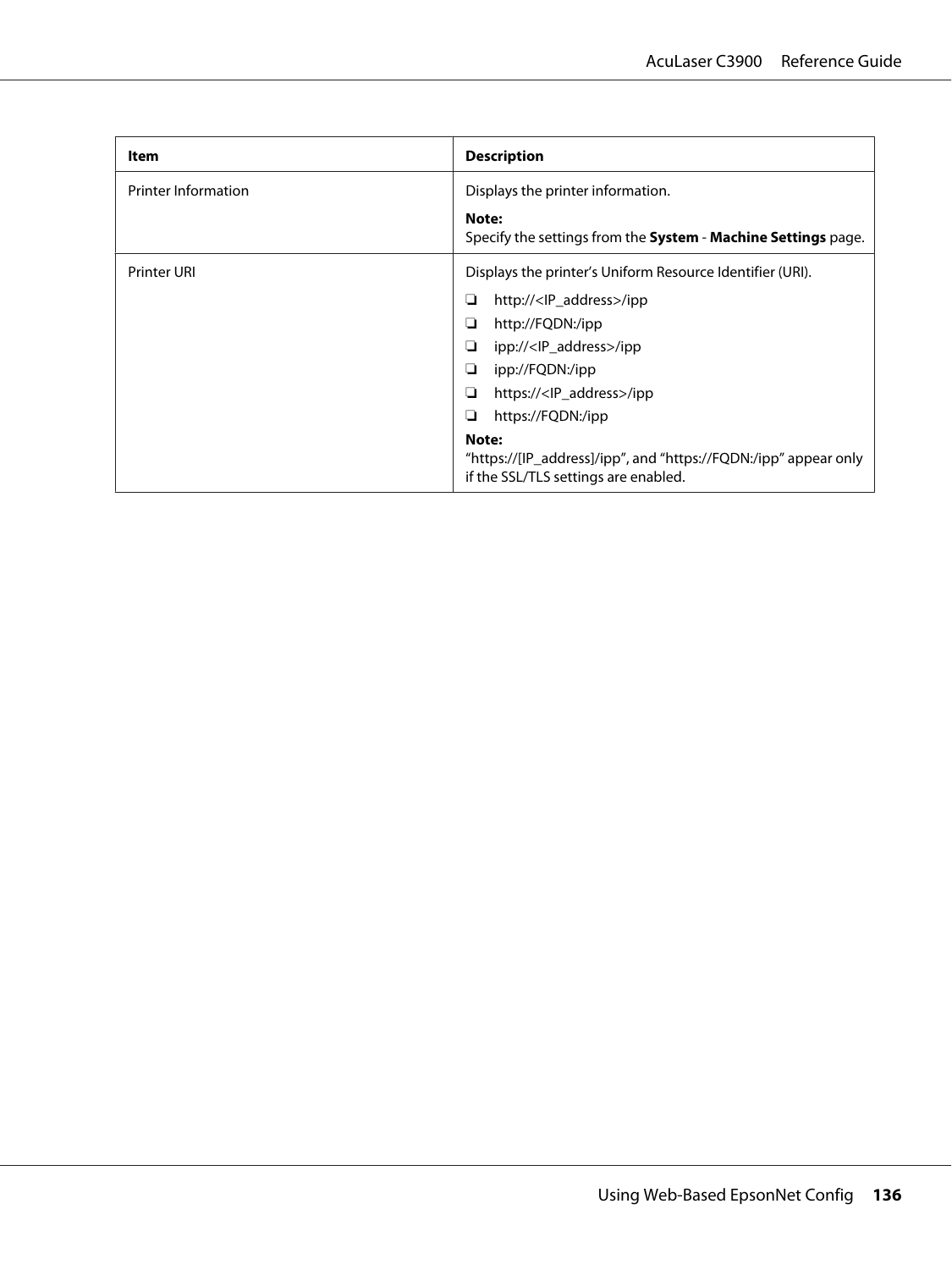| Item                       | <b>Description</b>                                                                                               |
|----------------------------|------------------------------------------------------------------------------------------------------------------|
| <b>Printer Information</b> | Displays the printer information.                                                                                |
|                            | Note:<br>Specify the settings from the System - Machine Settings page.                                           |
| <b>Printer URI</b>         | Displays the printer's Uniform Resource Identifier (URI).                                                        |
|                            | http:// <ip_address>/ipp<br/>❏</ip_address>                                                                      |
|                            | http://FQDN:/ipp<br>❏                                                                                            |
|                            | ipp:// <ip_address>/ipp<br/>❏</ip_address>                                                                       |
|                            | ipp://FQDN:/ipp<br>❏                                                                                             |
|                            | https:// <lp_address>/ipp<br/>❏</lp_address>                                                                     |
|                            | https://FQDN:/ipp<br>❏                                                                                           |
|                            | Note:<br>"https://[IP_address]/ipp", and "https://FQDN:/ipp" appear only<br>if the SSL/TLS settings are enabled. |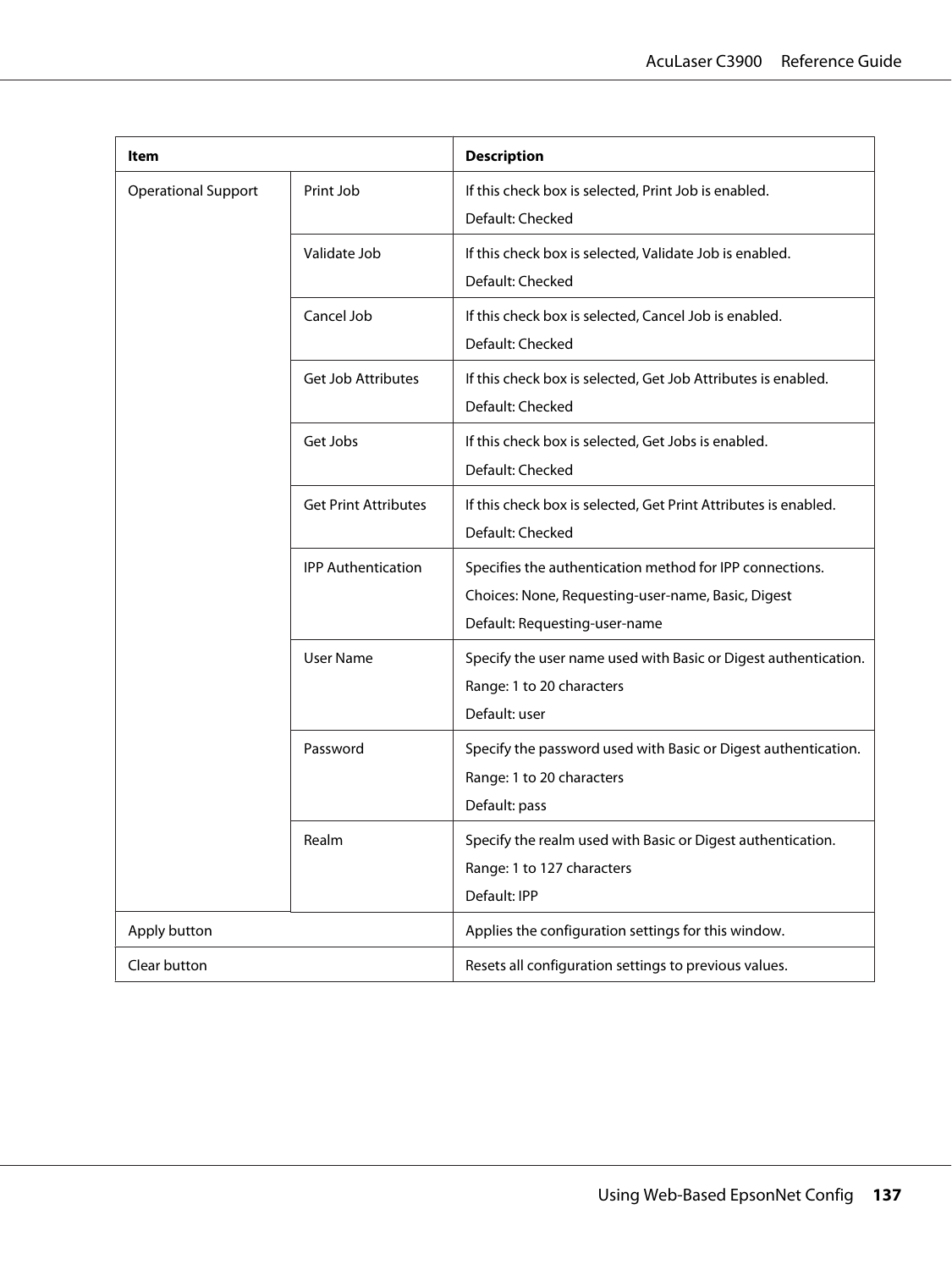| ltem                                                                                     |                                                                                                                                                 | <b>Description</b>                                                                                            |
|------------------------------------------------------------------------------------------|-------------------------------------------------------------------------------------------------------------------------------------------------|---------------------------------------------------------------------------------------------------------------|
| <b>Operational Support</b>                                                               | Print Job                                                                                                                                       | If this check box is selected, Print Job is enabled.<br>Default: Checked                                      |
|                                                                                          | Validate Job                                                                                                                                    | If this check box is selected, Validate Job is enabled.<br>Default: Checked                                   |
|                                                                                          | Cancel Job                                                                                                                                      | If this check box is selected, Cancel Job is enabled.<br>Default: Checked                                     |
|                                                                                          | Get Job Attributes                                                                                                                              | If this check box is selected, Get Job Attributes is enabled.<br>Default: Checked                             |
|                                                                                          | Get Jobs                                                                                                                                        | If this check box is selected, Get Jobs is enabled.<br>Default: Checked                                       |
| <b>Get Print Attributes</b><br><b>IPP Authentication</b><br><b>User Name</b><br>Password |                                                                                                                                                 | If this check box is selected, Get Print Attributes is enabled.<br>Default: Checked                           |
|                                                                                          | Specifies the authentication method for IPP connections.<br>Choices: None, Requesting-user-name, Basic, Digest<br>Default: Requesting-user-name |                                                                                                               |
|                                                                                          |                                                                                                                                                 | Specify the user name used with Basic or Digest authentication.<br>Range: 1 to 20 characters<br>Default: user |
|                                                                                          |                                                                                                                                                 | Specify the password used with Basic or Digest authentication.<br>Range: 1 to 20 characters<br>Default: pass  |
|                                                                                          | Realm                                                                                                                                           | Specify the realm used with Basic or Digest authentication.<br>Range: 1 to 127 characters<br>Default: IPP     |
| Apply button                                                                             |                                                                                                                                                 | Applies the configuration settings for this window.                                                           |
| Clear button                                                                             |                                                                                                                                                 | Resets all configuration settings to previous values.                                                         |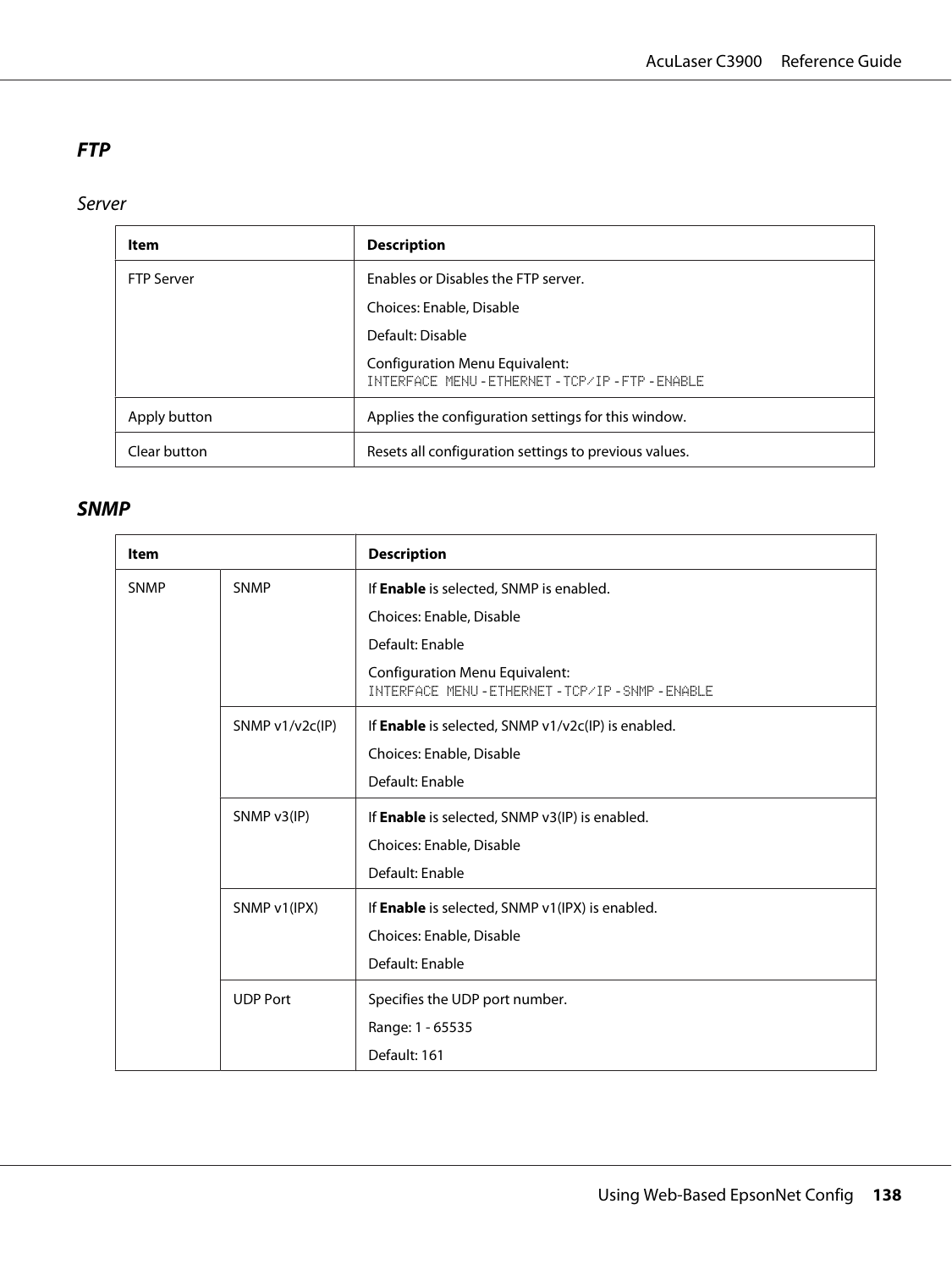## **FTP**

Server

| Item              | <b>Description</b>                                                          |  |
|-------------------|-----------------------------------------------------------------------------|--|
| <b>FTP Server</b> | Enables or Disables the FTP server.                                         |  |
|                   | Choices: Enable, Disable                                                    |  |
|                   | Default: Disable                                                            |  |
|                   | Configuration Menu Equivalent:<br>INTERFACE MENU-ETHERNET-TCP/IP-FTP-ENABLE |  |
| Apply button      | Applies the configuration settings for this window.                         |  |
| Clear button      | Resets all configuration settings to previous values.                       |  |

## **SNMP**

| <b>Item</b>                 |                   | <b>Description</b>                                                                          |
|-----------------------------|-------------------|---------------------------------------------------------------------------------------------|
| <b>SNMP</b>                 | <b>SNMP</b>       | If Enable is selected, SNMP is enabled.                                                     |
|                             |                   | Choices: Enable, Disable                                                                    |
|                             |                   | Default: Enable                                                                             |
|                             |                   | <b>Configuration Menu Equivalent:</b><br>INTERFACE MENU - ETHERNET - TCP/IP - SNMP - ENABLE |
|                             | SNMP $v1/v2c(IP)$ | If Enable is selected, SNMP v1/v2c(IP) is enabled.                                          |
|                             |                   | Choices: Enable, Disable                                                                    |
| SNMP v3(IP)<br>SNMP v1(IPX) |                   | Default: Enable                                                                             |
|                             |                   | If Enable is selected, SNMP v3(IP) is enabled.                                              |
|                             |                   | Choices: Enable, Disable                                                                    |
|                             |                   | Default: Enable                                                                             |
|                             |                   | If <b>Enable</b> is selected, SNMP v1(IPX) is enabled.                                      |
|                             |                   | Choices: Enable, Disable                                                                    |
|                             |                   | Default: Enable                                                                             |
|                             | <b>UDP Port</b>   | Specifies the UDP port number.                                                              |
|                             |                   | Range: 1 - 65535                                                                            |
|                             |                   | Default: 161                                                                                |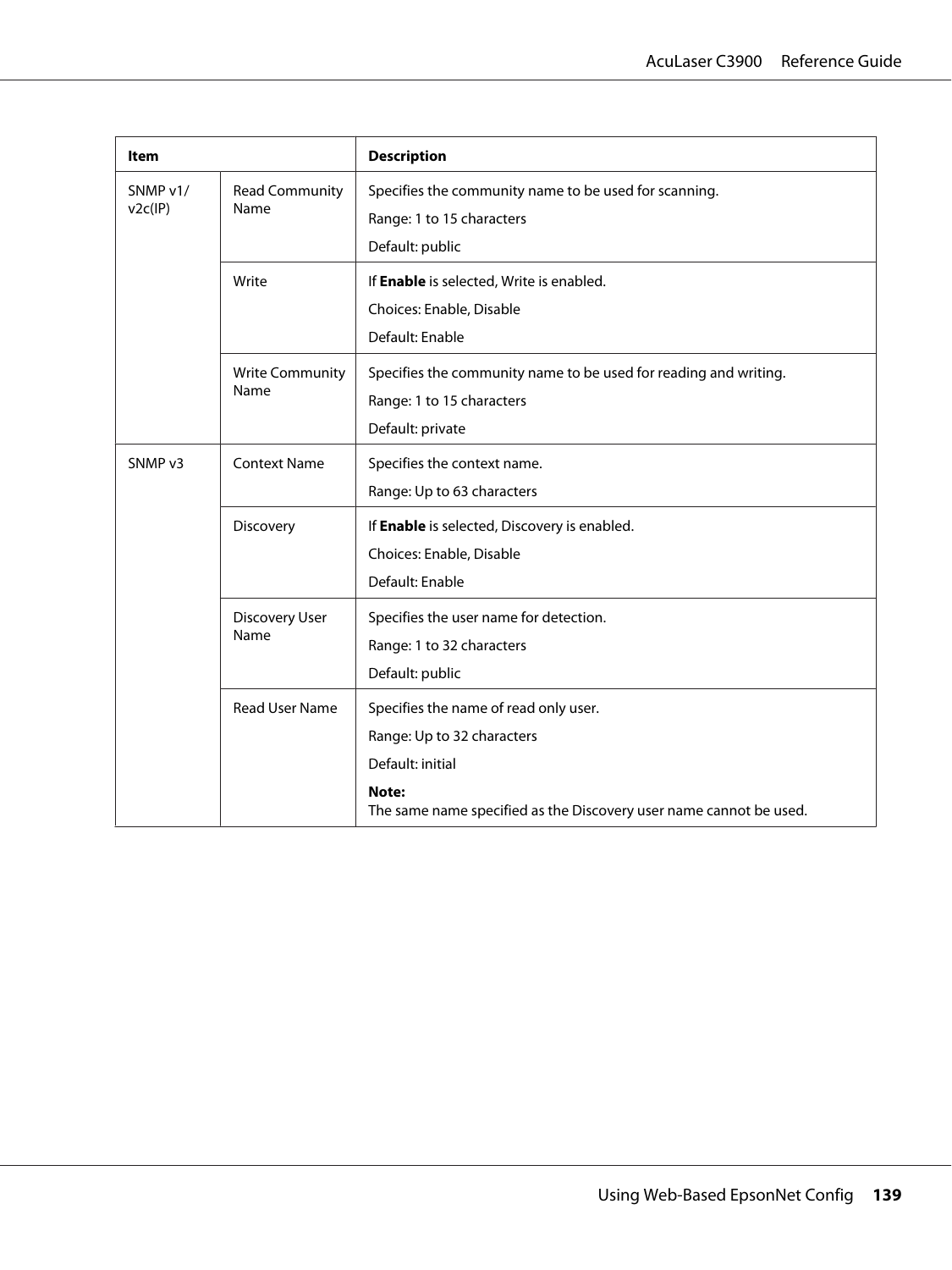| ltem                                                 |                                                                                                       | <b>Description</b>                                                                                                                                                     |
|------------------------------------------------------|-------------------------------------------------------------------------------------------------------|------------------------------------------------------------------------------------------------------------------------------------------------------------------------|
| SNMP v1/<br><b>Read Community</b><br>v2c(IP)<br>Name | Specifies the community name to be used for scanning.<br>Range: 1 to 15 characters<br>Default: public |                                                                                                                                                                        |
| Write                                                |                                                                                                       | If Enable is selected, Write is enabled.<br>Choices: Enable, Disable<br>Default: Enable                                                                                |
| Name                                                 | <b>Write Community</b>                                                                                | Specifies the community name to be used for reading and writing.<br>Range: 1 to 15 characters<br>Default: private                                                      |
| SNMP <sub>v3</sub>                                   | <b>Context Name</b>                                                                                   | Specifies the context name.<br>Range: Up to 63 characters                                                                                                              |
|                                                      | Discovery                                                                                             | If Enable is selected, Discovery is enabled.<br>Choices: Enable, Disable<br>Default: Enable                                                                            |
|                                                      | <b>Discovery User</b><br>Name                                                                         | Specifies the user name for detection.<br>Range: 1 to 32 characters<br>Default: public                                                                                 |
|                                                      | <b>Read User Name</b>                                                                                 | Specifies the name of read only user.<br>Range: Up to 32 characters<br>Default: initial<br>Note:<br>The same name specified as the Discovery user name cannot be used. |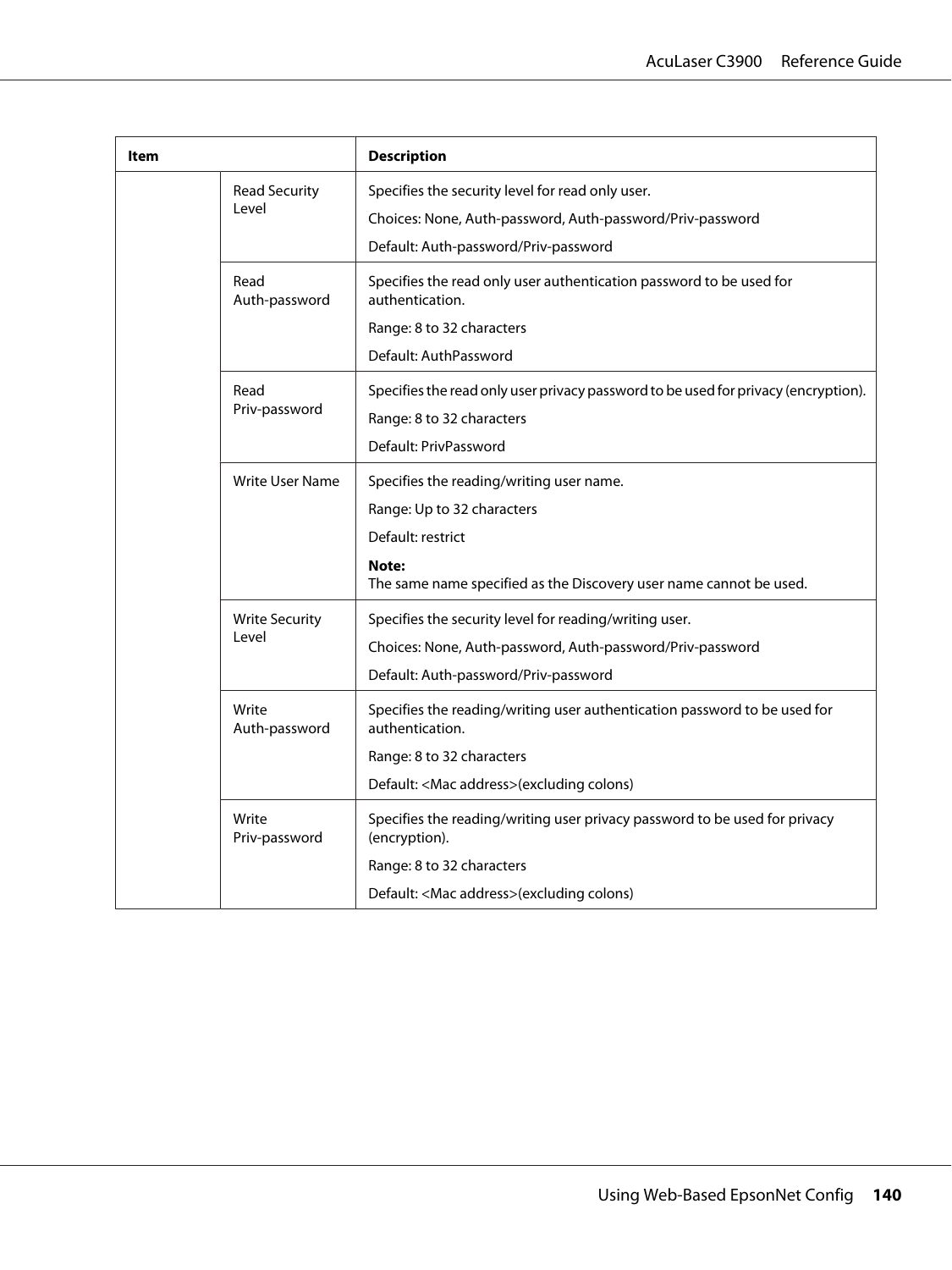| ltem                   |                                                                             | <b>Description</b>                                                                           |
|------------------------|-----------------------------------------------------------------------------|----------------------------------------------------------------------------------------------|
| <b>Read Security</b>   |                                                                             | Specifies the security level for read only user.                                             |
|                        | Level                                                                       | Choices: None, Auth-password, Auth-password/Priv-password                                    |
|                        |                                                                             | Default: Auth-password/Priv-password                                                         |
|                        | Read<br>Auth-password                                                       | Specifies the read only user authentication password to be used for<br>authentication.       |
|                        |                                                                             | Range: 8 to 32 characters                                                                    |
|                        |                                                                             | Default: AuthPassword                                                                        |
|                        | Read                                                                        | Specifies the read only user privacy password to be used for privacy (encryption).           |
|                        | Priv-password                                                               | Range: 8 to 32 characters                                                                    |
|                        |                                                                             | Default: PrivPassword                                                                        |
|                        | <b>Write User Name</b>                                                      | Specifies the reading/writing user name.                                                     |
|                        |                                                                             | Range: Up to 32 characters                                                                   |
|                        | Default: restrict                                                           |                                                                                              |
|                        | Note:<br>The same name specified as the Discovery user name cannot be used. |                                                                                              |
| <b>Write Security</b>  | Specifies the security level for reading/writing user.                      |                                                                                              |
|                        | Level                                                                       | Choices: None, Auth-password, Auth-password/Priv-password                                    |
|                        |                                                                             | Default: Auth-password/Priv-password                                                         |
| Write<br>Auth-password |                                                                             | Specifies the reading/writing user authentication password to be used for<br>authentication. |
|                        |                                                                             | Range: 8 to 32 characters                                                                    |
| Write<br>Priv-password | Default: <mac address="">(excluding colons)</mac>                           |                                                                                              |
|                        |                                                                             | Specifies the reading/writing user privacy password to be used for privacy<br>(encryption).  |
|                        |                                                                             | Range: 8 to 32 characters                                                                    |
|                        |                                                                             | Default: <mac address="">(excluding colons)</mac>                                            |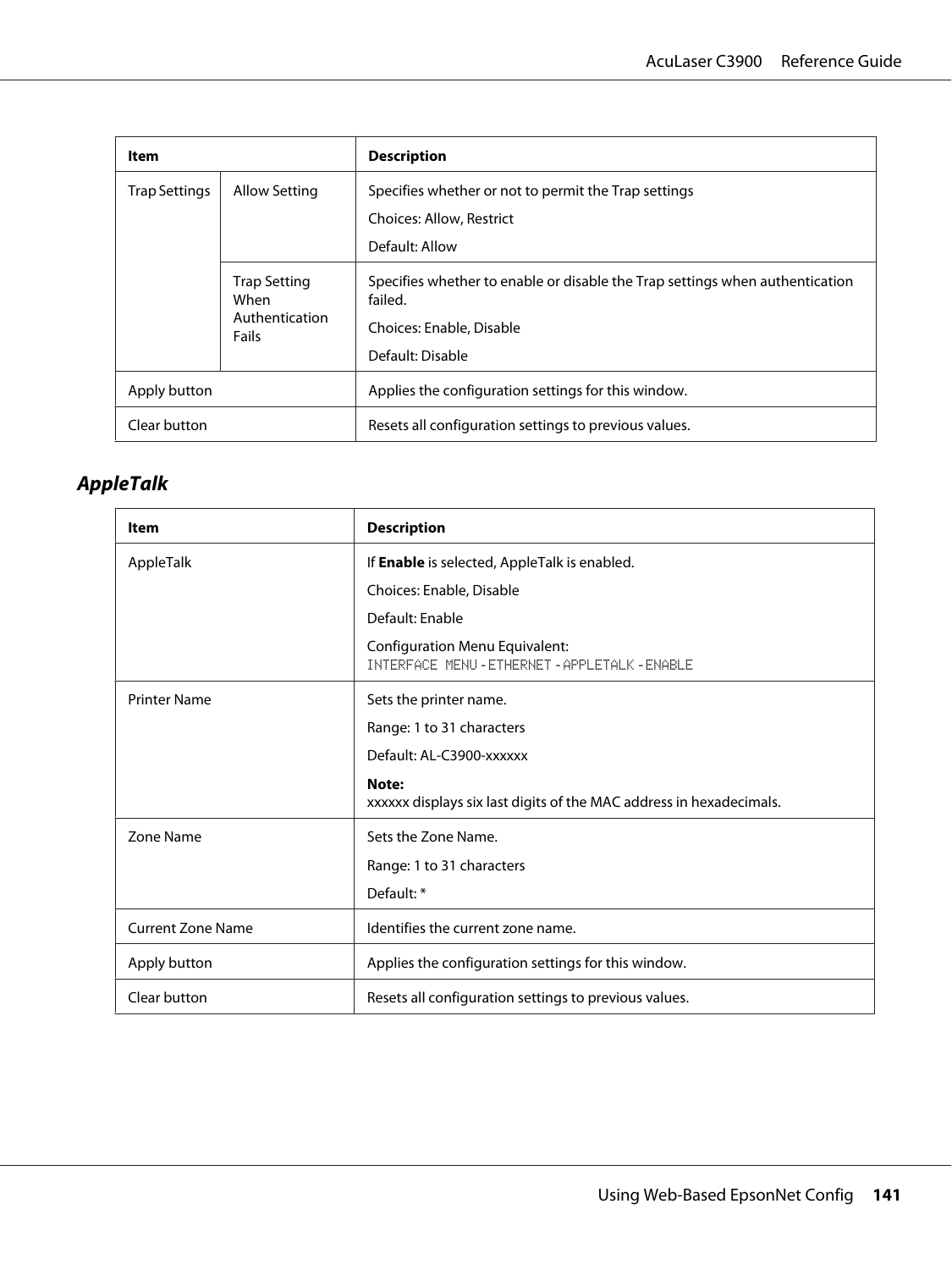| Item          |                                                        | <b>Description</b>                                                                                                                      |
|---------------|--------------------------------------------------------|-----------------------------------------------------------------------------------------------------------------------------------------|
| Trap Settings | Allow Setting                                          | Specifies whether or not to permit the Trap settings<br>Choices: Allow, Restrict<br>Default: Allow                                      |
|               | <b>Trap Setting</b><br>When<br>Authentication<br>Fails | Specifies whether to enable or disable the Trap settings when authentication<br>failed.<br>Choices: Enable, Disable<br>Default: Disable |
| Apply button  |                                                        | Applies the configuration settings for this window.                                                                                     |
| Clear button  |                                                        | Resets all configuration settings to previous values.                                                                                   |

# **AppleTalk**

| Item                     | <b>Description</b>                                                                      |
|--------------------------|-----------------------------------------------------------------------------------------|
| AppleTalk                | If Enable is selected, AppleTalk is enabled.                                            |
|                          | Choices: Enable, Disable                                                                |
|                          | Default: Enable                                                                         |
|                          | <b>Configuration Menu Equivalent:</b><br>INTERFACE MENU - ETHERNET - APPLETALK - ENABLE |
| <b>Printer Name</b>      | Sets the printer name.                                                                  |
|                          | Range: 1 to 31 characters                                                               |
|                          | Default: AL-C3900-xxxxxx                                                                |
|                          | Note:<br>xxxxxx displays six last digits of the MAC address in hexadecimals.            |
| Zone Name                | Sets the Zone Name.                                                                     |
|                          | Range: 1 to 31 characters                                                               |
|                          | Default: *                                                                              |
| <b>Current Zone Name</b> | Identifies the current zone name.                                                       |
| Apply button             | Applies the configuration settings for this window.                                     |
| Clear button             | Resets all configuration settings to previous values.                                   |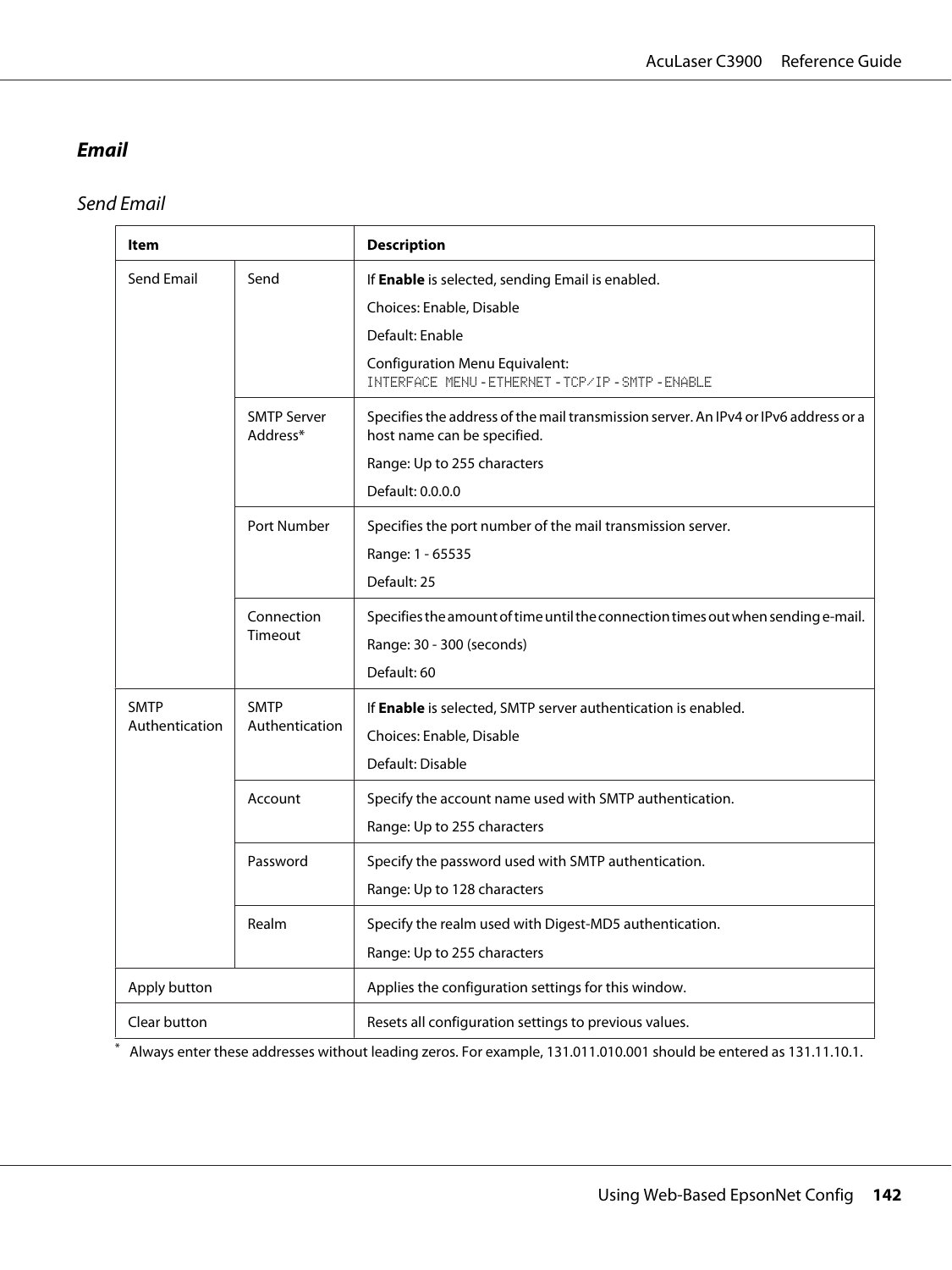## **Email**

Send Email

| Item                          |                                | <b>Description</b>                                                                                                                                                                             |
|-------------------------------|--------------------------------|------------------------------------------------------------------------------------------------------------------------------------------------------------------------------------------------|
| Send Email                    | Send                           | If Enable is selected, sending Email is enabled.<br>Choices: Enable, Disable<br>Default: Enable<br><b>Configuration Menu Equivalent:</b><br>INTERFACE MENU - ETHERNET - TCP/IP - SMTP - ENABLE |
|                               | <b>SMTP Server</b><br>Address* | Specifies the address of the mail transmission server. An IPv4 or IPv6 address or a<br>host name can be specified.<br>Range: Up to 255 characters<br>Default: 0.0.0.0                          |
|                               | Port Number                    | Specifies the port number of the mail transmission server.<br>Range: 1 - 65535<br>Default: 25                                                                                                  |
|                               | Connection<br>Timeout          | Specifies the amount of time until the connection times out when sending e-mail.<br>Range: 30 - 300 (seconds)<br>Default: 60                                                                   |
| <b>SMTP</b><br>Authentication | <b>SMTP</b><br>Authentication  | If Enable is selected, SMTP server authentication is enabled.<br>Choices: Enable, Disable<br>Default: Disable                                                                                  |
|                               | Account                        | Specify the account name used with SMTP authentication.<br>Range: Up to 255 characters                                                                                                         |
|                               | Password                       | Specify the password used with SMTP authentication.<br>Range: Up to 128 characters                                                                                                             |
|                               | Realm                          | Specify the realm used with Digest-MD5 authentication.<br>Range: Up to 255 characters                                                                                                          |
| Apply button                  |                                | Applies the configuration settings for this window.                                                                                                                                            |
| Clear button                  |                                | Resets all configuration settings to previous values.                                                                                                                                          |

\* Always enter these addresses without leading zeros. For example, 131.011.010.001 should be entered as 131.11.10.1.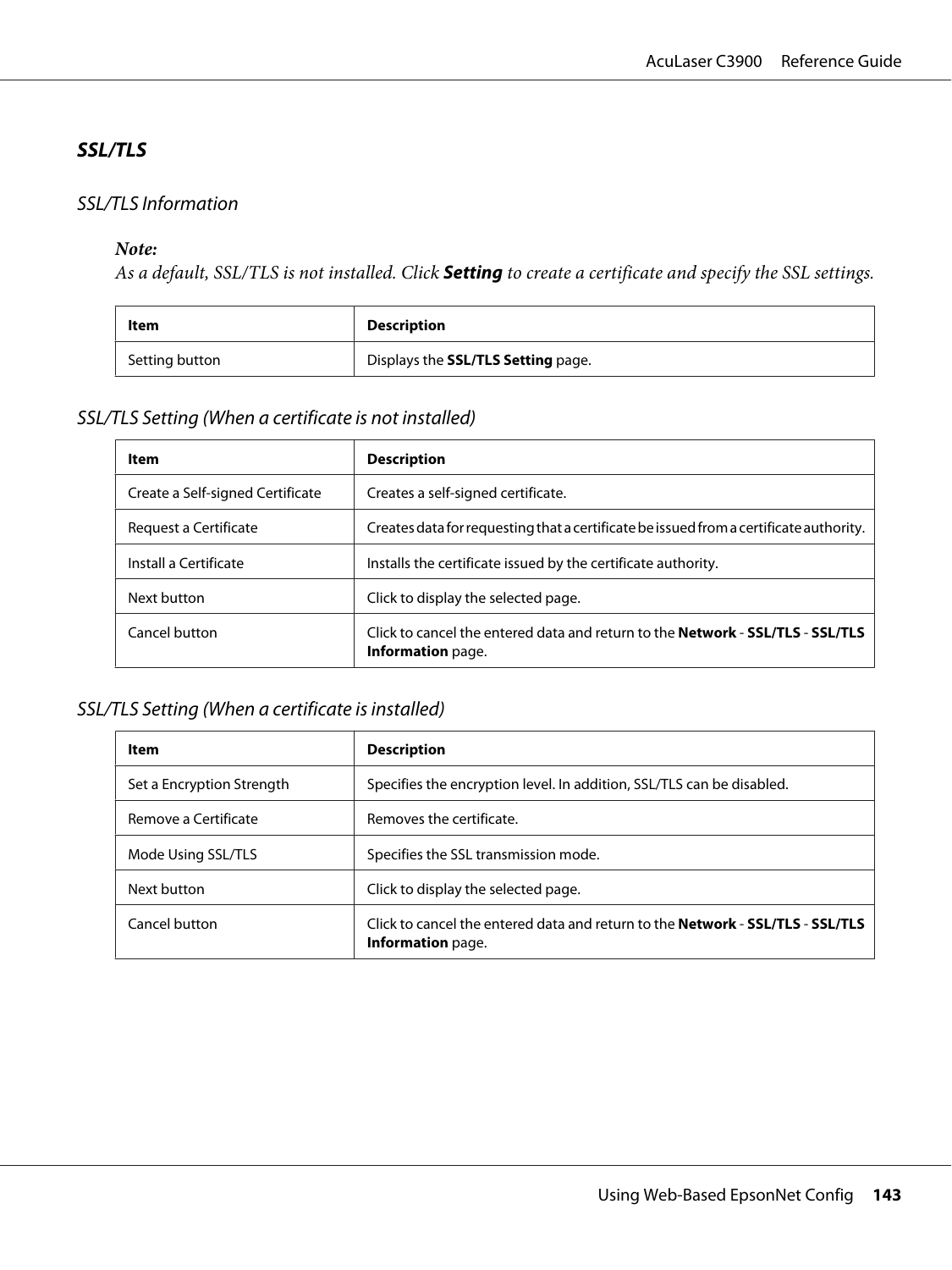### **SSL/TLS**

#### SSL/TLS Information

#### *Note:*

*As a default, SSL/TLS is not installed. Click* **Setting** *to create a certificate and specify the SSL settings.*

| Item           | Description                        |
|----------------|------------------------------------|
| Setting button | Displays the SSL/TLS Setting page. |

### SSL/TLS Setting (When a certificate is not installed)

| Item                             | <b>Description</b>                                                                                         |
|----------------------------------|------------------------------------------------------------------------------------------------------------|
| Create a Self-signed Certificate | Creates a self-signed certificate.                                                                         |
| Request a Certificate            | Creates data for requesting that a certificate be issued from a certificate authority.                     |
| Install a Certificate            | Installs the certificate issued by the certificate authority.                                              |
| Next button                      | Click to display the selected page.                                                                        |
| Cancel button                    | Click to cancel the entered data and return to the <b>Network - SSL/TLS - SSL/TLS</b><br>Information page. |

### SSL/TLS Setting (When a certificate is installed)

| Item                      | <b>Description</b>                                                                                         |
|---------------------------|------------------------------------------------------------------------------------------------------------|
| Set a Encryption Strength | Specifies the encryption level. In addition, SSL/TLS can be disabled.                                      |
| Remove a Certificate      | Removes the certificate.                                                                                   |
| Mode Using SSL/TLS        | Specifies the SSL transmission mode.                                                                       |
| Next button               | Click to display the selected page.                                                                        |
| Cancel button             | Click to cancel the entered data and return to the <b>Network - SSL/TLS - SSL/TLS</b><br>Information page. |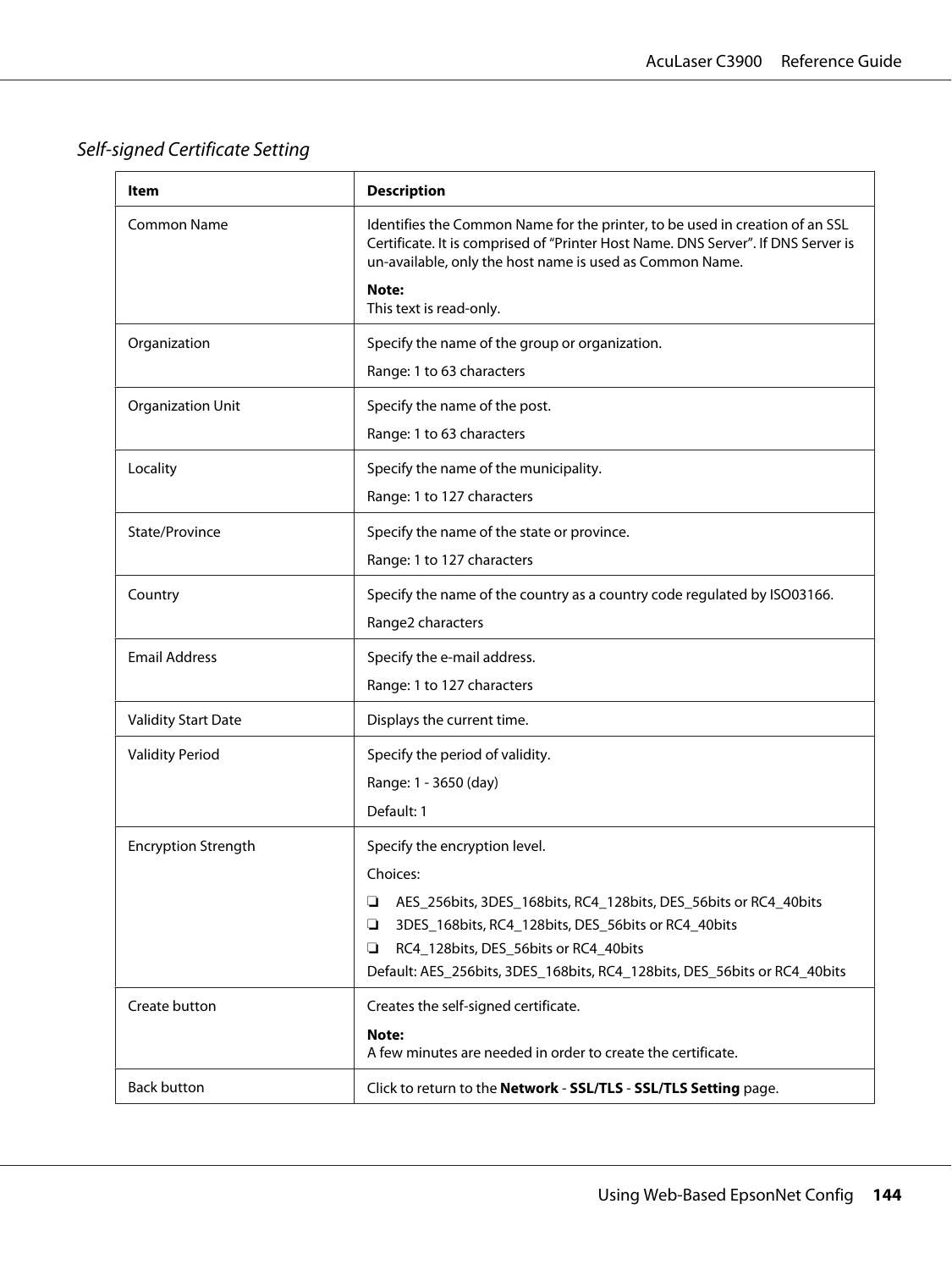Self-signed Certificate Setting

| ltem                       | <b>Description</b>                                                                                                                                                                                                            |
|----------------------------|-------------------------------------------------------------------------------------------------------------------------------------------------------------------------------------------------------------------------------|
| <b>Common Name</b>         | Identifies the Common Name for the printer, to be used in creation of an SSL<br>Certificate. It is comprised of "Printer Host Name. DNS Server". If DNS Server is<br>un-available, only the host name is used as Common Name. |
|                            | Note:<br>This text is read-only.                                                                                                                                                                                              |
| Organization               | Specify the name of the group or organization.                                                                                                                                                                                |
|                            | Range: 1 to 63 characters                                                                                                                                                                                                     |
| <b>Organization Unit</b>   | Specify the name of the post.                                                                                                                                                                                                 |
|                            | Range: 1 to 63 characters                                                                                                                                                                                                     |
| Locality                   | Specify the name of the municipality.                                                                                                                                                                                         |
|                            | Range: 1 to 127 characters                                                                                                                                                                                                    |
| State/Province             | Specify the name of the state or province.                                                                                                                                                                                    |
|                            | Range: 1 to 127 characters                                                                                                                                                                                                    |
| Country                    | Specify the name of the country as a country code regulated by ISO03166.                                                                                                                                                      |
|                            | Range2 characters                                                                                                                                                                                                             |
| <b>Email Address</b>       | Specify the e-mail address.                                                                                                                                                                                                   |
|                            | Range: 1 to 127 characters                                                                                                                                                                                                    |
| <b>Validity Start Date</b> | Displays the current time.                                                                                                                                                                                                    |
| <b>Validity Period</b>     | Specify the period of validity.                                                                                                                                                                                               |
|                            | Range: 1 - 3650 (day)                                                                                                                                                                                                         |
|                            | Default: 1                                                                                                                                                                                                                    |
| <b>Encryption Strength</b> | Specify the encryption level.                                                                                                                                                                                                 |
|                            | Choices:                                                                                                                                                                                                                      |
|                            | AES_256bits, 3DES_168bits, RC4_128bits, DES_56bits or RC4_40bits<br>❏                                                                                                                                                         |
|                            | 3DES_168bits, RC4_128bits, DES_56bits or RC4_40bits<br>❏<br>RC4_128bits, DES_56bits or RC4_40bits<br>❏                                                                                                                        |
|                            | Default: AES_256bits, 3DES_168bits, RC4_128bits, DES_56bits or RC4_40bits                                                                                                                                                     |
| Create button              | Creates the self-signed certificate.                                                                                                                                                                                          |
|                            | Note:                                                                                                                                                                                                                         |
|                            | A few minutes are needed in order to create the certificate.                                                                                                                                                                  |
| <b>Back button</b>         | Click to return to the Network - SSL/TLS - SSL/TLS Setting page.                                                                                                                                                              |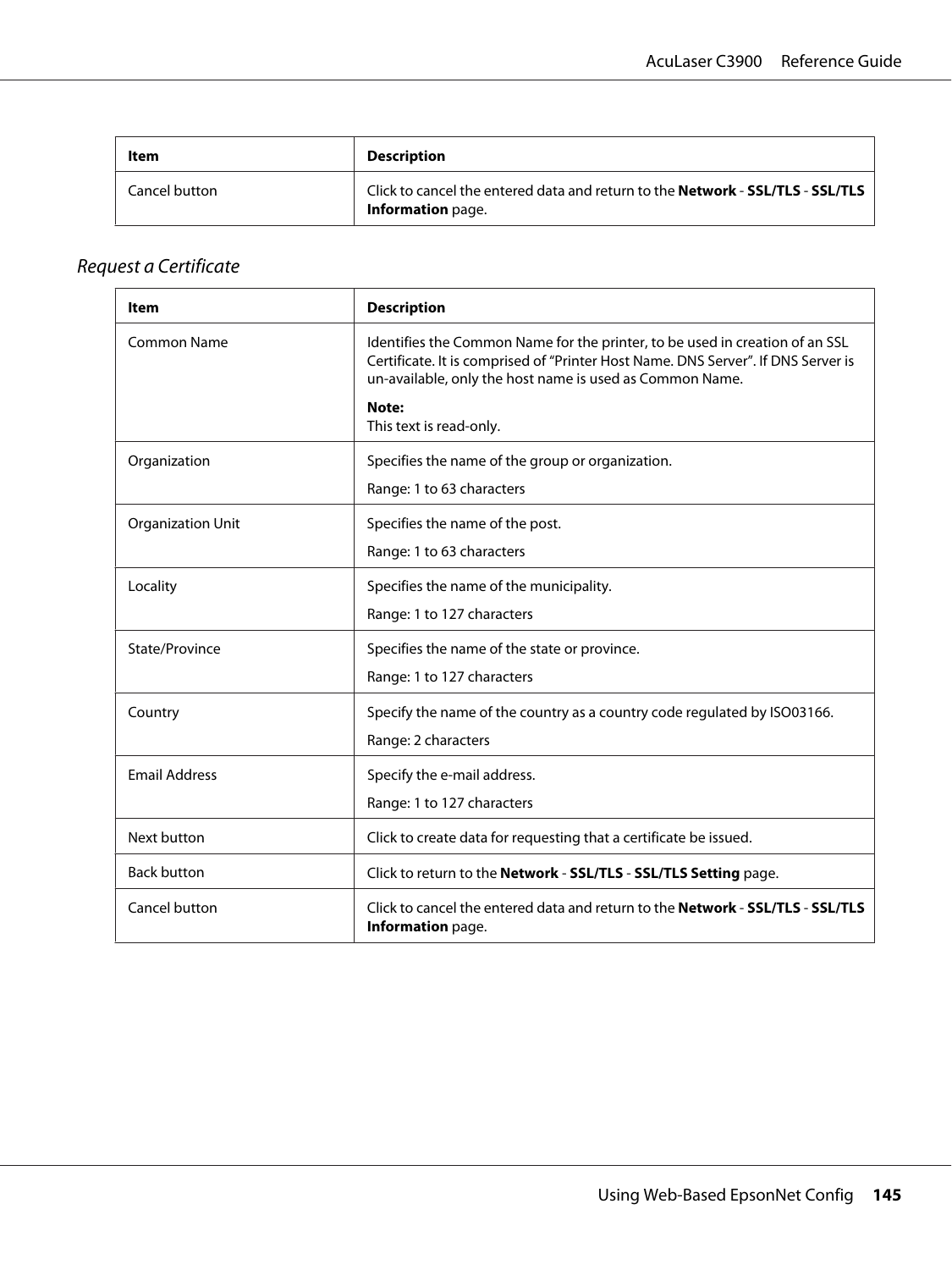<span id="page-144-0"></span>

| Item          | <b>Description</b>                                                                                                |
|---------------|-------------------------------------------------------------------------------------------------------------------|
| Cancel button | Click to cancel the entered data and return to the <b>Network - SSL/TLS - SSL/TLS</b><br><b>Information</b> page. |

# Request a Certificate

| Item                     | <b>Description</b>                                                                                                                                                                                                            |
|--------------------------|-------------------------------------------------------------------------------------------------------------------------------------------------------------------------------------------------------------------------------|
| Common Name              | Identifies the Common Name for the printer, to be used in creation of an SSL<br>Certificate. It is comprised of "Printer Host Name. DNS Server". If DNS Server is<br>un-available, only the host name is used as Common Name. |
|                          | Note:<br>This text is read-only.                                                                                                                                                                                              |
| Organization             | Specifies the name of the group or organization.                                                                                                                                                                              |
|                          | Range: 1 to 63 characters                                                                                                                                                                                                     |
| <b>Organization Unit</b> | Specifies the name of the post.                                                                                                                                                                                               |
|                          | Range: 1 to 63 characters                                                                                                                                                                                                     |
| Locality                 | Specifies the name of the municipality.                                                                                                                                                                                       |
|                          | Range: 1 to 127 characters                                                                                                                                                                                                    |
| State/Province           | Specifies the name of the state or province.                                                                                                                                                                                  |
|                          | Range: 1 to 127 characters                                                                                                                                                                                                    |
| Country                  | Specify the name of the country as a country code regulated by ISO03166.                                                                                                                                                      |
|                          | Range: 2 characters                                                                                                                                                                                                           |
| <b>Email Address</b>     | Specify the e-mail address.                                                                                                                                                                                                   |
|                          | Range: 1 to 127 characters                                                                                                                                                                                                    |
| Next button              | Click to create data for requesting that a certificate be issued.                                                                                                                                                             |
| <b>Back button</b>       | Click to return to the Network - SSL/TLS - SSL/TLS Setting page.                                                                                                                                                              |
| Cancel button            | Click to cancel the entered data and return to the <b>Network - SSL/TLS - SSL/TLS</b><br>Information page.                                                                                                                    |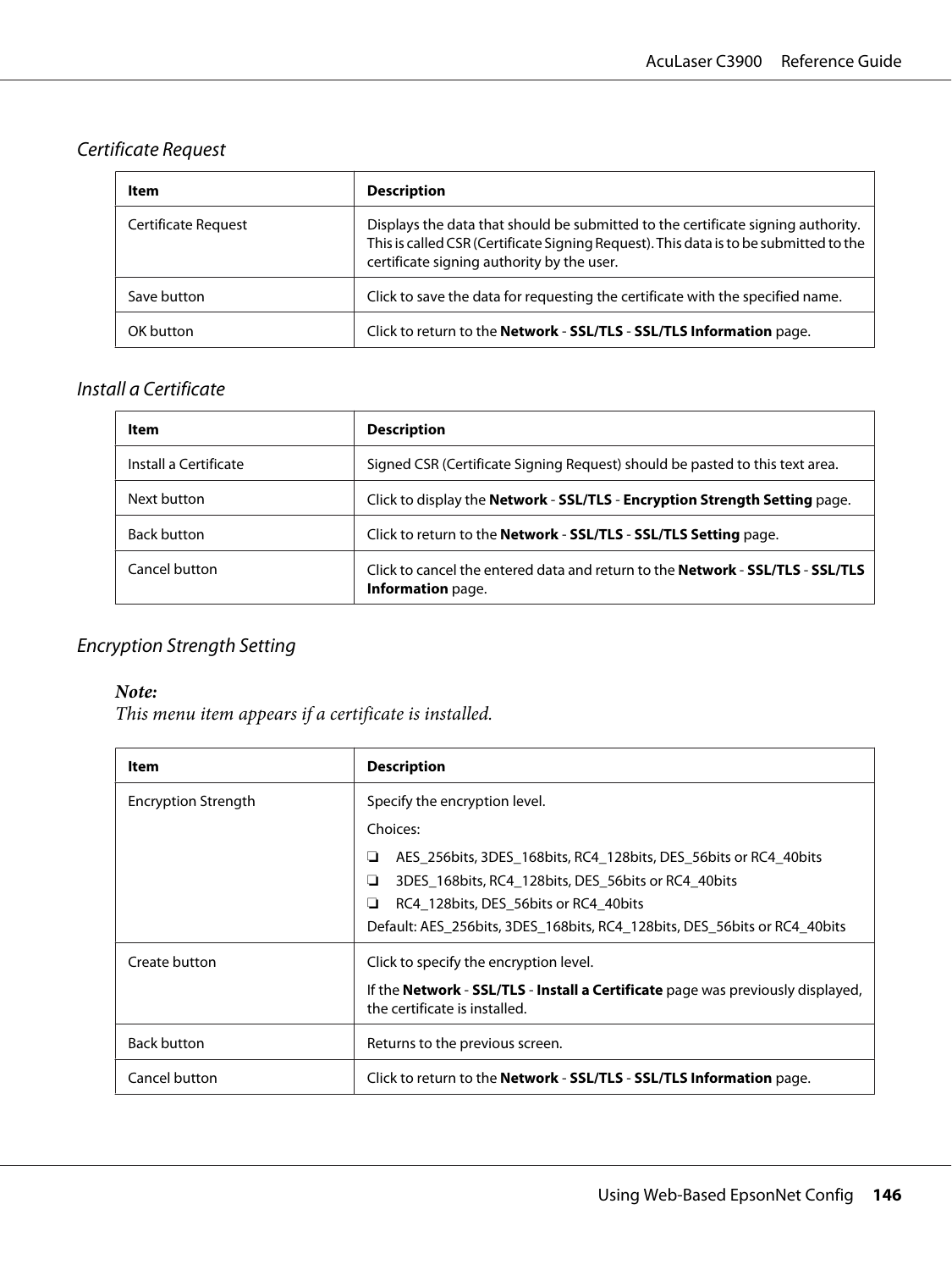# <span id="page-145-0"></span>Certificate Request

| Item                       | <b>Description</b>                                                                                                                                                                                                      |
|----------------------------|-------------------------------------------------------------------------------------------------------------------------------------------------------------------------------------------------------------------------|
| <b>Certificate Request</b> | Displays the data that should be submitted to the certificate signing authority.<br>This is called CSR (Certificate Signing Request). This data is to be submitted to the<br>certificate signing authority by the user. |
| Save button                | Click to save the data for requesting the certificate with the specified name.                                                                                                                                          |
| OK button                  | Click to return to the Network - SSL/TLS - SSL/TLS Information page.                                                                                                                                                    |

### Install a Certificate

| Item                  | <b>Description</b>                                                                                         |
|-----------------------|------------------------------------------------------------------------------------------------------------|
| Install a Certificate | Signed CSR (Certificate Signing Request) should be pasted to this text area.                               |
| Next button           | Click to display the Network - SSL/TLS - Encryption Strength Setting page.                                 |
| <b>Back button</b>    | Click to return to the Network - SSL/TLS - SSL/TLS Setting page.                                           |
| Cancel button         | Click to cancel the entered data and return to the <b>Network - SSL/TLS - SSL/TLS</b><br>Information page. |

### Encryption Strength Setting

#### *Note:*

*This menu item appears if a certificate is installed.*

| Item                       | <b>Description</b>                                                                                               |
|----------------------------|------------------------------------------------------------------------------------------------------------------|
| <b>Encryption Strength</b> | Specify the encryption level.                                                                                    |
|                            | Choices:                                                                                                         |
|                            | AES 256bits, 3DES 168bits, RC4 128bits, DES 56bits or RC4 40bits<br>ப                                            |
|                            | 3DES 168bits, RC4 128bits, DES 56bits or RC4 40bits<br>⊔                                                         |
|                            | RC4 128 bits, DES 56 bits or RC4 40 bits<br>ப                                                                    |
|                            | Default: AES 256bits, 3DES 168bits, RC4 128bits, DES 56bits or RC4 40bits                                        |
| Create button              | Click to specify the encryption level.                                                                           |
|                            | If the Network - SSL/TLS - Install a Certificate page was previously displayed,<br>the certificate is installed. |
| <b>Back button</b>         | Returns to the previous screen.                                                                                  |
| Cancel button              | Click to return to the <b>Network - SSL/TLS - SSL/TLS Information</b> page.                                      |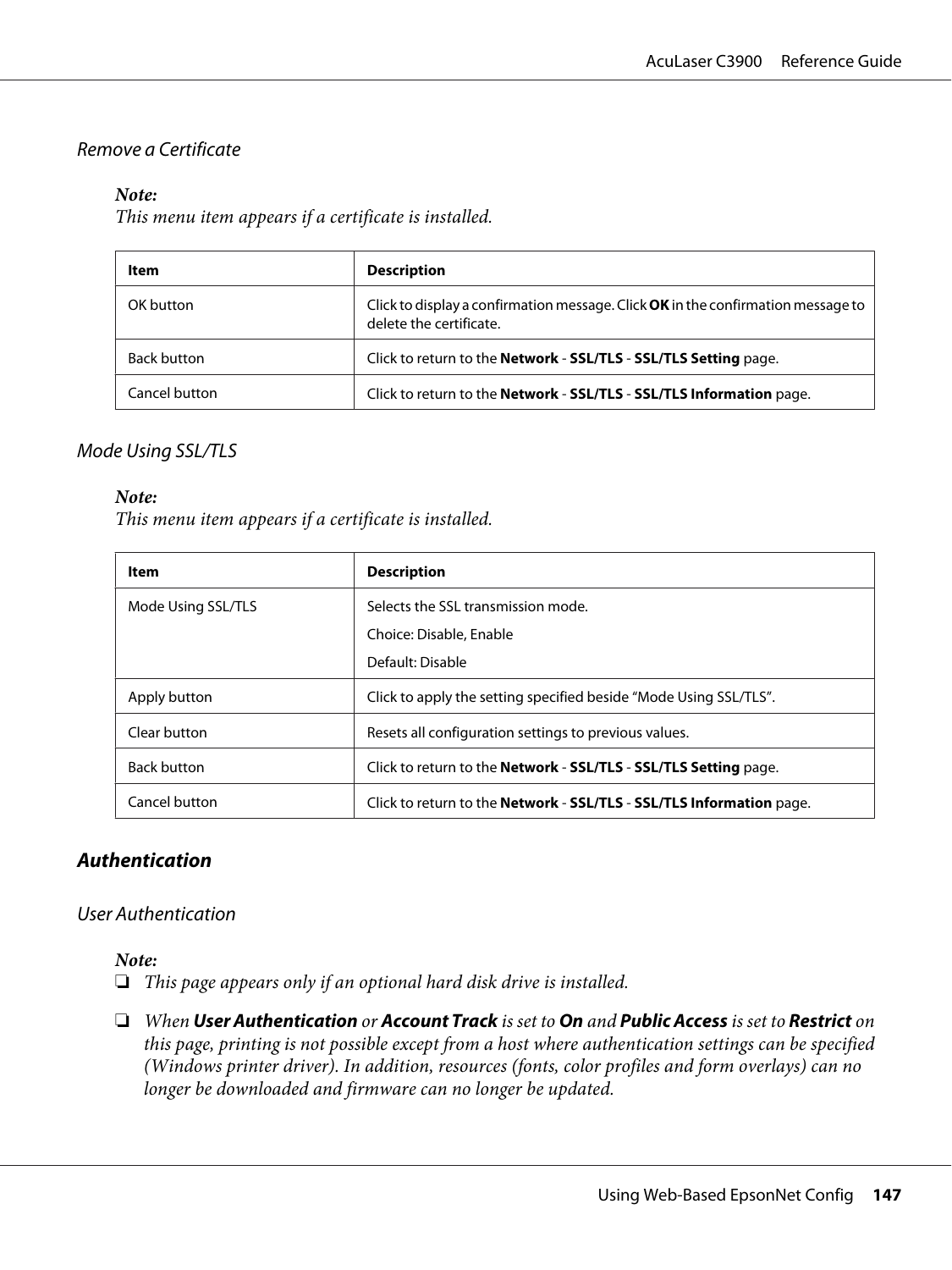#### <span id="page-146-0"></span>Remove a Certificate

#### *Note:*

*This menu item appears if a certificate is installed.*

| Item               | <b>Description</b>                                                                                          |
|--------------------|-------------------------------------------------------------------------------------------------------------|
| OK button          | Click to display a confirmation message. Click OK in the confirmation message to<br>delete the certificate. |
| <b>Back button</b> | Click to return to the Network - SSL/TLS - SSL/TLS Setting page.                                            |
| Cancel button      | Click to return to the Network - SSL/TLS - SSL/TLS Information page.                                        |

#### Mode Using SSL/TLS

#### *Note:*

*This menu item appears if a certificate is installed.*

| Item               | <b>Description</b>                                                          |
|--------------------|-----------------------------------------------------------------------------|
| Mode Using SSL/TLS | Selects the SSL transmission mode.                                          |
|                    | Choice: Disable, Enable                                                     |
|                    | Default: Disable                                                            |
| Apply button       | Click to apply the setting specified beside "Mode Using SSL/TLS".           |
| Clear button       | Resets all configuration settings to previous values.                       |
| <b>Back button</b> | Click to return to the <b>Network - SSL/TLS - SSL/TLS Setting</b> page.     |
| Cancel button      | Click to return to the <b>Network - SSL/TLS - SSL/TLS Information</b> page. |

#### **Authentication**

#### User Authentication

#### *Note:*

- ❏ *This page appears only if an optional hard disk drive is installed.*
- ❏ *When* **User Authentication** *or* **Account Track** *is set to* **On** *and* **Public Access** *is set to* **Restrict** *on this page, printing is not possible except from a host where authentication settings can be specified (Windows printer driver). In addition, resources (fonts, color profiles and form overlays) can no longer be downloaded and firmware can no longer be updated.*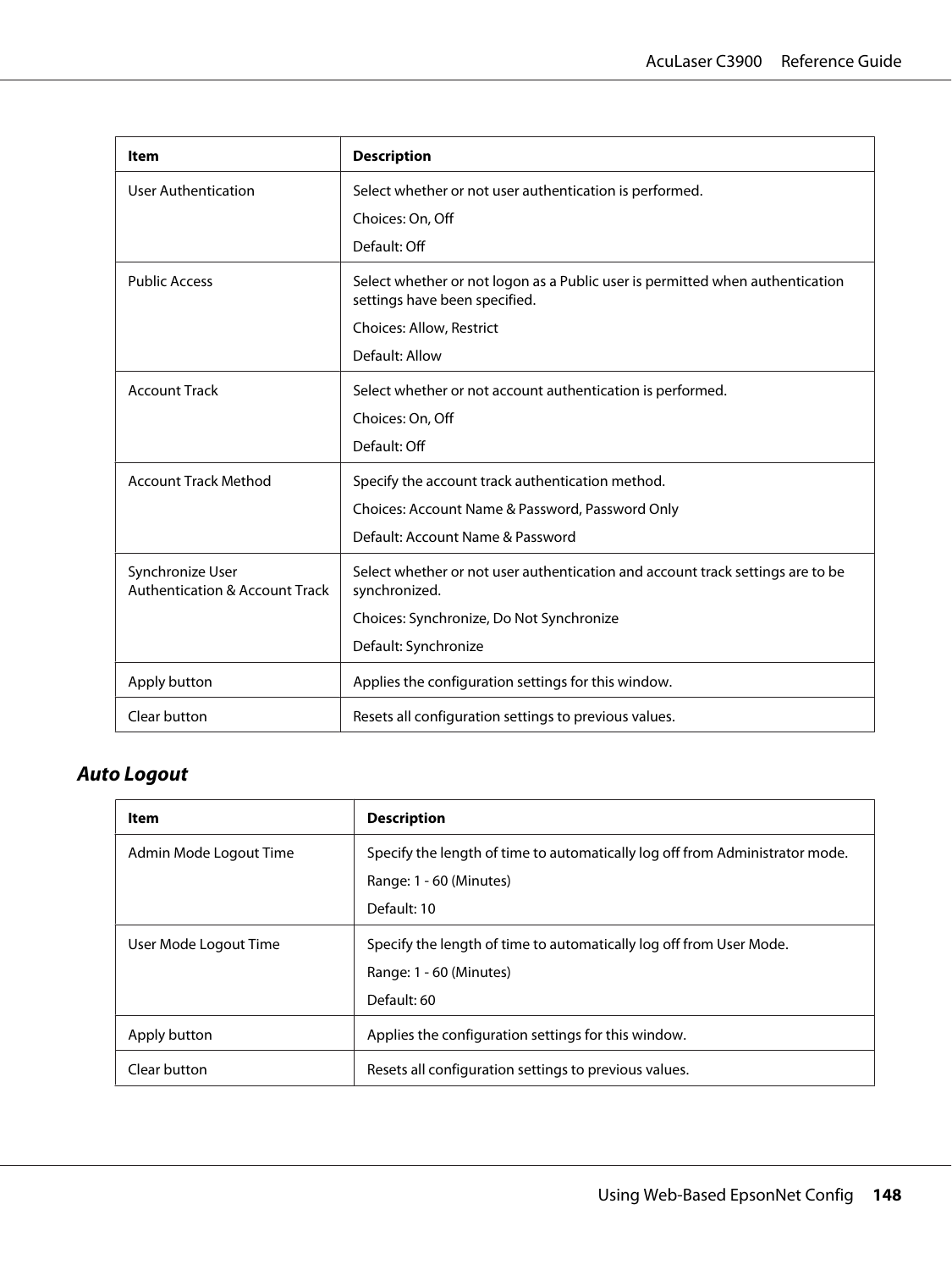<span id="page-147-0"></span>

| Item                                                          | <b>Description</b>                                                                                             |
|---------------------------------------------------------------|----------------------------------------------------------------------------------------------------------------|
| <b>User Authentication</b>                                    | Select whether or not user authentication is performed.<br>Choices: On, Off                                    |
|                                                               | Default: Off                                                                                                   |
| <b>Public Access</b>                                          | Select whether or not logon as a Public user is permitted when authentication<br>settings have been specified. |
|                                                               | Choices: Allow, Restrict                                                                                       |
|                                                               | Default: Allow                                                                                                 |
| <b>Account Track</b>                                          | Select whether or not account authentication is performed.                                                     |
|                                                               | Choices: On, Off                                                                                               |
|                                                               | Default: Off                                                                                                   |
| <b>Account Track Method</b>                                   | Specify the account track authentication method.                                                               |
|                                                               | Choices: Account Name & Password, Password Only                                                                |
|                                                               | Default: Account Name & Password                                                                               |
| Synchronize User<br><b>Authentication &amp; Account Track</b> | Select whether or not user authentication and account track settings are to be<br>synchronized.                |
|                                                               | Choices: Synchronize, Do Not Synchronize                                                                       |
|                                                               | Default: Synchronize                                                                                           |
| Apply button                                                  | Applies the configuration settings for this window.                                                            |
| Clear button                                                  | Resets all configuration settings to previous values.                                                          |

# **Auto Logout**

| Item                   | <b>Description</b>                                                           |
|------------------------|------------------------------------------------------------------------------|
| Admin Mode Logout Time | Specify the length of time to automatically log off from Administrator mode. |
|                        | Range: 1 - 60 (Minutes)                                                      |
|                        | Default: 10                                                                  |
| User Mode Logout Time  | Specify the length of time to automatically log off from User Mode.          |
|                        | Range: 1 - 60 (Minutes)                                                      |
|                        | Default: 60                                                                  |
| Apply button           | Applies the configuration settings for this window.                          |
| Clear button           | Resets all configuration settings to previous values.                        |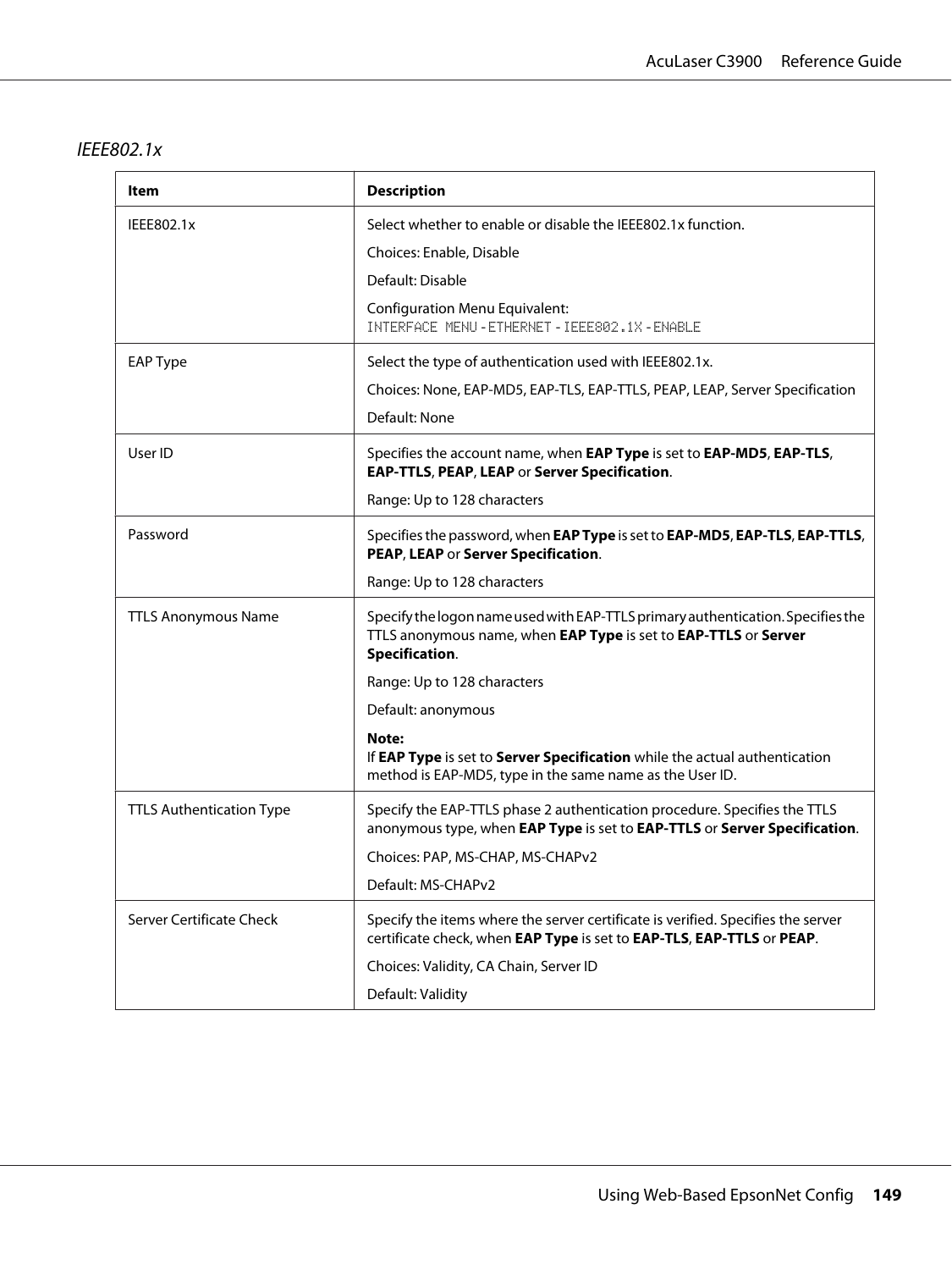#### <span id="page-148-0"></span>IEEE802.1x

| ltem                            | <b>Description</b>                                                                                                                                                   |
|---------------------------------|----------------------------------------------------------------------------------------------------------------------------------------------------------------------|
| IEEE802.1x                      | Select whether to enable or disable the IEEE802.1x function.                                                                                                         |
|                                 | Choices: Enable, Disable                                                                                                                                             |
|                                 | Default: Disable                                                                                                                                                     |
|                                 | <b>Configuration Menu Equivalent:</b><br>INTERFACE MENU - ETHERNET - IEEE802.1X - ENABLE                                                                             |
| <b>EAP Type</b>                 | Select the type of authentication used with IEEE802.1x.                                                                                                              |
|                                 | Choices: None, EAP-MD5, EAP-TLS, EAP-TTLS, PEAP, LEAP, Server Specification                                                                                          |
|                                 | Default: None                                                                                                                                                        |
| User ID                         | Specifies the account name, when EAP Type is set to EAP-MD5, EAP-TLS,<br>EAP-TTLS, PEAP, LEAP or Server Specification.                                               |
|                                 | Range: Up to 128 characters                                                                                                                                          |
| Password                        | Specifies the password, when EAP Type is set to EAP-MD5, EAP-TLS, EAP-TTLS,<br>PEAP, LEAP or Server Specification.                                                   |
|                                 | Range: Up to 128 characters                                                                                                                                          |
| <b>TTLS Anonymous Name</b>      | Specify the logon name used with EAP-TTLS primary authentication. Specifies the<br>TTLS anonymous name, when EAP Type is set to EAP-TTLS or Server<br>Specification. |
|                                 | Range: Up to 128 characters                                                                                                                                          |
|                                 | Default: anonymous                                                                                                                                                   |
|                                 | Note:<br>If EAP Type is set to Server Specification while the actual authentication<br>method is EAP-MD5, type in the same name as the User ID.                      |
| <b>TTLS Authentication Type</b> | Specify the EAP-TTLS phase 2 authentication procedure. Specifies the TTLS<br>anonymous type, when EAP Type is set to EAP-TTLS or Server Specification.               |
|                                 | Choices: PAP, MS-CHAP, MS-CHAPv2                                                                                                                                     |
|                                 | Default: MS-CHAPv2                                                                                                                                                   |
| Server Certificate Check        | Specify the items where the server certificate is verified. Specifies the server<br>certificate check, when EAP Type is set to EAP-TLS, EAP-TTLS or PEAP.            |
|                                 | Choices: Validity, CA Chain, Server ID                                                                                                                               |
|                                 | Default: Validity                                                                                                                                                    |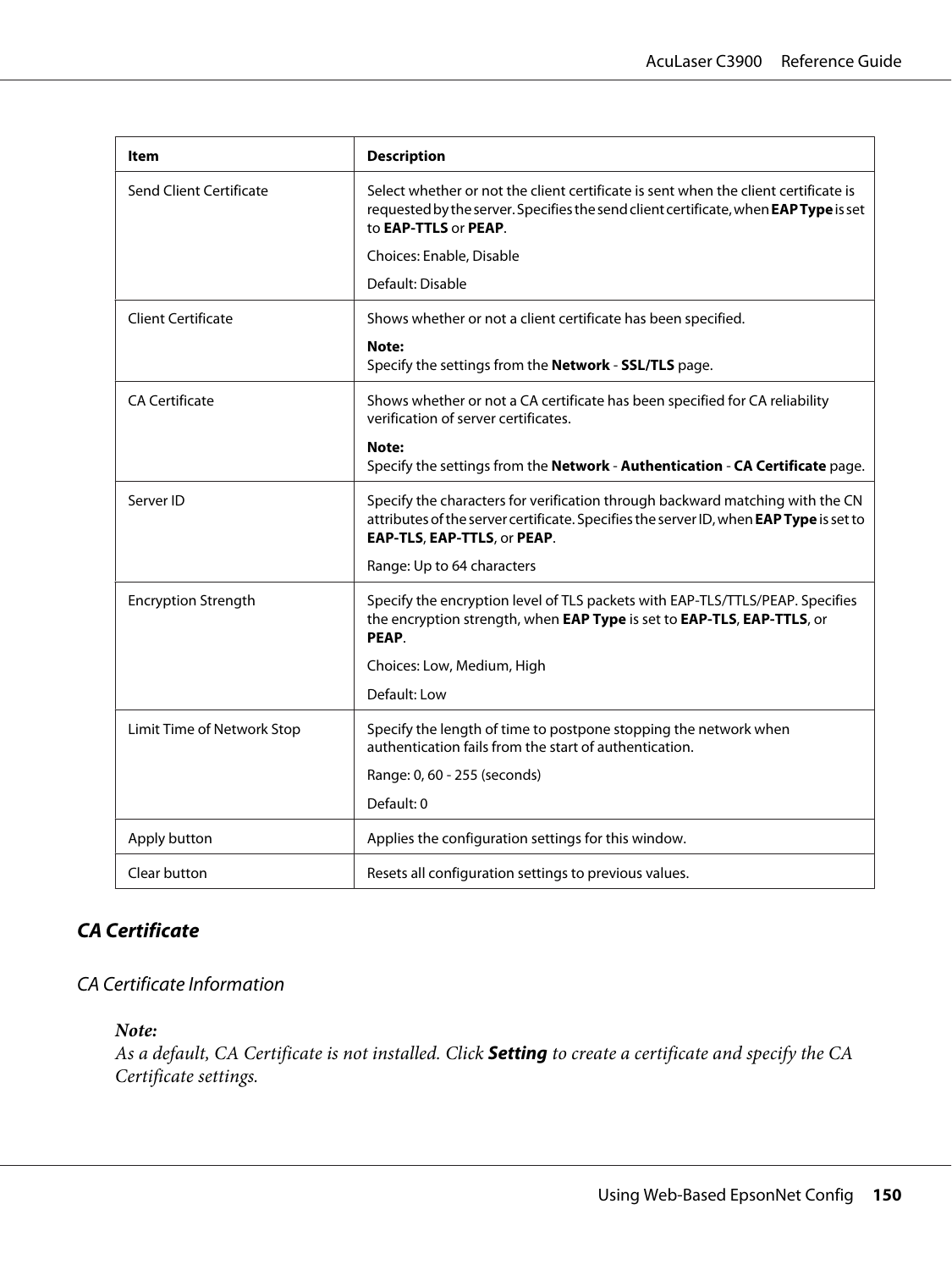<span id="page-149-0"></span>

| ltem                       | <b>Description</b>                                                                                                                                                                                     |
|----------------------------|--------------------------------------------------------------------------------------------------------------------------------------------------------------------------------------------------------|
| Send Client Certificate    | Select whether or not the client certificate is sent when the client certificate is<br>requested by the server. Specifies the send client certificate, when EAP Type is set<br>to EAP-TTLS or PEAP.    |
|                            | Choices: Enable, Disable                                                                                                                                                                               |
|                            | Default: Disable                                                                                                                                                                                       |
| <b>Client Certificate</b>  | Shows whether or not a client certificate has been specified.                                                                                                                                          |
|                            | Note:<br>Specify the settings from the Network - SSL/TLS page.                                                                                                                                         |
| <b>CA Certificate</b>      | Shows whether or not a CA certificate has been specified for CA reliability<br>verification of server certificates.                                                                                    |
|                            | Note:<br>Specify the settings from the Network - Authentication - CA Certificate page.                                                                                                                 |
| Server ID                  | Specify the characters for verification through backward matching with the CN<br>attributes of the server certificate. Specifies the server ID, when EAP Type is set to<br>EAP-TLS, EAP-TTLS, or PEAP. |
|                            | Range: Up to 64 characters                                                                                                                                                                             |
| <b>Encryption Strength</b> | Specify the encryption level of TLS packets with EAP-TLS/TTLS/PEAP. Specifies<br>the encryption strength, when EAP Type is set to EAP-TLS, EAP-TTLS, or<br>PEAP.                                       |
|                            | Choices: Low, Medium, High                                                                                                                                                                             |
|                            | Default: Low                                                                                                                                                                                           |
| Limit Time of Network Stop | Specify the length of time to postpone stopping the network when<br>authentication fails from the start of authentication.                                                                             |
|                            | Range: 0, 60 - 255 (seconds)                                                                                                                                                                           |
|                            | Default: 0                                                                                                                                                                                             |
| Apply button               | Applies the configuration settings for this window.                                                                                                                                                    |
| Clear button               | Resets all configuration settings to previous values.                                                                                                                                                  |

# **CA Certificate**

### CA Certificate Information

#### *Note:*

*As a default, CA Certificate is not installed. Click* **Setting** *to create a certificate and specify the CA Certificate settings.*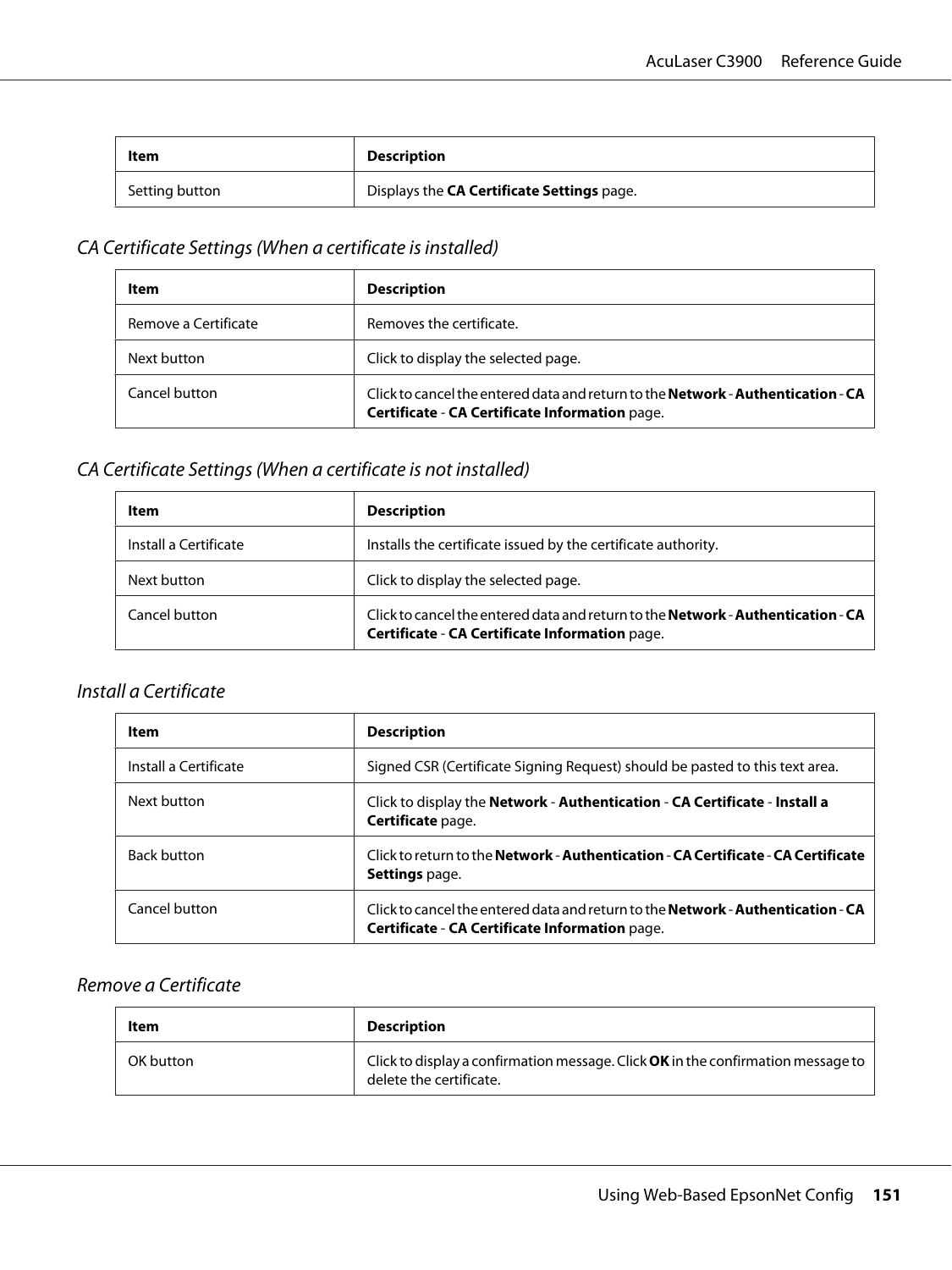<span id="page-150-0"></span>

| Item           | <b>Description</b>                         |
|----------------|--------------------------------------------|
| Setting button | Displays the CA Certificate Settings page. |

# CA Certificate Settings (When a certificate is installed)

| Item                 | <b>Description</b>                                                                                                                        |
|----------------------|-------------------------------------------------------------------------------------------------------------------------------------------|
| Remove a Certificate | Removes the certificate.                                                                                                                  |
| Next button          | Click to display the selected page.                                                                                                       |
| Cancel button        | Click to cancel the entered data and return to the <b>Network - Authentication - CA</b><br>Certificate - CA Certificate Information page. |

### CA Certificate Settings (When a certificate is not installed)

| ltem                  | <b>Description</b>                                                                                                                        |
|-----------------------|-------------------------------------------------------------------------------------------------------------------------------------------|
| Install a Certificate | Installs the certificate issued by the certificate authority.                                                                             |
| Next button           | Click to display the selected page.                                                                                                       |
| Cancel button         | Click to cancel the entered data and return to the <b>Network - Authentication - CA</b><br>Certificate - CA Certificate Information page. |

### Install a Certificate

| Item                  | <b>Description</b>                                                                                                                        |
|-----------------------|-------------------------------------------------------------------------------------------------------------------------------------------|
| Install a Certificate | Signed CSR (Certificate Signing Request) should be pasted to this text area.                                                              |
| Next button           | Click to display the <b>Network - Authentication - CA Certificate - Install a</b><br>Certificate page.                                    |
| <b>Back button</b>    | Click to return to the Network - Authentication - CA Certificate - CA Certificate<br><b>Settings</b> page.                                |
| Cancel button         | Click to cancel the entered data and return to the <b>Network - Authentication - CA</b><br>Certificate - CA Certificate Information page. |

### Remove a Certificate

| Item      | <b>Description</b>                                                                                          |
|-----------|-------------------------------------------------------------------------------------------------------------|
| OK button | Click to display a confirmation message. Click OK in the confirmation message to<br>delete the certificate. |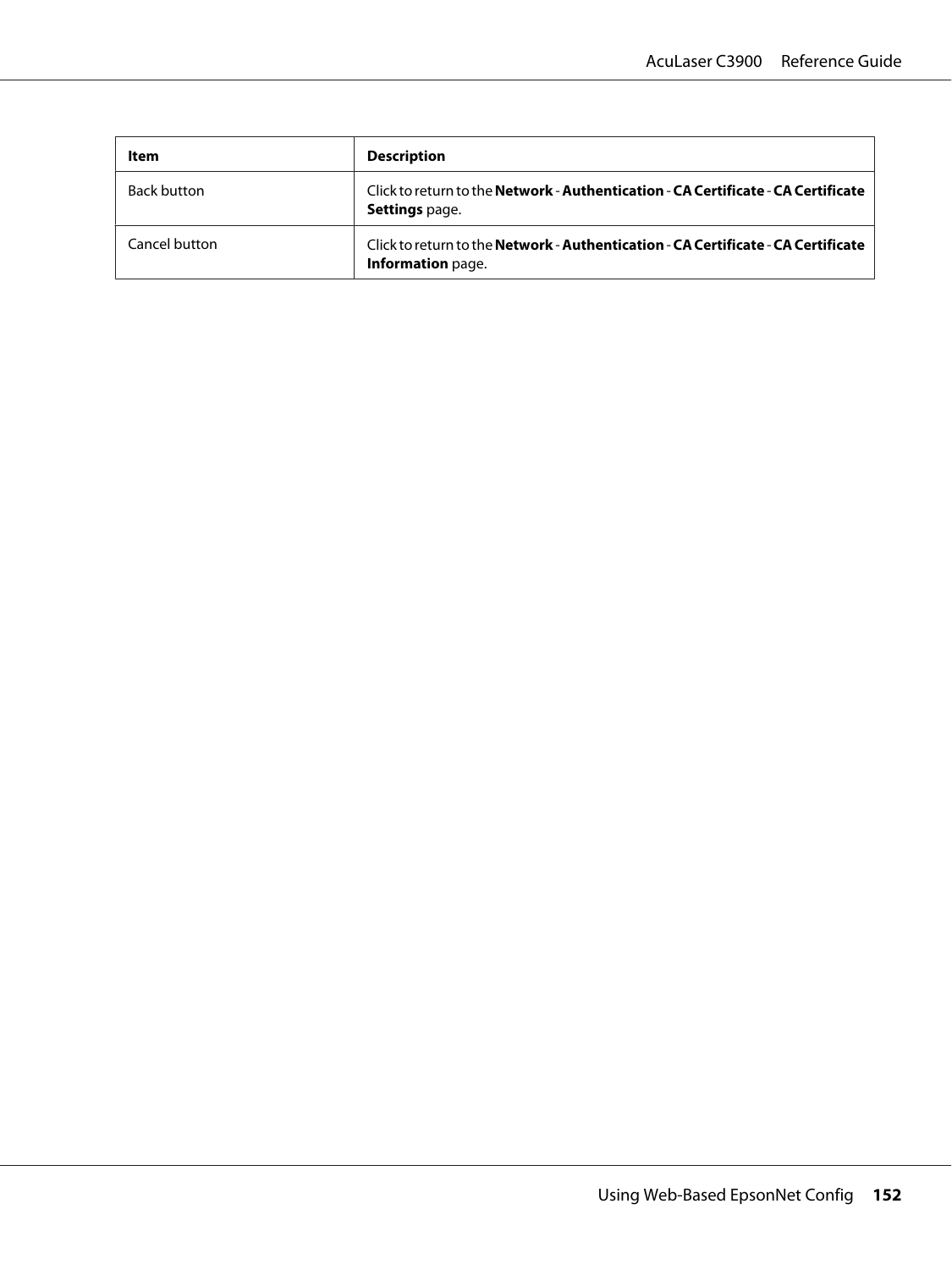| ltem               | <b>Description</b>                                                                                            |
|--------------------|---------------------------------------------------------------------------------------------------------------|
| <b>Back button</b> | Click to return to the Network - Authentication - CA Certificate - CA Certificate<br><b>Settings page.</b>    |
| Cancel button      | Click to return to the Network - Authentication - CA Certificate - CA Certificate<br><b>Information</b> page. |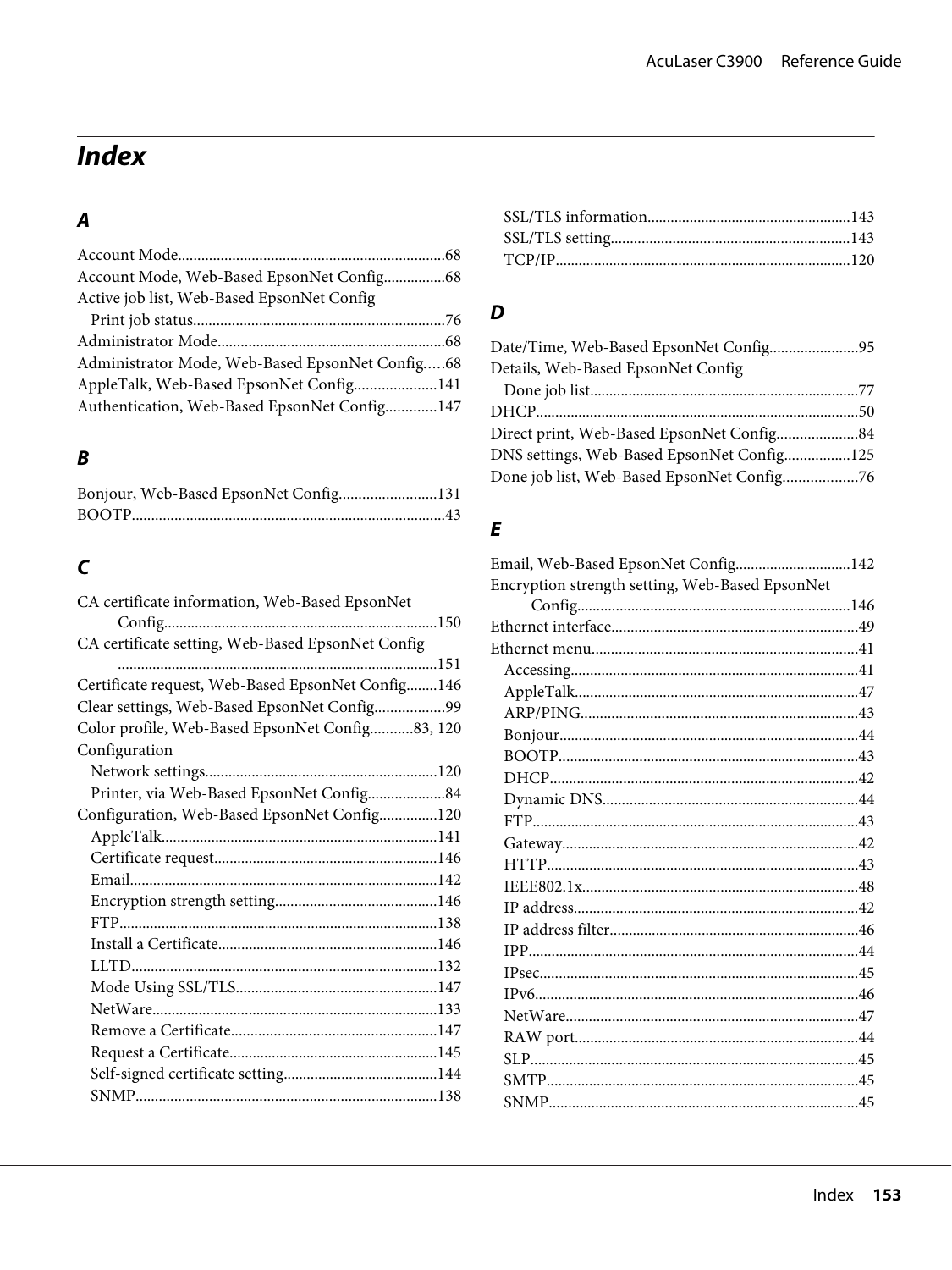# **Index**

# $\boldsymbol{A}$

| Active job list, Web-Based EpsonNet Config      |  |
|-------------------------------------------------|--|
|                                                 |  |
|                                                 |  |
| Administrator Mode, Web-Based EpsonNet Config68 |  |
| AppleTalk, Web-Based EpsonNet Config141         |  |
| Authentication, Web-Based EpsonNet Config147    |  |

# $\boldsymbol{B}$

| Bonjour, Web-Based EpsonNet Config131 |  |
|---------------------------------------|--|
|                                       |  |

# $\mathsf{C}$

| CA certificate information, Web-Based EpsonNet    |  |
|---------------------------------------------------|--|
|                                                   |  |
| CA certificate setting, Web-Based EpsonNet Config |  |
|                                                   |  |
| Certificate request, Web-Based EpsonNet Config146 |  |
| Clear settings, Web-Based EpsonNet Config99       |  |
| Color profile, Web-Based EpsonNet Config83, 120   |  |
| Configuration                                     |  |
|                                                   |  |
| Printer, via Web-Based EpsonNet Config84          |  |
| Configuration, Web-Based EpsonNet Config120       |  |
|                                                   |  |
|                                                   |  |
|                                                   |  |
|                                                   |  |
|                                                   |  |
|                                                   |  |
|                                                   |  |
|                                                   |  |
|                                                   |  |
|                                                   |  |
|                                                   |  |
|                                                   |  |
|                                                   |  |
|                                                   |  |

## $\boldsymbol{D}$

| Date/Time, Web-Based EpsonNet Config95     |  |
|--------------------------------------------|--|
| Details, Web-Based EpsonNet Config         |  |
|                                            |  |
|                                            |  |
| Direct print, Web-Based EpsonNet Config84  |  |
| DNS settings, Web-Based EpsonNet Config125 |  |
| Done job list, Web-Based EpsonNet Config76 |  |
|                                            |  |

### $\boldsymbol{E}$

| Email, Web-Based EpsonNet Config142             |
|-------------------------------------------------|
| Encryption strength setting, Web-Based EpsonNet |
|                                                 |
|                                                 |
|                                                 |
|                                                 |
|                                                 |
|                                                 |
|                                                 |
|                                                 |
|                                                 |
|                                                 |
|                                                 |
|                                                 |
|                                                 |
|                                                 |
|                                                 |
|                                                 |
|                                                 |
|                                                 |
|                                                 |
|                                                 |
|                                                 |
|                                                 |
|                                                 |
|                                                 |
|                                                 |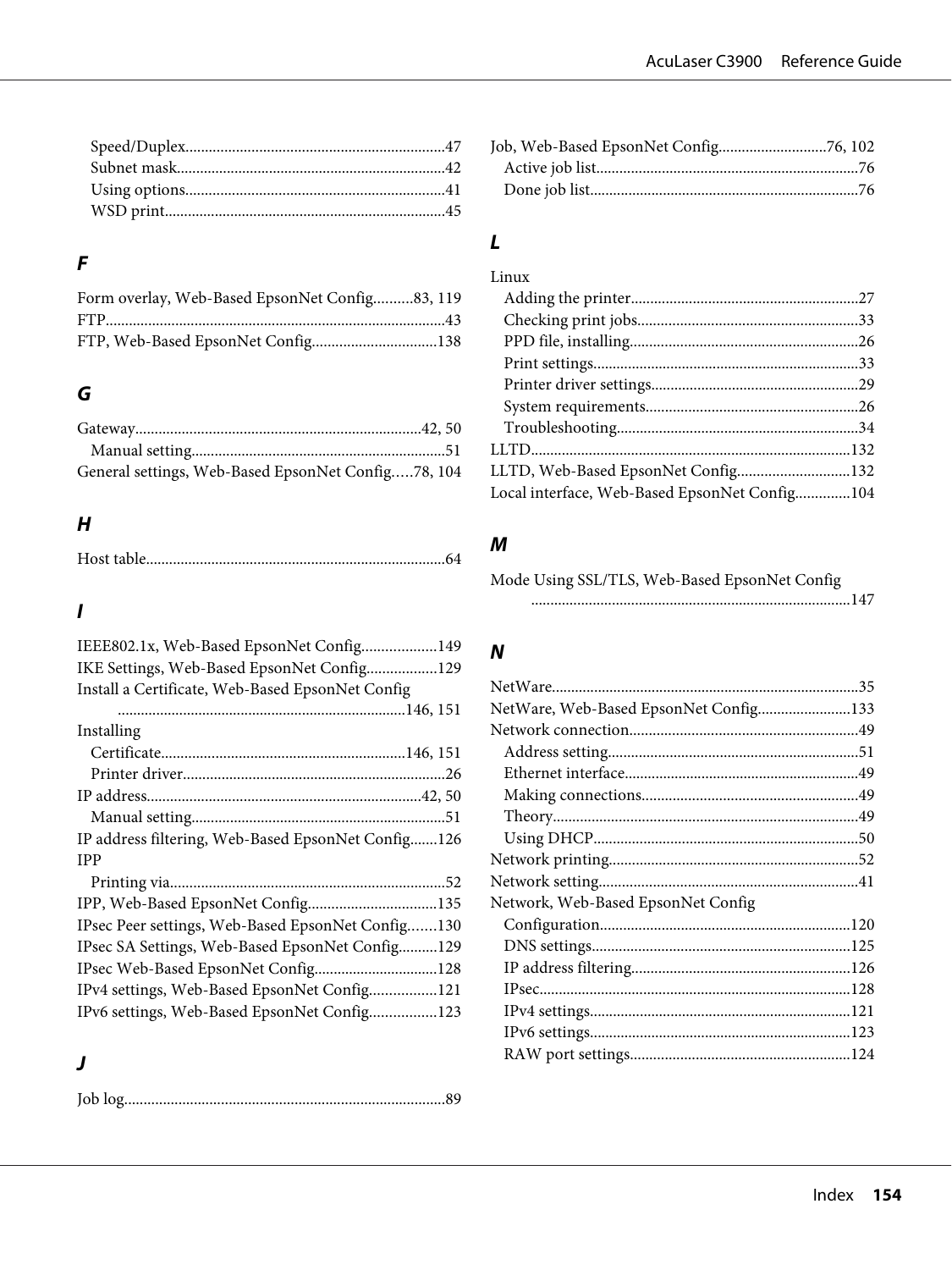# $\overline{F}$

| Form overlay, Web-Based EpsonNet Config83, 119 |  |
|------------------------------------------------|--|
|                                                |  |
| FTP, Web-Based EpsonNet Config138              |  |

# G

| General settings, Web-Based EpsonNet Config78, 104 |  |
|----------------------------------------------------|--|

### $H$

|--|--|

# $\mathbf{I}$

| IEEE802.1x, Web-Based EpsonNet Config149           |
|----------------------------------------------------|
| IKE Settings, Web-Based EpsonNet Config129         |
| Install a Certificate, Web-Based EpsonNet Config   |
|                                                    |
| Installing                                         |
|                                                    |
|                                                    |
|                                                    |
|                                                    |
| IP address filtering, Web-Based EpsonNet Config126 |
| <b>IPP</b>                                         |
|                                                    |
| IPP, Web-Based EpsonNet Config135                  |
| IPsec Peer settings, Web-Based EpsonNet Config130  |
| IPsec SA Settings, Web-Based EpsonNet Config129    |
| IPsec Web-Based EpsonNet Config128                 |
| IPv4 settings, Web-Based EpsonNet Config121        |
| IPv6 settings, Web-Based EpsonNet Config123        |

### $\boldsymbol{\mathsf{J}}$

# $\mathbf{L}$

| Linux                                         |  |
|-----------------------------------------------|--|
|                                               |  |
|                                               |  |
|                                               |  |
|                                               |  |
|                                               |  |
|                                               |  |
|                                               |  |
|                                               |  |
| LLTD, Web-Based EpsonNet Config132            |  |
| Local interface, Web-Based EpsonNet Config104 |  |
|                                               |  |

# $\boldsymbol{M}$

| Mode Using SSL/TLS, Web-Based EpsonNet Config |  |  |  |  |  |
|-----------------------------------------------|--|--|--|--|--|
|                                               |  |  |  |  |  |

# $\boldsymbol{N}$

| NetWare, Web-Based EpsonNet Config133 |  |
|---------------------------------------|--|
|                                       |  |
|                                       |  |
|                                       |  |
|                                       |  |
|                                       |  |
|                                       |  |
|                                       |  |
|                                       |  |
| Network, Web-Based EpsonNet Config    |  |
|                                       |  |
|                                       |  |
|                                       |  |
|                                       |  |
|                                       |  |
|                                       |  |
|                                       |  |
|                                       |  |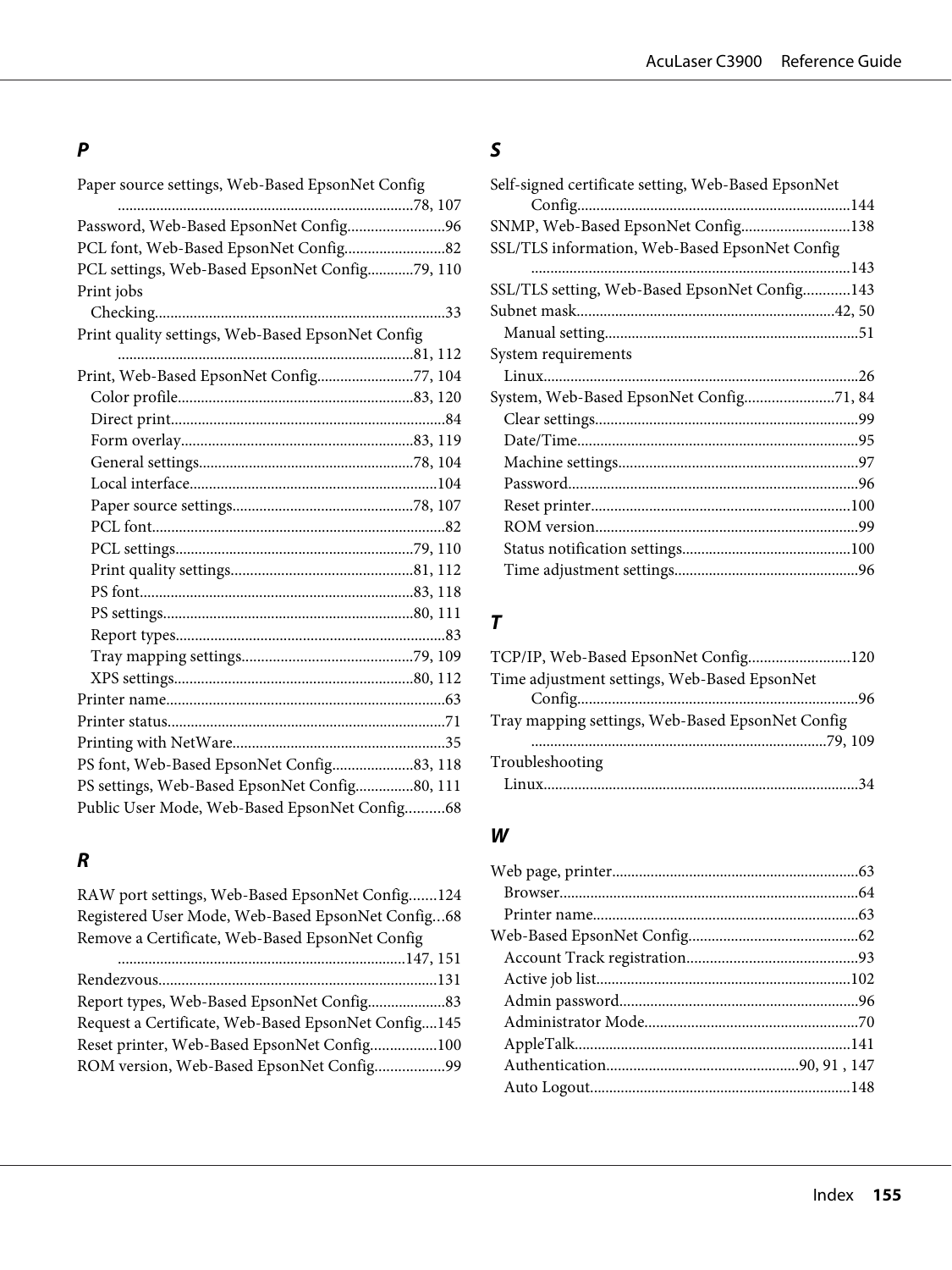### **P**

[Paper source settings, Web-Based EpsonNet Config](#page-77-0)

| Password, Web-Based EpsonNet Config96             |    |
|---------------------------------------------------|----|
|                                                   |    |
| PCL settings, Web-Based EpsonNet Config79, 110    |    |
| Print jobs                                        |    |
|                                                   | 33 |
| Print quality settings, Web-Based EpsonNet Config |    |
|                                                   |    |
| Print, Web-Based EpsonNet Config77, 104           |    |
|                                                   |    |
|                                                   |    |
|                                                   |    |
|                                                   |    |
|                                                   |    |
|                                                   |    |
|                                                   |    |
|                                                   |    |
|                                                   |    |
|                                                   |    |
|                                                   |    |
|                                                   |    |
|                                                   |    |
|                                                   |    |
|                                                   |    |
|                                                   |    |
|                                                   |    |
|                                                   |    |
| PS settings, Web-Based EpsonNet Config80, 111     |    |
| Public User Mode, Web-Based EpsonNet Config68     |    |

### **R**

[RAW port settings, Web-Based EpsonNet Config.......124](#page-123-0) [Registered User Mode, Web-Based EpsonNet Config...68](#page-67-0) [Remove a Certificate, Web-Based EpsonNet Config](#page-146-0)

| Report types, Web-Based EpsonNet Config83           |  |
|-----------------------------------------------------|--|
| Request a Certificate, Web-Based EpsonNet Config145 |  |
| Reset printer, Web-Based EpsonNet Config100         |  |
| ROM version, Web-Based EpsonNet Config99            |  |

### **S**

# **T**

| TCP/IP, Web-Based EpsonNet Config120             |    |
|--------------------------------------------------|----|
| Time adjustment settings, Web-Based EpsonNet     |    |
|                                                  |    |
| Tray mapping settings, Web-Based EpsonNet Config |    |
|                                                  |    |
| Troubleshooting                                  |    |
|                                                  | 34 |

#### **W**